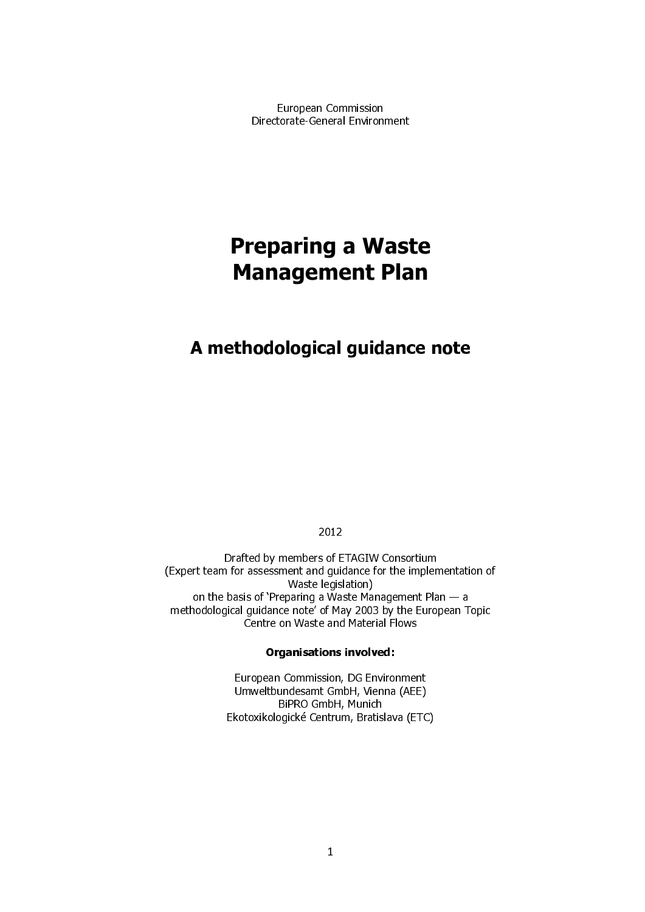European Commission Directorate-General Environment

# **Management Plan** Management Plan

# A methodological guidance note

2012

Drafted by members of ETAGIW Consortium (Expert team for assessment and guidance for the implementation of Waste legislation) on the basis of 'Preparing a Waste Management Plan — a methodological guidance note' of May 2003 by the European Topic Centre on Waste and Material Flows

#### Organisations involved:

European Commission, DG Environment Umweltbundesamt GmbH, Vienna (AEE) BiPRO GmbH, Munich Ekotoxikologické Centrum, Bratislava (ETC)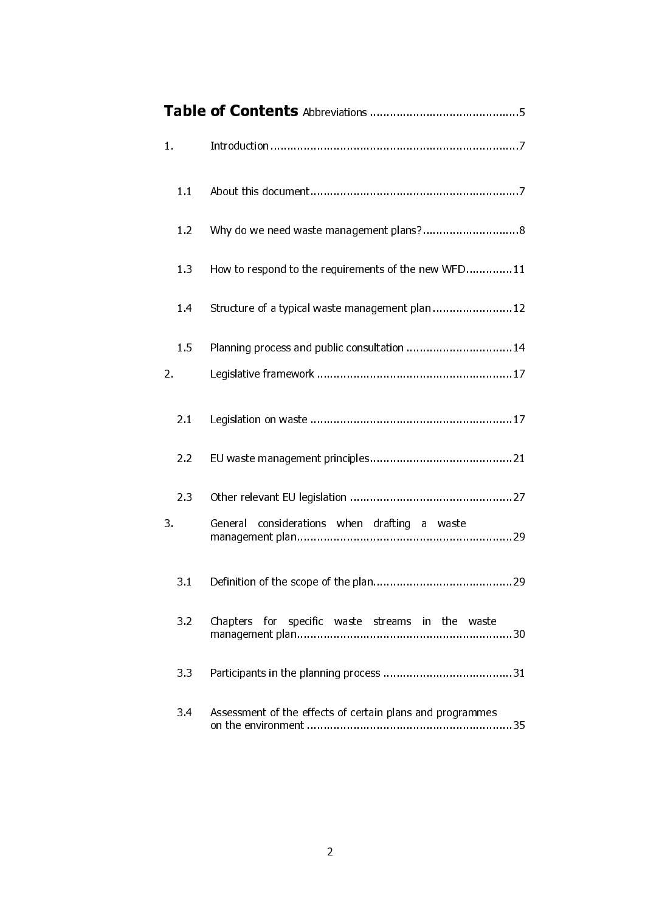| $\mathbf{1}$ . |     |                                                           |  |  |
|----------------|-----|-----------------------------------------------------------|--|--|
|                | 1.1 |                                                           |  |  |
|                | 1.2 |                                                           |  |  |
|                | 1.3 | How to respond to the requirements of the new WFD11       |  |  |
|                | 1.4 | Structure of a typical waste management plan 12           |  |  |
|                | 1.5 | Planning process and public consultation  14              |  |  |
| 2.             |     |                                                           |  |  |
|                | 2.1 |                                                           |  |  |
|                | 2.2 |                                                           |  |  |
| 3.             | 2.3 | considerations when drafting a waste<br>General           |  |  |
|                |     |                                                           |  |  |
|                | 3.1 |                                                           |  |  |
|                | 3.2 | Chapters for specific waste streams in the waste          |  |  |
|                | 3.3 |                                                           |  |  |
|                | 3.4 | Assessment of the effects of certain plans and programmes |  |  |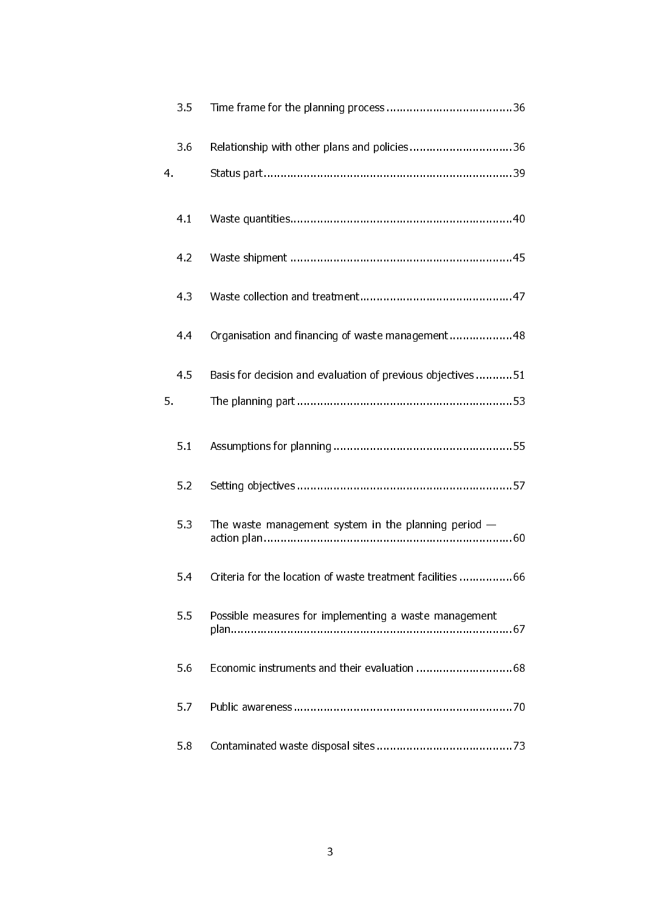| 3.5 |                                                            |
|-----|------------------------------------------------------------|
| 3.6 | Relationship with other plans and policies36               |
| 4.  |                                                            |
| 4.1 |                                                            |
| 4.2 |                                                            |
| 43  |                                                            |
| 4.4 | Organisation and financing of waste management48           |
| 4.5 | Basis for decision and evaluation of previous objectives51 |
| 5.  |                                                            |
| 5.1 |                                                            |
| 5.2 |                                                            |
| 5.3 | The waste management system in the planning period $-$     |
| 5.4 | Criteria for the location of waste treatment facilities 66 |
| 5.5 | Possible measures for implementing a waste management      |
| 5.6 |                                                            |
| 5.7 |                                                            |
| 5.8 |                                                            |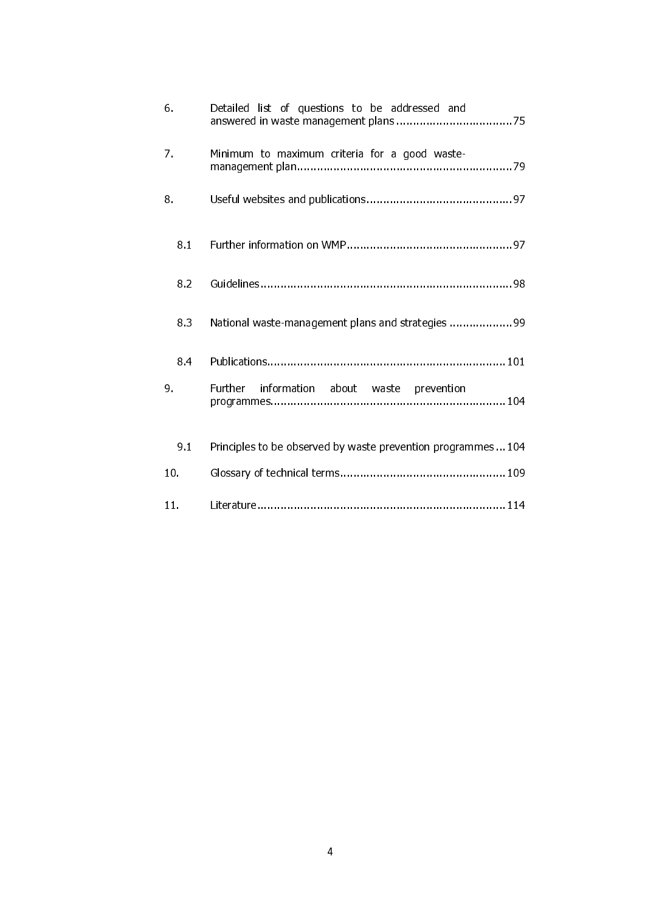| 6.              | Detailed list of questions to be addressed and                |
|-----------------|---------------------------------------------------------------|
| 7.              | Minimum to maximum criteria for a good waste-                 |
| 8.              |                                                               |
| 8.1             |                                                               |
| 8.2             |                                                               |
| 8.3             | National waste-management plans and strategies 99             |
| 8.4             |                                                               |
| 9.              | <b>Further</b><br>information about waste prevention          |
| 9.1             | Principles to be observed by waste prevention programmes  104 |
| 10 <sub>1</sub> |                                                               |
| 11.             |                                                               |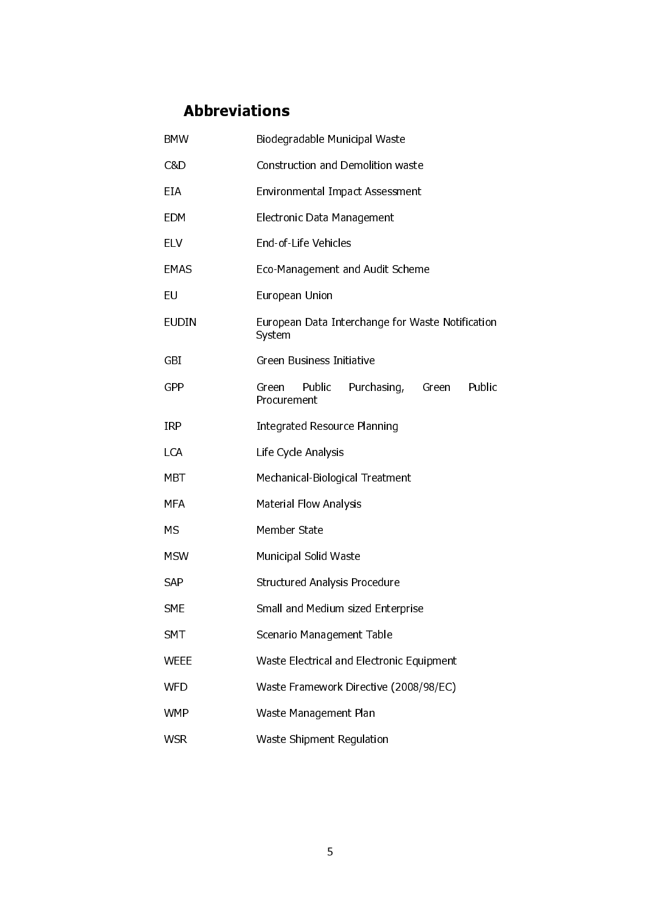# Abbreviations

| <b>BMW</b>  | Biodegradable Municipal Waste                                    |  |  |  |  |
|-------------|------------------------------------------------------------------|--|--|--|--|
| C&D         | <b>Construction and Demolition waste</b>                         |  |  |  |  |
| EIA         | <b>Environmental Impact Assessment</b>                           |  |  |  |  |
| EDM         | Electronic Data Management                                       |  |  |  |  |
| <b>ELV</b>  | End-of-Life Vehicles                                             |  |  |  |  |
| EMAS        | Eco-Management and Audit Scheme                                  |  |  |  |  |
| EU          | European Union                                                   |  |  |  |  |
| EUDIN       | European Data Interchange for Waste Notification<br>System       |  |  |  |  |
| GBI         | Green Business Initiative                                        |  |  |  |  |
| GPP         | Public<br>Purchasing,<br>Public<br>Green<br>Green<br>Procurement |  |  |  |  |
| <b>IRP</b>  | <b>Integrated Resource Planning</b>                              |  |  |  |  |
| LCA         | Life Cycle Analysis                                              |  |  |  |  |
| MBT         | Mechanical-Biological Treatment                                  |  |  |  |  |
| MFA         | <b>Material Flow Analysis</b>                                    |  |  |  |  |
| МS          | Member State                                                     |  |  |  |  |
| <b>MSW</b>  | Municipal Solid Waste                                            |  |  |  |  |
| <b>SAP</b>  | <b>Structured Analysis Procedure</b>                             |  |  |  |  |
| <b>SME</b>  | Small and Medium sized Enterprise                                |  |  |  |  |
| <b>SMT</b>  | Scenario Management Table                                        |  |  |  |  |
| <b>WEEE</b> | Waste Electrical and Electronic Equipment                        |  |  |  |  |
| <b>WFD</b>  | Waste Framework Directive (2008/98/EC)                           |  |  |  |  |
| <b>WMP</b>  | Waste Management Plan                                            |  |  |  |  |
| <b>WSR</b>  | Waste Shipment Regulation                                        |  |  |  |  |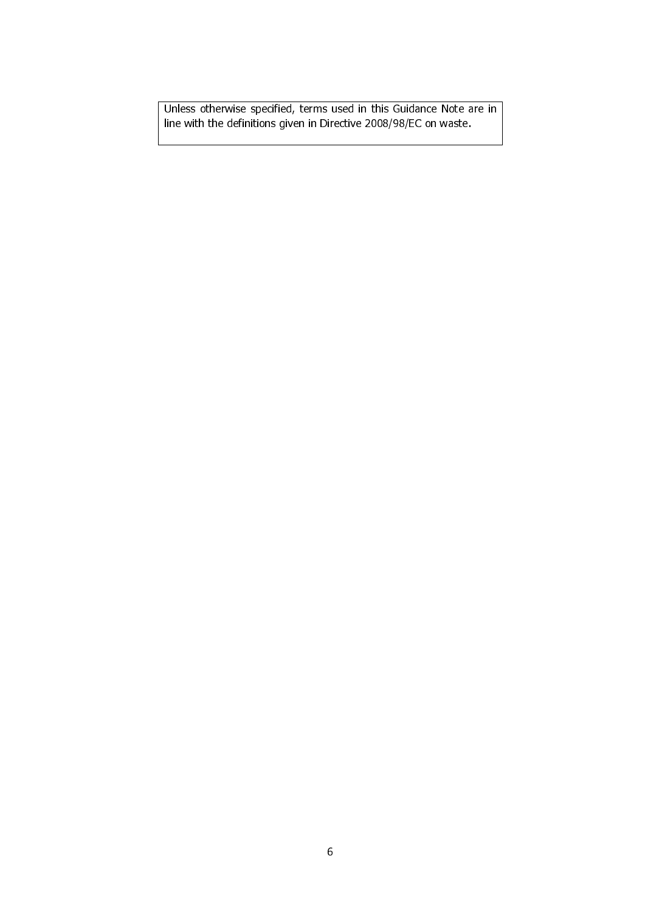Unless otherwise specified, terms used in this Guidance Note are in line with the definitions given in Directive 2008/98/EC on waste.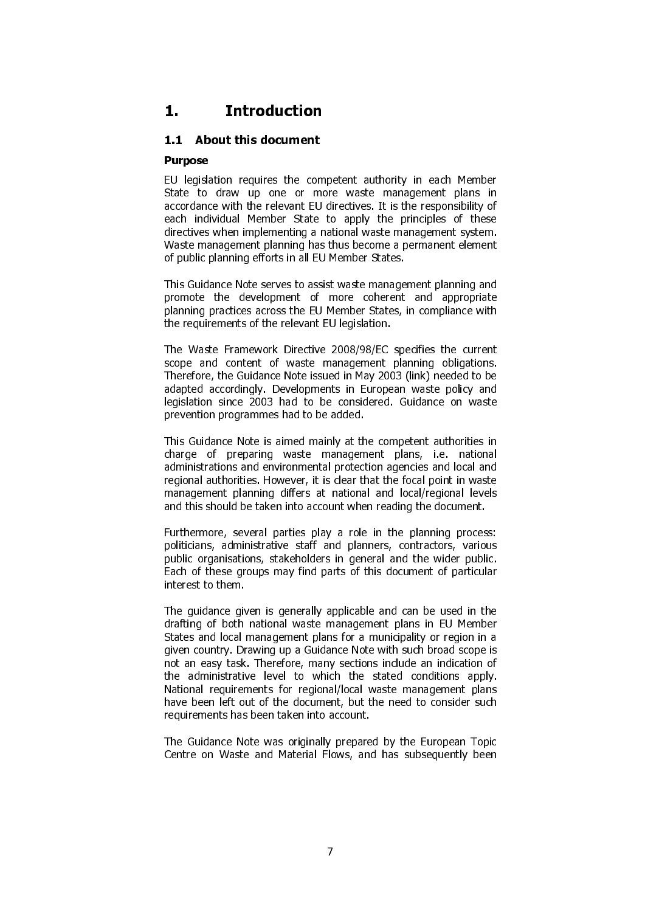# 1. Introduction

# 1.1 About this document

#### Purpose

EU legislation requires the competent authority in each Member State to draw up one or more waste management plans in accordance with the relevant EU directives. It is the responsibility of each individual Member State to apply the principles of these directives when implementing a national waste management system. Waste management planning has thus become a permanent element of public planning efforts in all EU Member States.

This Guidance Note serves to assist waste management planning and promote the development of more coherent and appropriate planning practices across the EU Member States, in compliance with the requirements of the relevant EU legislation.

The Waste Framework Directive 2008/98/EC specifies the current scope and content of waste management planning obligations. Therefore, the Guidance Note issued in May 2003 (link) needed to be adapted accordingly. Developments in European waste policy and legislation since 2003 had to be considered. Guidance on waste prevention programmes had to be added.

This Guidance Note is aimed mainly at the competent authorities in charge of preparing waste management plans, i.e. national administrations and environmental protection agencies and local and regional authorities. However, it is clear that the focal point in waste management planning differs at national and local/regional levels and this should be taken into account when reading the document.

Furthermore, several parties play a role in the planning process: politicians, administrative staff and planners, contractors, various public organisations, stakeholders in general and the wider public. Each of these groups may find parts of this document of particular interest to them.

The guidance given is generally applicable and can be used in the drafting of both national waste management plans in EU Member States and local management plans for a municipality or region in a given country. Drawing up a Guidance Note with such broad scope is not an easy task. Therefore, many sections include an indication of the administrative level to which the stated conditions apply. National requirements for regional/local waste management plans have been left out of the document, but the need to consider such requirements has been taken into account.

The Guidance Note was originally prepared by the European Topic Centre on Waste and Material Flows, and has subsequently been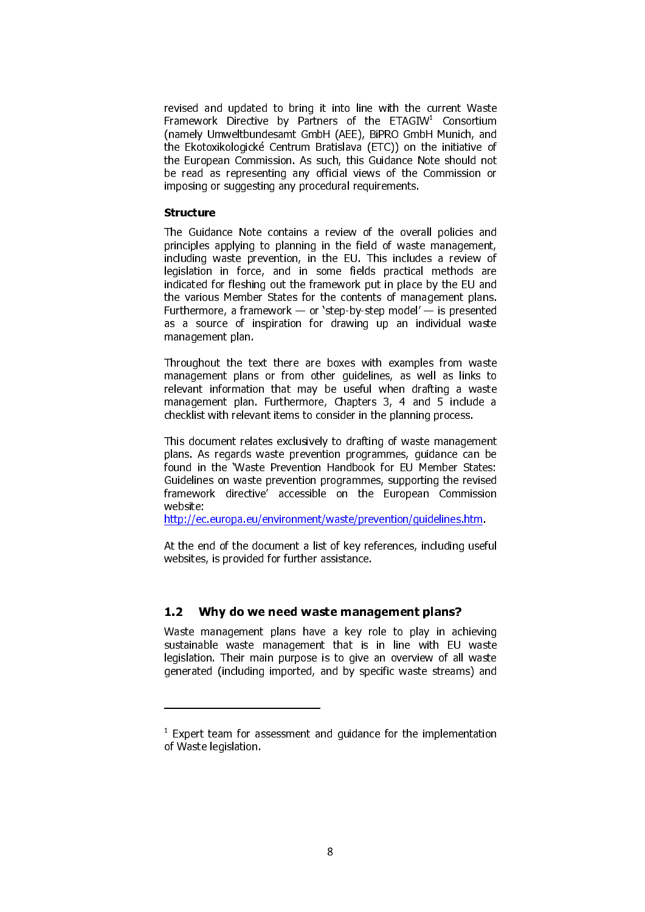revised and updated to bring it into line with the current Waste Framework Directive by Partners of the ETAGIW<sup>1</sup> Consortium (namely Umweltbundesamt GmbH (AEE), BiPRO GmbH Munich, and the Ekotoxikologické Centrum Bratislava (ETC)) on the initiative of the European Commission. As such, this Guidance Note should not be read as representing any official views of the Commission or imposing or suggesting any procedural requirements.

#### Structure

1

The Guidance Note contains a review of the overall policies and principles applying to planning in the field of waste management, including waste prevention, in the EU. This includes a review of legislation in force, and in some fields practical methods are indicated for fleshing out the framework put in place by the EU and the various Member States for the contents of management plans. Furthermore, a framework — or 'step-by-step model' — is presented as a source of inspiration for drawing up an individual waste management plan.

Throughout the text there are boxes with examples from waste management plans or from other guidelines, as well as links to relevant information that may be useful when drafting a waste management plan. Furthermore, Chapters 3, 4 and 5 include a checklist with relevant items to consider in the planning process.

This document relates exclusively to drafting of waste management plans. As regards waste prevention programmes, guidance can be found in the 'Waste Prevention Handbook for EU Member States: Guidelines on waste prevention programmes, supporting the revised framework directive' accessible on the European Commission website:

http://ec.europa.eu/environment/waste/prevention/guidelines.htm.

At the end of the document a list of key references, including useful websites, is provided for further assistance.

#### 1.2 Why do we need waste management plans?

Waste management plans have a key role to play in achieving sustainable waste management that is in line with EU waste legislation. Their main purpose is to give an overview of all waste generated (including imported, and by specific waste streams) and

<sup>1</sup> Expert team for assessment and guidance for the implementation of Waste legislation.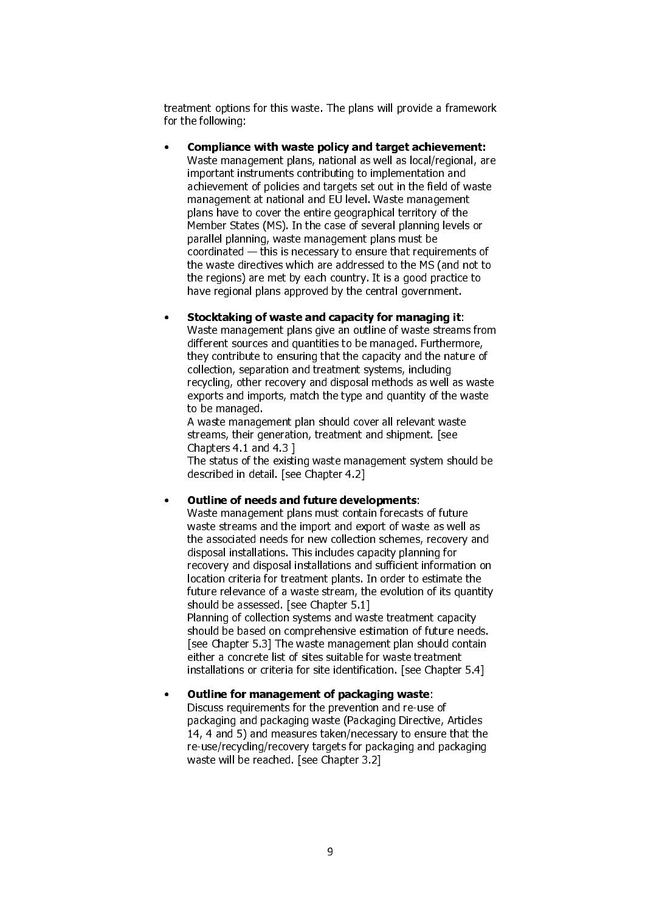treatment options for this waste. The plans will provide a framework for the following:

• Compliance with waste policy and target achievement: Waste management plans, national as well as local/regional, are important instruments contributing to implementation and achievement of policies and targets set out in the field of waste management at national and EU level. Waste management plans have to cover the entire geographical territory of the Member States (MS). In the case of several planning levels or parallel planning, waste management plans must be coordinated — this is necessary to ensure that requirements of the waste directives which are addressed to the MS (and not to the regions) are met by each country. It is a good practice to have regional plans approved by the central government.

#### • Stocktaking of waste and capacity for managing it:

Waste management plans give an outline of waste streams from different sources and quantities to be managed. Furthermore, they contribute to ensuring that the capacity and the nature of collection, separation and treatment systems, including recycling, other recovery and disposal methods as well as waste exports and imports, match the type and quantity of the waste to be managed.

A waste management plan should cover all relevant waste streams, their generation, treatment and shipment. [see Chapters 4.1 and 4.3 ]

The status of the existing waste management system should be described in detail. [see Chapter 4.2]

#### • Outline of needs and future developments:

Waste management plans must contain forecasts of future waste streams and the import and export of waste as well as the associated needs for new collection schemes, recovery and disposal installations. This includes capacity planning for recovery and disposal installations and sufficient information on location criteria for treatment plants. In order to estimate the future relevance of a waste stream, the evolution of its quantity should be assessed. [see Chapter 5.1] Planning of collection systems and waste treatment capacity should be based on comprehensive estimation of future needs. [see Chapter 5.3] The waste management plan should contain either a concrete list of sites suitable for waste treatment

installations or criteria for site identification. [see Chapter 5.4]

# • Outline for management of packaging waste:

Discuss requirements for the prevention and re-use of packaging and packaging waste (Packaging Directive, Articles 14, 4 and 5) and measures taken/necessary to ensure that the re-use/recycling/recovery targets for packaging and packaging waste will be reached. [see Chapter 3.2]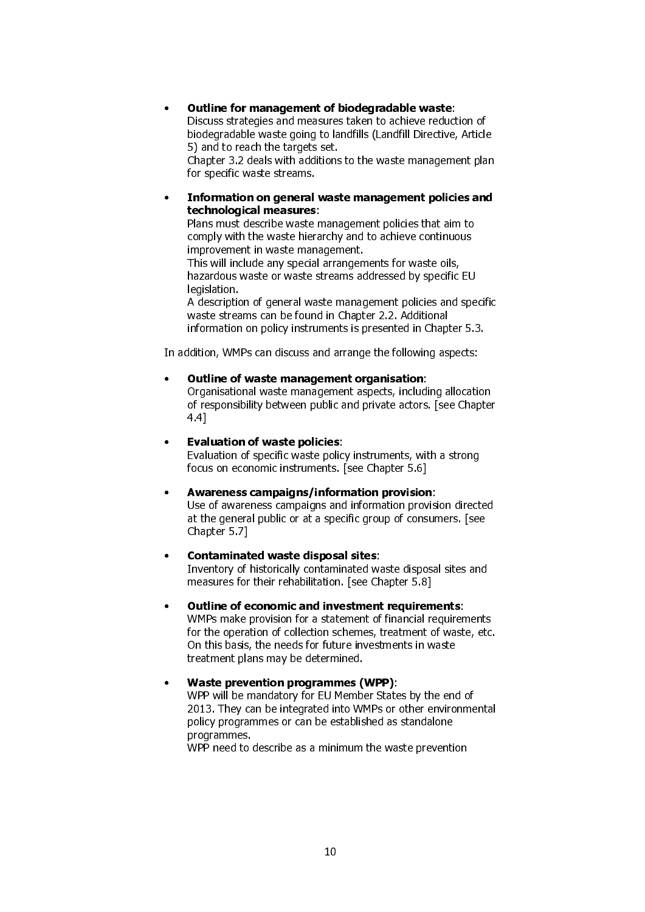# • Outline for management of biodegradable waste:

Discuss strategies and measures taken to achieve reduction of biodegradable waste going to landfills (Landfill Directive, Article 5) and to reach the targets set.

Chapter 3.2 deals with additions to the waste management plan for specific waste streams.

#### • Information on general waste management policies and technological measures:

Plans must describe waste management policies that aim to comply with the waste hierarchy and to achieve continuous improvement in waste management.

This will include any special arrangements for waste oils, hazardous waste or waste streams addressed by specific EU legislation.

A description of general waste management policies and specific waste streams can be found in Chapter 2.2. Additional information on policy instruments is presented in Chapter 5.3.

In addition, WMPs can discuss and arrange the following aspects:

# • Outline of waste management organisation:

Organisational waste management aspects, including allocation of responsibility between public and private actors. [see Chapter 4.4]

# • Evaluation of waste policies:

Evaluation of specific waste policy instruments, with a strong focus on economic instruments. [see Chapter 5.6]

# • Awareness campaigns/information provision:

Use of awareness campaigns and information provision directed at the general public or at a specific group of consumers. [see Chapter 5.7]

# • Contaminated waste disposal sites:

Inventory of historically contaminated waste disposal sites and measures for their rehabilitation. [see Chapter 5.8]

# • Outline of economic and investment requirements:

WMPs make provision for a statement of financial requirements for the operation of collection schemes, treatment of waste, etc. On this basis, the needs for future investments in waste treatment plans may be determined.

#### • Waste prevention programmes (WPP):

WPP will be mandatory for EU Member States by the end of 2013. They can be integrated into WMPs or other environmental policy programmes or can be established as standalone programmes.

WPP need to describe as a minimum the waste prevention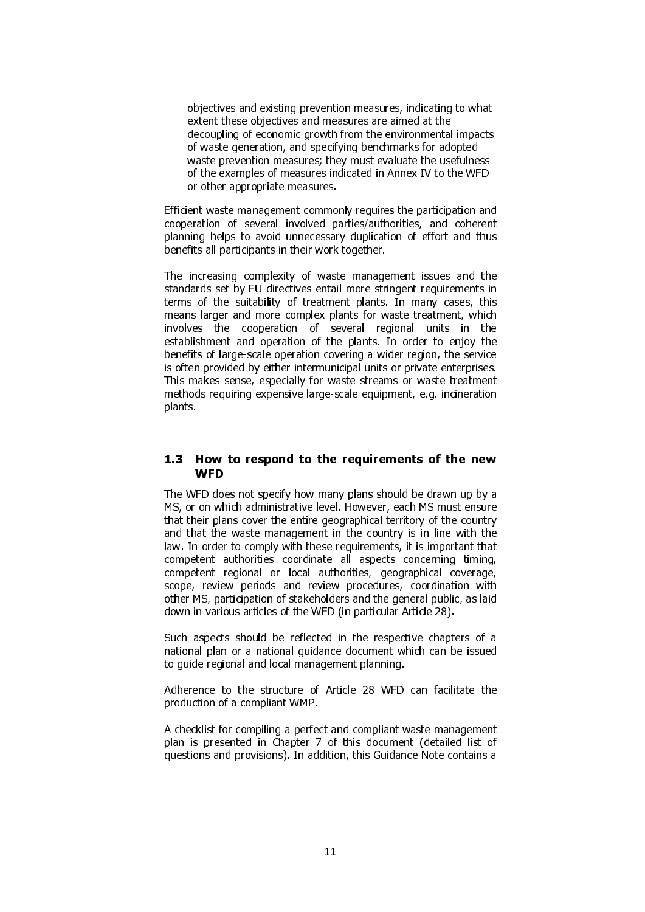objectives and existing prevention measures, indicating to what extent these objectives and measures are aimed at the decoupling of economic growth from the environmental impacts of waste generation, and specifying benchmarks for adopted waste prevention measures; they must evaluate the usefulness of the examples of measures indicated in Annex IV to the WFD or other appropriate measures.

Efficient waste management commonly requires the participation and cooperation of several involved parties/authorities, and coherent planning helps to avoid unnecessary duplication of effort and thus benefits all participants in their work together.

The increasing complexity of waste management issues and the standards set by EU directives entail more stringent requirements in terms of the suitability of treatment plants. In many cases, this means larger and more complex plants for waste treatment, which involves the cooperation of several regional units in the establishment and operation of the plants. In order to enjoy the benefits of large-scale operation covering a wider region, the service is often provided by either intermunicipal units or private enterprises. This makes sense, especially for waste streams or waste treatment methods requiring expensive large-scale equipment, e.g. incineration plants.

# 1.3 How to respond to the requirements of the new **WFD**

The WFD does not specify how many plans should be drawn up by a MS, or on which administrative level. However, each MS must ensure that their plans cover the entire geographical territory of the country and that the waste management in the country is in line with the law. In order to comply with these requirements, it is important that competent authorities coordinate all aspects concerning timing, competent regional or local authorities, geographical coverage, scope, review periods and review procedures, coordination with other MS, participation of stakeholders and the general public, as laid down in various articles of the WFD (in particular Article 28).

Such aspects should be reflected in the respective chapters of a national plan or a national guidance document which can be issued to guide regional and local management planning.

Adherence to the structure of Article 28 WFD can facilitate the production of a compliant WMP.

A checklist for compiling a perfect and compliant waste management plan is presented in Chapter 7 of this document (detailed list of questions and provisions). In addition, this Guidance Note contains a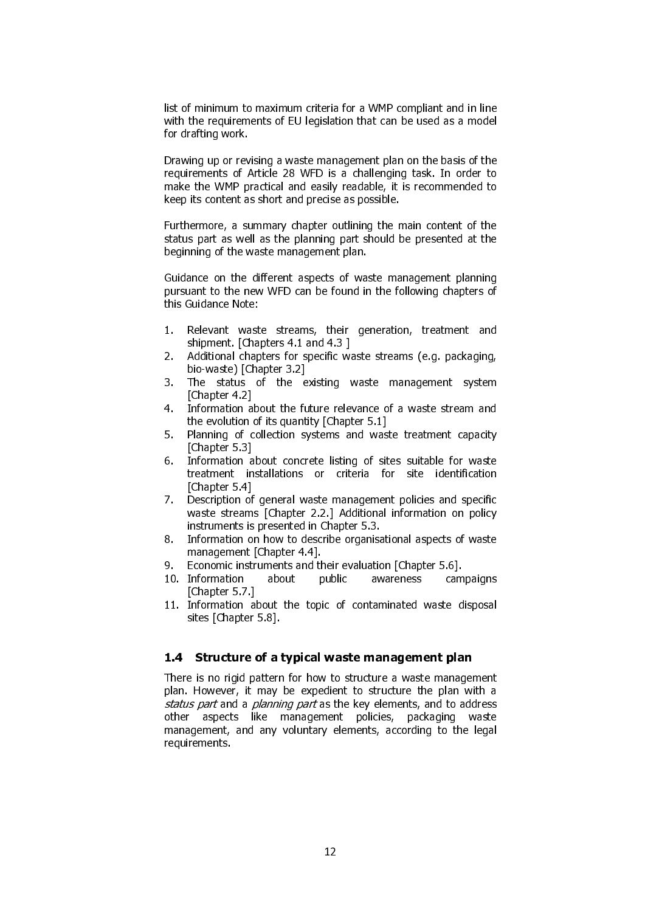list of minimum to maximum criteria for a WMP compliant and in line with the requirements of EU legislation that can be used as a model for drafting work.

Drawing up or revising a waste management plan on the basis of the requirements of Article 28 WFD is a challenging task. In order to make the WMP practical and easily readable, it is recommended to keep its content as short and precise as possible.

Furthermore, a summary chapter outlining the main content of the status part as well as the planning part should be presented at the beginning of the waste management plan.

Guidance on the different aspects of waste management planning pursuant to the new WFD can be found in the following chapters of this Guidance Note:

- 1. Relevant waste streams, their generation, treatment and shipment. [Chapters 4.1 and 4.3 ]
- 2. Additional chapters for specific waste streams (e.g. packaging, bio-waste) [Chapter 3.2]
- 3. The status of the existing waste management system [Chapter 4.2]
- 4. Information about the future relevance of a waste stream and the evolution of its quantity [Chapter 5.1]
- 5. Planning of collection systems and waste treatment capacity [Chapter 5.3]
- 6. Information about concrete listing of sites suitable for waste treatment installations or criteria for site identification [Chapter 5.4]
- 7. Description of general waste management policies and specific waste streams [Chapter 2.2.] Additional information on policy instruments is presented in Chapter 5.3.
- 8. Information on how to describe organisational aspects of waste management [Chapter 4.4].
- 9. Economic instruments and their evaluation [Chapter 5.6].
- 10. Information about public awareness campaigns [Chapter 5.7.]
- 11. Information about the topic of contaminated waste disposal sites [Chapter 5.8].

#### 1.4 Structure of a typical waste management plan

There is no rigid pattern for how to structure a waste management plan. However, it may be expedient to structure the plan with a status part and a planning part as the key elements, and to address other aspects like management policies, packaging waste management, and any voluntary elements, according to the legal requirements.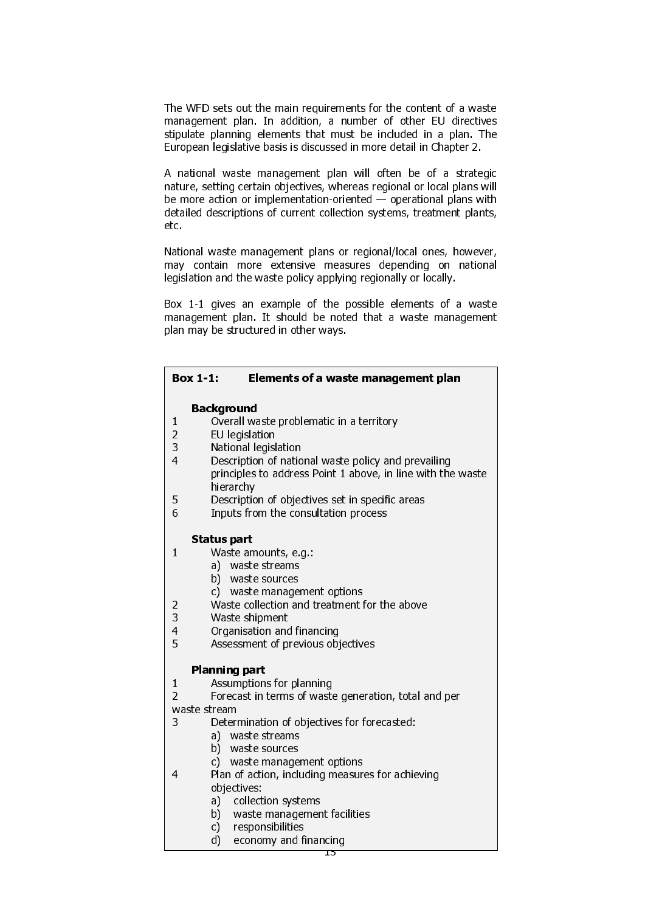The WFD sets out the main requirements for the content of a waste management plan. In addition, a number of other EU directives stipulate planning elements that must be included in a plan. The European legislative basis is discussed in more detail in Chapter 2.

A national waste management plan will often be of a strategic nature, setting certain objectives, whereas regional or local plans will be more action or implementation-oriented — operational plans with detailed descriptions of current collection systems, treatment plants, etc.

National waste management plans or regional/local ones, however, may contain more extensive measures depending on national legislation and the waste policy applying regionally or locally.

Box 1-1 gives an example of the possible elements of a waste management plan. It should be noted that a waste management plan may be structured in other ways.

| <b>Box 1-1:</b>                | Elements of a waste management plan                                                                                |
|--------------------------------|--------------------------------------------------------------------------------------------------------------------|
|                                | <b>Background</b>                                                                                                  |
| $\mathbf{1}$                   | Overall waste problematic in a territory                                                                           |
| $\overline{c}$                 | EU legislation                                                                                                     |
| 3<br>$\overline{4}$            | National legislation                                                                                               |
|                                | Description of national waste policy and prevailing<br>principles to address Point 1 above, in line with the waste |
|                                | hierarchy                                                                                                          |
| 5                              | Description of objectives set in specific areas                                                                    |
| 6                              | Inputs from the consultation process                                                                               |
|                                | Status part                                                                                                        |
| $\mathbf{1}$                   | Waste amounts, e.g.:                                                                                               |
|                                | waste streams<br>a)                                                                                                |
|                                | b) waste sources                                                                                                   |
|                                | waste management options<br>C).                                                                                    |
| 2                              | Waste collection and treatment for the above                                                                       |
| 3<br>$\overline{4}$            | Waste shipment<br>Organisation and financing                                                                       |
| 5                              | Assessment of previous objectives                                                                                  |
|                                |                                                                                                                    |
|                                | <b>Planning part</b>                                                                                               |
| $\mathbf{1}$                   | Assumptions for planning                                                                                           |
| $\overline{2}$<br>waste stream | Forecast in terms of waste generation, total and per                                                               |
| 3                              | Determination of objectives for forecasted:                                                                        |
|                                | waste streams<br>a)                                                                                                |
|                                | b) waste sources                                                                                                   |
|                                | waste management options<br>C)                                                                                     |
| $\overline{4}$                 | Plan of action, including measures for achieving                                                                   |
|                                | objectives:                                                                                                        |
|                                | collection systems<br>a)<br>b) waste management facilities                                                         |
|                                | responsibilities<br>c) -                                                                                           |
|                                |                                                                                                                    |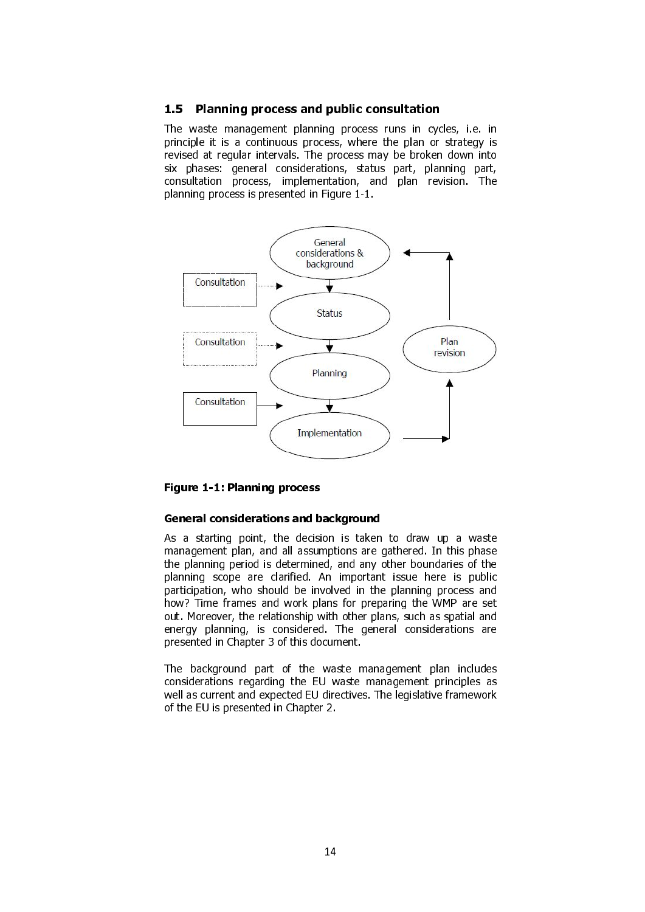#### 1.5 Planning process and public consultation

The waste management planning process runs in cycles, i.e. in principle it is a continuous process, where the plan or strategy is revised at regular intervals. The process may be broken down into six phases: general considerations, status part, planning part, consultation process, implementation, and plan revision. The planning process is presented in Figure 1-1.



#### Figure 1-1: Planning process

#### General considerations and background

As a starting point, the decision is taken to draw up a waste management plan, and all assumptions are gathered. In this phase the planning period is determined, and any other boundaries of the planning scope are clarified. An important issue here is public participation, who should be involved in the planning process and how? Time frames and work plans for preparing the WMP are set out. Moreover, the relationship with other plans, such as spatial and energy planning, is considered. The general considerations are presented in Chapter 3 of this document.

The background part of the waste management plan includes considerations regarding the EU waste management principles as well as current and expected EU directives. The legislative framework of the EU is presented in Chapter 2.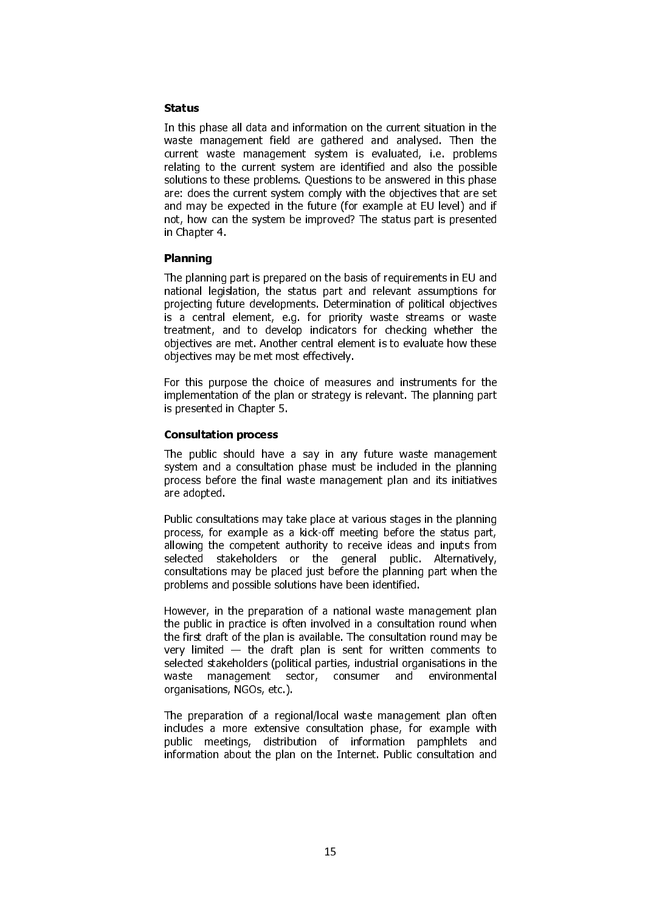#### Status

In this phase all data and information on the current situation in the waste management field are gathered and analysed. Then the current waste management system is evaluated, i.e. problems relating to the current system are identified and also the possible solutions to these problems. Questions to be answered in this phase are: does the current system comply with the objectives that are set and may be expected in the future (for example at EU level) and if not, how can the system be improved? The status part is presented in Chapter 4.

#### Planning

The planning part is prepared on the basis of requirements in EU and national legislation, the status part and relevant assumptions for projecting future developments. Determination of political objectives is a central element, e.g. for priority waste streams or waste treatment, and to develop indicators for checking whether the objectives are met. Another central element is to evaluate how these objectives may be met most effectively.

For this purpose the choice of measures and instruments for the implementation of the plan or strategy is relevant. The planning part is presented in Chapter 5.

#### Consultation process

The public should have a say in any future waste management system and a consultation phase must be included in the planning process before the final waste management plan and its initiatives are adopted.

Public consultations may take place at various stages in the planning process, for example as a kick-off meeting before the status part, allowing the competent authority to receive ideas and inputs from selected stakeholders or the general public. Alternatively, consultations may be placed just before the planning part when the problems and possible solutions have been identified.

However, in the preparation of a national waste management plan the public in practice is often involved in a consultation round when the first draft of the plan is available. The consultation round may be very limited — the draft plan is sent for written comments to selected stakeholders (political parties, industrial organisations in the waste management sector, consumer and environmental organisations, NGOs, etc.).

The preparation of a regional/local waste management plan often includes a more extensive consultation phase, for example with public meetings, distribution of information pamphlets and information about the plan on the Internet. Public consultation and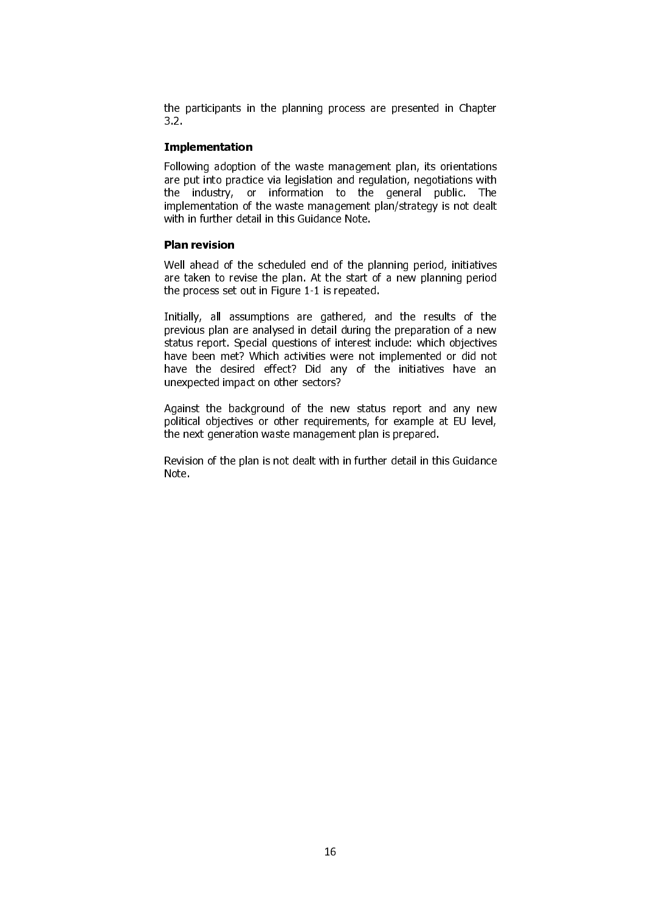the participants in the planning process are presented in Chapter 3.2.

#### Implementation

Following adoption of the waste management plan, its orientations are put into practice via legislation and regulation, negotiations with the industry, or information to the general public. The implementation of the waste management plan/strategy is not dealt with in further detail in this Guidance Note.

#### Plan revision

Well ahead of the scheduled end of the planning period, initiatives are taken to revise the plan. At the start of a new planning period the process set out in Figure 1-1 is repeated.

Initially, all assumptions are gathered, and the results of the previous plan are analysed in detail during the preparation of a new status report. Special questions of interest include: which objectives have been met? Which activities were not implemented or did not have the desired effect? Did any of the initiatives have an unexpected impact on other sectors?

Against the background of the new status report and any new political objectives or other requirements, for example at EU level, the next generation waste management plan is prepared.

Revision of the plan is not dealt with in further detail in this Guidance Note.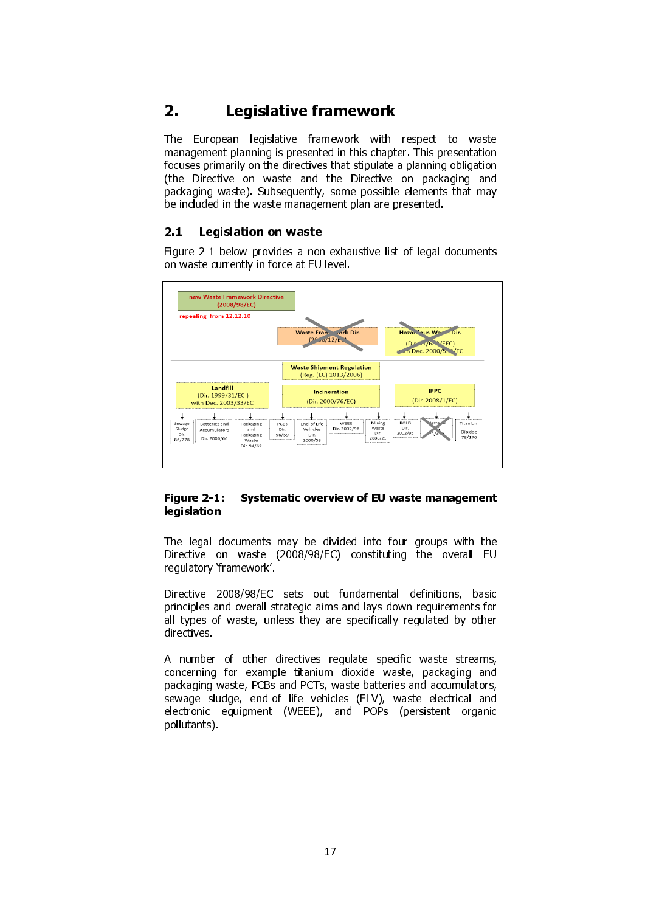# 2. Legislative framework

The European legislative framework with respect to waste management planning is presented in this chapter. This presentation focuses primarily on the directives that stipulate a planning obligation (the Directive on waste and the Directive on packaging and packaging waste). Subsequently, some possible elements that may be included in the waste management plan are presented.

# 2.1 Legislation on waste

Figure 2-1 below provides a non-exhaustive list of legal documents on waste currently in force at EU level.



#### Figure 2-1: Systematic overview of EU waste management legislation

The legal documents may be divided into four groups with the Directive on waste (2008/98/EC) constituting the overall EU regulatory 'framework'.

Directive 2008/98/EC sets out fundamental definitions, basic principles and overall strategic aims and lays down requirements for all types of waste, unless they are specifically regulated by other directives.

A number of other directives regulate specific waste streams, concerning for example titanium dioxide waste, packaging and packaging waste, PCBs and PCTs, waste batteries and accumulators, sewage sludge, end-of life vehicles (ELV), waste electrical and electronic equipment (WEEE), and POPs (persistent organic pollutants).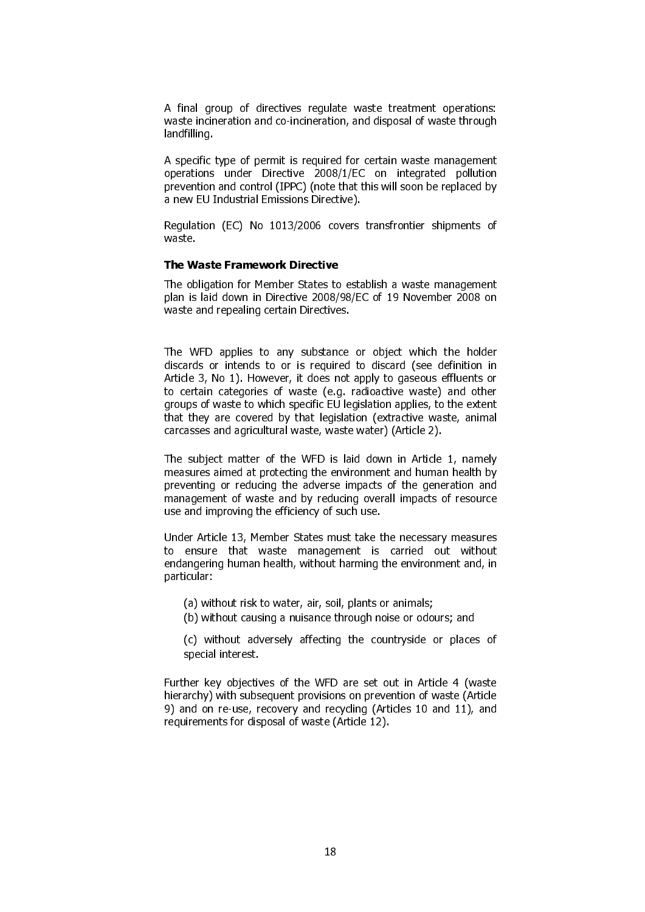A final group of directives regulate waste treatment operations: waste incineration and co-incineration, and disposal of waste through landfilling.

A specific type of permit is required for certain waste management operations under Directive 2008/1/EC on integrated pollution prevention and control (IPPC) (note that this will soon be replaced by a new EU Industrial Emissions Directive).

Regulation (EC) No 1013/2006 covers transfrontier shipments of waste.

#### The Waste Framework Directive

The obligation for Member States to establish a waste management plan is laid down in Directive 2008/98/EC of 19 November 2008 on waste and repealing certain Directives.

The WFD applies to any substance or object which the holder discards or intends to or is required to discard (see definition in Article 3, No 1). However, it does not apply to gaseous effluents or to certain categories of waste (e.g. radioactive waste) and other groups of waste to which specific EU legislation applies, to the extent that they are covered by that legislation (extractive waste, animal carcasses and agricultural waste, waste water) (Article 2).

The subject matter of the WFD is laid down in Article 1, namely measures aimed at protecting the environment and human health by preventing or reducing the adverse impacts of the generation and management of waste and by reducing overall impacts of resource use and improving the efficiency of such use.

Under Article 13, Member States must take the necessary measures to ensure that waste management is carried out without endangering human health, without harming the environment and, in particular:

- (a) without risk to water, air, soil, plants or animals;
- (b) without causing a nuisance through noise or odours; and

(c) without adversely affecting the countryside or places of special interest.

Further key objectives of the WFD are set out in Article 4 (waste hierarchy) with subsequent provisions on prevention of waste (Article 9) and on re-use, recovery and recycling (Articles 10 and 11), and requirements for disposal of waste (Article 12).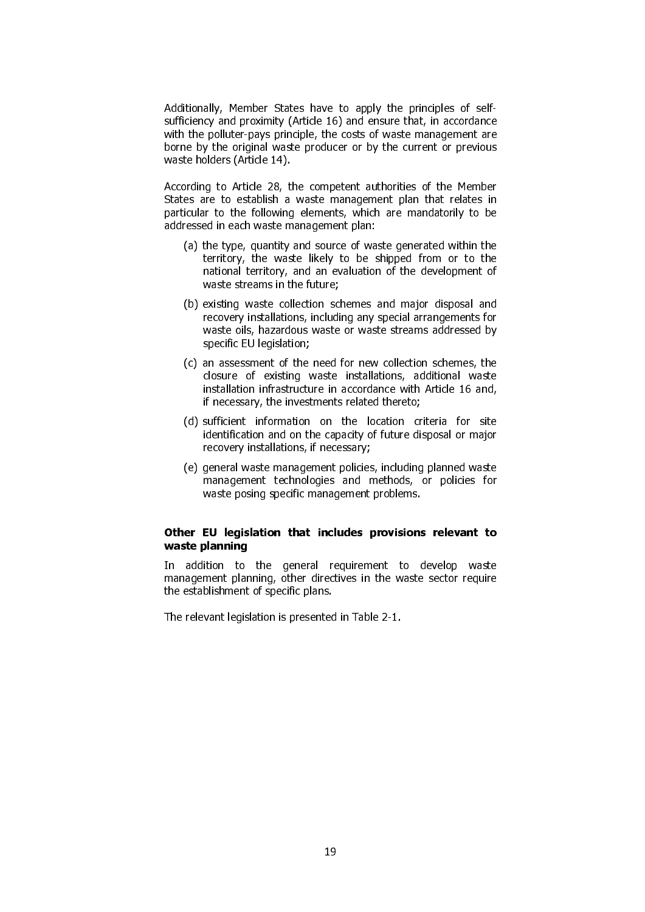Additionally, Member States have to apply the principles of selfsufficiency and proximity (Article 16) and ensure that, in accordance with the polluter-pays principle, the costs of waste management are borne by the original waste producer or by the current or previous waste holders (Article 14).

According to Article 28, the competent authorities of the Member States are to establish a waste management plan that relates in particular to the following elements, which are mandatorily to be addressed in each waste management plan:

- (a) the type, quantity and source of waste generated within the territory, the waste likely to be shipped from or to the national territory, and an evaluation of the development of waste streams in the future;
- (b) existing waste collection schemes and major disposal and recovery installations, including any special arrangements for waste oils, hazardous waste or waste streams addressed by specific EU legislation;
- (c) an assessment of the need for new collection schemes, the closure of existing waste installations, additional waste installation infrastructure in accordance with Article 16 and, if necessary, the investments related thereto;
- (d) sufficient information on the location criteria for site identification and on the capacity of future disposal or major recovery installations, if necessary;
- (e) general waste management policies, including planned waste management technologies and methods, or policies for waste posing specific management problems.

#### Other EU legislation that includes provisions relevant to waste planning

In addition to the general requirement to develop waste management planning, other directives in the waste sector require the establishment of specific plans.

The relevant legislation is presented in Table 2-1.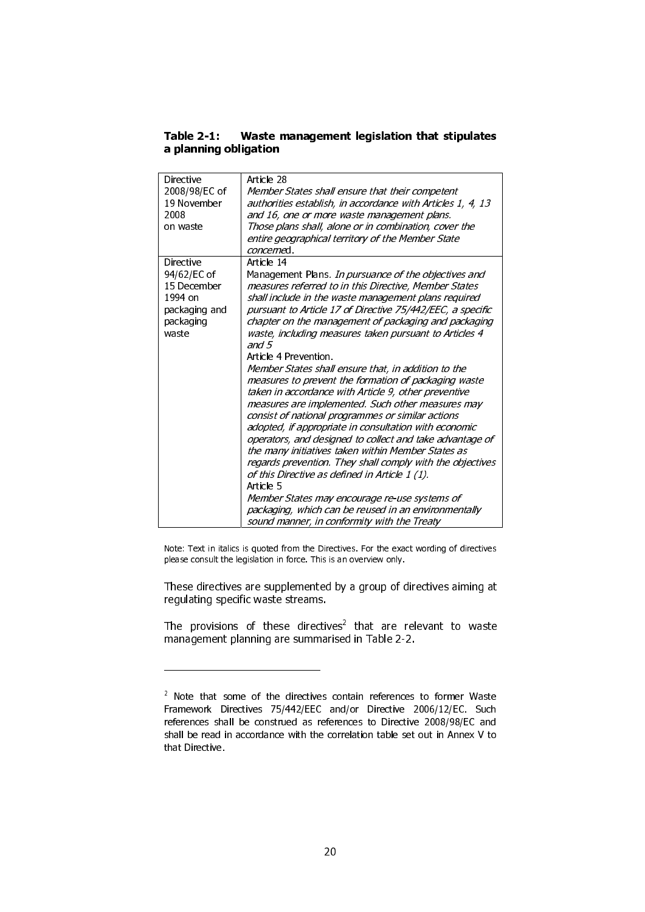## Table 2-1: Waste management legislation that stipulates a planning obligation

| Directive<br>2008/98/EC of<br>19 November<br>2008<br>on waste                             | Article 28<br>Member States shall ensure that their competent<br>authorities establish, in accordance with Articles 1, 4, 13<br>and 16, one or more waste management plans.<br>Those plans shall, alone or in combination, cover the<br>entire geographical territory of the Member State<br>concerned                                                                                                                                                                                                                                                                                                                                                                                                                                                                                                                                                                                                                                                                                                                                                                                                                                                 |
|-------------------------------------------------------------------------------------------|--------------------------------------------------------------------------------------------------------------------------------------------------------------------------------------------------------------------------------------------------------------------------------------------------------------------------------------------------------------------------------------------------------------------------------------------------------------------------------------------------------------------------------------------------------------------------------------------------------------------------------------------------------------------------------------------------------------------------------------------------------------------------------------------------------------------------------------------------------------------------------------------------------------------------------------------------------------------------------------------------------------------------------------------------------------------------------------------------------------------------------------------------------|
| Directive<br>94/62/EC of<br>15 December<br>1994 on<br>packaging and<br>packaging<br>waste | Article 14<br>Management Plans. In pursuance of the objectives and<br>measures referred to in this Directive, Member States<br>shall include in the waste management plans required<br>pursuant to Article 17 of Directive 75/442/EEC, a specific<br>chapter on the management of packaging and packaging<br>waste, including measures taken pursuant to Articles 4<br>and $5$<br>Article 4 Prevention<br>Member States shall ensure that, in addition to the<br>measures to prevent the formation of packaging waste<br>taken in accordance with Article 9, other preventive<br>measures are implemented. Such other measures may<br>consist of national programmes or similar actions<br>adopted, if appropriate in consultation with economic<br>operators, and designed to collect and take advantage of<br>the many initiatives taken within Member States as<br>regards prevention. They shall comply with the objectives<br>of this Directive as defined in Article 1 (1).<br>Article 5<br>Member States may encourage re-use systems of<br>packaging, which can be reused in an environmentally<br>sound manner, in conformity with the Treaty |

Note: Text in italics is quoted from the Directives. For the exact wording of directives please consult the legislation in force. This is an overview only.

These directives are supplemented by a group of directives aiming at regulating specific waste streams.

The provisions of these directives $\angle$  that are relevant to waste management planning are summarised in Table 2-2.

-

<sup>&</sup>lt;sup>2</sup> Note that some of the directives contain references to former Waste Framework Directives 75/442/EEC and/or Directive 2006/12/EC. Such references shall be construed as references to Directive 2008/98/EC and shall be read in accordance with the correlation table set out in Annex V to that Directive.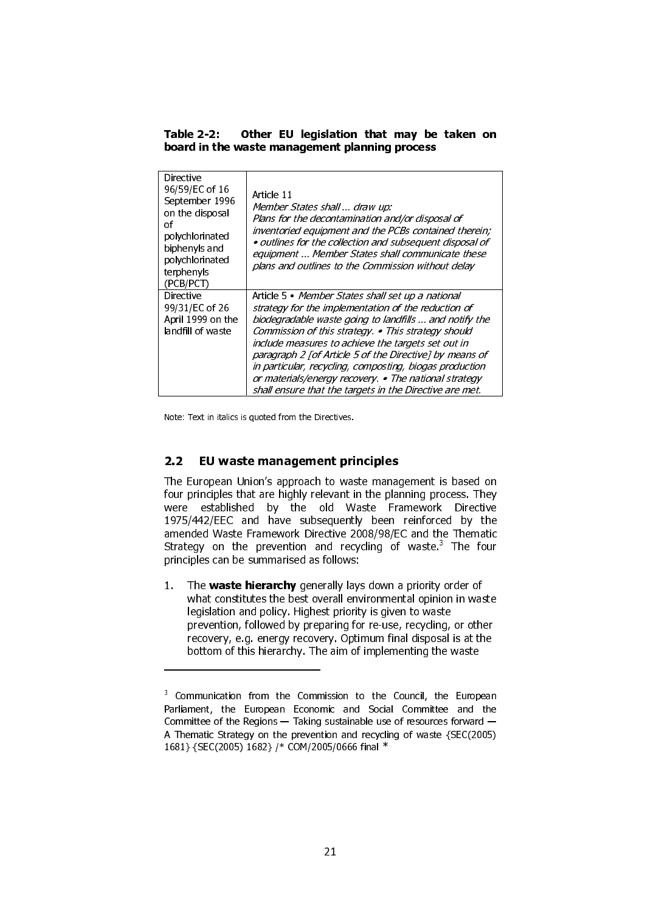Table 2-2: Other EU legislation that may be taken on board in the waste management planning process

| Directive<br>96/59/EC of 16<br>September 1996<br>on the disposal<br>of<br>polychlorinated<br>biphenyls and<br>polychlorinated<br>terphenyls<br>(PCB/PCT) | Article 11<br>Member States shall  draw up:<br>Plans for the decontamination and/or disposal of<br>inventoried equipment and the PCBs contained therein;<br>• outlines for the collection and subsequent disposal of<br>equipment  Member States shall communicate these<br>plans and outlines to the Commission without delay                                                                                                                                                                                            |
|----------------------------------------------------------------------------------------------------------------------------------------------------------|---------------------------------------------------------------------------------------------------------------------------------------------------------------------------------------------------------------------------------------------------------------------------------------------------------------------------------------------------------------------------------------------------------------------------------------------------------------------------------------------------------------------------|
| Directive<br>99/31/EC of 26<br>April 1999 on the<br>landfill of waste                                                                                    | Article 5 • Member States shall set up a national<br>strategy for the implementation of the reduction of<br>biodegradable waste going to landfills  and notify the<br>Commission of this strategy. • This strategy should<br>include measures to achieve the targets set out in<br>paragraph 2 [of Article 5 of the Directive] by means of<br>in particular, recycling, composting, biogas production<br>or materials/energy recovery. • The national strategy<br>shall ensure that the targets in the Directive are met. |

Note: Text in italics is quoted from the Directives.

1

#### 2.2 EU waste management principles

The European Union's approach to waste management is based on four principles that are highly relevant in the planning process. They were established by the old Waste Framework Directive 1975/442/EEC and have subsequently been reinforced by the amended Waste Framework Directive 2008/98/EC and the Thematic Strategy on the prevention and recycling of waste.<sup>3</sup> The four principles can be summarised as follows:

1. The waste hierarchy generally lays down a priority order of what constitutes the best overall environmental opinion in waste legislation and policy. Highest priority is given to waste prevention, followed by preparing for re-use, recycling, or other recovery, e.g. energy recovery. Optimum final disposal is at the bottom of this hierarchy. The aim of implementing the waste

<sup>&</sup>lt;sup>3</sup> Communication from the Commission to the Council, the European Parliament, the European Economic and Social Committee and the Committee of the Regions — Taking sustainable use of resources forward — A Thematic Strategy on the prevention and recycling of waste {SEC(2005) 1681} {SEC(2005) 1682} /\* COM/2005/0666 final \*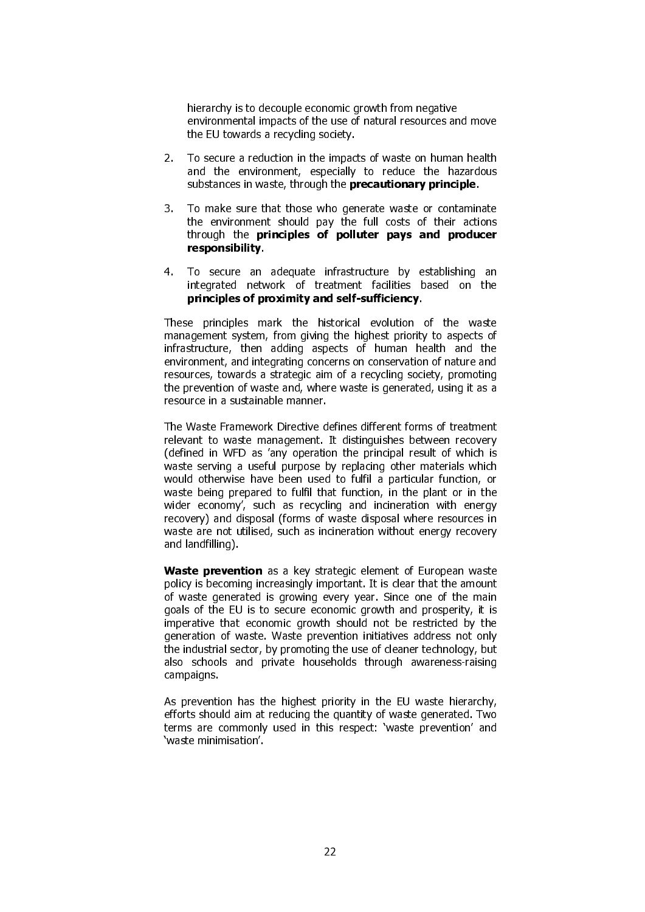hierarchy is to decouple economic growth from negative environmental impacts of the use of natural resources and move the EU towards a recycling society.

- 2. To secure a reduction in the impacts of waste on human health and the environment, especially to reduce the hazardous substances in waste, through the **precautionary principle**.
- 3. To make sure that those who generate waste or contaminate the environment should pay the full costs of their actions through the principles of polluter pays and producer responsibility.
- 4. To secure an adequate infrastructure by establishing an integrated network of treatment facilities based on the principles of proximity and self-sufficiency.

These principles mark the historical evolution of the waste management system, from giving the highest priority to aspects of infrastructure, then adding aspects of human health and the environment, and integrating concerns on conservation of nature and resources, towards a strategic aim of a recycling society, promoting the prevention of waste and, where waste is generated, using it as a resource in a sustainable manner.

The Waste Framework Directive defines different forms of treatment relevant to waste management. It distinguishes between recovery (defined in WFD as 'any operation the principal result of which is waste serving a useful purpose by replacing other materials which would otherwise have been used to fulfil a particular function, or waste being prepared to fulfil that function, in the plant or in the wider economy', such as recycling and incineration with energy recovery) and disposal (forms of waste disposal where resources in waste are not utilised, such as incineration without energy recovery and landfilling).

Waste prevention as a key strategic element of European waste policy is becoming increasingly important. It is clear that the amount of waste generated is growing every year. Since one of the main goals of the EU is to secure economic growth and prosperity, it is imperative that economic growth should not be restricted by the generation of waste. Waste prevention initiatives address not only the industrial sector, by promoting the use of cleaner technology, but also schools and private households through awareness-raising campaigns.

As prevention has the highest priority in the EU waste hierarchy, efforts should aim at reducing the quantity of waste generated. Two terms are commonly used in this respect: 'waste prevention' and 'waste minimisation'.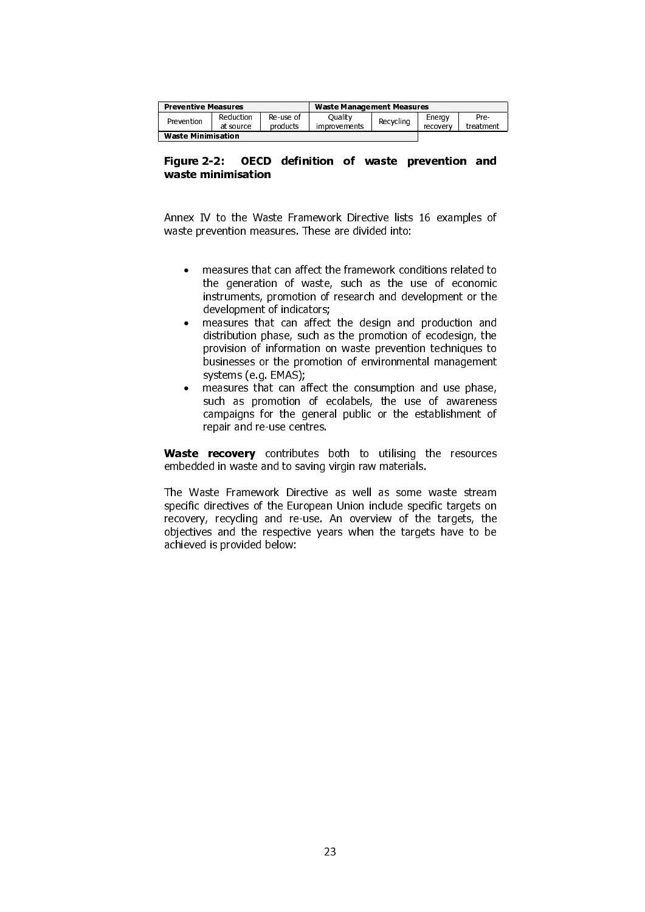| <b>Preventive Measures</b> |                        |                       | <b>Waste Management Measures</b> |           |                    |                   |
|----------------------------|------------------------|-----------------------|----------------------------------|-----------|--------------------|-------------------|
| Prevention                 | Reduction<br>at source | Re-use of<br>products | Ouality<br>improvements          | Recycling | Enerav<br>recovery | Pre-<br>treatment |
| <b>Waste Minimisation</b>  |                        |                       |                                  |           |                    |                   |

#### Figure 2-2: OECD definition of waste prevention and waste minimisation

Annex IV to the Waste Framework Directive lists 16 examples of waste prevention measures. These are divided into:

- measures that can affect the framework conditions related to the generation of waste, such as the use of economic instruments, promotion of research and development or the development of indicators;
- measures that can affect the design and production and distribution phase, such as the promotion of ecodesign, the provision of information on waste prevention techniques to businesses or the promotion of environmental management systems (e.g. EMAS);
- measures that can affect the consumption and use phase, such as promotion of ecolabels, the use of awareness campaigns for the general public or the establishment of repair and re-use centres.

Waste recovery contributes both to utilising the resources embedded in waste and to saving virgin raw materials.

The Waste Framework Directive as well as some waste stream specific directives of the European Union include specific targets on recovery, recycling and re-use. An overview of the targets, the objectives and the respective years when the targets have to be achieved is provided below: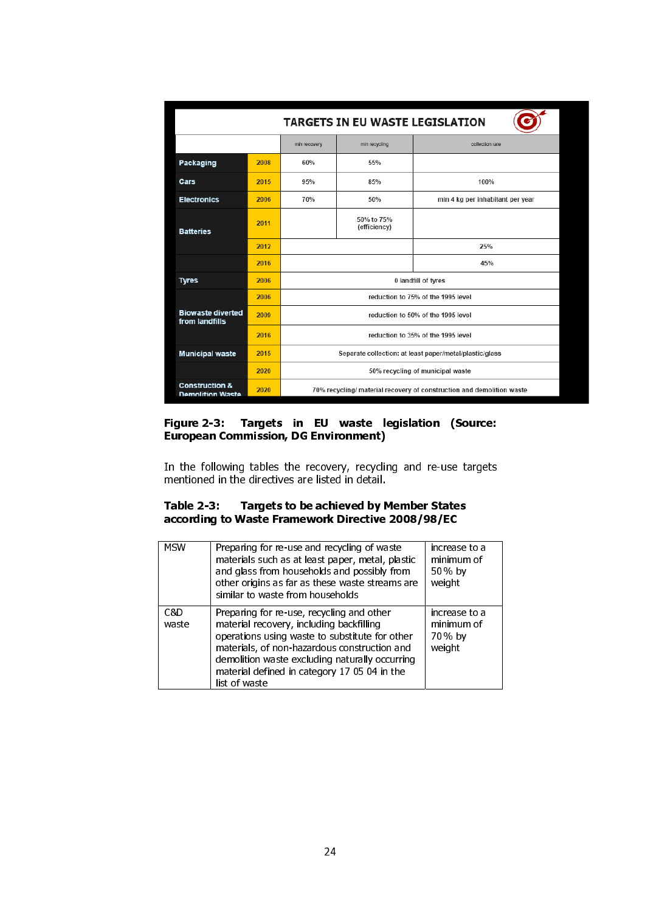| <b>TARGETS IN EU WASTE LEGISLATION</b>               |      |                                                                       |                            |                                  |  |  |  |
|------------------------------------------------------|------|-----------------------------------------------------------------------|----------------------------|----------------------------------|--|--|--|
|                                                      |      | min recycling<br>min recovery                                         |                            | collection rate                  |  |  |  |
| Packaging                                            | 2008 | 60%                                                                   | 55%                        |                                  |  |  |  |
| Cars                                                 | 2015 | 95%                                                                   | 85%                        | 100%                             |  |  |  |
| <b>Electronics</b>                                   | 2006 | 70%                                                                   | 50%                        | min 4 kg per inhabitant per year |  |  |  |
| <b>Batteries</b>                                     | 2011 |                                                                       | 50% to 75%<br>(efficiency) |                                  |  |  |  |
|                                                      | 2012 |                                                                       |                            | 25%                              |  |  |  |
|                                                      | 2016 |                                                                       |                            | 45%                              |  |  |  |
| <b>Tyres</b>                                         | 2006 |                                                                       | 0 landfill of tyres        |                                  |  |  |  |
|                                                      | 2006 | reduction to 75% of the 1995 level                                    |                            |                                  |  |  |  |
| <b>Biowaste diverted</b><br>from landfills           | 2009 | reduction to 50% of the 1995 level                                    |                            |                                  |  |  |  |
|                                                      | 2016 | reduction to 35% of the 1995 level                                    |                            |                                  |  |  |  |
| <b>Municipal waste</b>                               | 2015 | Separate collection: at least paper/metal/plastic/glass               |                            |                                  |  |  |  |
|                                                      | 2020 | 50% recycling of municipal waste                                      |                            |                                  |  |  |  |
| <b>Construction &amp;</b><br><b>Demolition Waste</b> | 2020 | 70% recycling/ material recovery of construction and demolition waste |                            |                                  |  |  |  |

 $\mathbf I$ 

#### Figure 2-3: Targets in EU waste legislation (Source: European Commission, DG Environment)

In the following tables the recovery, recycling and re-use targets mentioned in the directives are listed in detail.

# Table 2-3: Targets to be achieved by Member States according to Waste Framework Directive 2008/98/EC

| <b>MSW</b>   | Preparing for re-use and recycling of waste<br>materials such as at least paper, metal, plastic<br>and glass from households and possibly from<br>other origins as far as these waste streams are<br>similar to waste from households                                                                      | increase to a<br>minimum of<br>50 % by<br>weight |
|--------------|------------------------------------------------------------------------------------------------------------------------------------------------------------------------------------------------------------------------------------------------------------------------------------------------------------|--------------------------------------------------|
| C&D<br>waste | Preparing for re-use, recycling and other<br>material recovery, including backfilling<br>operations using waste to substitute for other<br>materials, of non-hazardous construction and<br>demolition waste excluding naturally occurring<br>material defined in category 17 05 04 in the<br>list of waste | increase to a<br>minimum of<br>70 % by<br>weight |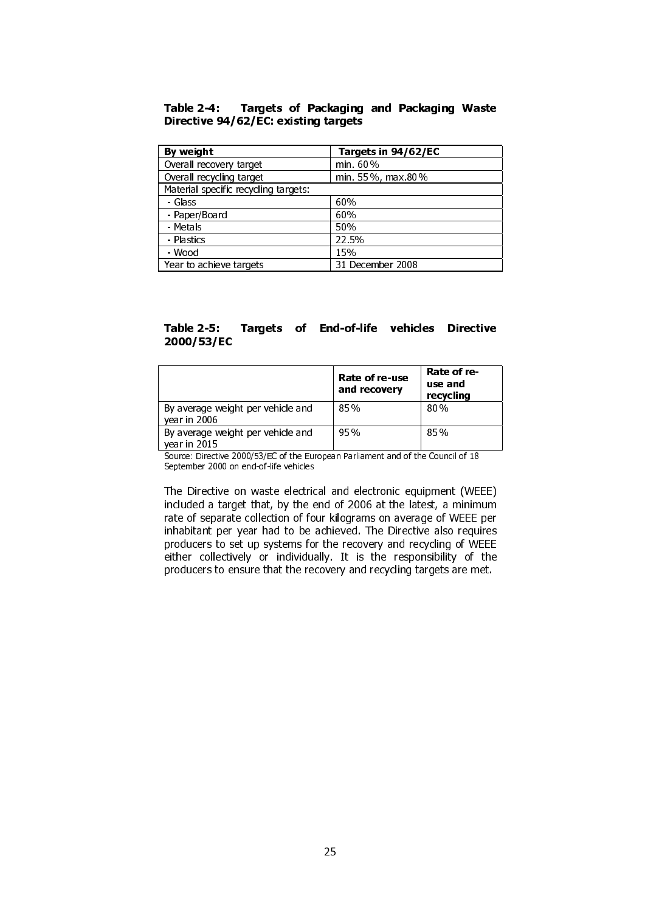#### Table 2-4: Targets of Packaging and Packaging Waste Directive 94/62/EC: existing targets

| By weight                            | Targets in 94/62/EC |
|--------------------------------------|---------------------|
| Overall recovery target              | min. 60%            |
| Overall recycling target             | min. 55%, max 80%   |
| Material specific recycling targets: |                     |
| - Glass                              | 60%                 |
| - Paper/Board                        | 60%                 |
| - Metals                             | 50%                 |
| - Plastics                           | 22.5%               |
| - Wood                               | 15%                 |
| Year to achieve targets              | 31 December 2008    |

# Table 2-5: Targets of End-of-life vehicles Directive 2000/53/EC

|                                                   | Rate of re-use<br>and recovery | Rate of re-<br>use and<br>recycling |
|---------------------------------------------------|--------------------------------|-------------------------------------|
| By average weight per vehicle and<br>year in 2006 | 85%                            | 80%                                 |
| By average weight per vehicle and<br>vear in 2015 | 95%                            | 85%                                 |

Source: Directive 2000/53/EC of the European Parliament and of the Council of 18 September 2000 on end-of-life vehicles

The Directive on waste electrical and electronic equipment (WEEE) included a target that, by the end of 2006 at the latest, a minimum rate of separate collection of four kilograms on average of WEEE per inhabitant per year had to be achieved. The Directive also requires producers to set up systems for the recovery and recycling of WEEE either collectively or individually. It is the responsibility of the producers to ensure that the recovery and recycling targets are met.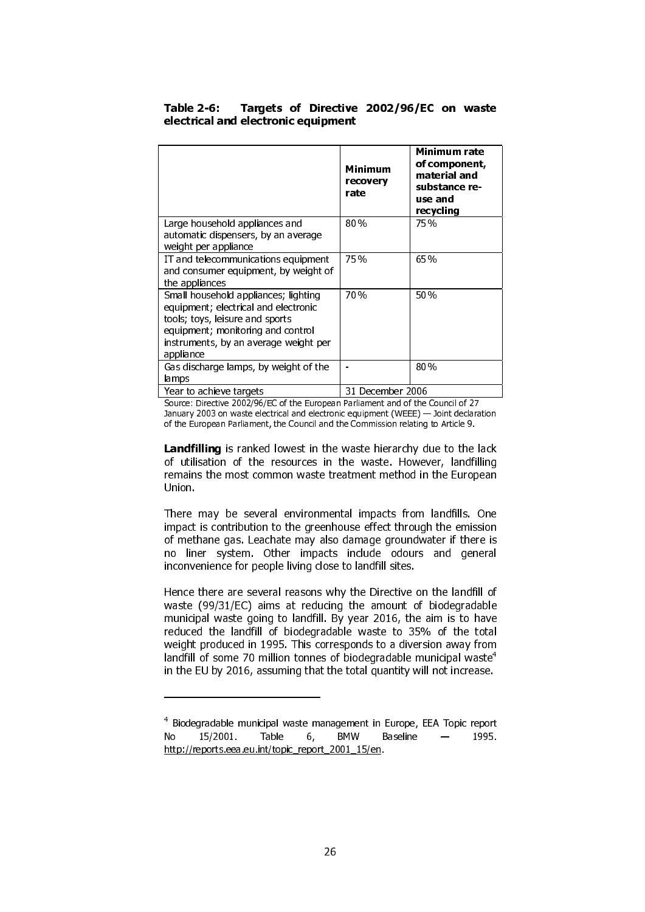|                                                                                                                                                                                                            | Minimum<br>recovery<br>rate | Minimum rate<br>of component,<br>material and<br>substance re-<br>use and<br>recycling |
|------------------------------------------------------------------------------------------------------------------------------------------------------------------------------------------------------------|-----------------------------|----------------------------------------------------------------------------------------|
| Large household appliances and<br>automatic dispensers, by an average<br>weight per appliance                                                                                                              | 80%                         | 75 %                                                                                   |
| IT and telecommunications equipment<br>and consumer equipment, by weight of<br>the appliances                                                                                                              | 75 %                        | 65 %                                                                                   |
| Small household appliances; lighting<br>equipment; electrical and electronic<br>tools; toys, leisure and sports<br>equipment; monitoring and control<br>instruments, by an average weight per<br>appliance | 70%                         | 50%                                                                                    |
| Gas discharge lamps, by weight of the<br>lamps                                                                                                                                                             |                             | $80\%$                                                                                 |
| Year to achieve targets                                                                                                                                                                                    | 31 December 2006            |                                                                                        |

#### Table 2-6: Targets of Directive 2002/96/EC on waste electrical and electronic equipment

Source: Directive 2002/96/EC of the European Parliament and of the Council of 27 January 2003 on waste electrical and electronic equipment (WEEE) — Joint declaration of the European Parliament, the Council and the Commission relating to Article 9.

Landfilling is ranked lowest in the waste hierarchy due to the lack of utilisation of the resources in the waste. However, landfilling remains the most common waste treatment method in the European Union.

There may be several environmental impacts from landfills. One impact is contribution to the greenhouse effect through the emission of methane gas. Leachate may also damage groundwater if there is no liner system. Other impacts include odours and general inconvenience for people living close to landfill sites.

Hence there are several reasons why the Directive on the landfill of waste (99/31/EC) aims at reducing the amount of biodegradable municipal waste going to landfill. By year 2016, the aim is to have reduced the landfill of biodegradable waste to 35% of the total weight produced in 1995. This corresponds to a diversion away from landfill of some 70 million tonnes of biodegradable municipal waste $^4$ in the EU by 2016, assuming that the total quantity will not increase.

1

<sup>4</sup> Biodegradable municipal waste management in Europe, EEA Topic report No 15/2001. Table 6, BMW Baseline — 1995. http://reports.eea.eu.int/topic\_report\_2001\_15/en.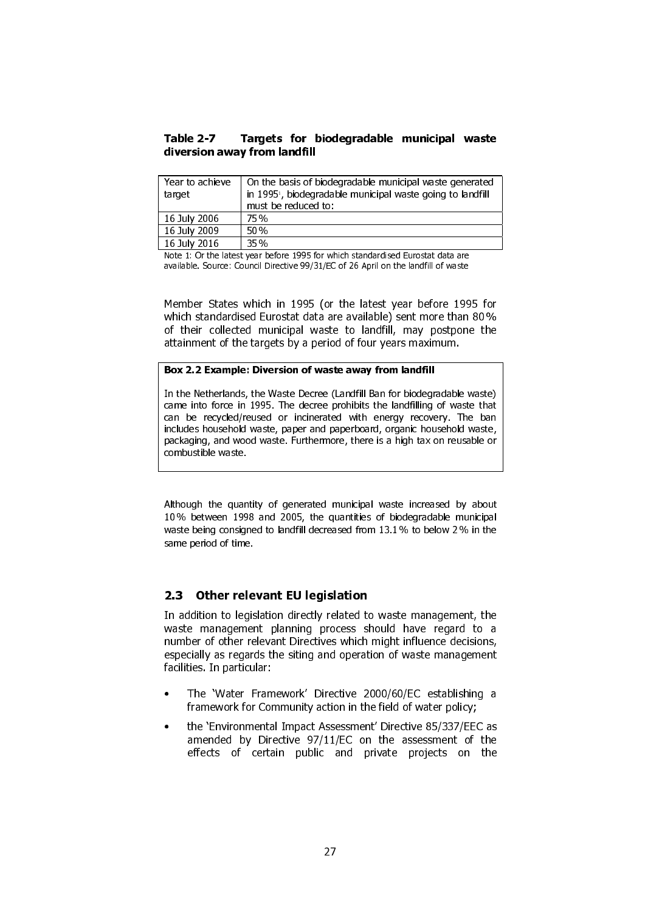## Table 2-7 Targets for biodegradable municipal waste diversion away from landfill

| Year to achieve<br>target | On the basis of biodegradable municipal waste generated<br>in 1995 <sup>1</sup> , biodegradable municipal waste going to landfill<br>must be reduced to: |
|---------------------------|----------------------------------------------------------------------------------------------------------------------------------------------------------|
| 16 July 2006              | 75%                                                                                                                                                      |
| 16 July 2009              | 50%                                                                                                                                                      |
| 16 July 2016              | 35%                                                                                                                                                      |

Note 1: Or the latest year before 1995 for which standardised Eurostat data are available. Source: Council Directive 99/31/EC of 26 April on the landfill of waste

Member States which in 1995 (or the latest year before 1995 for which standardised Eurostat data are available) sent more than 80 % of their collected municipal waste to landfill, may postpone the attainment of the targets by a period of four years maximum.

#### Box 2.2 Example: Diversion of waste away from landfill

In the Netherlands, the Waste Decree (Landfill Ban for biodegradable waste) came into force in 1995. The decree prohibits the landfilling of waste that can be recycled/reused or incinerated with energy recovery. The ban includes household waste, paper and paperboard, organic household waste, packaging, and wood waste. Furthermore, there is a high tax on reusable or combustible waste.

Although the quantity of generated municipal waste increased by about 10 % between 1998 and 2005, the quantities of biodegradable municipal waste being consigned to landfill decreased from 13.1% to below 2% in the same period of time.

# 2.3 Other relevant EU legislation

In addition to legislation directly related to waste management, the waste management planning process should have regard to a number of other relevant Directives which might influence decisions, especially as regards the siting and operation of waste management facilities. In particular:

- The 'Water Framework' Directive 2000/60/EC establishing a framework for Community action in the field of water policy;
- the 'Environmental Impact Assessment' Directive 85/337/EEC as amended by Directive 97/11/EC on the assessment of the effects of certain public and private projects on the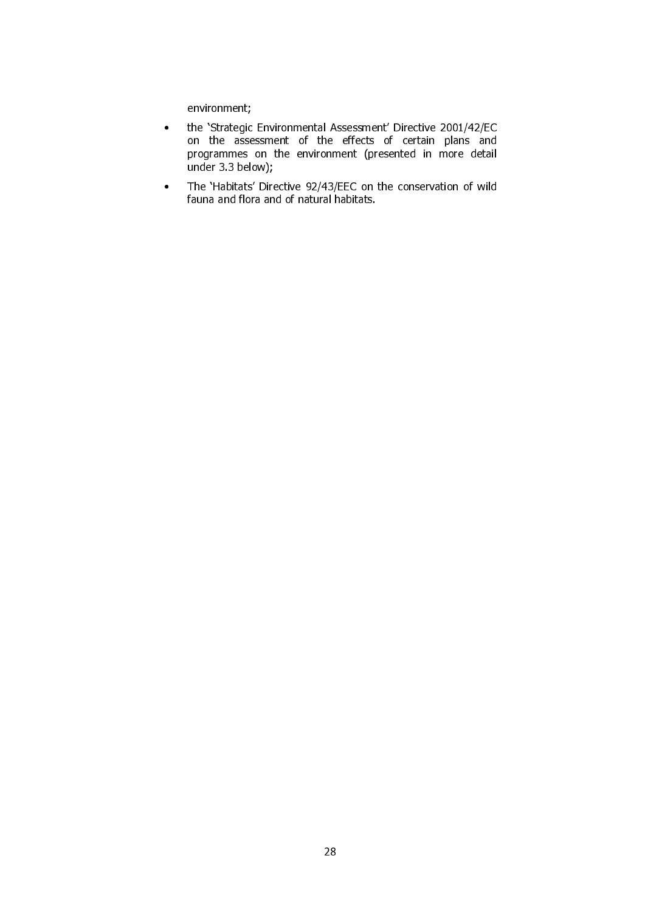environment;

- the 'Strategic Environmental Assessment' Directive 2001/42/EC on the assessment of the effects of certain plans and programmes on the environment (presented in more detail under 3.3 below);
- The 'Habitats' Directive 92/43/EEC on the conservation of wild fauna and flora and of natural habitats.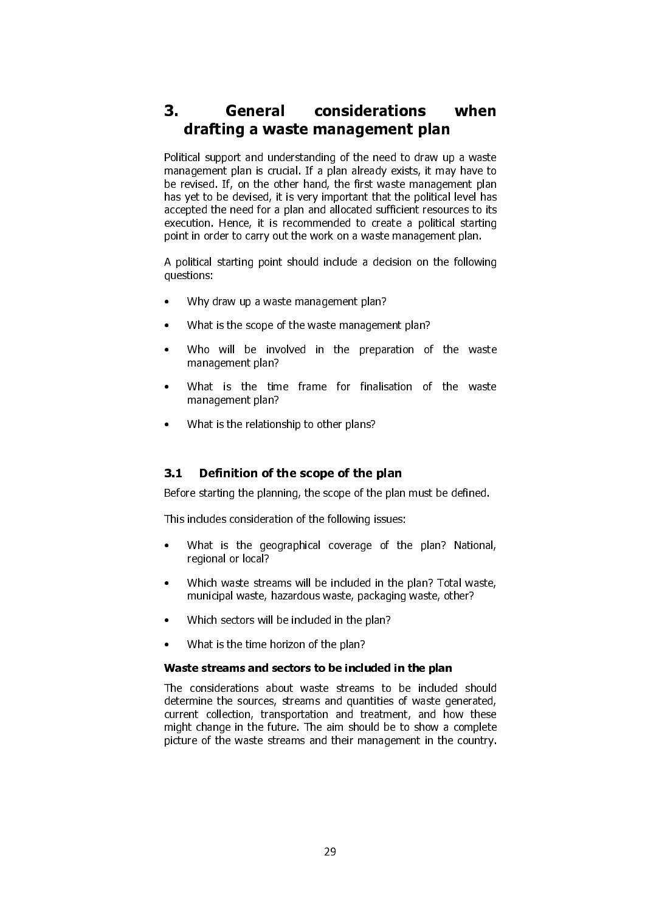# 3. General considerations when drafting a waste management plan

Political support and understanding of the need to draw up a waste management plan is crucial. If a plan already exists, it may have to be revised. If, on the other hand, the first waste management plan has yet to be devised, it is very important that the political level has accepted the need for a plan and allocated sufficient resources to its execution. Hence, it is recommended to create a political starting point in order to carry out the work on a waste management plan.

A political starting point should include a decision on the following questions:

- Why draw up a waste management plan?
- What is the scope of the waste management plan?
- Who will be involved in the preparation of the waste management plan?
- What is the time frame for finalisation of the waste management plan?
- What is the relationship to other plans?

# 3.1 Definition of the scope of the plan

Before starting the planning, the scope of the plan must be defined.

This includes consideration of the following issues:

- What is the geographical coverage of the plan? National, regional or local?
- Which waste streams will be included in the plan? Total waste, municipal waste, hazardous waste, packaging waste, other?
- Which sectors will be included in the plan?
- What is the time horizon of the plan?

#### Waste streams and sectors to be included in the plan

The considerations about waste streams to be included should determine the sources, streams and quantities of waste generated, current collection, transportation and treatment, and how these might change in the future. The aim should be to show a complete picture of the waste streams and their management in the country.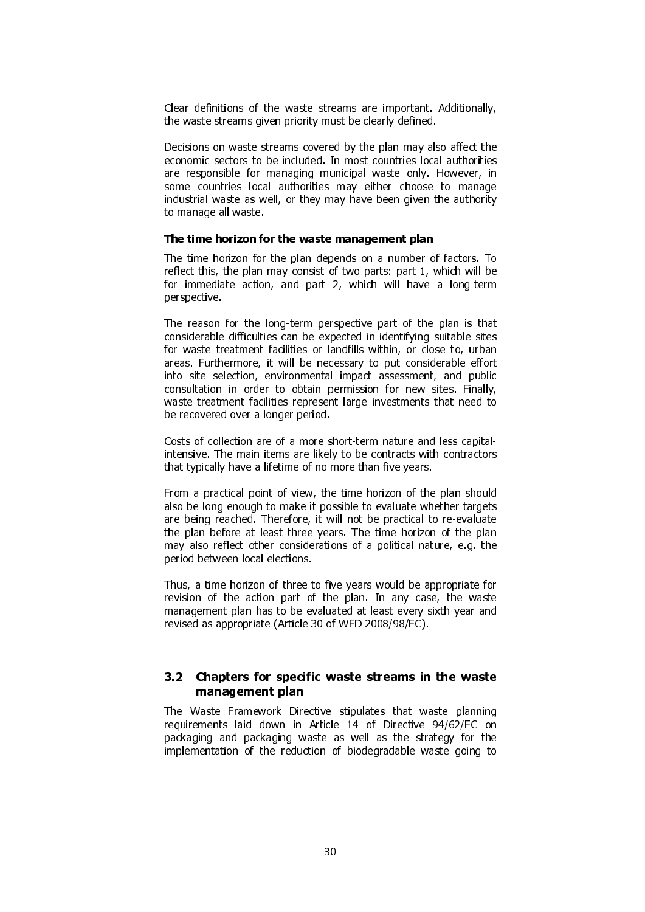Clear definitions of the waste streams are important. Additionally, the waste streams given priority must be clearly defined.

Decisions on waste streams covered by the plan may also affect the economic sectors to be included. In most countries local authorities are responsible for managing municipal waste only. However, in some countries local authorities may either choose to manage industrial waste as well, or they may have been given the authority to manage all waste.

#### The time horizon for the waste management plan

The time horizon for the plan depends on a number of factors. To reflect this, the plan may consist of two parts: part 1, which will be for immediate action, and part 2, which will have a long-term perspective.

The reason for the long-term perspective part of the plan is that considerable difficulties can be expected in identifying suitable sites for waste treatment facilities or landfills within, or close to, urban areas. Furthermore, it will be necessary to put considerable effort into site selection, environmental impact assessment, and public consultation in order to obtain permission for new sites. Finally, waste treatment facilities represent large investments that need to be recovered over a longer period.

Costs of collection are of a more short-term nature and less capitalintensive. The main items are likely to be contracts with contractors that typically have a lifetime of no more than five years.

From a practical point of view, the time horizon of the plan should also be long enough to make it possible to evaluate whether targets are being reached. Therefore, it will not be practical to re-evaluate the plan before at least three years. The time horizon of the plan may also reflect other considerations of a political nature, e.g. the period between local elections.

Thus, a time horizon of three to five years would be appropriate for revision of the action part of the plan. In any case, the waste management plan has to be evaluated at least every sixth year and revised as appropriate (Article 30 of WFD 2008/98/EC).

# 3.2 Chapters for specific waste streams in the waste management plan

The Waste Framework Directive stipulates that waste planning requirements laid down in Article 14 of Directive 94/62/EC on packaging and packaging waste as well as the strategy for the implementation of the reduction of biodegradable waste going to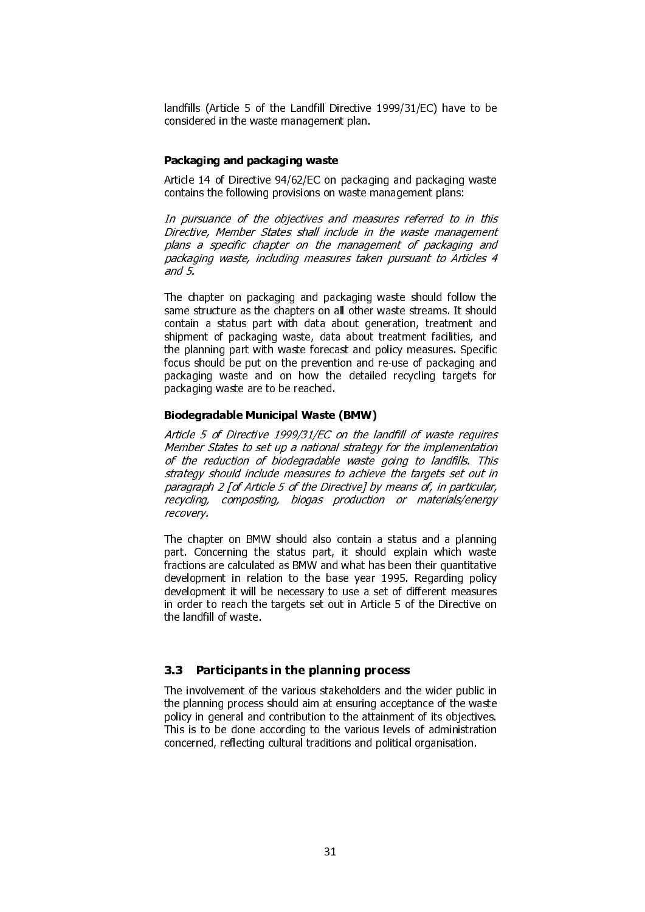landfills (Article 5 of the Landfill Directive 1999/31/EC) have to be considered in the waste management plan.

#### Packaging and packaging waste

Article 14 of Directive 94/62/EC on packaging and packaging waste contains the following provisions on waste management plans:

In pursuance of the objectives and measures referred to in this Directive, Member States shall include in the waste management plans a specific chapter on the management of packaging and packaging waste, including measures taken pursuant to Articles 4 and 5.

The chapter on packaging and packaging waste should follow the same structure as the chapters on all other waste streams. It should contain a status part with data about generation, treatment and shipment of packaging waste, data about treatment facilities, and the planning part with waste forecast and policy measures. Specific focus should be put on the prevention and re-use of packaging and packaging waste and on how the detailed recycling targets for packaging waste are to be reached.

#### Biodegradable Municipal Waste (BMW)

Article 5 of Directive 1999/31/EC on the landfill of waste requires Member States to set up a national strategy for the implementation of the reduction of biodegradable waste going to landfills. This strategy should include measures to achieve the targets set out in paragraph 2 [of Article 5 of the Directive] by means of, in particular, recycling, composting, biogas production or materials/energy recovery.

The chapter on BMW should also contain a status and a planning part. Concerning the status part, it should explain which waste fractions are calculated as BMW and what has been their quantitative development in relation to the base year 1995. Regarding policy development it will be necessary to use a set of different measures in order to reach the targets set out in Article 5 of the Directive on the landfill of waste.

#### 3.3 Participants in the planning process

The involvement of the various stakeholders and the wider public in the planning process should aim at ensuring acceptance of the waste policy in general and contribution to the attainment of its objectives. This is to be done according to the various levels of administration concerned, reflecting cultural traditions and political organisation.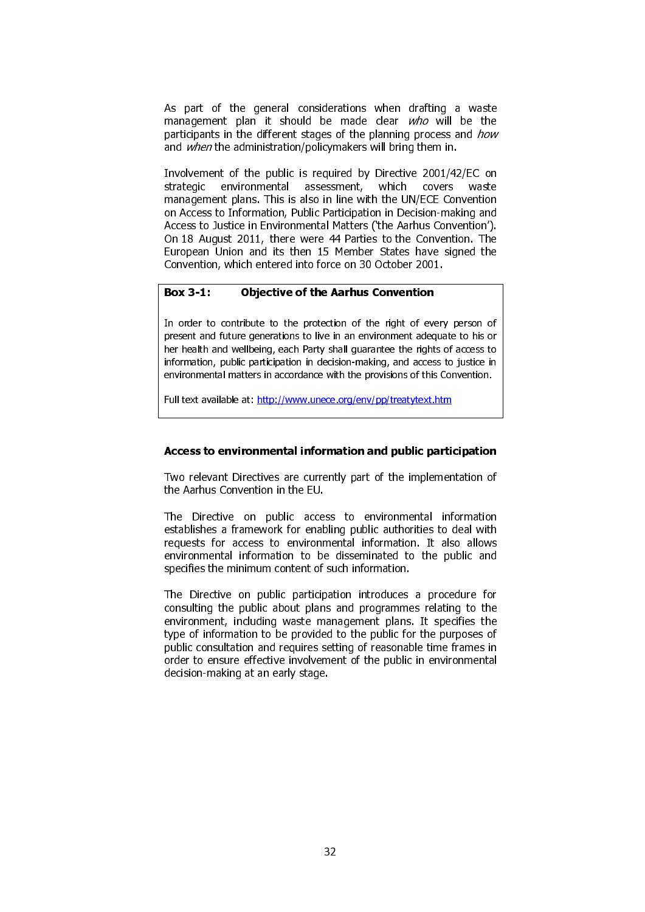As part of the general considerations when drafting a waste management plan it should be made clear who will be the participants in the different stages of the planning process and how and when the administration/policymakers will bring them in.

Involvement of the public is required by Directive 2001/42/EC on strategic environmental assessment. which covers waste strategic environmental assessment, which covers waste management plans. This is also in line with the UN/ECE Convention on Access to Information, Public Participation in Decision-making and Access to Justice in Environmental Matters ('the Aarhus Convention'). On 18 August 2011, there were 44 Parties to the Convention. The European Union and its then 15 Member States have signed the Convention, which entered into force on 30 October 2001.

# Box 3-1: Objective of the Aarhus Convention

In order to contribute to the protection of the right of every person of present and future generations to live in an environment adequate to his or her health and wellbeing, each Party shall guarantee the rights of access to information, public participation in decision-making, and access to justice in environmental matters in accordance with the provisions of this Convention.

Full text available at: http://www.unece.org/env/pp/treatytext.htm

#### Access to environmental information and public participation

Two relevant Directives are currently part of the implementation of the Aarhus Convention in the EU.

The Directive on public access to environmental information establishes a framework for enabling public authorities to deal with requests for access to environmental information. It also allows environmental information to be disseminated to the public and specifies the minimum content of such information.

The Directive on public participation introduces a procedure for consulting the public about plans and programmes relating to the environment, including waste management plans. It specifies the type of information to be provided to the public for the purposes of public consultation and requires setting of reasonable time frames in order to ensure effective involvement of the public in environmental decision-making at an early stage.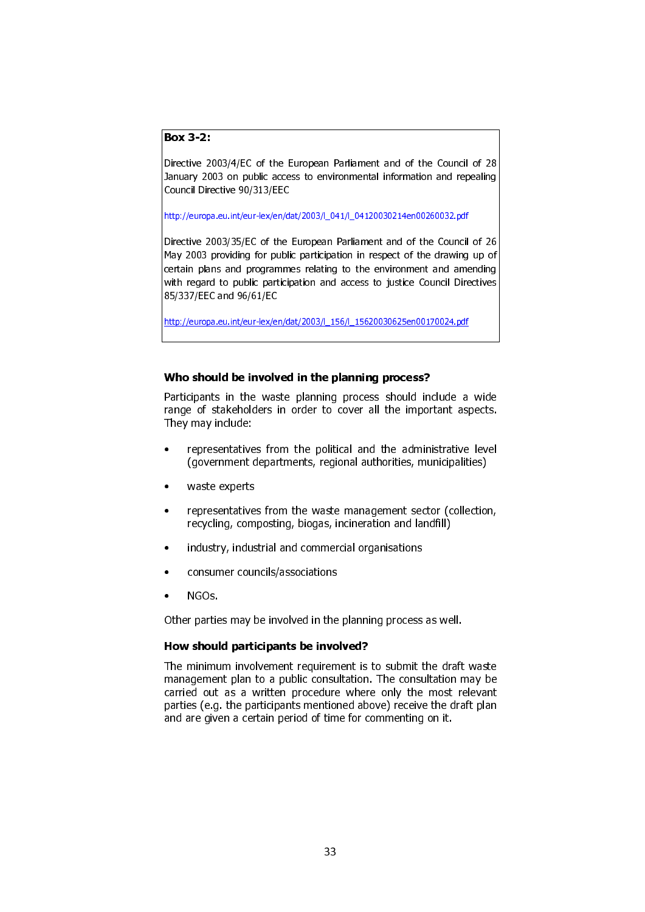# Box 3-2:

Directive 2003/4/EC of the European Parliament and of the Council of 28 January 2003 on public access to environmental information and repealing Council Directive 90/313/EEC

http://europa.eu.int/eur-lex/en/dat/2003/l\_041/l\_04120030214en00260032.pdf

Directive 2003/35/EC of the European Parliament and of the Council of 26 May 2003 providing for public participation in respect of the drawing up of certain plans and programmes relating to the environment and amending with regard to public participation and access to justice Council Directives 85/337/EEC and 96/61/EC

http://europa.eu.int/eur-lex/en/dat/2003/l\_156/l\_15620030625en00170024.pdf

# Who should be involved in the planning process?

Participants in the waste planning process should include a wide range of stakeholders in order to cover all the important aspects. They may include:

- representatives from the political and the administrative level (government departments, regional authorities, municipalities)
- waste experts
- representatives from the waste management sector (collection, recycling, composting, biogas, incineration and landfill)
- industry, industrial and commercial organisations
- consumer councils/associations
- NGOs.

Other parties may be involved in the planning process as well.

#### How should participants be involved?

The minimum involvement requirement is to submit the draft waste management plan to a public consultation. The consultation may be carried out as a written procedure where only the most relevant parties (e.g. the participants mentioned above) receive the draft plan and are given a certain period of time for commenting on it.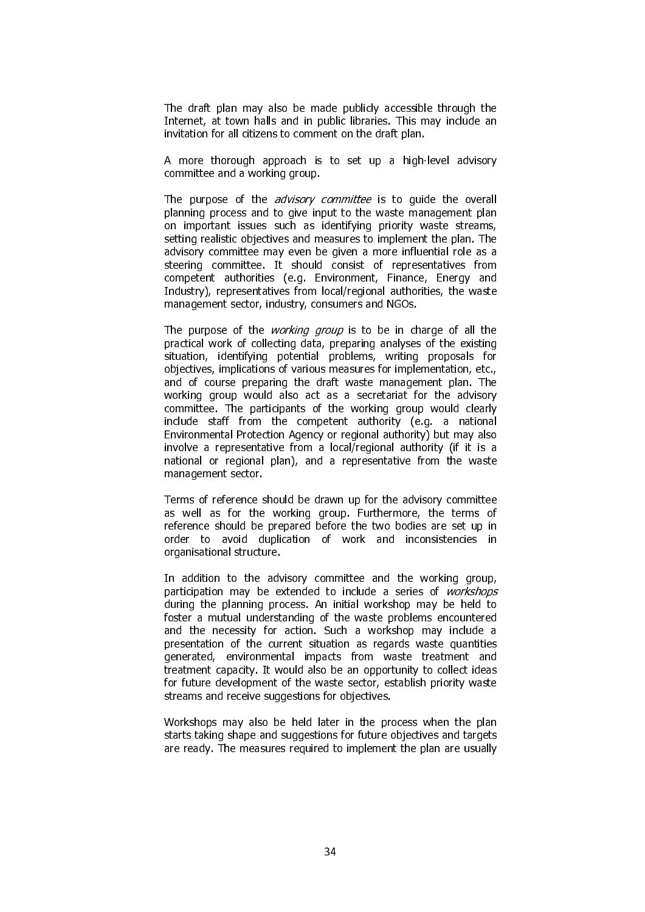The draft plan may also be made publicly accessible through the Internet, at town halls and in public libraries. This may include an invitation for all citizens to comment on the draft plan.

A more thorough approach is to set up a high-level advisory committee and a working group.

The purpose of the *advisory committee* is to quide the overall planning process and to give input to the waste management plan on important issues such as identifying priority waste streams, setting realistic objectives and measures to implement the plan. The advisory committee may even be given a more influential role as a steering committee. It should consist of representatives from competent authorities (e.g. Environment, Finance, Energy and Industry), representatives from local/regional authorities, the waste management sector, industry, consumers and NGOs.

The purpose of the *working group* is to be in charge of all the practical work of collecting data, preparing analyses of the existing situation, identifying potential problems, writing proposals for objectives, implications of various measures for implementation, etc., and of course preparing the draft waste management plan. The working group would also act as a secretariat for the advisory committee. The participants of the working group would clearly include staff from the competent authority (e.g. a national Environmental Protection Agency or regional authority) but may also involve a representative from a local/regional authority (if it is a national or regional plan), and a representative from the waste management sector.

Terms of reference should be drawn up for the advisory committee as well as for the working group. Furthermore, the terms of reference should be prepared before the two bodies are set up in order to avoid duplication of work and inconsistencies in organisational structure.

In addition to the advisory committee and the working group, participation may be extended to include a series of workshops during the planning process. An initial workshop may be held to foster a mutual understanding of the waste problems encountered and the necessity for action. Such a workshop may include a presentation of the current situation as regards waste quantities generated, environmental impacts from waste treatment and treatment capacity. It would also be an opportunity to collect ideas for future development of the waste sector, establish priority waste streams and receive suggestions for objectives.

Workshops may also be held later in the process when the plan starts taking shape and suggestions for future objectives and targets are ready. The measures required to implement the plan are usually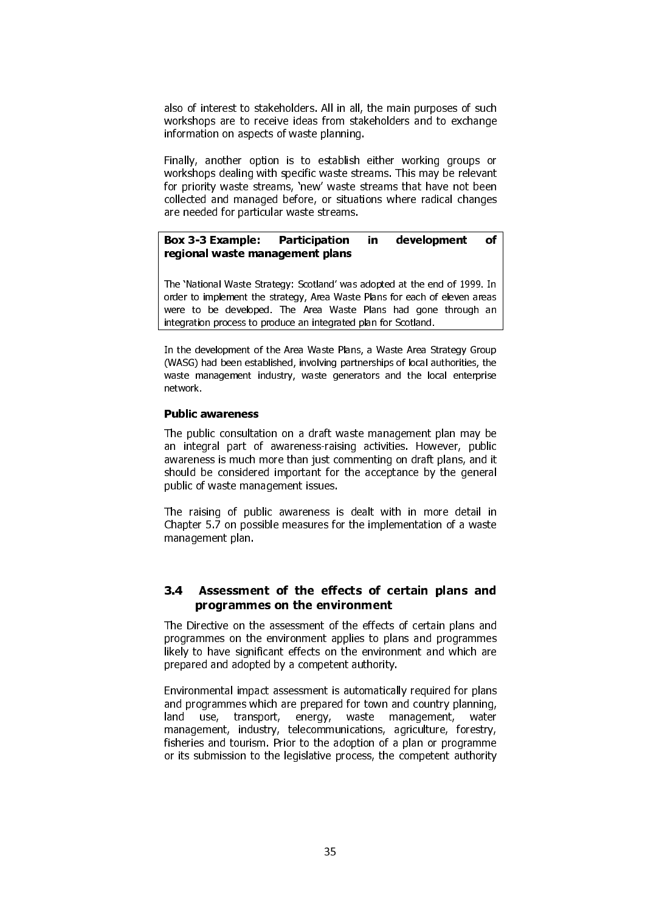also of interest to stakeholders. All in all, the main purposes of such workshops are to receive ideas from stakeholders and to exchange information on aspects of waste planning.

Finally, another option is to establish either working groups or workshops dealing with specific waste streams. This may be relevant for priority waste streams, 'new' waste streams that have not been collected and managed before, or situations where radical changes are needed for particular waste streams.

#### Box 3-3 Example: Participation in development of regional waste management plans

The 'National Waste Strategy: Scotland' was adopted at the end of 1999. In order to implement the strategy, Area Waste Plans for each of eleven areas were to be developed. The Area Waste Plans had gone through an integration process to produce an integrated plan for Scotland.

In the development of the Area Waste Plans, a Waste Area Strategy Group (WASG) had been established, involving partnerships of local authorities, the waste management industry, waste generators and the local enterprise network.

#### Public awareness

The public consultation on a draft waste management plan may be an integral part of awareness-raising activities. However, public awareness is much more than just commenting on draft plans, and it should be considered important for the acceptance by the general public of waste management issues.

The raising of public awareness is dealt with in more detail in Chapter 5.7 on possible measures for the implementation of a waste management plan.

# 3.4 Assessment of the effects of certain plans and programmes on the environment

The Directive on the assessment of the effects of certain plans and programmes on the environment applies to plans and programmes likely to have significant effects on the environment and which are prepared and adopted by a competent authority.

Environmental impact assessment is automatically required for plans and programmes which are prepared for town and country planning, land use, transport, energy, waste management, water management, industry, telecommunications, agriculture, forestry, fisheries and tourism. Prior to the adoption of a plan or programme or its submission to the legislative process, the competent authority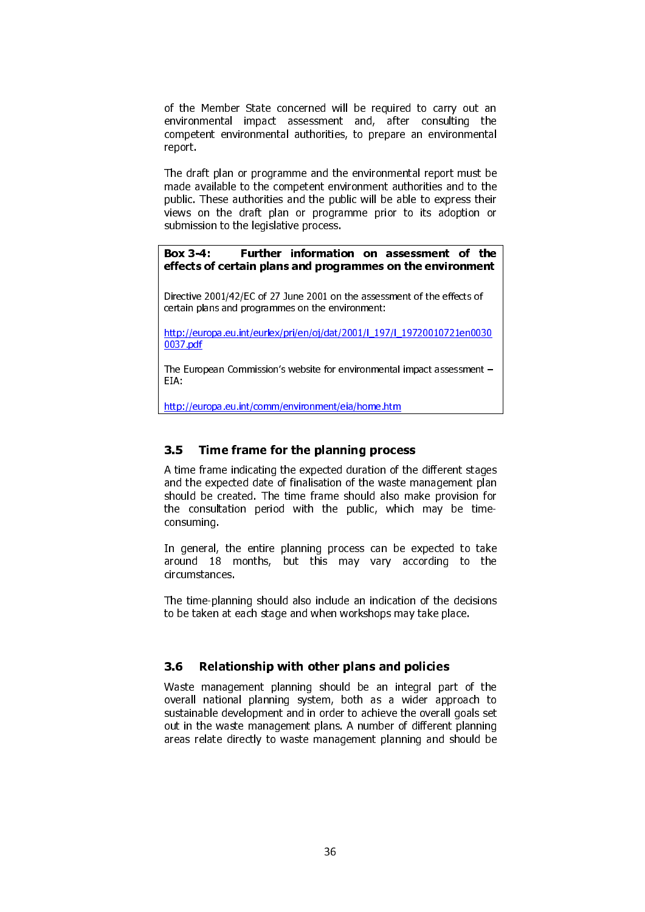of the Member State concerned will be required to carry out an environmental impact assessment and, after consulting the competent environmental authorities, to prepare an environmental report.

The draft plan or programme and the environmental report must be made available to the competent environment authorities and to the public. These authorities and the public will be able to express their views on the draft plan or programme prior to its adoption or submission to the legislative process.

Box 3-4: Further information on assessment of the effects of certain plans and programmes on the environment

Directive 2001/42/EC of 27 June 2001 on the assessment of the effects of certain plans and programmes on the environment:

http://europa.eu.int/eurlex/pri/en/oj/dat/2001/l\_197/l\_19720010721en0030 0037.pdf

The European Commission's website for environmental impact assessment – EIA:

http://europa.eu.int/comm/environment/eia/home.htm

# 3.5 Time frame for the planning process

A time frame indicating the expected duration of the different stages and the expected date of finalisation of the waste management plan should be created. The time frame should also make provision for the consultation period with the public, which may be timeconsuming.

In general, the entire planning process can be expected to take around 18 months, but this may vary according to the circumstances.

The time-planning should also include an indication of the decisions to be taken at each stage and when workshops may take place.

#### 3.6 Relationship with other plans and policies

Waste management planning should be an integral part of the overall national planning system, both as a wider approach to sustainable development and in order to achieve the overall goals set out in the waste management plans. A number of different planning areas relate directly to waste management planning and should be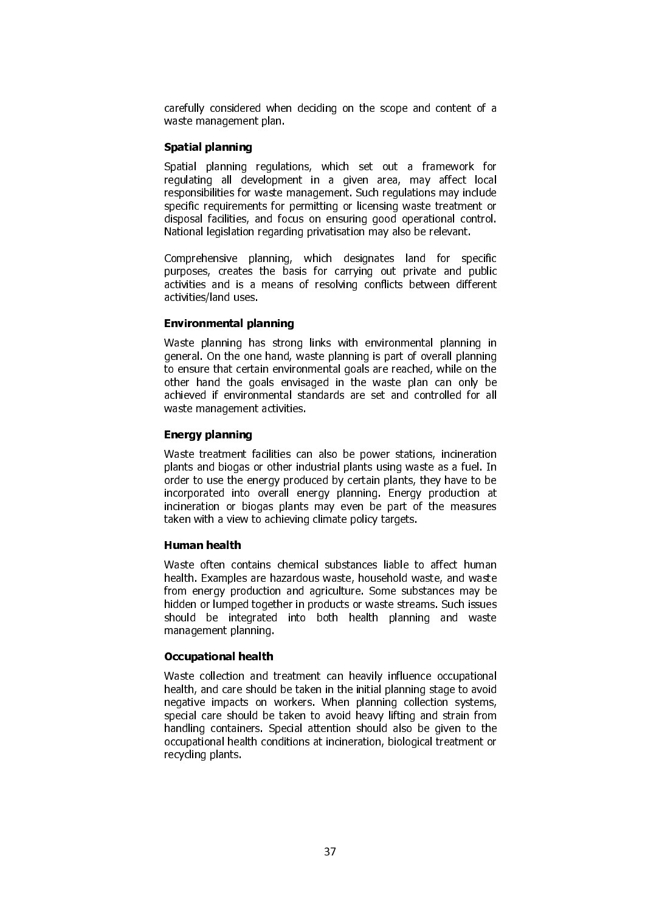carefully considered when deciding on the scope and content of a waste management plan.

### Spatial planning

Spatial planning regulations, which set out a framework for regulating all development in a given area, may affect local responsibilities for waste management. Such regulations may include specific requirements for permitting or licensing waste treatment or disposal facilities, and focus on ensuring good operational control. National legislation regarding privatisation may also be relevant.

Comprehensive planning, which designates land for specific purposes, creates the basis for carrying out private and public activities and is a means of resolving conflicts between different activities/land uses.

### Environmental planning

Waste planning has strong links with environmental planning in general. On the one hand, waste planning is part of overall planning to ensure that certain environmental goals are reached, while on the other hand the goals envisaged in the waste plan can only be achieved if environmental standards are set and controlled for all waste management activities.

# Energy planning

Waste treatment facilities can also be power stations, incineration plants and biogas or other industrial plants using waste as a fuel. In order to use the energy produced by certain plants, they have to be incorporated into overall energy planning. Energy production at incineration or biogas plants may even be part of the measures taken with a view to achieving climate policy targets.

# Human health

Waste often contains chemical substances liable to affect human health. Examples are hazardous waste, household waste, and waste from energy production and agriculture. Some substances may be hidden or lumped together in products or waste streams. Such issues should be integrated into both health planning and waste management planning.

#### Occupational health

Waste collection and treatment can heavily influence occupational health, and care should be taken in the initial planning stage to avoid negative impacts on workers. When planning collection systems, special care should be taken to avoid heavy lifting and strain from handling containers. Special attention should also be given to the occupational health conditions at incineration, biological treatment or recycling plants.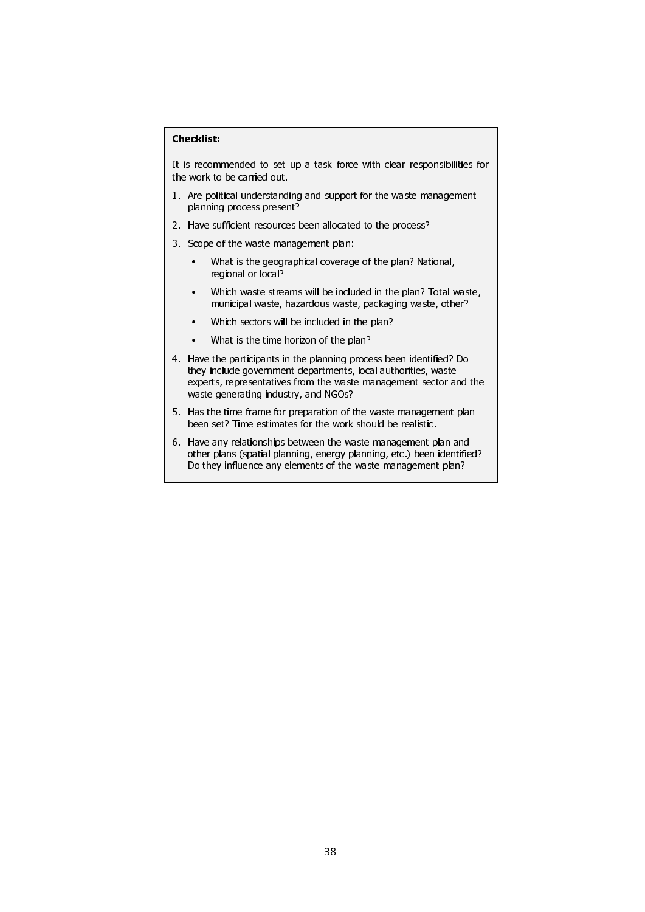### Checklist:

It is recommended to set up a task force with clear responsibilities for the work to be carried out.

- 1. Are political understanding and support for the waste management planning process present?
- 2. Have sufficient resources been allocated to the process?
- 3. Scope of the waste management plan:
	- What is the geographical coverage of the plan? National, regional or local?
	- Which waste streams will be included in the plan? Total waste, municipal waste, hazardous waste, packaging waste, other?
	- Which sectors will be included in the plan?
	- What is the time horizon of the plan?
- 4. Have the participants in the planning process been identified? Do they include government departments, local authorities, waste experts, representatives from the waste management sector and the waste generating industry, and NGOs?
- 5. Has the time frame for preparation of the waste management plan been set? Time estimates for the work should be realistic.
- 6. Have any relationships between the waste management plan and other plans (spatial planning, energy planning, etc.) been identified? Do they influence any elements of the waste management plan?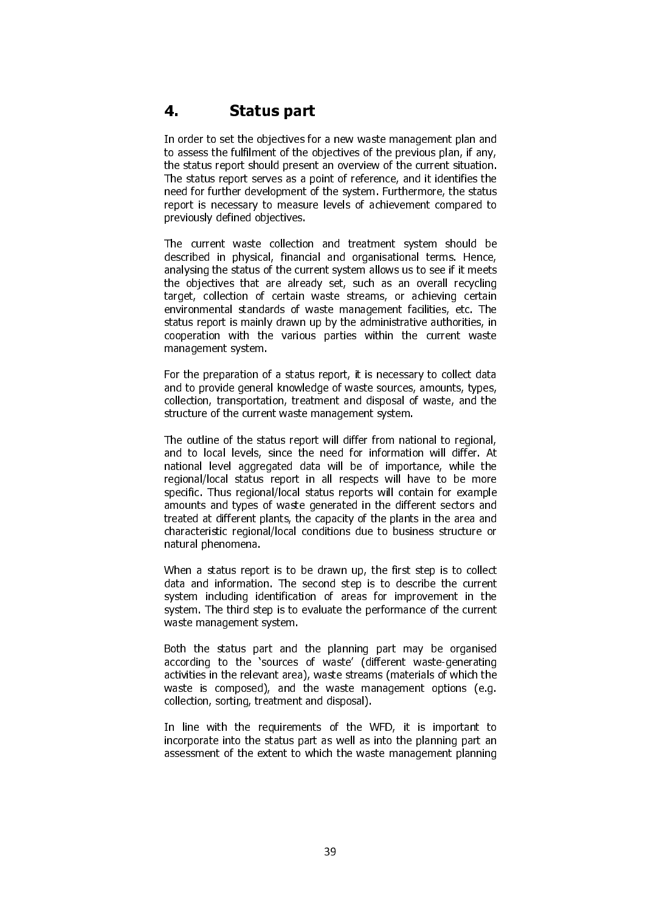# 4. Status part

In order to set the objectives for a new waste management plan and to assess the fulfilment of the objectives of the previous plan, if any, the status report should present an overview of the current situation. The status report serves as a point of reference, and it identifies the need for further development of the system. Furthermore, the status report is necessary to measure levels of achievement compared to previously defined objectives.

The current waste collection and treatment system should be described in physical, financial and organisational terms. Hence, analysing the status of the current system allows us to see if it meets the objectives that are already set, such as an overall recycling target, collection of certain waste streams, or achieving certain environmental standards of waste management facilities, etc. The status report is mainly drawn up by the administrative authorities, in cooperation with the various parties within the current waste management system.

For the preparation of a status report, it is necessary to collect data and to provide general knowledge of waste sources, amounts, types, collection, transportation, treatment and disposal of waste, and the structure of the current waste management system.

The outline of the status report will differ from national to regional, and to local levels, since the need for information will differ. At national level aggregated data will be of importance, while the regional/local status report in all respects will have to be more specific. Thus regional/local status reports will contain for example amounts and types of waste generated in the different sectors and treated at different plants, the capacity of the plants in the area and characteristic regional/local conditions due to business structure or natural phenomena.

When a status report is to be drawn up, the first step is to collect data and information. The second step is to describe the current system including identification of areas for improvement in the system. The third step is to evaluate the performance of the current waste management system.

Both the status part and the planning part may be organised according to the 'sources of waste' (different waste-generating activities in the relevant area), waste streams (materials of which the waste is composed), and the waste management options (e.g. collection, sorting, treatment and disposal).

In line with the requirements of the WFD, it is important to incorporate into the status part as well as into the planning part an assessment of the extent to which the waste management planning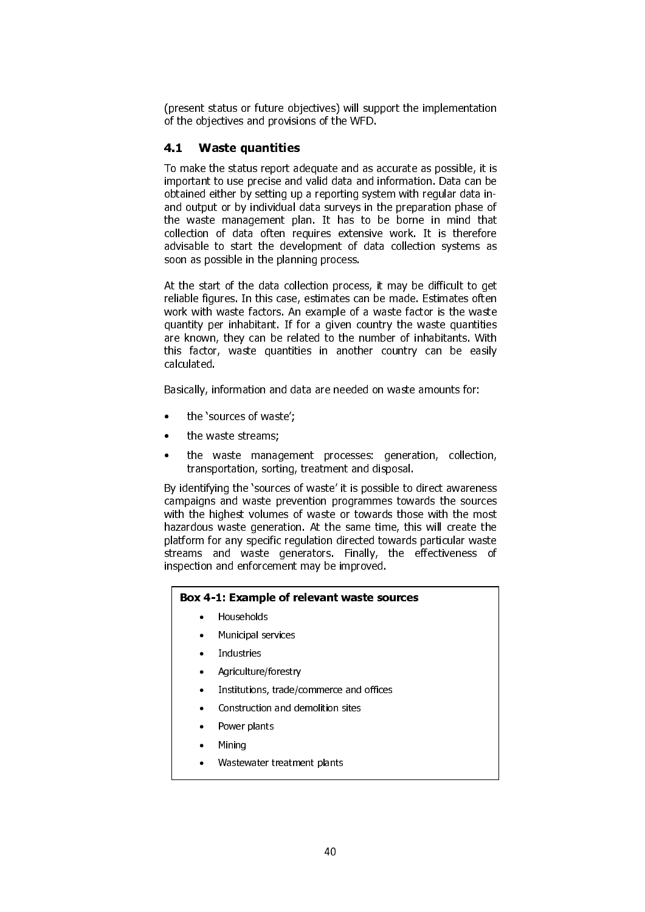(present status or future objectives) will support the implementation of the objectives and provisions of the WFD.

# 4.1 Waste quantities

To make the status report adequate and as accurate as possible, it is important to use precise and valid data and information. Data can be obtained either by setting up a reporting system with regular data inand output or by individual data surveys in the preparation phase of the waste management plan. It has to be borne in mind that collection of data often requires extensive work. It is therefore advisable to start the development of data collection systems as soon as possible in the planning process.

At the start of the data collection process, it may be difficult to get reliable figures. In this case, estimates can be made. Estimates often work with waste factors. An example of a waste factor is the waste quantity per inhabitant. If for a given country the waste quantities are known, they can be related to the number of inhabitants. With this factor, waste quantities in another country can be easily calculated.

Basically, information and data are needed on waste amounts for:

- the 'sources of waste';
- the waste streams;
- the waste management processes: generation, collection, transportation, sorting, treatment and disposal.

By identifying the 'sources of waste' it is possible to direct awareness campaigns and waste prevention programmes towards the sources with the highest volumes of waste or towards those with the most hazardous waste generation. At the same time, this will create the platform for any specific regulation directed towards particular waste streams and waste generators. Finally, the effectiveness of inspection and enforcement may be improved.

# Box 4-1: Example of relevant waste sources

- Households
- Municipal services
- **Industries**
- Agriculture/forestry
- Institutions, trade/commerce and offices
- Construction and demolition sites
- Power plants
- Mining
- Wastewater treatment plants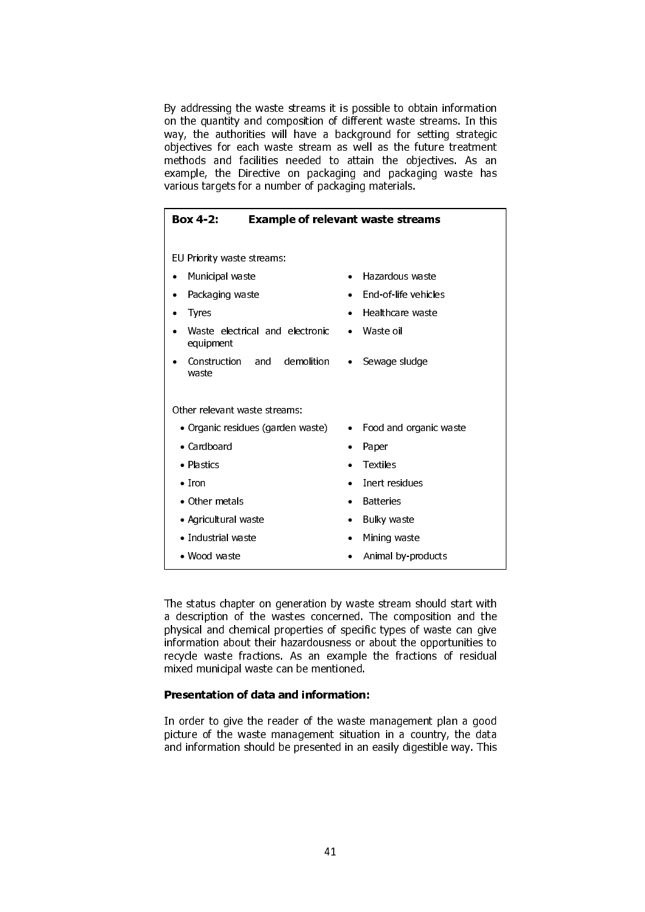By addressing the waste streams it is possible to obtain information on the quantity and composition of different waste streams. In this way, the authorities will have a background for setting strategic objectives for each waste stream as well as the future treatment methods and facilities needed to attain the objectives. As an example, the Directive on packaging and packaging waste has various targets for a number of packaging materials.

| Box 4-2:<br><b>Example of relevant waste streams</b> |                                     |  |
|------------------------------------------------------|-------------------------------------|--|
|                                                      |                                     |  |
| EU Priority waste streams:                           |                                     |  |
| Municipal waste<br>٠                                 | Hazardous waste<br>$\bullet$        |  |
| Packaging waste                                      | End-of-life vehicles<br>$\bullet$   |  |
| <b>Tyres</b>                                         | Healthcare waste                    |  |
| Waste electrical and electronic<br>equipment         | Waste oil<br>$\bullet$              |  |
| demolition<br>Construction<br>and<br>waste           | Sewage sludge<br>٠                  |  |
| Other relevant waste streams:                        |                                     |  |
| • Organic residues (garden waste)                    | Food and organic waste<br>$\bullet$ |  |
| $\bullet$ Cardboard                                  | Paper<br>$\bullet$                  |  |
| • Plastics                                           | <b>Textiles</b>                     |  |
| $\bullet$ Tron                                       | Inert residues<br>$\bullet$         |  |
| • Other metals                                       | <b>Batteries</b>                    |  |
| · Agricultural waste                                 | <b>Bulky waste</b><br>$\bullet$     |  |
| • Industrial waste                                   | Mining waste<br>$\bullet$           |  |
| • Wood waste                                         | Animal by products                  |  |

The status chapter on generation by waste stream should start with a description of the wastes concerned. The composition and the physical and chemical properties of specific types of waste can give information about their hazardousness or about the opportunities to recycle waste fractions. As an example the fractions of residual mixed municipal waste can be mentioned.

### Presentation of data and information:

In order to give the reader of the waste management plan a good picture of the waste management situation in a country, the data and information should be presented in an easily digestible way. This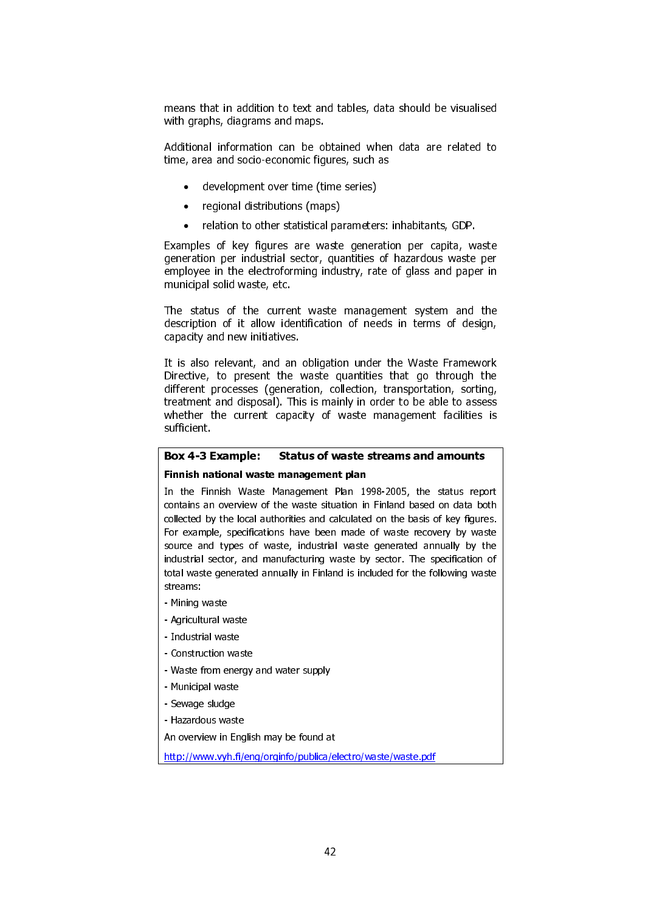means that in addition to text and tables, data should be visualised with graphs, diagrams and maps.

Additional information can be obtained when data are related to time, area and socio-economic figures, such as

- development over time (time series)
- regional distributions (maps)
- relation to other statistical parameters: inhabitants, GDP.

Examples of key figures are waste generation per capita, waste generation per industrial sector, quantities of hazardous waste per employee in the electroforming industry, rate of glass and paper in municipal solid waste, etc.

The status of the current waste management system and the description of it allow identification of needs in terms of design, capacity and new initiatives.

It is also relevant, and an obligation under the Waste Framework Directive, to present the waste quantities that go through the different processes (generation, collection, transportation, sorting, treatment and disposal). This is mainly in order to be able to assess whether the current capacity of waste management facilities is sufficient.

### Box 4-3 Example: Status of waste streams and amounts

#### Finnish national waste management plan

In the Finnish Waste Management Plan 1998-2005, the status report contains an overview of the waste situation in Finland based on data both collected by the local authorities and calculated on the basis of key figures. For example, specifications have been made of waste recovery by waste source and types of waste, industrial waste generated annually by the industrial sector, and manufacturing waste by sector. The specification of total waste generated annually in Finland is included for the following waste streams:

- Mining waste
- Agricultural waste
- Industrial waste
- Construction waste
- Waste from energy and water supply
- Municipal waste
- Sewage sludge
- Hazardous waste

An overview in English may be found at

http://www.vyh.fi/eng/orginfo/publica/electro/waste/waste.pdf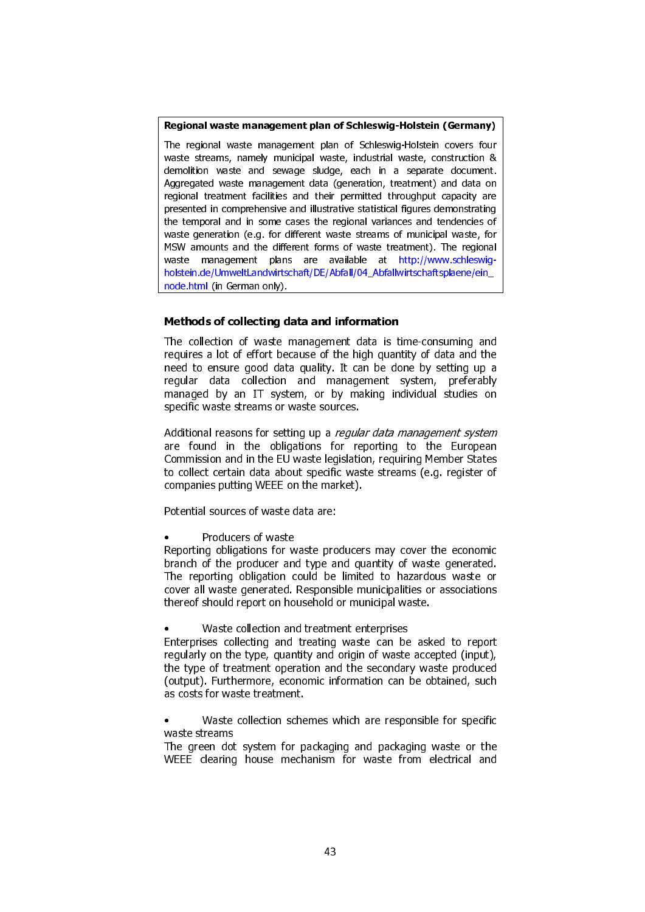### Regional waste management plan of Schleswig-Holstein (Germany)

The regional waste management plan of Schleswig-Holstein covers four waste streams, namely municipal waste, industrial waste, construction & demolition waste and sewage sludge, each in a separate document. Aggregated waste management data (generation, treatment) and data on regional treatment facilities and their permitted throughput capacity are presented in comprehensive and illustrative statistical figures demonstrating the temporal and in some cases the regional variances and tendencies of waste generation (e.g. for different waste streams of municipal waste, for MSW amounts and the different forms of waste treatment). The regional waste management plans are available at http://www.schleswigholstein.de/UmweltLandwirtschaft/DE/Abfall/04\_Abfallwirtschaftsplaene/ein node.html (in German only).

# Methods of collecting data and information

The collection of waste management data is time-consuming and requires a lot of effort because of the high quantity of data and the need to ensure good data quality. It can be done by setting up a regular data collection and management system, preferably managed by an IT system, or by making individual studies on specific waste streams or waste sources.

Additional reasons for setting up a *regular data management system* are found in the obligations for reporting to the European Commission and in the EU waste legislation, requiring Member States to collect certain data about specific waste streams (e.g. register of companies putting WEEE on the market).

Potential sources of waste data are:

Producers of waste

Reporting obligations for waste producers may cover the economic branch of the producer and type and quantity of waste generated. The reporting obligation could be limited to hazardous waste or cover all waste generated. Responsible municipalities or associations thereof should report on household or municipal waste.

• Waste collection and treatment enterprises

Enterprises collecting and treating waste can be asked to report regularly on the type, quantity and origin of waste accepted (input), the type of treatment operation and the secondary waste produced (output). Furthermore, economic information can be obtained, such as costs for waste treatment.

Waste collection schemes which are responsible for specific waste streams

The green dot system for packaging and packaging waste or the WEEE clearing house mechanism for waste from electrical and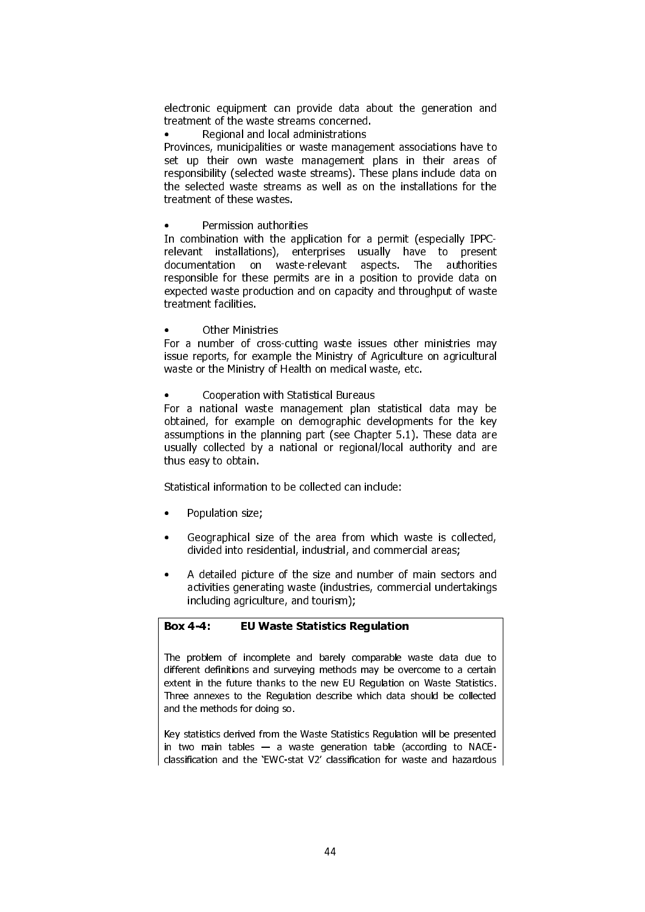electronic equipment can provide data about the generation and treatment of the waste streams concerned.

• Regional and local administrations

Provinces, municipalities or waste management associations have to set up their own waste management plans in their areas of responsibility (selected waste streams). These plans include data on the selected waste streams as well as on the installations for the treatment of these wastes.

• Permission authorities

In combination with the application for a permit (especially IPPCrelevant installations), enterprises usually have to present documentation on waste-relevant aspects. The authorities responsible for these permits are in a position to provide data on expected waste production and on capacity and throughput of waste treatment facilities.

**Other Ministries** 

For a number of cross-cutting waste issues other ministries may issue reports, for example the Ministry of Agriculture on agricultural waste or the Ministry of Health on medical waste, etc.

• Cooperation with Statistical Bureaus

For a national waste management plan statistical data may be obtained, for example on demographic developments for the key assumptions in the planning part (see Chapter 5.1). These data are usually collected by a national or regional/local authority and are thus easy to obtain.

Statistical information to be collected can include:

- Population size;
- Geographical size of the area from which waste is collected, divided into residential, industrial, and commercial areas;
- A detailed picture of the size and number of main sectors and activities generating waste (industries, commercial undertakings including agriculture, and tourism);

# Box 4-4: EU Waste Statistics Regulation

The problem of incomplete and barely comparable waste data due to different definitions and surveying methods may be overcome to a certain extent in the future thanks to the new EU Regulation on Waste Statistics. Three annexes to the Regulation describe which data should be collected and the methods for doing so.

Key statistics derived from the Waste Statistics Regulation will be presented in two main tables  $-$  a waste generation table (according to NACEclassification and the 'EWC-stat V2' classification for waste and hazardous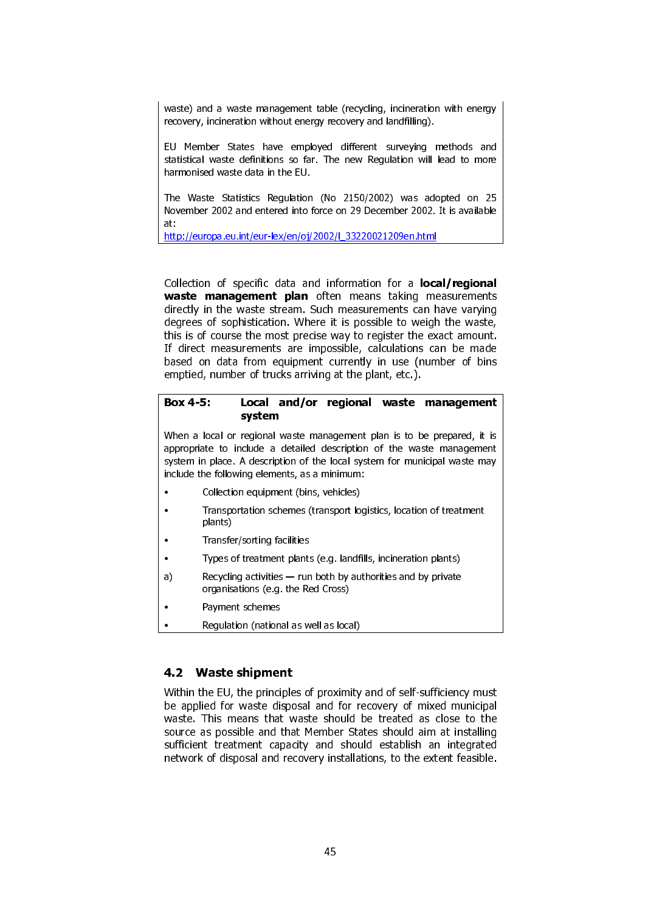waste) and a waste management table (recycling, incineration with energy recovery, incineration without energy recovery and landfilling).

EU Member States have employed different surveying methods and statistical waste definitions so far. The new Regulation will lead to more harmonised waste data in the EU.

The Waste Statistics Regulation (No 2150/2002) was adopted on 25 November 2002 and entered into force on 29 December 2002. It is available at:

http://europa.eu.int/eur-lex/en/oj/2002/l\_33220021209en.html

Collection of specific data and information for a **local/regional** waste management plan often means taking measurements directly in the waste stream. Such measurements can have varying degrees of sophistication. Where it is possible to weigh the waste, this is of course the most precise way to register the exact amount. If direct measurements are impossible, calculations can be made based on data from equipment currently in use (number of bins emptied, number of trucks arriving at the plant, etc.).

### Box 4-5: Local and/or regional waste management system

When a local or regional waste management plan is to be prepared, it is appropriate to include a detailed description of the waste management system in place. A description of the local system for municipal waste may include the following elements, as a minimum:

- Collection equipment (bins, vehicles)
- Transportation schemes (transport logistics, location of treatment plants)
- Transfer/sorting facilities
- Types of treatment plants (e.g. landfills, incineration plants)
- a) Recycling activities run both by authorities and by private organisations (e.g. the Red Cross)
- Payment schemes
- Regulation (national as well as local)

# 4.2 Waste shipment

Within the EU, the principles of proximity and of self-sufficiency must be applied for waste disposal and for recovery of mixed municipal waste. This means that waste should be treated as close to the source as possible and that Member States should aim at installing sufficient treatment capacity and should establish an integrated network of disposal and recovery installations, to the extent feasible.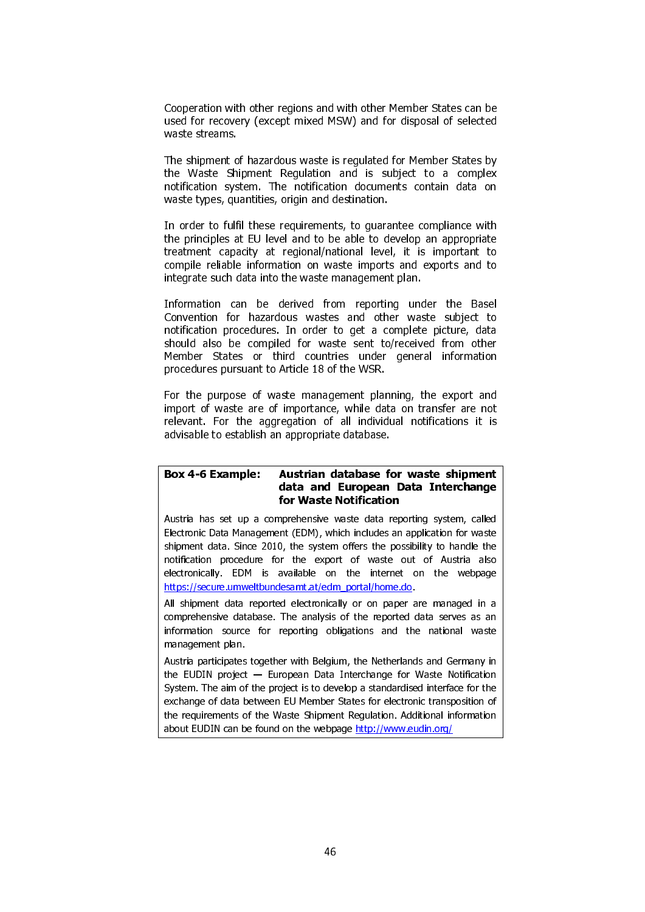Cooperation with other regions and with other Member States can be used for recovery (except mixed MSW) and for disposal of selected waste streams.

The shipment of hazardous waste is regulated for Member States by the Waste Shipment Regulation and is subject to a complex notification system. The notification documents contain data on waste types, quantities, origin and destination.

In order to fulfil these requirements, to guarantee compliance with the principles at EU level and to be able to develop an appropriate treatment capacity at regional/national level, it is important to compile reliable information on waste imports and exports and to integrate such data into the waste management plan.

Information can be derived from reporting under the Basel Convention for hazardous wastes and other waste subject to notification procedures. In order to get a complete picture, data should also be compiled for waste sent to/received from other Member States or third countries under general information procedures pursuant to Article 18 of the WSR.

For the purpose of waste management planning, the export and import of waste are of importance, while data on transfer are not relevant. For the aggregation of all individual notifications it is advisable to establish an appropriate database.

### Box 4-6 Example: Austrian database for waste shipment data and European Data Interchange for Waste Notification

Austria has set up a comprehensive waste data reporting system, called Electronic Data Management (EDM), which includes an application for waste shipment data. Since 2010, the system offers the possibility to handle the notification procedure for the export of waste out of Austria also electronically. EDM is available on the internet on the webpage https://secure.umweltbundesamt.at/edm\_portal/home.do.

All shipment data reported electronically or on paper are managed in a comprehensive database. The analysis of the reported data serves as an information source for reporting obligations and the national waste management plan.

Austria participates together with Belgium, the Netherlands and Germany in the EUDIN project — European Data Interchange for Waste Notification System. The aim of the project is to develop a standardised interface for the exchange of data between EU Member States for electronic transposition of the requirements of the Waste Shipment Regulation. Additional information about EUDIN can be found on the webpage http://www.eudin.org/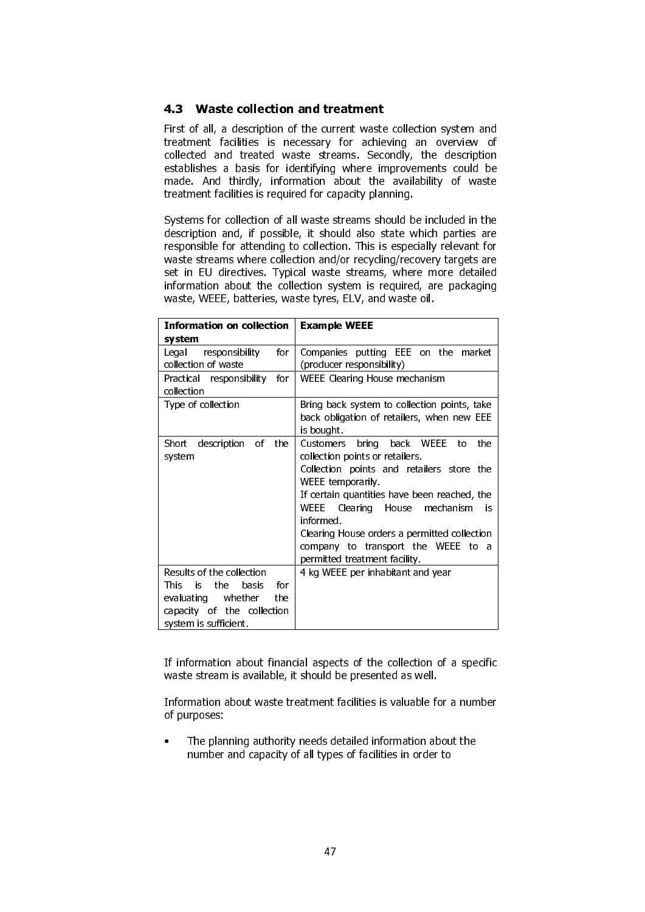# 4.3 Waste collection and treatment

First of all, a description of the current waste collection system and treatment facilities is necessary for achieving an overview of collected and treated waste streams. Secondly, the description establishes a basis for identifying where improvements could be made. And thirdly, information about the availability of waste treatment facilities is required for capacity planning.

Systems for collection of all waste streams should be included in the description and, if possible, it should also state which parties are responsible for attending to collection. This is especially relevant for waste streams where collection and/or recycling/recovery targets are set in EU directives. Typical waste streams, where more detailed information about the collection system is required, are packaging waste, WEEE, batteries, waste tyres, ELV, and waste oil.

| <b>Information on collection</b><br>system                                                                                                         | <b>Example WEEE</b>                                                                                                                                                                                                                                                                                                                                                      |
|----------------------------------------------------------------------------------------------------------------------------------------------------|--------------------------------------------------------------------------------------------------------------------------------------------------------------------------------------------------------------------------------------------------------------------------------------------------------------------------------------------------------------------------|
| for<br>Legal<br>responsibility<br>collection of waste                                                                                              | Companies putting EEE on the market<br>(producer responsibility)                                                                                                                                                                                                                                                                                                         |
| Practical responsibility for<br>collection                                                                                                         | WEEE Clearing House mechanism                                                                                                                                                                                                                                                                                                                                            |
| Type of collection                                                                                                                                 | Bring back system to collection points, take<br>back obligation of retailers, when new EEE<br>is bought                                                                                                                                                                                                                                                                  |
| description<br>Short<br>of<br>the<br>system                                                                                                        | the<br>bring back WEEE<br>to<br>Customers<br>collection points or retailers.<br>Collection points and retailers store the<br>WEEE temporarily<br>If certain quantities have been reached, the<br>WEEE Clearing House mechanism<br>İS<br>informed.<br>Clearing House orders a permitted collection<br>company to transport the WEEE to a<br>permitted treatment facility. |
| Results of the collection<br>for<br>This<br>the<br>is<br>basis<br>evaluating whether<br>the<br>capacity of the collection<br>system is sufficient. | 4 kg WEEE per inhabitant and year                                                                                                                                                                                                                                                                                                                                        |

If information about financial aspects of the collection of a specific waste stream is available, it should be presented as well.

Information about waste treatment facilities is valuable for a number of purposes:

The planning authority needs detailed information about the number and capacity of all types of facilities in order to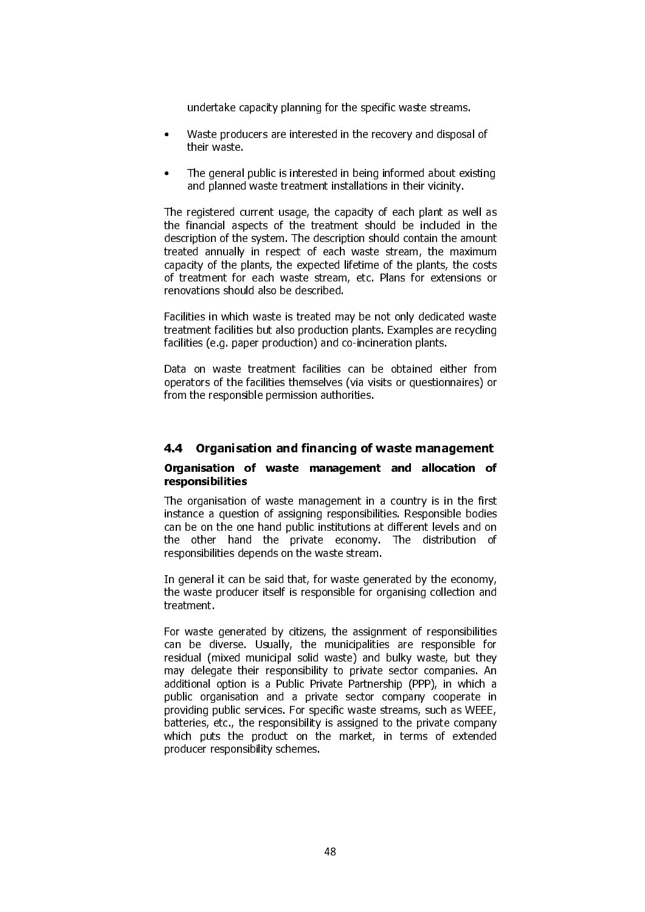undertake capacity planning for the specific waste streams.

- Waste producers are interested in the recovery and disposal of their waste.
- The general public is interested in being informed about existing and planned waste treatment installations in their vicinity.

The registered current usage, the capacity of each plant as well as the financial aspects of the treatment should be included in the description of the system. The description should contain the amount treated annually in respect of each waste stream, the maximum capacity of the plants, the expected lifetime of the plants, the costs of treatment for each waste stream, etc. Plans for extensions or renovations should also be described.

Facilities in which waste is treated may be not only dedicated waste treatment facilities but also production plants. Examples are recycling facilities (e.g. paper production) and co-incineration plants.

Data on waste treatment facilities can be obtained either from operators of the facilities themselves (via visits or questionnaires) or from the responsible permission authorities.

# 4.4 Organisation and financing of waste management

### Organisation of waste management and allocation of responsibilities

The organisation of waste management in a country is in the first instance a question of assigning responsibilities. Responsible bodies can be on the one hand public institutions at different levels and on the other hand the private economy. The distribution of responsibilities depends on the waste stream.

In general it can be said that, for waste generated by the economy, the waste producer itself is responsible for organising collection and treatment.

For waste generated by citizens, the assignment of responsibilities can be diverse. Usually, the municipalities are responsible for residual (mixed municipal solid waste) and bulky waste, but they may delegate their responsibility to private sector companies. An additional option is a Public Private Partnership (PPP), in which a public organisation and a private sector company cooperate in providing public services. For specific waste streams, such as WEEE, batteries, etc., the responsibility is assigned to the private company which puts the product on the market, in terms of extended producer responsibility schemes.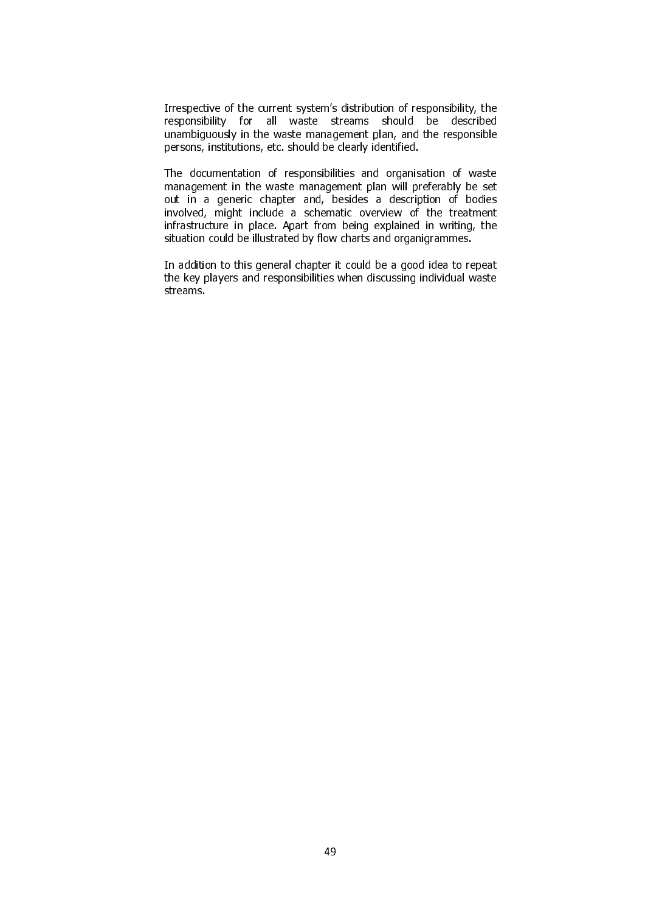Irrespective of the current system's distribution of responsibility, the responsibility for all waste streams should be described unambiguously in the waste management plan, and the responsible persons, institutions, etc. should be clearly identified.

The documentation of responsibilities and organisation of waste management in the waste management plan will preferably be set out in a generic chapter and, besides a description of bodies involved, might include a schematic overview of the treatment infrastructure in place. Apart from being explained in writing, the situation could be illustrated by flow charts and organigrammes.

In addition to this general chapter it could be a good idea to repeat the key players and responsibilities when discussing individual waste streams.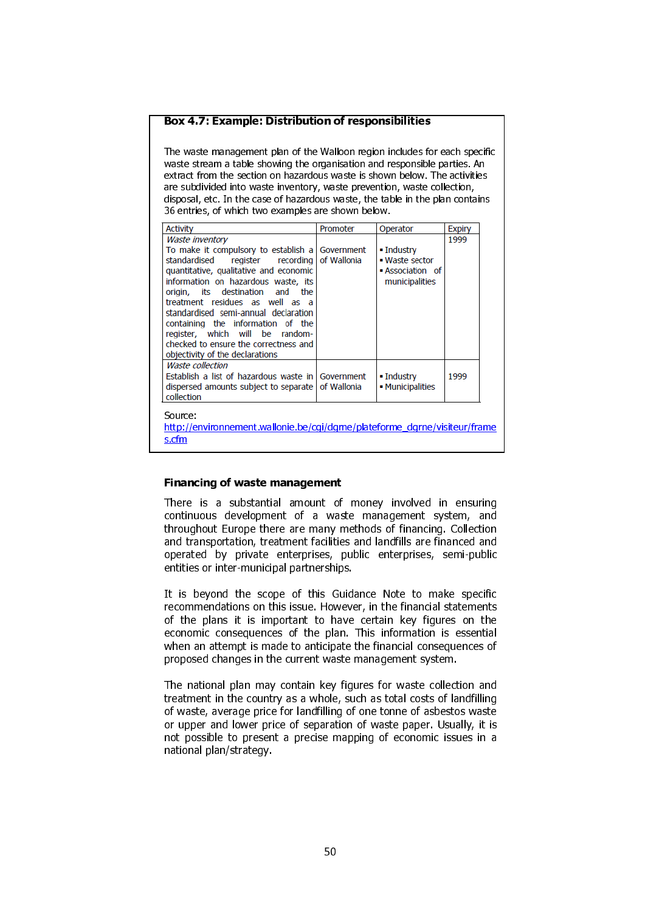#### Box 4.7: Example: Distribution of responsibilities

The waste management plan of the Walloon region includes for each specific waste stream a table showing the organisation and responsible parties. An extract from the section on hazardous waste is shown below. The activities are subdivided into waste inventory, waste prevention, waste collection, disposal, etc. In the case of hazardous waste, the table in the plan contains 36 entries, of which two examples are shown below.

| <b>Activity</b>                                                                                                                                                                                                                                                                                                                                                                                                                                             | Promoter    | Operator                                                                      | <b>Expiry</b> |
|-------------------------------------------------------------------------------------------------------------------------------------------------------------------------------------------------------------------------------------------------------------------------------------------------------------------------------------------------------------------------------------------------------------------------------------------------------------|-------------|-------------------------------------------------------------------------------|---------------|
| Waste inventory<br>To make it compulsory to establish a Government<br>standardised<br>register recording<br>quantitative, qualitative and economic<br>information on hazardous waste, its<br>origin, its destination and the<br>treatment residues as well as a<br>standardised semi-annual declaration<br>containing the information of the<br>register, which will be random-<br>checked to ensure the correctness and<br>objectivity of the declarations | of Wallonia | $\blacksquare$ Industry<br>• Waste sector<br>Association of<br>municipalities | 1999          |
| <b>Waste collection</b><br>Establish a list of hazardous waste in Government<br>dispersed amounts subject to separate<br>collection                                                                                                                                                                                                                                                                                                                         | of Wallonia | $\blacksquare$ Industry<br>• Municipalities                                   | 1999          |
| Source:<br>http://environnement.wallonie.be/cgi/dgrne/plateforme_dgrne/visiteur/frame<br>s.cfm                                                                                                                                                                                                                                                                                                                                                              |             |                                                                               |               |

#### Financing of waste management

There is a substantial amount of money involved in ensuring continuous development of a waste management system, and throughout Europe there are many methods of financing. Collection and transportation, treatment facilities and landfills are financed and operated by private enterprises, public enterprises, semi-public entities or inter-municipal partnerships.

It is beyond the scope of this Guidance Note to make specific recommendations on this issue. However, in the financial statements of the plans it is important to have certain key figures on the economic consequences of the plan. This information is essential when an attempt is made to anticipate the financial consequences of proposed changes in the current waste management system.

The national plan may contain key figures for waste collection and treatment in the country as a whole, such as total costs of landfilling of waste, average price for landfilling of one tonne of asbestos waste or upper and lower price of separation of waste paper. Usually, it is not possible to present a precise mapping of economic issues in a national plan/strategy.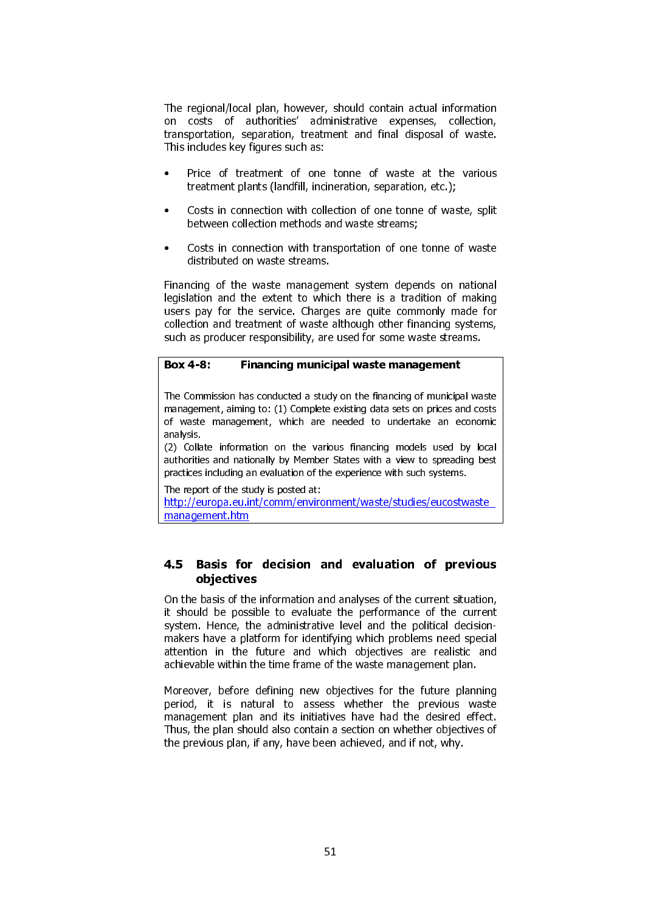The regional/local plan, however, should contain actual information on costs of authorities' administrative expenses, collection, transportation, separation, treatment and final disposal of waste. This includes key figures such as:

- Price of treatment of one tonne of waste at the various treatment plants (landfill, incineration, separation, etc.);
- Costs in connection with collection of one tonne of waste, split between collection methods and waste streams;
- Costs in connection with transportation of one tonne of waste distributed on waste streams.

Financing of the waste management system depends on national legislation and the extent to which there is a tradition of making users pay for the service. Charges are quite commonly made for collection and treatment of waste although other financing systems, such as producer responsibility, are used for some waste streams.

# Box 4-8: Financing municipal waste management

The Commission has conducted a study on the financing of municipal waste management, aiming to: (1) Complete existing data sets on prices and costs of waste management, which are needed to undertake an economic analysis.

(2) Collate information on the various financing models used by local authorities and nationally by Member States with a view to spreading best practices including an evaluation of the experience with such systems.

The report of the study is posted at:

http://europa.eu.int/comm/environment/waste/studies/eucostwaste\_ management.htm

# 4.5 Basis for decision and evaluation of previous objectives

On the basis of the information and analyses of the current situation, it should be possible to evaluate the performance of the current system. Hence, the administrative level and the political decisionmakers have a platform for identifying which problems need special attention in the future and which objectives are realistic and achievable within the time frame of the waste management plan.

Moreover, before defining new objectives for the future planning period, it is natural to assess whether the previous waste management plan and its initiatives have had the desired effect. Thus, the plan should also contain a section on whether objectives of the previous plan, if any, have been achieved, and if not, why.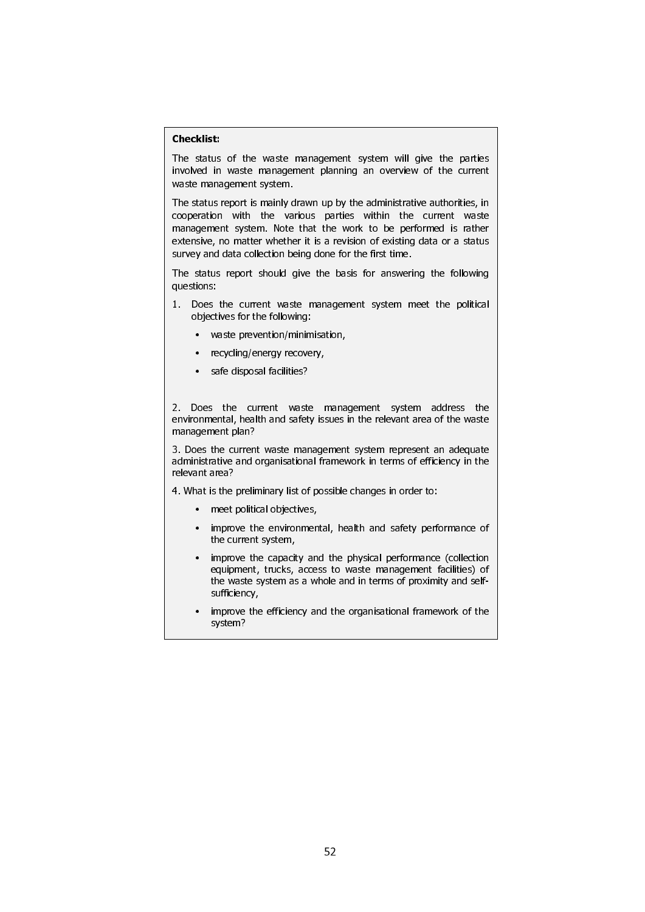### Checklist:

 $\overline{\phantom{a}}$ 

 $\overline{\phantom{a}}$ 

 $\mathsf{I}$ 

 $\overline{\phantom{a}}$ 

 $\overline{\phantom{a}}$ 

 $\overline{\phantom{a}}$ 

 $\overline{\phantom{a}}$ 

 $\overline{\phantom{a}}$ 

 $\overline{\phantom{a}}$ 

 $\overline{\phantom{a}}$ 

 $\overline{\phantom{a}}$ 

 $\mathsf{I}$ 

 $\overline{\phantom{a}}$ 

 $\overline{\phantom{a}}$ 

 $\overline{\phantom{a}}$ 

 $\mathsf{I}$ 

 $\overline{\phantom{a}}$ 

 $\overline{\phantom{a}}$ 

 $\overline{\phantom{a}}$ 

 $\overline{\phantom{a}}$ 

The status of the waste management system will give the parties involved in waste management planning an overview of the current waste management system.

The status report is mainly drawn up by the administrative authorities, in cooperation with the various parties within the current waste management system. Note that the work to be performed is rather extensive, no matter whether it is a revision of existing data or a status survey and data collection being done for the first time.

The status report should give the basis for answering the following questions:

- 1. Does the current waste management system meet the political objectives for the following:
	- waste prevention/minimisation,
	- recycling/energy recovery,
	- safe disposal facilities?

2. Does the current waste management system address the environmental, health and safety issues in the relevant area of the waste management plan?

3. Does the current waste management system represent an adequate administrative and organisational framework in terms of efficiency in the relevant area?

4. What is the preliminary list of possible changes in order to:

- meet political objectives,
- improve the environmental, health and safety performance of the current system,
- improve the capacity and the physical performance (collection equipment, trucks, access to waste management facilities) of the waste system as a whole and in terms of proximity and selfsufficiency,
- improve the efficiency and the organisational framework of the system?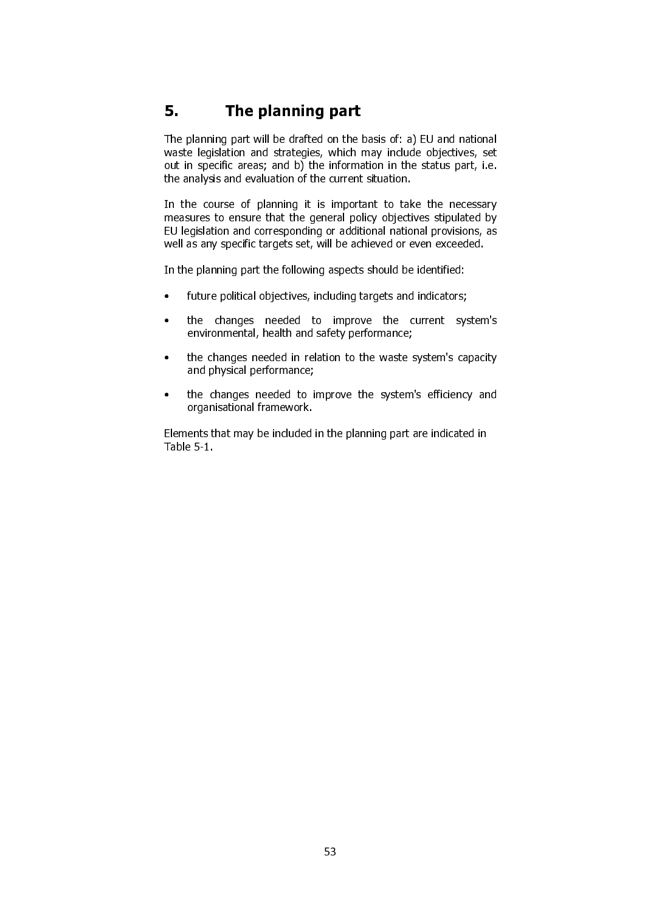# 5. The planning part

The planning part will be drafted on the basis of: a) EU and national waste legislation and strategies, which may include objectives, set out in specific areas; and b) the information in the status part, i.e. the analysis and evaluation of the current situation.

In the course of planning it is important to take the necessary measures to ensure that the general policy objectives stipulated by EU legislation and corresponding or additional national provisions, as well as any specific targets set, will be achieved or even exceeded.

In the planning part the following aspects should be identified:

- future political objectives, including targets and indicators;
- the changes needed to improve the current system's environmental, health and safety performance;
- the changes needed in relation to the waste system's capacity and physical performance;
- the changes needed to improve the system's efficiency and organisational framework.

Elements that may be included in the planning part are indicated in Table 5-1.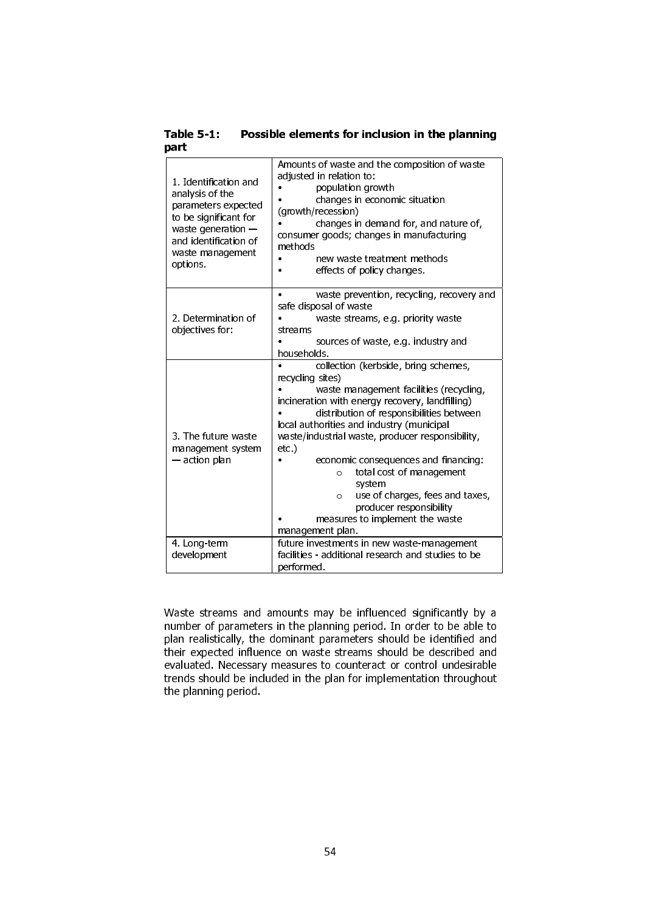| Table 5-1: | Possible elements for inclusion in the planning |
|------------|-------------------------------------------------|
| part       |                                                 |

| 1. Identification and<br>analysis of the<br>parameters expected<br>to be significant for<br>waste generation $-$<br>and identification of<br>waste management<br>options. | Amounts of waste and the composition of waste<br>adjusted in relation to:<br>population growth<br>changes in economic situation<br>(growth/recession)<br>changes in demand for, and nature of,<br>consumer goods; changes in manufacturing<br>methods<br>new waste treatment methods<br>effects of policy changes. |  |
|---------------------------------------------------------------------------------------------------------------------------------------------------------------------------|--------------------------------------------------------------------------------------------------------------------------------------------------------------------------------------------------------------------------------------------------------------------------------------------------------------------|--|
|                                                                                                                                                                           | waste prevention, recycling, recovery and<br>safe disposal of waste                                                                                                                                                                                                                                                |  |
| 2. Determination of                                                                                                                                                       | waste streams, e.g. priority waste                                                                                                                                                                                                                                                                                 |  |
| objectives for:                                                                                                                                                           | streams                                                                                                                                                                                                                                                                                                            |  |
|                                                                                                                                                                           | sources of waste, e.g. industry and                                                                                                                                                                                                                                                                                |  |
|                                                                                                                                                                           | households.<br>collection (kerbside, bring schemes,                                                                                                                                                                                                                                                                |  |
|                                                                                                                                                                           | recycling sites)                                                                                                                                                                                                                                                                                                   |  |
|                                                                                                                                                                           | waste management facilities (recycling,                                                                                                                                                                                                                                                                            |  |
|                                                                                                                                                                           | incineration with energy recovery, landfilling)                                                                                                                                                                                                                                                                    |  |
|                                                                                                                                                                           | distribution of responsibilities between<br>local authorities and industry (municipal                                                                                                                                                                                                                              |  |
| 3. The future waste                                                                                                                                                       | waste/industrial waste, producer responsibility,                                                                                                                                                                                                                                                                   |  |
| management system                                                                                                                                                         | $etc.$ )                                                                                                                                                                                                                                                                                                           |  |
| - action plan                                                                                                                                                             | economic consequences and financing:                                                                                                                                                                                                                                                                               |  |
|                                                                                                                                                                           | total cost of management<br>$\circ$<br>system                                                                                                                                                                                                                                                                      |  |
|                                                                                                                                                                           | use of charges, fees and taxes,<br>$\circ$                                                                                                                                                                                                                                                                         |  |
|                                                                                                                                                                           | producer responsibility                                                                                                                                                                                                                                                                                            |  |
|                                                                                                                                                                           | measures to implement the waste                                                                                                                                                                                                                                                                                    |  |
|                                                                                                                                                                           | management plan.                                                                                                                                                                                                                                                                                                   |  |
| 4. Long-term                                                                                                                                                              | future investments in new waste-management                                                                                                                                                                                                                                                                         |  |
| development                                                                                                                                                               | facilities - additional research and studies to be<br>performed.                                                                                                                                                                                                                                                   |  |
|                                                                                                                                                                           |                                                                                                                                                                                                                                                                                                                    |  |

Waste streams and amounts may be influenced significantly by a number of parameters in the planning period. In order to be able to plan realistically, the dominant parameters should be identified and their expected influence on waste streams should be described and evaluated. Necessary measures to counteract or control undesirable trends should be included in the plan for implementation throughout the planning period.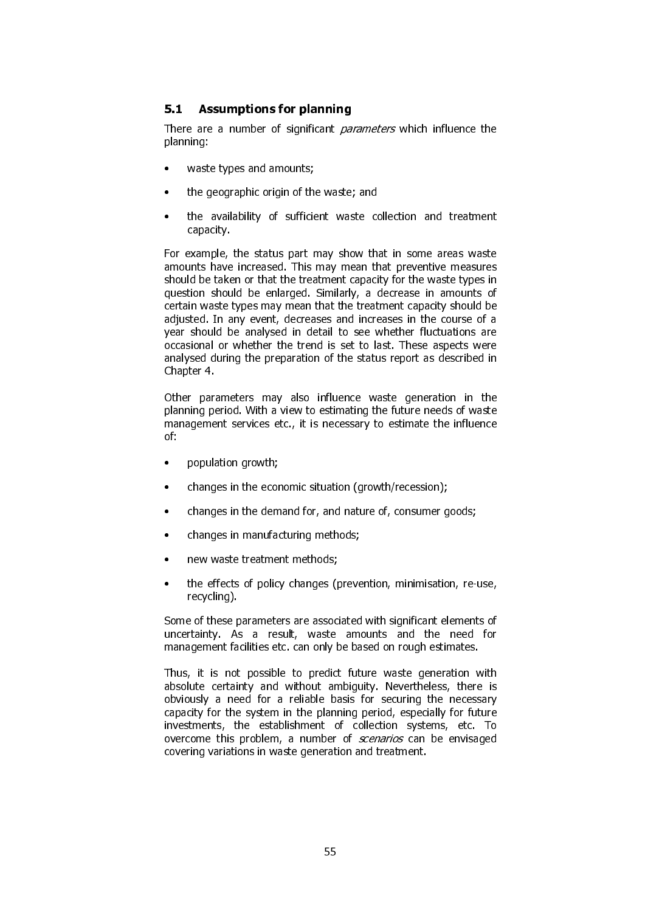# 5.1 Assumptions for planning

There are a number of significant *parameters* which influence the planning:

- waste types and amounts;
- the geographic origin of the waste; and
- the availability of sufficient waste collection and treatment capacity.

For example, the status part may show that in some areas waste amounts have increased. This may mean that preventive measures should be taken or that the treatment capacity for the waste types in question should be enlarged. Similarly, a decrease in amounts of certain waste types may mean that the treatment capacity should be adjusted. In any event, decreases and increases in the course of a year should be analysed in detail to see whether fluctuations are occasional or whether the trend is set to last. These aspects were analysed during the preparation of the status report as described in Chapter 4.

Other parameters may also influence waste generation in the planning period. With a view to estimating the future needs of waste management services etc., it is necessary to estimate the influence of:

- population growth;
- changes in the economic situation (growth/recession);
- changes in the demand for, and nature of, consumer goods;
- changes in manufacturing methods;
- new waste treatment methods;
- the effects of policy changes (prevention, minimisation, re-use, recycling).

Some of these parameters are associated with significant elements of uncertainty. As a result, waste amounts and the need for management facilities etc. can only be based on rough estimates.

Thus, it is not possible to predict future waste generation with absolute certainty and without ambiguity. Nevertheless, there is obviously a need for a reliable basis for securing the necessary capacity for the system in the planning period, especially for future investments, the establishment of collection systems, etc. To overcome this problem, a number of *scenarios* can be envisaged covering variations in waste generation and treatment.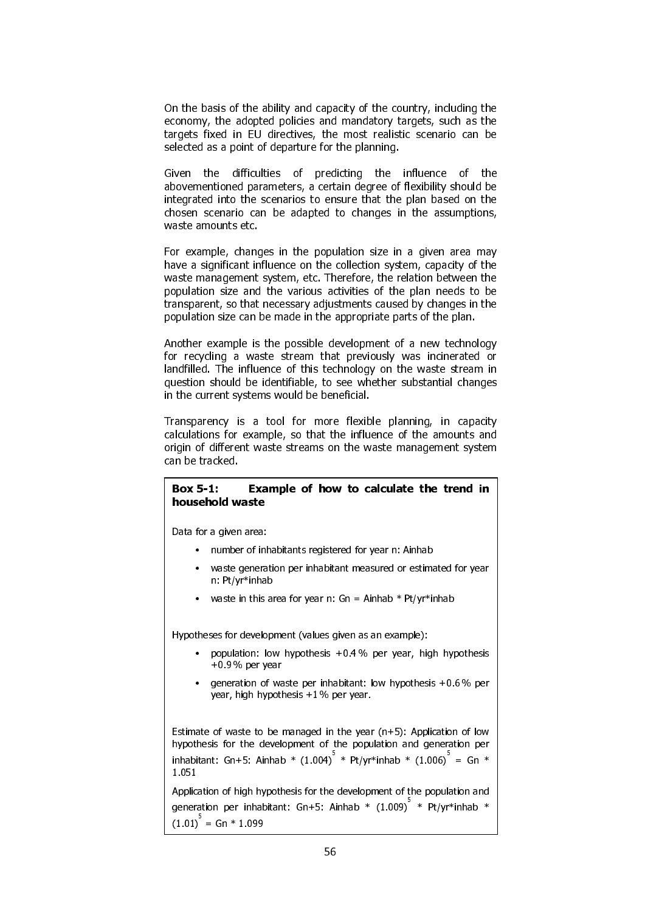On the basis of the ability and capacity of the country, including the economy, the adopted policies and mandatory targets, such as the targets fixed in EU directives, the most realistic scenario can be selected as a point of departure for the planning.

Given the difficulties of predicting the influence of the abovementioned parameters, a certain degree of flexibility should be integrated into the scenarios to ensure that the plan based on the chosen scenario can be adapted to changes in the assumptions, waste amounts etc.

For example, changes in the population size in a given area may have a significant influence on the collection system, capacity of the waste management system, etc. Therefore, the relation between the population size and the various activities of the plan needs to be transparent, so that necessary adjustments caused by changes in the population size can be made in the appropriate parts of the plan.

Another example is the possible development of a new technology for recycling a waste stream that previously was incinerated or landfilled. The influence of this technology on the waste stream in question should be identifiable, to see whether substantial changes in the current systems would be beneficial.

Transparency is a tool for more flexible planning, in capacity calculations for example, so that the influence of the amounts and origin of different waste streams on the waste management system can be tracked.

### Box 5-1: Example of how to calculate the trend in household waste

Data for a given area:

 $\overline{\phantom{a}}$ 

 $\overline{\phantom{a}}$ 

 $\overline{\phantom{a}}$ 

 $\overline{\phantom{a}}$ 

 $\overline{\phantom{a}}$ 

 $\mathsf{I}$ 

 $\overline{\phantom{a}}$ 

 $\overline{\phantom{a}}$ 

 $\mathsf{I}$ 

 $\mathsf{I}$ 

- number of inhabitants registered for year n: Ainhab
- waste generation per inhabitant measured or estimated for year n: Pt/yr\*inhab
- waste in this area for year n:  $Gn = Ainhab * Pt/yr *inhab$

Hypotheses for development (values given as an example):

- population: low hypothesis  $+0.4\%$  per year, high hypothesis +0.9 % per year
- generation of waste per inhabitant: low hypothesis +0.6 % per year, high hypothesis +1 % per year.

Estimate of waste to be managed in the year  $(n+5)$ : Application of low hypothesis for the development of the population and generation per inhabitant: Gn+5: Ainhab \*  $(1.004)^+$  \* Pt/yr\*inhab \*  $(1.006)^-$  = Gn \* 1.051

Application of high hypothesis for the development of the population and generation per inhabitant: Gn+5: Ainhab \*  $(1.009)^7$  \* Pt/yr\*inhab \*  $(1.01)$ <sup> $=$ </sup> Gn  $*$  1.099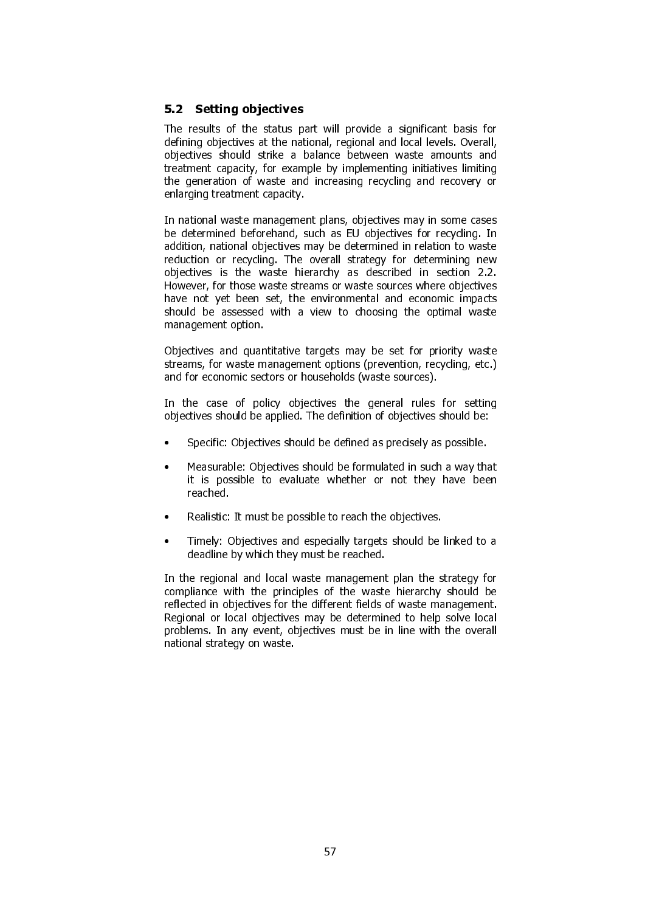# 5.2 Setting objectives

The results of the status part will provide a significant basis for defining objectives at the national, regional and local levels. Overall, objectives should strike a balance between waste amounts and treatment capacity, for example by implementing initiatives limiting the generation of waste and increasing recycling and recovery or enlarging treatment capacity.

In national waste management plans, objectives may in some cases be determined beforehand, such as EU objectives for recycling. In addition, national objectives may be determined in relation to waste reduction or recycling. The overall strategy for determining new objectives is the waste hierarchy as described in section 2.2. However, for those waste streams or waste sources where objectives have not yet been set, the environmental and economic impacts should be assessed with a view to choosing the optimal waste management option.

Objectives and quantitative targets may be set for priority waste streams, for waste management options (prevention, recycling, etc.) and for economic sectors or households (waste sources).

In the case of policy objectives the general rules for setting objectives should be applied. The definition of objectives should be:

- Specific: Objectives should be defined as precisely as possible.
- Measurable: Objectives should be formulated in such a way that it is possible to evaluate whether or not they have been reached.
- Realistic: It must be possible to reach the objectives.
- Timely: Objectives and especially targets should be linked to a deadline by which they must be reached.

In the regional and local waste management plan the strategy for compliance with the principles of the waste hierarchy should be reflected in objectives for the different fields of waste management. Regional or local objectives may be determined to help solve local problems. In any event, objectives must be in line with the overall national strategy on waste.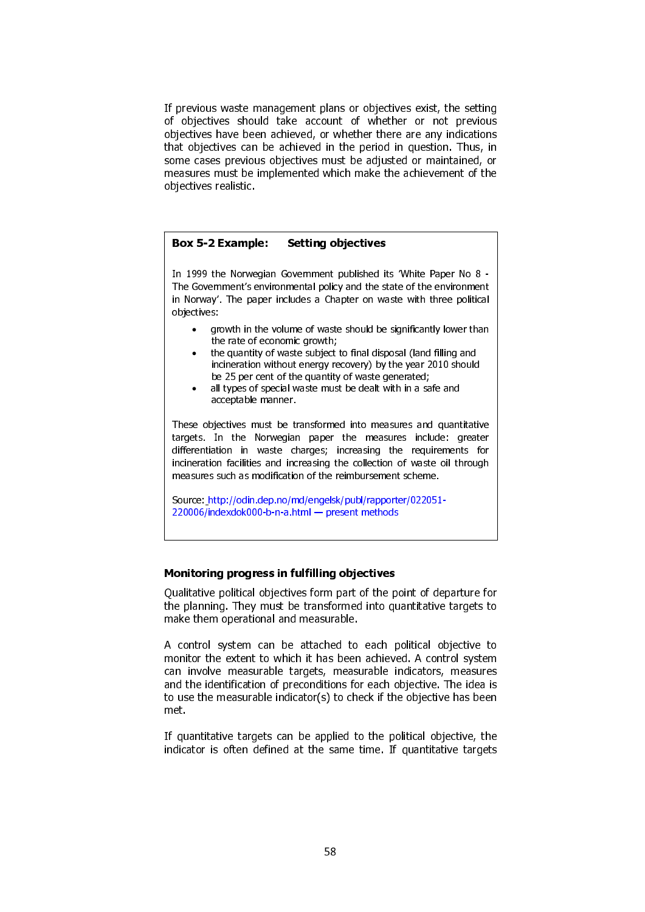If previous waste management plans or objectives exist, the setting of objectives should take account of whether or not previous objectives have been achieved, or whether there are any indications that objectives can be achieved in the period in question. Thus, in some cases previous objectives must be adjusted or maintained, or measures must be implemented which make the achievement of the objectives realistic.

### Box 5-2 Example: Setting objectives

In 1999 the Norwegian Government published its 'White Paper No 8 - The Government's environmental policy and the state of the environment in Norway'. The paper includes a Chapter on waste with three political objectives:

- growth in the volume of waste should be significantly lower than the rate of economic growth;
- the quantity of waste subject to final disposal (land filling and incineration without energy recovery) by the year 2010 should be 25 per cent of the quantity of waste generated;
- all types of special waste must be dealt with in a safe and acceptable manner.

These objectives must be transformed into measures and quantitative targets. In the Norwegian paper the measures include: greater differentiation in waste charges; increasing the requirements for incineration facilities and increasing the collection of waste oil through measures such as modification of the reimbursement scheme.

Source: http://odin.dep.no/md/engelsk/publ/rapporter/022051- 220006/indexdok000-b-n-a.html — present methods

#### Monitoring progress in fulfilling objectives

Qualitative political objectives form part of the point of departure for the planning. They must be transformed into quantitative targets to make them operational and measurable.

A control system can be attached to each political objective to monitor the extent to which it has been achieved. A control system can involve measurable targets, measurable indicators, measures and the identification of preconditions for each objective. The idea is to use the measurable indicator(s) to check if the objective has been met.

If quantitative targets can be applied to the political objective, the indicator is often defined at the same time. If quantitative targets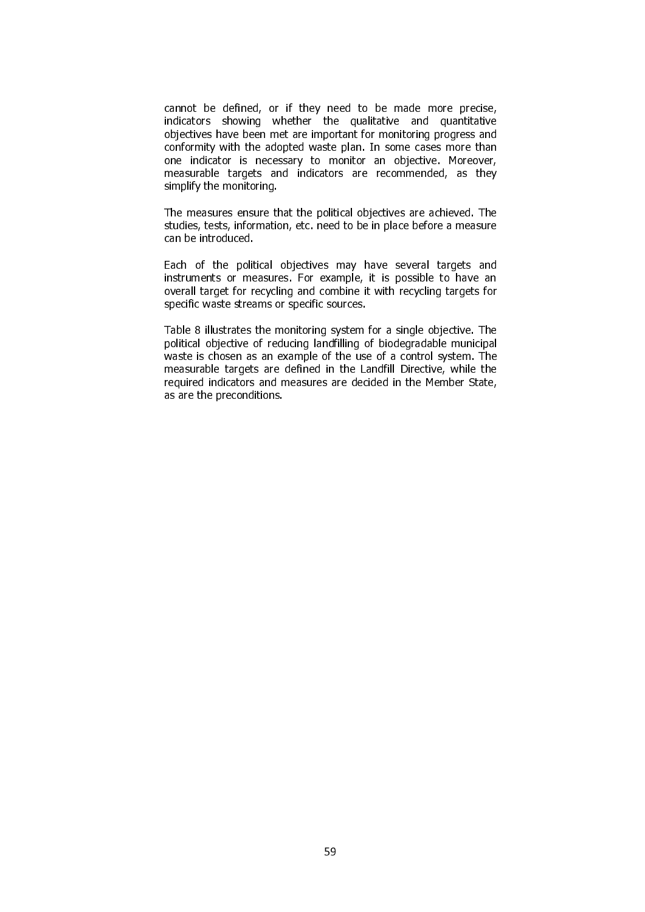cannot be defined, or if they need to be made more precise, indicators showing whether the qualitative and quantitative objectives have been met are important for monitoring progress and conformity with the adopted waste plan. In some cases more than one indicator is necessary to monitor an objective. Moreover, measurable targets and indicators are recommended, as they simplify the monitoring.

The measures ensure that the political objectives are achieved. The studies, tests, information, etc. need to be in place before a measure can be introduced.

Each of the political objectives may have several targets and instruments or measures. For example, it is possible to have an overall target for recycling and combine it with recycling targets for specific waste streams or specific sources.

Table 8 illustrates the monitoring system for a single objective. The political objective of reducing landfilling of biodegradable municipal waste is chosen as an example of the use of a control system. The measurable targets are defined in the Landfill Directive, while the required indicators and measures are decided in the Member State, as are the preconditions.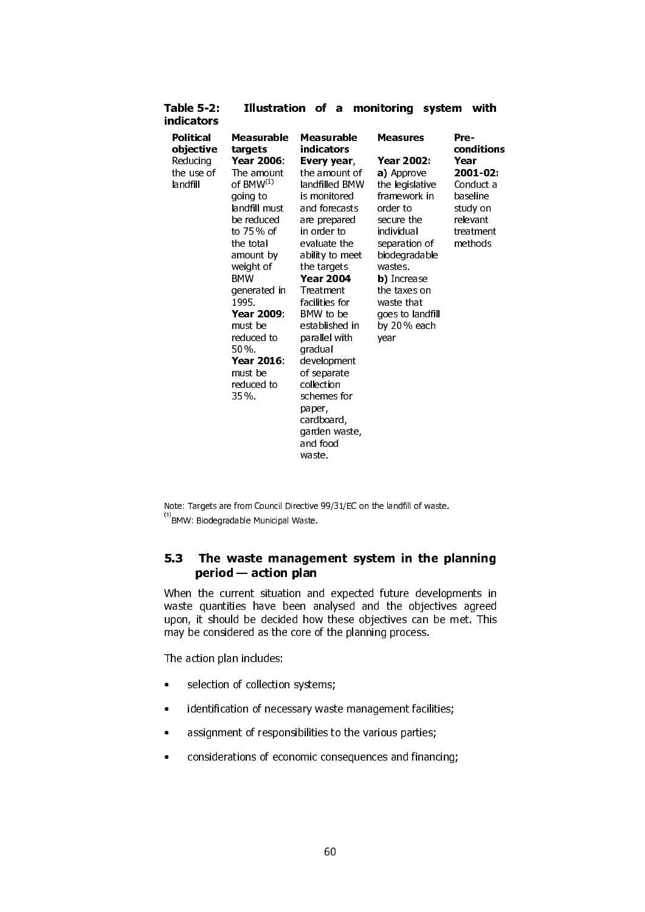| <b>Table 5-2:</b><br>indicators                              | Illustration<br>of a<br>monitoring<br>system                                                                                                                                                                                                                                                          |                                                                                                                                                                                                                                                                                                                                                                                                                                     | with                                                                                                                                                                                                                                                                |                                                                                                                 |
|--------------------------------------------------------------|-------------------------------------------------------------------------------------------------------------------------------------------------------------------------------------------------------------------------------------------------------------------------------------------------------|-------------------------------------------------------------------------------------------------------------------------------------------------------------------------------------------------------------------------------------------------------------------------------------------------------------------------------------------------------------------------------------------------------------------------------------|---------------------------------------------------------------------------------------------------------------------------------------------------------------------------------------------------------------------------------------------------------------------|-----------------------------------------------------------------------------------------------------------------|
| Political<br>objective<br>Reducing<br>the use of<br>landfill | Measurable<br>targets<br>Year 2006:<br>The amount<br>of $BMW^{(1)}$<br>going to<br>landfill must<br>be reduced<br>to 75 % of<br>the total<br>amount by<br>weight of<br><b>BMW</b><br>generated in<br>1995<br>Year 2009.<br>must be<br>reduced to<br>50%<br>Year 2016:<br>must be<br>reduced to<br>35% | Measurable<br>indicators<br>Every year,<br>the amount of<br>landfilled BMW<br>is monitored<br>and forecasts<br>are prepared<br>in order to<br>evaluate the<br>ability to meet<br>the targets<br><b>Year 2004</b><br>Treatment<br>facilities for<br>BMW to be<br>established in<br>parallel with<br>gradual<br>development<br>of separate<br>collection<br>schemes for<br>paper,<br>cardboard,<br>garden waste,<br>and food<br>waste | <b>Measures</b><br>Year 2002:<br>a) Approve<br>the legislative<br>framework in<br>order to<br>secure the<br>individual<br>separation of<br>biodegradable<br>wastes.<br><b>b</b> ) Increase<br>the taxes on<br>waste that<br>goes to landfill<br>by 20% each<br>year | Pre-<br>conditions<br>Year<br>2001-02:<br>Conduct a<br>baseline<br>study on<br>relevant<br>treatment<br>methods |

Note: Targets are from Council Directive 99/31/EC on the landfill of waste. (1) BMW: Biodegradable Municipal Waste.

# 5.3 The waste management system in the planning period — action plan

When the current situation and expected future developments in waste quantities have been analysed and the objectives agreed upon, it should be decided how these objectives can be met. This may be considered as the core of the planning process.

The action plan includes:

- selection of collection systems;
- identification of necessary waste management facilities;
- assignment of responsibilities to the various parties;
- considerations of economic consequences and financing;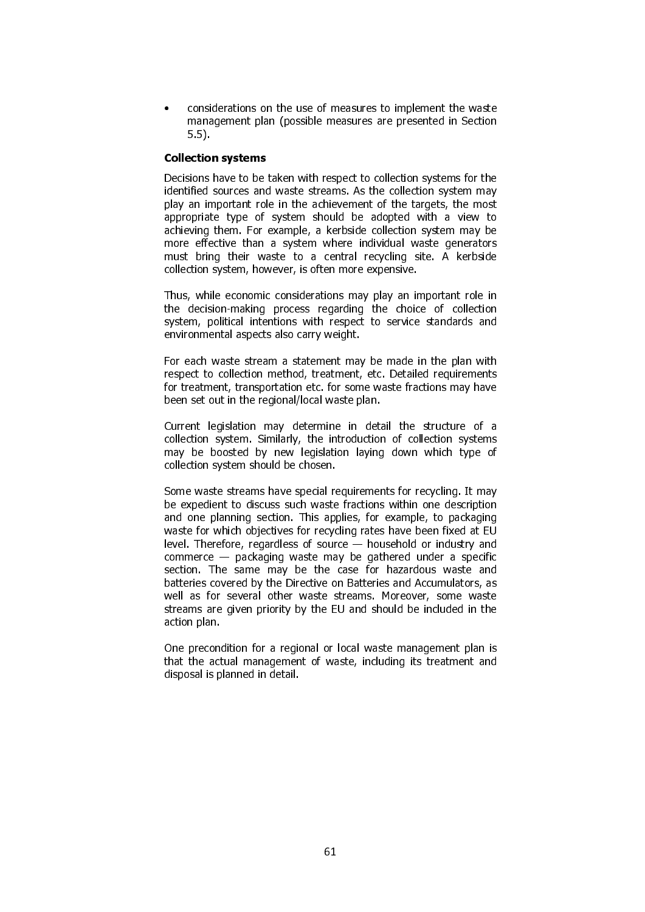• considerations on the use of measures to implement the waste management plan (possible measures are presented in Section 5.5).

### Collection systems

Decisions have to be taken with respect to collection systems for the identified sources and waste streams. As the collection system may play an important role in the achievement of the targets, the most appropriate type of system should be adopted with a view to achieving them. For example, a kerbside collection system may be more effective than a system where individual waste generators must bring their waste to a central recycling site. A kerbside collection system, however, is often more expensive.

Thus, while economic considerations may play an important role in the decision-making process regarding the choice of collection system, political intentions with respect to service standards and environmental aspects also carry weight.

For each waste stream a statement may be made in the plan with respect to collection method, treatment, etc. Detailed requirements for treatment, transportation etc. for some waste fractions may have been set out in the regional/local waste plan.

Current legislation may determine in detail the structure of a collection system. Similarly, the introduction of collection systems may be boosted by new legislation laying down which type of collection system should be chosen.

Some waste streams have special requirements for recycling. It may be expedient to discuss such waste fractions within one description and one planning section. This applies, for example, to packaging waste for which objectives for recycling rates have been fixed at EU level. Therefore, regardless of source — household or industry and commerce — packaging waste may be gathered under a specific section. The same may be the case for hazardous waste and batteries covered by the Directive on Batteries and Accumulators, as well as for several other waste streams. Moreover, some waste streams are given priority by the EU and should be included in the action plan.

One precondition for a regional or local waste management plan is that the actual management of waste, including its treatment and disposal is planned in detail.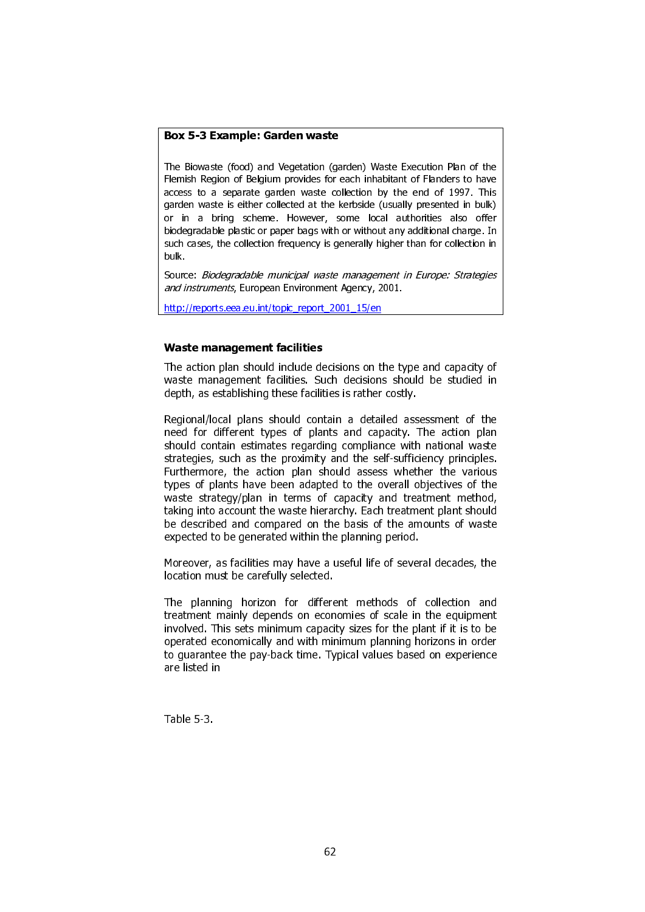### Box 5-3 Example: Garden waste

The Biowaste (food) and Vegetation (garden) Waste Execution Plan of the Flemish Region of Belgium provides for each inhabitant of Flanders to have access to a separate garden waste collection by the end of 1997. This garden waste is either collected at the kerbside (usually presented in bulk) or in a bring scheme. However, some local authorities also offer biodegradable plastic or paper bags with or without any additional charge. In such cases, the collection frequency is generally higher than for collection in bulk.

Source: Biodegradable municipal waste management in Europe: Strategies and instruments, European Environment Agency, 2001.

http://reports.eea.eu.int/topic\_report\_2001\_15/en

# Waste management facilities

The action plan should include decisions on the type and capacity of waste management facilities. Such decisions should be studied in depth, as establishing these facilities is rather costly.

Regional/local plans should contain a detailed assessment of the need for different types of plants and capacity. The action plan should contain estimates regarding compliance with national waste strategies, such as the proximity and the self-sufficiency principles. Furthermore, the action plan should assess whether the various types of plants have been adapted to the overall objectives of the waste strategy/plan in terms of capacity and treatment method, taking into account the waste hierarchy. Each treatment plant should be described and compared on the basis of the amounts of waste expected to be generated within the planning period.

Moreover, as facilities may have a useful life of several decades, the location must be carefully selected.

The planning horizon for different methods of collection and treatment mainly depends on economies of scale in the equipment involved. This sets minimum capacity sizes for the plant if it is to be operated economically and with minimum planning horizons in order to guarantee the pay-back time. Typical values based on experience are listed in

Table 5-3.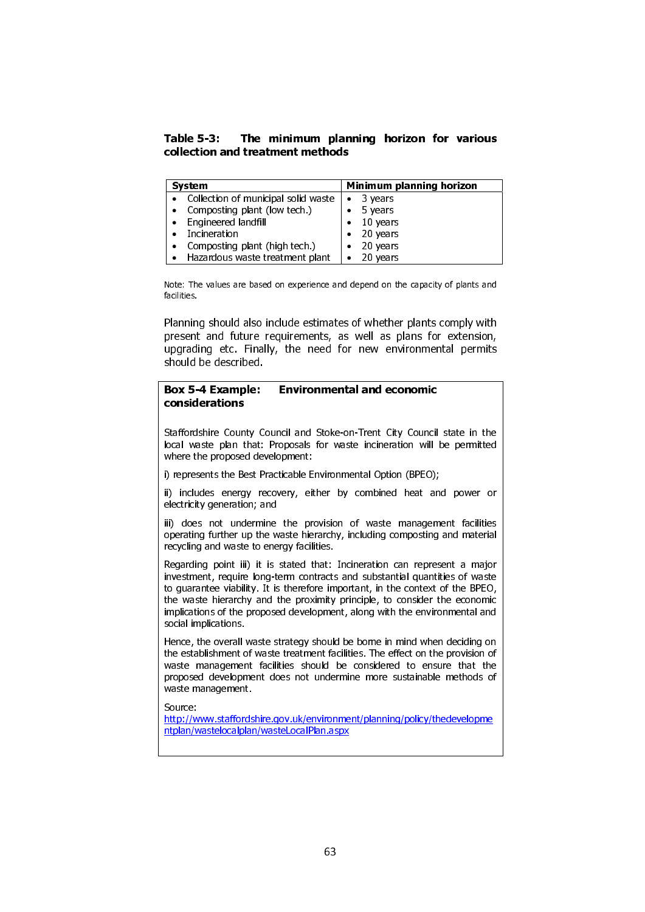Table 5-3: The minimum planning horizon for various collection and treatment methods

| <b>System</b>                                               | Minimum planning horizon |
|-------------------------------------------------------------|--------------------------|
| • Collection of municipal solid waste $\vert \bullet \vert$ | 3 years                  |
| • Composting plant (low tech.)                              | 5 years                  |
| Engineered landfill<br>$\bullet$                            | 10 years                 |
| Incineration                                                | 20 years                 |
| • Composting plant (high tech.)                             | $\bullet$ 20 years       |
| • Hazardous waste treatment plant                           | 20 years                 |

 Note: The values are based on experience and depend on the capacity of plants and facilities.

Planning should also include estimates of whether plants comply with present and future requirements, as well as plans for extension, upgrading etc. Finally, the need for new environmental permits should be described.

### Box 5-4 Example: Environmental and economic considerations

Staffordshire County Council and Stoke-on-Trent City Council state in the local waste plan that: Proposals for waste incineration will be permitted where the proposed development:

i) represents the Best Practicable Environmental Option (BPEO);

ii) includes energy recovery, either by combined heat and power or electricity generation; and

iii) does not undermine the provision of waste management facilities operating further up the waste hierarchy, including composting and material recycling and waste to energy facilities.

Regarding point iii) it is stated that: Incineration can represent a major investment, require long-term contracts and substantial quantities of waste to guarantee viability. It is therefore important, in the context of the BPEO, the waste hierarchy and the proximity principle, to consider the economic implications of the proposed development, along with the environmental and social implications.

Hence, the overall waste strategy should be borne in mind when deciding on the establishment of waste treatment facilities. The effect on the provision of waste management facilities should be considered to ensure that the proposed development does not undermine more sustainable methods of waste management.

Source:

http://www.staffordshire.gov.uk/environment/planning/policy/thedevelopme ntplan/wastelocalplan/wasteLocalPlan.aspx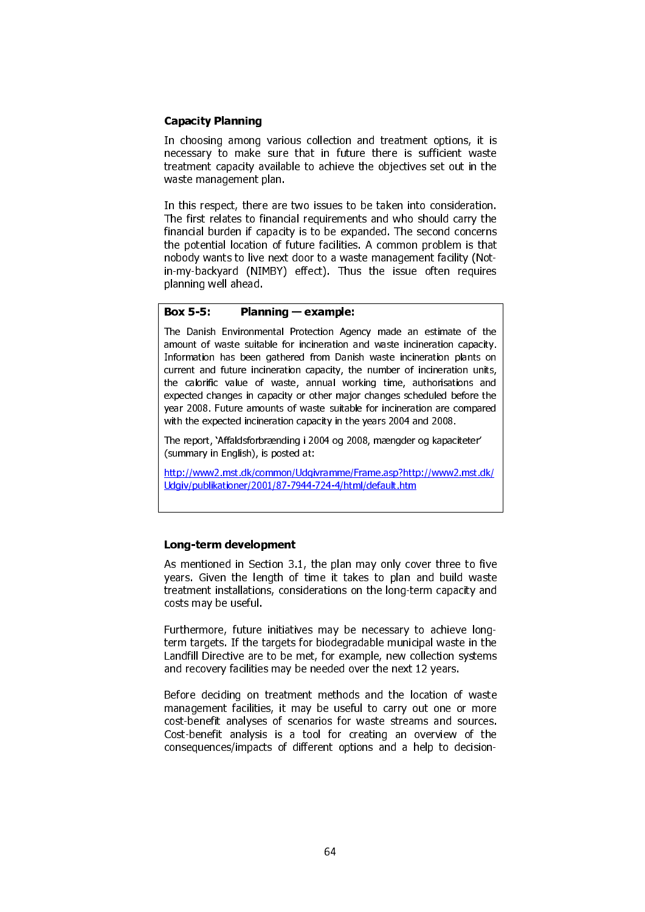# Capacity Planning

In choosing among various collection and treatment options, it is necessary to make sure that in future there is sufficient waste treatment capacity available to achieve the objectives set out in the waste management plan.

In this respect, there are two issues to be taken into consideration. The first relates to financial requirements and who should carry the financial burden if capacity is to be expanded. The second concerns the potential location of future facilities. A common problem is that nobody wants to live next door to a waste management facility (Notin-my-backyard (NIMBY) effect). Thus the issue often requires planning well ahead.

# Box 5-5: Planning — example:

The Danish Environmental Protection Agency made an estimate of the amount of waste suitable for incineration and waste incineration capacity. Information has been gathered from Danish waste incineration plants on current and future incineration capacity, the number of incineration units, the calorific value of waste, annual working time, authorisations and expected changes in capacity or other major changes scheduled before the year 2008. Future amounts of waste suitable for incineration are compared with the expected incineration capacity in the years 2004 and 2008.

The report, 'Affaldsforbrænding i 2004 og 2008, mængder og kapaciteter' (summary in English), is posted at:

http://www2.mst.dk/common/Udgivramme/Frame.asp?http://www2.mst.dk/ Udgiv/publikationer/2001/87-7944-724-4/html/default.htm

# Long-term development

As mentioned in Section 3.1, the plan may only cover three to five years. Given the length of time it takes to plan and build waste treatment installations, considerations on the long-term capacity and costs may be useful.

Furthermore, future initiatives may be necessary to achieve longterm targets. If the targets for biodegradable municipal waste in the Landfill Directive are to be met, for example, new collection systems and recovery facilities may be needed over the next 12 years.

Before deciding on treatment methods and the location of waste management facilities, it may be useful to carry out one or more cost-benefit analyses of scenarios for waste streams and sources. Cost-benefit analysis is a tool for creating an overview of the consequences/impacts of different options and a help to decision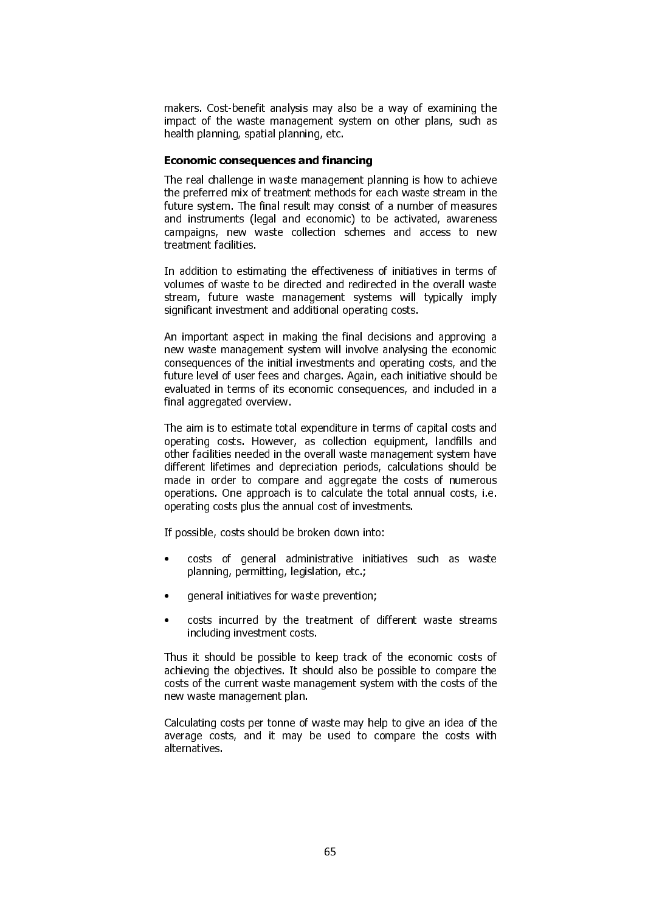makers. Cost-benefit analysis may also be a way of examining the impact of the waste management system on other plans, such as health planning, spatial planning, etc.

# Economic consequences and financing

The real challenge in waste management planning is how to achieve the preferred mix of treatment methods for each waste stream in the future system. The final result may consist of a number of measures and instruments (legal and economic) to be activated, awareness campaigns, new waste collection schemes and access to new treatment facilities.

In addition to estimating the effectiveness of initiatives in terms of volumes of waste to be directed and redirected in the overall waste stream, future waste management systems will typically imply significant investment and additional operating costs.

An important aspect in making the final decisions and approving a new waste management system will involve analysing the economic consequences of the initial investments and operating costs, and the future level of user fees and charges. Again, each initiative should be evaluated in terms of its economic consequences, and included in a final aggregated overview.

The aim is to estimate total expenditure in terms of capital costs and operating costs. However, as collection equipment, landfills and other facilities needed in the overall waste management system have different lifetimes and depreciation periods, calculations should be made in order to compare and aggregate the costs of numerous operations. One approach is to calculate the total annual costs, i.e. operating costs plus the annual cost of investments.

If possible, costs should be broken down into:

- costs of general administrative initiatives such as waste planning, permitting, legislation, etc.;
- general initiatives for waste prevention;
- costs incurred by the treatment of different waste streams including investment costs.

Thus it should be possible to keep track of the economic costs of achieving the objectives. It should also be possible to compare the costs of the current waste management system with the costs of the new waste management plan.

Calculating costs per tonne of waste may help to give an idea of the average costs, and it may be used to compare the costs with alternatives.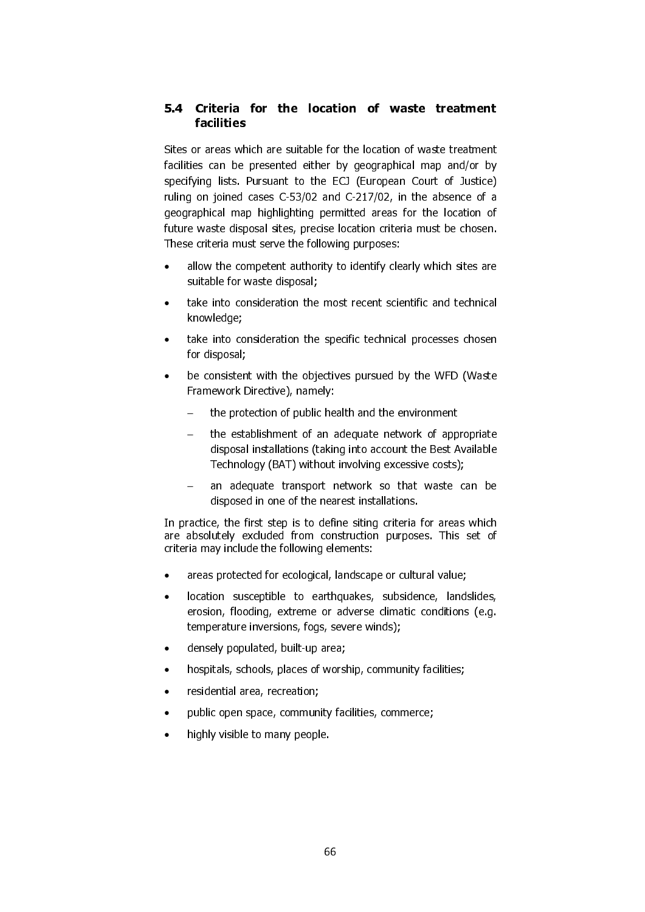# 5.4 Criteria for the location of waste treatment facilities

Sites or areas which are suitable for the location of waste treatment facilities can be presented either by geographical map and/or by specifying lists. Pursuant to the ECJ (European Court of Justice) ruling on joined cases C-53/02 and C-217/02, in the absence of a geographical map highlighting permitted areas for the location of future waste disposal sites, precise location criteria must be chosen. These criteria must serve the following purposes:

- allow the competent authority to identify clearly which sites are suitable for waste disposal;
- take into consideration the most recent scientific and technical knowledge;
- take into consideration the specific technical processes chosen for disposal;
- be consistent with the objectives pursued by the WFD (Waste Framework Directive), namely:
	- the protection of public health and the environment
	- − the establishment of an adequate network of appropriate disposal installations (taking into account the Best Available Technology (BAT) without involving excessive costs);
	- an adequate transport network so that waste can be disposed in one of the nearest installations.

In practice, the first step is to define siting criteria for areas which are absolutely excluded from construction purposes. This set of criteria may include the following elements:

- areas protected for ecological, landscape or cultural value;
- location susceptible to earthquakes, subsidence, landslides, erosion, flooding, extreme or adverse climatic conditions (e.g. temperature inversions, fogs, severe winds);
- densely populated, built-up area;
- hospitals, schools, places of worship, community facilities;
- residential area, recreation;
- public open space, community facilities, commerce;
- highly visible to many people.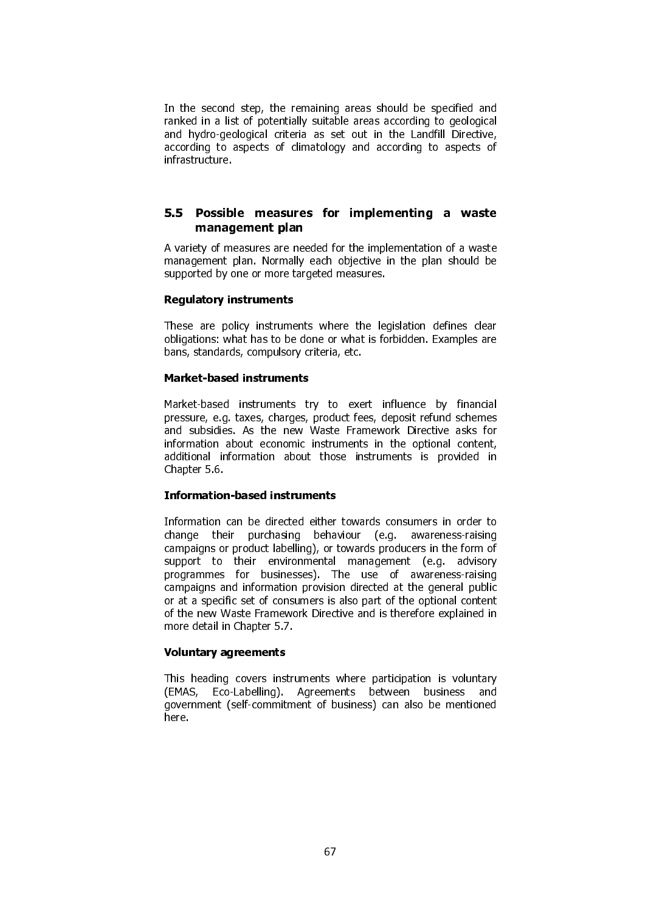In the second step, the remaining areas should be specified and ranked in a list of potentially suitable areas according to geological and hydro-geological criteria as set out in the Landfill Directive, according to aspects of climatology and according to aspects of infrastructure.

# 5.5 Possible measures for implementing a waste management plan

A variety of measures are needed for the implementation of a waste management plan. Normally each objective in the plan should be supported by one or more targeted measures.

# Regulatory instruments

These are policy instruments where the legislation defines clear obligations: what has to be done or what is forbidden. Examples are bans, standards, compulsory criteria, etc.

### Market-based instruments

Market-based instruments try to exert influence by financial pressure, e.g. taxes, charges, product fees, deposit refund schemes and subsidies. As the new Waste Framework Directive asks for information about economic instruments in the optional content, additional information about those instruments is provided in Chapter 5.6.

#### Information-based instruments

Information can be directed either towards consumers in order to change their purchasing behaviour (e.g. awareness-raising campaigns or product labelling), or towards producers in the form of support to their environmental management (e.g. advisory programmes for businesses). The use of awareness-raising campaigns and information provision directed at the general public or at a specific set of consumers is also part of the optional content of the new Waste Framework Directive and is therefore explained in more detail in Chapter 5.7.

# Voluntary agreements

This heading covers instruments where participation is voluntary (EMAS, Eco-Labelling). Agreements between business and government (self-commitment of business) can also be mentioned here.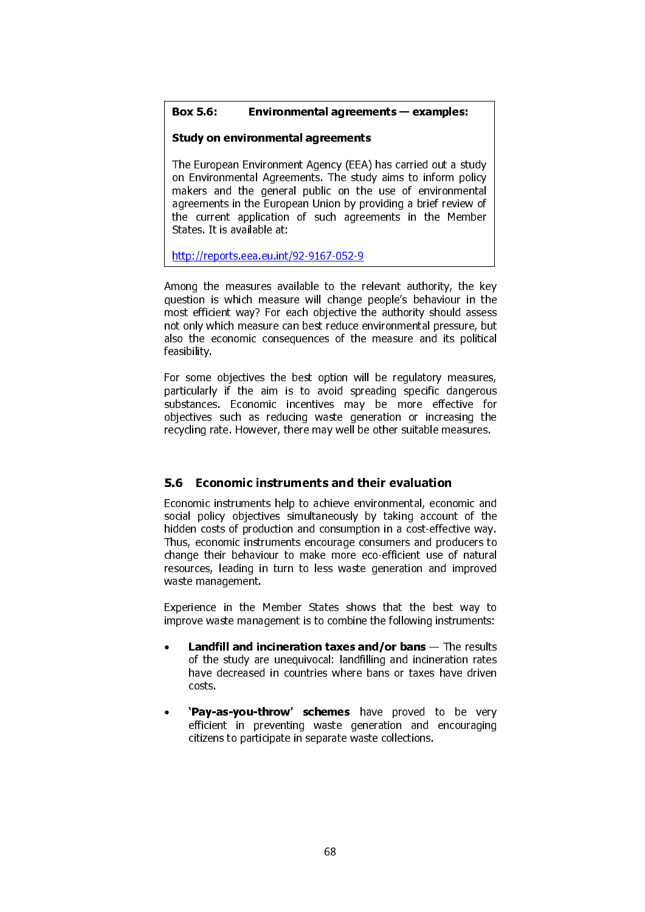# Box 5.6: Environmental agreements — examples:

# Study on environmental agreements

The European Environment Agency (EEA) has carried out a study on Environmental Agreements. The study aims to inform policy makers and the general public on the use of environmental agreements in the European Union by providing a brief review of the current application of such agreements in the Member States. It is available at:

http://reports.eea.eu.int/92-9167-052-9

Among the measures available to the relevant authority, the key question is which measure will change people's behaviour in the most efficient way? For each objective the authority should assess not only which measure can best reduce environmental pressure, but also the economic consequences of the measure and its political feasibility.

I

For some objectives the best option will be regulatory measures, particularly if the aim is to avoid spreading specific dangerous substances. Economic incentives may be more effective for objectives such as reducing waste generation or increasing the recycling rate. However, there may well be other suitable measures.

# 5.6 Economic instruments and their evaluation

Economic instruments help to achieve environmental, economic and social policy objectives simultaneously by taking account of the hidden costs of production and consumption in a cost-effective way. Thus, economic instruments encourage consumers and producers to change their behaviour to make more eco-efficient use of natural resources, leading in turn to less waste generation and improved waste management.

Experience in the Member States shows that the best way to improve waste management is to combine the following instruments:

- **Landfill and incineration taxes and/or bans**  $-$  The results of the study are unequivocal: landfilling and incineration rates have decreased in countries where bans or taxes have driven costs.
- 'Pay-as-you-throw' schemes have proved to be very efficient in preventing waste generation and encouraging citizens to participate in separate waste collections.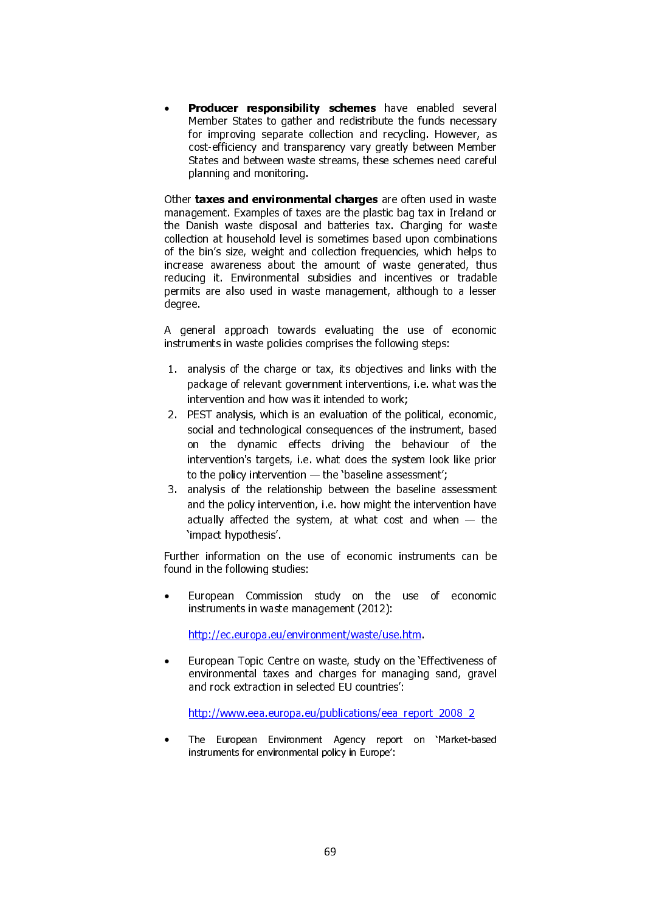Producer responsibility schemes have enabled several Member States to gather and redistribute the funds necessary for improving separate collection and recycling. However, as cost-efficiency and transparency vary greatly between Member States and between waste streams, these schemes need careful planning and monitoring.

Other taxes and environmental charges are often used in waste management. Examples of taxes are the plastic bag tax in Ireland or the Danish waste disposal and batteries tax. Charging for waste collection at household level is sometimes based upon combinations of the bin's size, weight and collection frequencies, which helps to increase awareness about the amount of waste generated, thus reducing it. Environmental subsidies and incentives or tradable permits are also used in waste management, although to a lesser degree.

A general approach towards evaluating the use of economic instruments in waste policies comprises the following steps:

- 1. analysis of the charge or tax, its objectives and links with the package of relevant government interventions, i.e. what was the intervention and how was it intended to work;
- 2. PEST analysis, which is an evaluation of the political, economic, social and technological consequences of the instrument, based on the dynamic effects driving the behaviour of the intervention's targets, i.e. what does the system look like prior to the policy intervention — the 'baseline assessment';
- 3. analysis of the relationship between the baseline assessment and the policy intervention, i.e. how might the intervention have actually affected the system, at what cost and when  $-$  the 'impact hypothesis'.

Further information on the use of economic instruments can be found in the following studies:

• European Commission study on the use of economic instruments in waste management (2012):

http://ec.europa.eu/environment/waste/use.htm.

• European Topic Centre on waste, study on the 'Effectiveness of environmental taxes and charges for managing sand, gravel and rock extraction in selected EU countries':

http://www.eea.europa.eu/publications/eea\_report\_2008\_2

• The European Environment Agency report on 'Market-based instruments for environmental policy in Europe':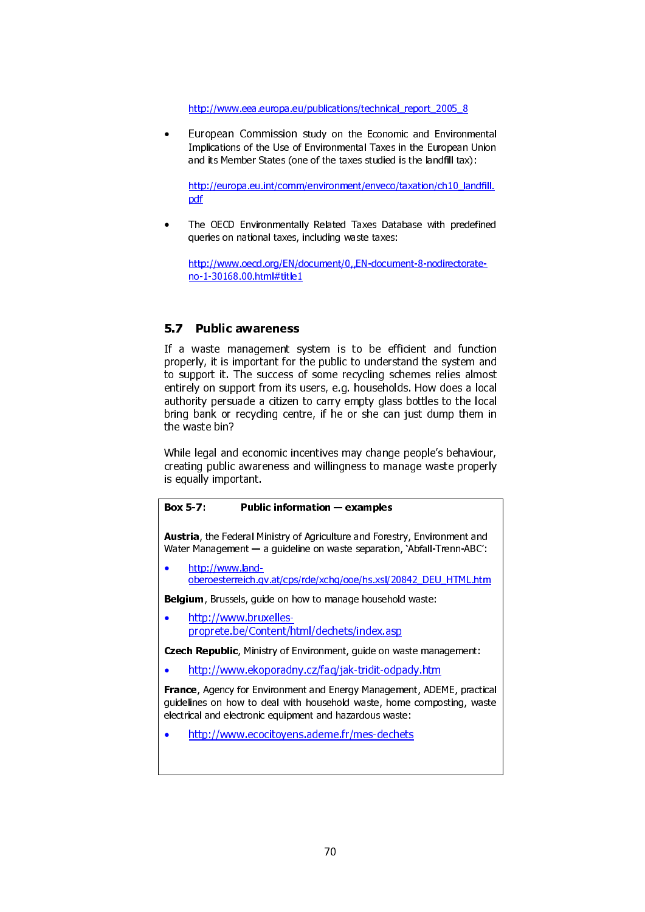http://www.eea.europa.eu/publications/technical\_report\_2005\_8

• European Commission study on the Economic and Environmental Implications of the Use of Environmental Taxes in the European Union and its Member States (one of the taxes studied is the landfill tax):

http://europa.eu.int/comm/environment/enveco/taxation/ch10\_landfill. pdf

• The OECD Environmentally Related Taxes Database with predefined queries on national taxes, including waste taxes:

http://www.oecd.org/EN/document/0,,EN-document-8-nodirectorateno-1-30168.00.html#title1

# 5.7 Public awareness

If a waste management system is to be efficient and function properly, it is important for the public to understand the system and to support it. The success of some recycling schemes relies almost entirely on support from its users, e.g. households. How does a local authority persuade a citizen to carry empty glass bottles to the local bring bank or recycling centre, if he or she can just dump them in the waste bin?

While legal and economic incentives may change people's behaviour, creating public awareness and willingness to manage waste properly is equally important.

#### Box 5-7: Public information — examples

Austria, the Federal Ministry of Agriculture and Forestry, Environment and Water Management — a guideline on waste separation, 'Abfall-Trenn-ABC':

• http://www.landoberoesterreich.gv.at/cps/rde/xchg/ooe/hs.xsl/20842\_DEU\_HTML.htm

Belgium, Brussels, guide on how to manage household waste:

• http://www.bruxellesproprete.be/Content/html/dechets/index.asp

Czech Republic, Ministry of Environment, guide on waste management:

• http://www.ekoporadny.cz/faq/jak-tridit-odpady.htm

France, Agency for Environment and Energy Management, ADEME, practical guidelines on how to deal with household waste, home composting, waste electrical and electronic equipment and hazardous waste:

• http://www.ecocitoyens.ademe.fr/mes-dechets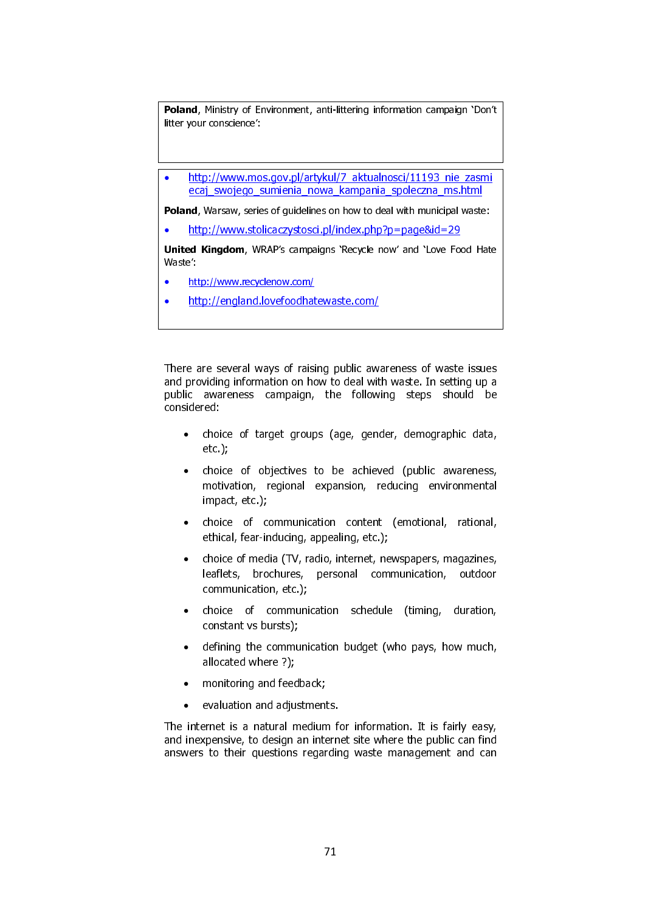Poland, Ministry of Environment, anti-littering information campaign 'Don't litter your conscience':

• http://www.mos.gov.pl/artykul/7\_aktualnosci/11193\_nie\_zasmi ecaj\_swojego\_sumienia\_nowa\_kampania\_spoleczna\_ms.html

Poland, Warsaw, series of guidelines on how to deal with municipal waste:

• http://www.stolicaczystosci.pl/index.php?p=page&id=29

United Kingdom, WRAP's campaigns 'Recycle now' and 'Love Food Hate Waste':

- http://www.recyclenow.com/
- http://england.lovefoodhatewaste.com/

There are several ways of raising public awareness of waste issues and providing information on how to deal with waste. In setting up a public awareness campaign, the following steps should be considered:

- choice of target groups (age, gender, demographic data, etc.);
- choice of objectives to be achieved (public awareness, motivation, regional expansion, reducing environmental impact, etc.);
- choice of communication content (emotional, rational, ethical, fear-inducing, appealing, etc.);
- choice of media (TV, radio, internet, newspapers, magazines, leaflets, brochures, personal communication, outdoor communication, etc.);
- choice of communication schedule (timing, duration, constant vs bursts);
- defining the communication budget (who pays, how much, allocated where ?);
- monitoring and feedback;
- evaluation and adjustments.

The internet is a natural medium for information. It is fairly easy, and inexpensive, to design an internet site where the public can find answers to their questions regarding waste management and can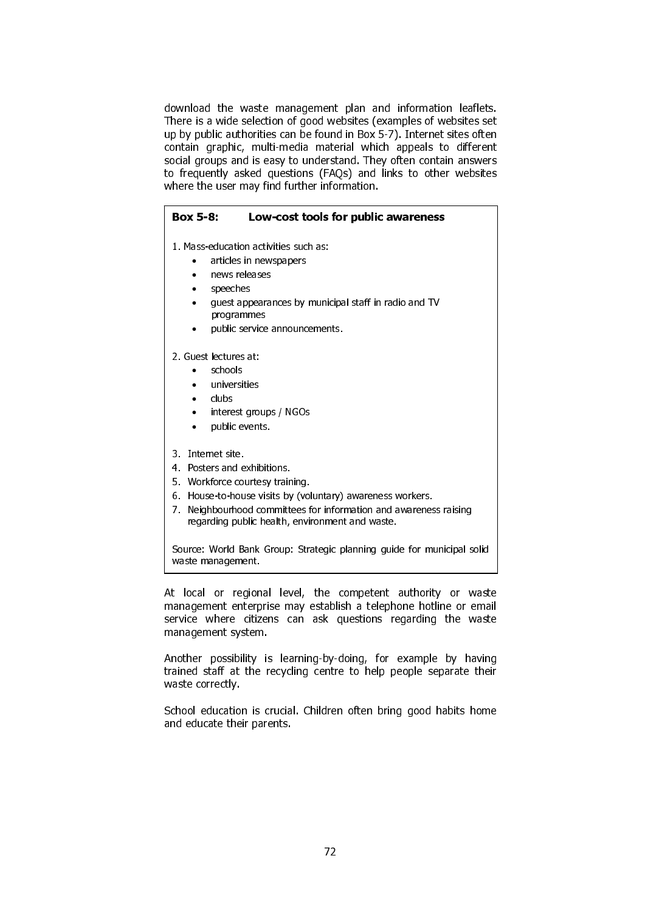download the waste management plan and information leaflets. There is a wide selection of good websites (examples of websites set up by public authorities can be found in Box 5-7). Internet sites often contain graphic, multi-media material which appeals to different social groups and is easy to understand. They often contain answers to frequently asked questions (FAQs) and links to other websites where the user may find further information.

# Box 5-8: Low-cost tools for public awareness

1. Mass-education activities such as:

- articles in newspapers
- news releases
- speeches
- guest appearances by municipal staff in radio and TV programmes
- public service announcements.

2. Guest lectures at:

- schools
- universities
- clubs
- interest groups / NGOs
- public events.
- 3. Internet site.
- 4. Posters and exhibitions.
- 5. Workforce courtesy training.
- 6. House-to-house visits by (voluntary) awareness workers.
- 7. Neighbourhood committees for information and awareness raising regarding public health, environment and waste.

Source: World Bank Group: Strategic planning guide for municipal solid waste management.

I

At local or regional level, the competent authority or waste management enterprise may establish a telephone hotline or email service where citizens can ask questions regarding the waste management system.

Another possibility is learning-by-doing, for example by having trained staff at the recycling centre to help people separate their waste correctly.

School education is crucial. Children often bring good habits home and educate their parents.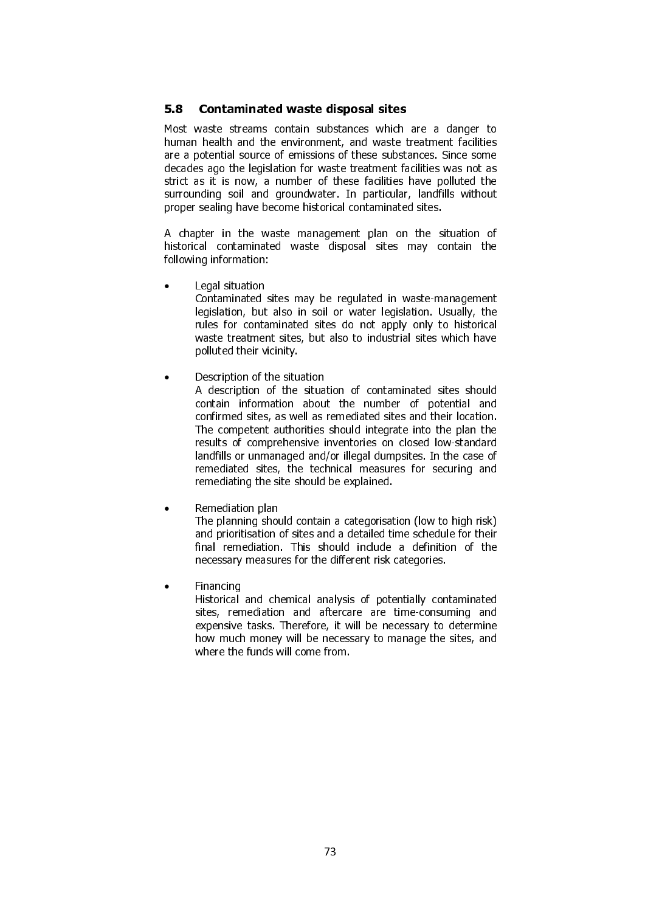### 5.8 Contaminated waste disposal sites

Most waste streams contain substances which are a danger to human health and the environment, and waste treatment facilities are a potential source of emissions of these substances. Since some decades ago the legislation for waste treatment facilities was not as strict as it is now, a number of these facilities have polluted the surrounding soil and groundwater. In particular, landfills without proper sealing have become historical contaminated sites.

A chapter in the waste management plan on the situation of historical contaminated waste disposal sites may contain the following information:

• Legal situation

Contaminated sites may be regulated in waste-management legislation, but also in soil or water legislation. Usually, the rules for contaminated sites do not apply only to historical waste treatment sites, but also to industrial sites which have polluted their vicinity.

• Description of the situation

A description of the situation of contaminated sites should contain information about the number of potential and confirmed sites, as well as remediated sites and their location. The competent authorities should integrate into the plan the results of comprehensive inventories on closed low-standard landfills or unmanaged and/or illegal dumpsites. In the case of remediated sites, the technical measures for securing and remediating the site should be explained.

• Remediation plan

The planning should contain a categorisation (low to high risk) and prioritisation of sites and a detailed time schedule for their final remediation. This should include a definition of the necessary measures for the different risk categories.

**Financing** 

Historical and chemical analysis of potentially contaminated sites, remediation and aftercare are time-consuming and expensive tasks. Therefore, it will be necessary to determine how much money will be necessary to manage the sites, and where the funds will come from.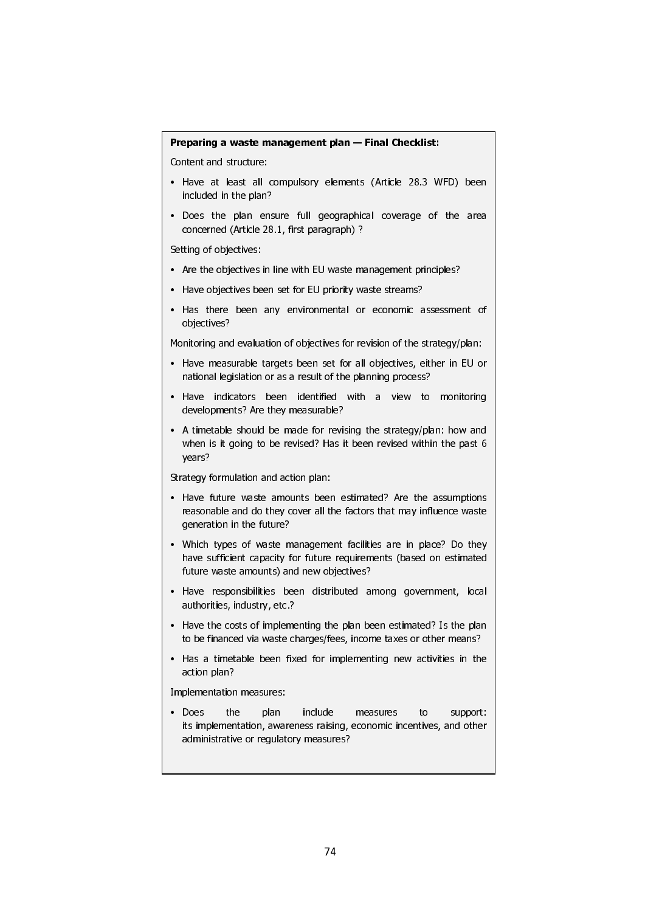#### Preparing a waste management plan — Final Checklist:

Content and structure:

٦

- Have at least all compulsory elements (Article 28.3 WFD) been included in the plan?
- Does the plan ensure full geographical coverage of the area concerned (Article 28.1, first paragraph) ?

Setting of objectives:

- Are the objectives in line with EU waste management principles?
- Have objectives been set for EU priority waste streams?
- Has there been any environmental or economic assessment of objectives?

Monitoring and evaluation of objectives for revision of the strategy/plan:

- Have measurable targets been set for all objectives, either in EU or national legislation or as a result of the planning process?
- Have indicators been identified with a view to monitoring developments? Are they measurable?
- A timetable should be made for revising the strategy/plan: how and when is it going to be revised? Has it been revised within the past 6 years?

Strategy formulation and action plan:

- Have future waste amounts been estimated? Are the assumptions reasonable and do they cover all the factors that may influence waste generation in the future?
- Which types of waste management facilities are in place? Do they have sufficient capacity for future requirements (based on estimated future waste amounts) and new objectives?
- Have responsibilities been distributed among government, local authorities, industry, etc.?
- Have the costs of implementing the plan been estimated? Is the plan to be financed via waste charges/fees, income taxes or other means?
- Has a timetable been fixed for implementing new activities in the action plan?

Implementation measures:

• Does the plan include measures to support: its implementation, awareness raising, economic incentives, and other administrative or regulatory measures?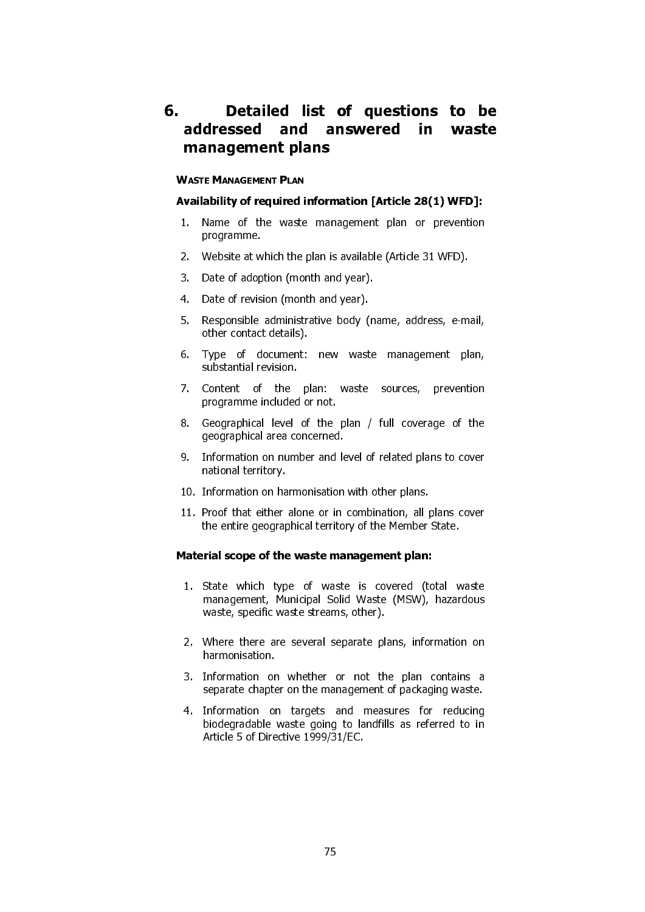## 6. Detailed list of questions to be addressed and answered in waste management plans

#### Availability of required information [Article 28(1) WFD]:

- 1. Name of the waste management plan or prevention programme.
- 2. Website at which the plan is available (Article 31 WFD).
- 3. Date of adoption (month and year).
- 4. Date of revision (month and year).
- 5. Responsible administrative body (name, address, e-mail, other contact details).
- 6. Type of document: new waste management plan, substantial revision.
- WASTE MANAGEMENT PLAN<br>
Availability of required i<br>
1. Name of the waste<br>
programme.<br>
2. Website at which the<br>
3. Date of adoption (mon<br>
4. Date of revision (mon<br>
5. Responsible administr<br>
other contact details).<br>
6. Type o 7. Content of the plan: waste sources, prevention programme included or not.
- 8. Geographical level of the plan / full coverage of the geographical area concerned.
- 9. Information on number and level of related plans to cover national territory.
- 10. Information on harmonisation with other plans.
- 11. Proof that either alone or in combination, all plans cover the entire geographical territory of the Member State.

#### Material scope of the waste management plan:

- 1. State which type of waste is covered (total waste management, Municipal Solid Waste (MSW), hazardous waste, specific waste streams, other).
- 2. Where there are several separate plans, information on harmonisation.
- 3. Information on whether or not the plan contains a separate chapter on the management of packaging waste.
- 4. Information on targets and measures for reducing biodegradable waste going to landfills as referred to in Article 5 of Directive 1999/31/EC.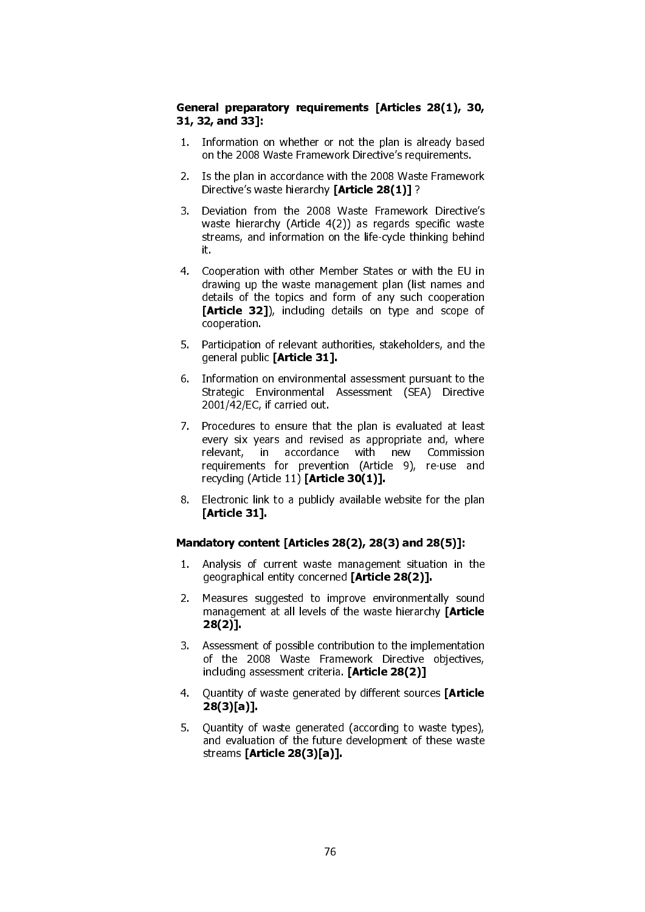#### General preparatory requirements [Articles 28(1), 30, 31, 32, and 33]:

- 1. Information on whether or not the plan is already based on the 2008 Waste Framework Directive's requirements.
- 2. Is the plan in accordance with the 2008 Waste Framework Directive's waste hierarchy [Article 28(1)]?
- 3. Deviation from the 2008 Waste Framework Directive's waste hierarchy (Article 4(2)) as regards specific waste streams, and information on the life-cycle thinking behind it.
- 4. Cooperation with other Member States or with the EU in drawing up the waste management plan (list names and details of the topics and form of any such cooperation [Article 32]), including details on type and scope of cooperation.
- 5. Participation of relevant authorities, stakeholders, and the general public [Article 31].
- 6. Information on environmental assessment pursuant to the Strategic Environmental Assessment (SEA) Directive 2001/42/EC, if carried out.
- 7. Procedures to ensure that the plan is evaluated at least every six years and revised as appropriate and, where relevant, in accordance with new Commission requirements for prevention (Article 9), re-use and recycling (Article 11) [Article 30(1)].
- 8. Electronic link to a publicly available website for the plan [Article 31].

#### Mandatory content [Articles 28(2), 28(3) and 28(5)]:

- 1. Analysis of current waste management situation in the geographical entity concerned [Article 28(2)].
- 2. Measures suggested to improve environmentally sound management at all levels of the waste hierarchy [Article 28(2)].
- 3. Assessment of possible contribution to the implementation of the 2008 Waste Framework Directive objectives, including assessment criteria. [Article 28(2)]
- 4. Quantity of waste generated by different sources [Article 28(3)[a)].
- 5. Quantity of waste generated (according to waste types), and evaluation of the future development of these waste streams [Article 28(3)[a)].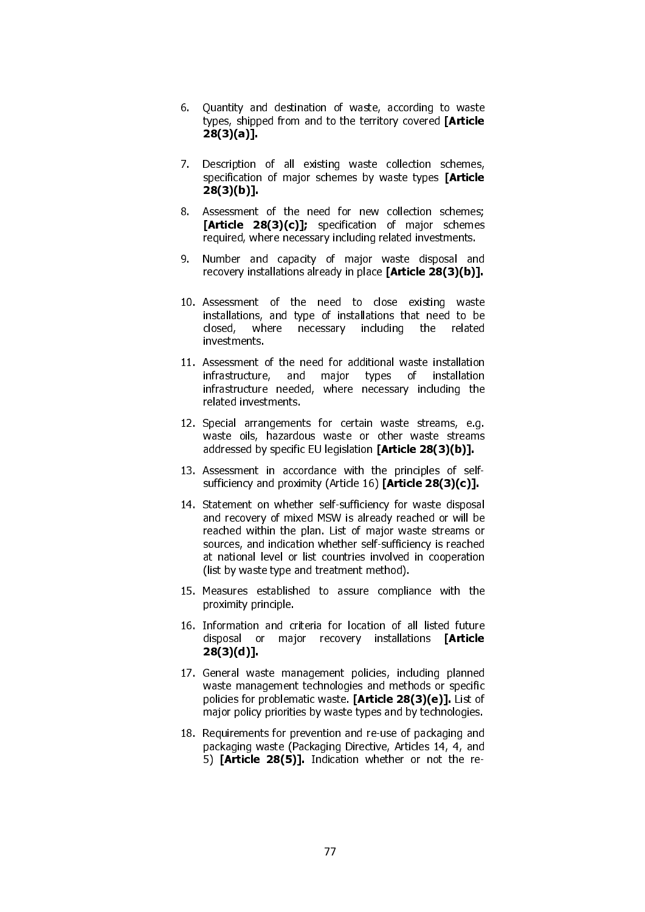- 6. Quantity and destination of waste, according to waste types, shipped from and to the territory covered [Article 28(3)(a)].
- 7. Description of all existing waste collection schemes, specification of major schemes by waste types **[Article** 28(3)(b)].
- 8. Assessment of the need for new collection schemes; [Article 28(3)(c)]; specification of major schemes required, where necessary including related investments.
- 9. Number and capacity of major waste disposal and recovery installations already in place [Article 28(3)(b)].
- 10. Assessment of the need to close existing waste installations, and type of installations that need to be closed, where necessary including the related investments.
- 11. Assessment of the need for additional waste installation infrastructure, and major types of installation infrastructure needed, where necessary including the related investments.
- 12. Special arrangements for certain waste streams, e.g. waste oils, hazardous waste or other waste streams addressed by specific EU legislation [Article 28(3)(b)].
- 13. Assessment in accordance with the principles of selfsufficiency and proximity (Article 16) [Article 28(3)(c)].
- 14. Statement on whether self-sufficiency for waste disposal and recovery of mixed MSW is already reached or will be reached within the plan. List of major waste streams or sources, and indication whether self-sufficiency is reached at national level or list countries involved in cooperation (list by waste type and treatment method).
- 15. Measures established to assure compliance with the proximity principle.
- 16. Information and criteria for location of all listed future disposal or major recovery installations **[Article** 28(3)(d)].
- 17. General waste management policies, including planned waste management technologies and methods or specific policies for problematic waste. [Article 28(3)(e)]. List of major policy priorities by waste types and by technologies.
- 18. Requirements for prevention and re-use of packaging and packaging waste (Packaging Directive, Articles 14, 4, and 5) [Article 28(5)]. Indication whether or not the re-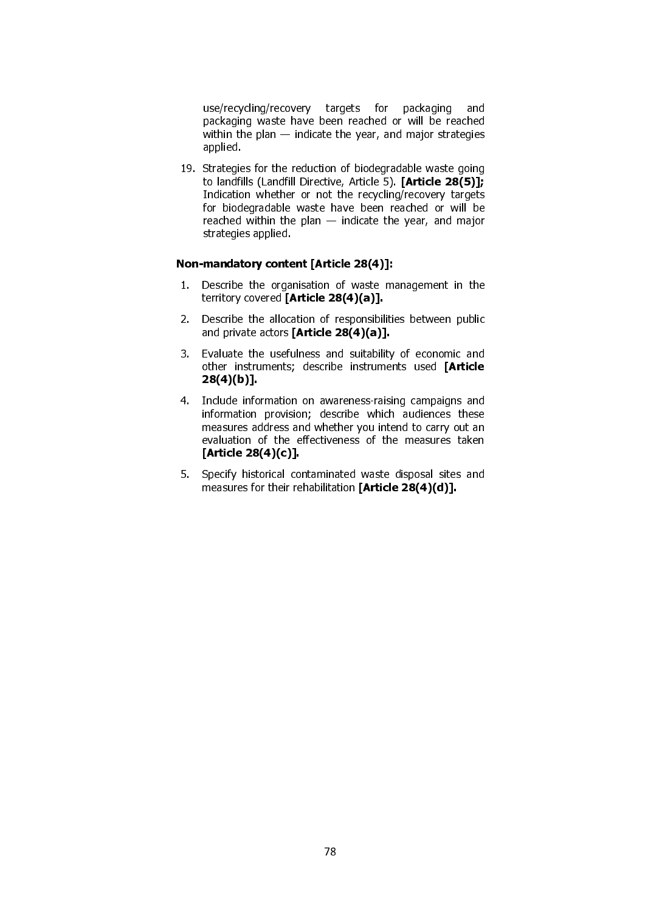use/recycling/recovery targets for packaging and packaging waste have been reached or will be reached within the plan — indicate the year, and major strategies applied.

19. Strategies for the reduction of biodegradable waste going to landfills (Landfill Directive, Article 5). [Article 28(5)]; Indication whether or not the recycling/recovery targets for biodegradable waste have been reached or will be reached within the plan — indicate the year, and major strategies applied.

#### Non-mandatory content [Article 28(4)]:

- 1. Describe the organisation of waste management in the territory covered [Article 28(4)(a)].
- 2. Describe the allocation of responsibilities between public and private actors [Article 28(4)(a)].
- 3. Evaluate the usefulness and suitability of economic and other instruments; describe instruments used [Article 28(4)(b)].
- 4. Include information on awareness-raising campaigns and information provision; describe which audiences these measures address and whether you intend to carry out an evaluation of the effectiveness of the measures taken [Article 28(4)(c)].
- 5. Specify historical contaminated waste disposal sites and measures for their rehabilitation [Article 28(4)(d)].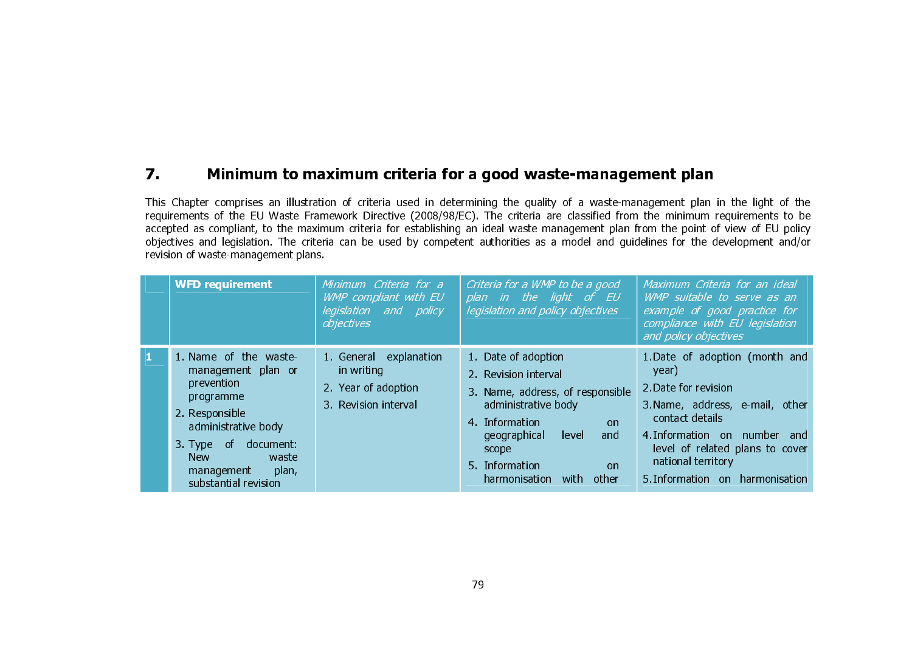#### 7.Minimum to maximum criteria for a good waste-management plan

This Chapter comprises an illustration of criteria used in determining the quality of a waste-management plan in the light of the requirements of the EU Waste Framework Directive (2008/98/EC). The criteria are classified from the minimum requirements to be accepted as compliant, to the maximum criteria for establishing an ideal waste management plan from the point of view of EU policy objectives and legislation. The criteria can be used by competent authorities as a model and guidelines for the development and/or revision of waste-management plans.

| <b>WFD requirement</b>                                                                                                                                                                                       | Minimum Criteria for a<br>WMP compliant with EU<br>legislation and policy<br>objectives | Criteria for a WMP to be a good<br>plan in the light of EU<br>legislation and policy objectives                                                                                                                                 | Maximum Criteria for an ideal<br>WMP suitable to serve as an<br>example of good practice for<br>compliance with EU legislation<br>and policy objectives                                                                                              |
|--------------------------------------------------------------------------------------------------------------------------------------------------------------------------------------------------------------|-----------------------------------------------------------------------------------------|---------------------------------------------------------------------------------------------------------------------------------------------------------------------------------------------------------------------------------|------------------------------------------------------------------------------------------------------------------------------------------------------------------------------------------------------------------------------------------------------|
| 1. Name of the waste<br>management plan or<br>prevention<br>programme<br>2. Responsible<br>administrative body<br>3. Type of document:<br><b>New</b><br>waste<br>plan,<br>management<br>substantial revision | explanation<br>1. General<br>in writing<br>2. Year of adoption<br>3. Revision interval  | 1. Date of adoption<br>2. Revision interval<br>3. Name, address, of responsible<br>administrative body<br>4 Information<br>on<br>geographical<br>and<br>level<br>scope<br>5 Information<br>on<br>harmonisation<br>with<br>other | 1. Date of adoption (month and<br>year)<br>2. Date for revision<br>3. Name, address, e-mail, other<br>contact details<br>4. Information on number and<br>level of related plans to cover<br>national territory<br>5. Information on<br>harmonisation |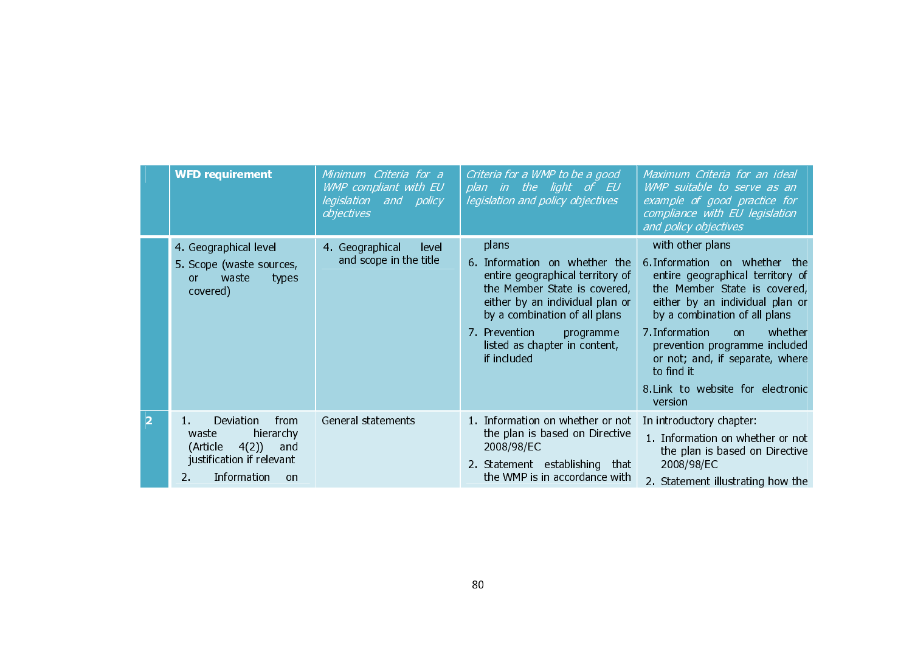|                | <b>WFD requirement</b>                                                                                                                     | Minimum Criteria for a<br>WMP compliant with EU<br>legislation and policy<br>objectives | Criteria for a WMP to be a good<br>plan in the light of EU<br>legislation and policy objectives                                                                                                                                                             | Maximum Criteria for an ideal<br>WMP suitable to serve as an<br>example of good practice for<br>compliance with EU legislation<br>and policy objectives                                                                                                                                                                                                         |
|----------------|--------------------------------------------------------------------------------------------------------------------------------------------|-----------------------------------------------------------------------------------------|-------------------------------------------------------------------------------------------------------------------------------------------------------------------------------------------------------------------------------------------------------------|-----------------------------------------------------------------------------------------------------------------------------------------------------------------------------------------------------------------------------------------------------------------------------------------------------------------------------------------------------------------|
|                | 4. Geographical level<br>5. Scope (waste sources,<br>waste<br>types<br><sub>or</sub><br>covered)                                           | 4. Geographical<br>level<br>and scope in the title                                      | plans<br>6. Information on whether the<br>entire geographical territory of<br>the Member State is covered,<br>either by an individual plan or<br>by a combination of all plans<br>7 Prevention<br>programme<br>listed as chapter in content,<br>if included | with other plans<br>6. Information on whether the<br>entire geographical territory of<br>the Member State is covered,<br>either by an individual plan or<br>by a combination of all plans<br>7. Information<br>whether<br>on.<br>prevention programme included<br>or not; and, if separate, where<br>to find it<br>8. Link to website for electronic<br>version |
| $\overline{2}$ | from<br>Deviation<br>hierarchy<br>waste<br>(Article<br>4(2)<br>and<br>justification if relevant<br>Information<br>$2^{\circ}$<br><b>on</b> | General statements                                                                      | 1. Information on whether or not<br>the plan is based on Directive<br>2008/98/EC<br>2. Statement establishing that<br>the WMP is in accordance with                                                                                                         | In introductory chapter:<br>1. Information on whether or not<br>the plan is based on Directive<br>2008/98/EC<br>2. Statement illustrating how the                                                                                                                                                                                                               |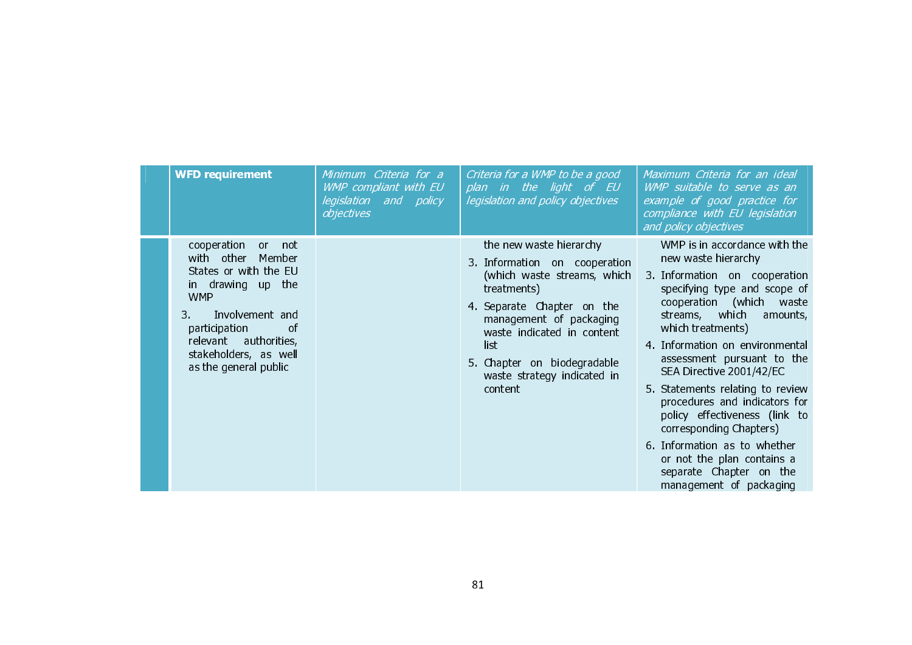| <b>WFD requirement</b>                                                                                                                                                                                                                 | Minimum Criteria for a<br>WMP compliant with EU<br>legislation and policy<br>objectives | Criteria for a WMP to be a good<br>plan in the light of EU<br>legislation and policy objectives                                                                                                                                                                                | Maximum Criteria for an ideal<br>WMP suitable to serve as an<br>example of good practice for<br>compliance with EU legislation<br>and policy objectives                                                                                                                                                                                                                                                                                                                                                                                                |
|----------------------------------------------------------------------------------------------------------------------------------------------------------------------------------------------------------------------------------------|-----------------------------------------------------------------------------------------|--------------------------------------------------------------------------------------------------------------------------------------------------------------------------------------------------------------------------------------------------------------------------------|--------------------------------------------------------------------------------------------------------------------------------------------------------------------------------------------------------------------------------------------------------------------------------------------------------------------------------------------------------------------------------------------------------------------------------------------------------------------------------------------------------------------------------------------------------|
| cooperation<br>or a<br>not<br>with other Member<br>States or with the EU<br>in drawing up the<br><b>WMP</b><br>Involvement and<br>3.<br>of<br>participation<br>relevant authorities,<br>stakeholders, as well<br>as the general public |                                                                                         | the new waste hierarchy<br>3. Information on cooperation<br>(which waste streams, which<br>treatments)<br>4. Separate Chapter on the<br>management of packaging<br>waste indicated in content<br>list<br>5. Chapter on biodegradable<br>waste strategy indicated in<br>content | WMP is in accordance with the<br>new waste hierarchy<br>3. Information on cooperation<br>specifying type and scope of<br>cooperation (which waste<br>streams, which<br>amounts,<br>which treatments)<br>4. Information on environmental<br>assessment pursuant to the<br>SEA Directive 2001/42/EC<br>5. Statements relating to review<br>procedures and indicators for<br>policy effectiveness (link to<br>corresponding Chapters)<br>6. Information as to whether<br>or not the plan contains a<br>separate Chapter on the<br>management of packaging |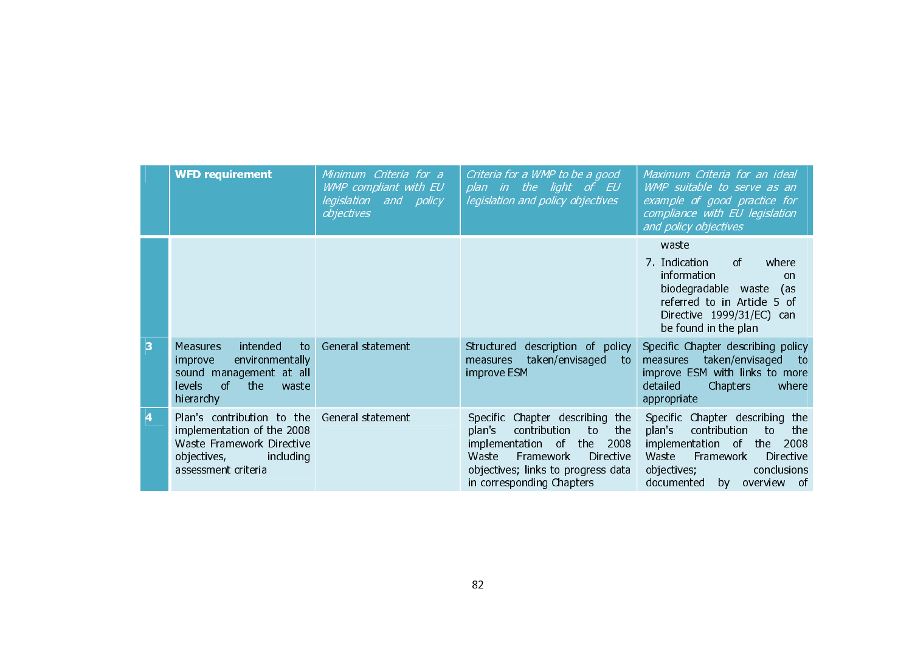|   | <b>WFD requirement</b>                                                                                                                                 | Minimum Criteria for a<br>WMP compliant with EU<br>legislation and policy<br>objectives | Criteria for a WMP to be a good<br>plan in the light of EU<br>legislation and policy objectives                                                                                                                         | Maximum Criteria for an ideal<br>WMP suitable to serve as an<br>example of good practice for<br>compliance with EU legislation<br>and policy objectives                                                         |
|---|--------------------------------------------------------------------------------------------------------------------------------------------------------|-----------------------------------------------------------------------------------------|-------------------------------------------------------------------------------------------------------------------------------------------------------------------------------------------------------------------------|-----------------------------------------------------------------------------------------------------------------------------------------------------------------------------------------------------------------|
|   |                                                                                                                                                        |                                                                                         |                                                                                                                                                                                                                         | waste<br><sub>of</sub><br>7 Indication<br>where<br>information<br><sub>on</sub><br>biodegradable waste<br>(as<br>referred to in Article 5 of<br>Directive 1999/31/EC) can<br>be found in the plan               |
| 3 | intended<br><b>Measures</b><br>to<br>environmentally<br>improve<br>sound<br>management at all<br><sub>of</sub><br>the:<br>levels<br>waste<br>hierarchy | General statement                                                                       | description of policy<br>Structured<br>taken/envisaged<br>measures<br>to.<br>improve ESM                                                                                                                                | Specific Chapter describing policy<br>taken/envisaged to<br>measures<br>improve ESM with links to more<br>detailed<br><b>Chapters</b><br>where<br>appropriate                                                   |
| 4 | Plan's contribution to the<br>implementation of the 2008<br>Waste Framework Directive<br>objectives,<br>including<br>assessment criteria               | General statement                                                                       | Chapter describing the<br><b>Specific</b><br>contribution<br>plan's<br>to<br>the<br>implementation of the<br>2008<br>Waste<br>Framework<br>Directive<br>objectives; links to progress data<br>in corresponding Chapters | Specific Chapter describing the<br>contribution<br>plan's<br>to<br>the<br>implementation of<br>2008<br>the<br>Framework<br>Directive<br>Waste<br>objectives;<br>conclusions<br>documented<br>overview of<br>bv. |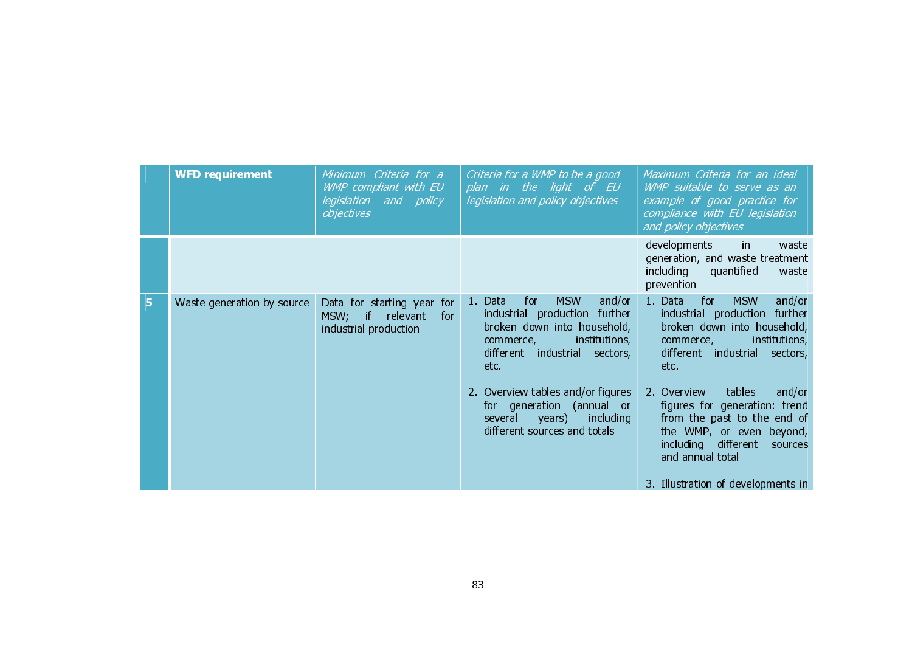|   | <b>WFD requirement</b>     | Minimum Criteria for a<br>WMP compliant with EU<br>legislation and policy<br>objectives          | Criteria for a WMP to be a good<br>plan in the light of EU<br>legislation and policy objectives                                                                               | Maximum Criteria for an ideal<br><i>WMP suitable to serve as an</i><br>example of good practice for<br>compliance with EU legislation<br>and policy objectives                      |
|---|----------------------------|--------------------------------------------------------------------------------------------------|-------------------------------------------------------------------------------------------------------------------------------------------------------------------------------|-------------------------------------------------------------------------------------------------------------------------------------------------------------------------------------|
|   |                            |                                                                                                  |                                                                                                                                                                               | developments<br>waste<br>in.<br>generation, and waste treatment<br>including<br>quantified<br>waste<br>prevention                                                                   |
| 5 | Waste generation by source | Data for starting year for<br>MSW;<br>$\blacksquare$<br>for<br>relevant<br>industrial production | <b>MSW</b><br>1. Data<br>and/or<br>for<br>industrial production further<br>broken down into household,<br>institutions,<br>commerce,<br>different industrial sectors,<br>etc. | 1. Data<br><b>MSW</b><br>and/or<br>for<br>industrial production<br>further<br>broken down into household,<br>institutions,<br>commerce,<br>different industrial<br>sectors,<br>etc. |
|   |                            |                                                                                                  | 2. Overview tables and/or figures<br>for generation (annual or<br>including<br>several<br>years)<br>different sources and totals                                              | tables<br>2 Overview<br>and/or<br>figures for generation: trend<br>from the past to the end of<br>the WMP, or even beyond,<br>including different<br>sources<br>and annual total    |
|   |                            |                                                                                                  |                                                                                                                                                                               | 3. Illustration of developments in                                                                                                                                                  |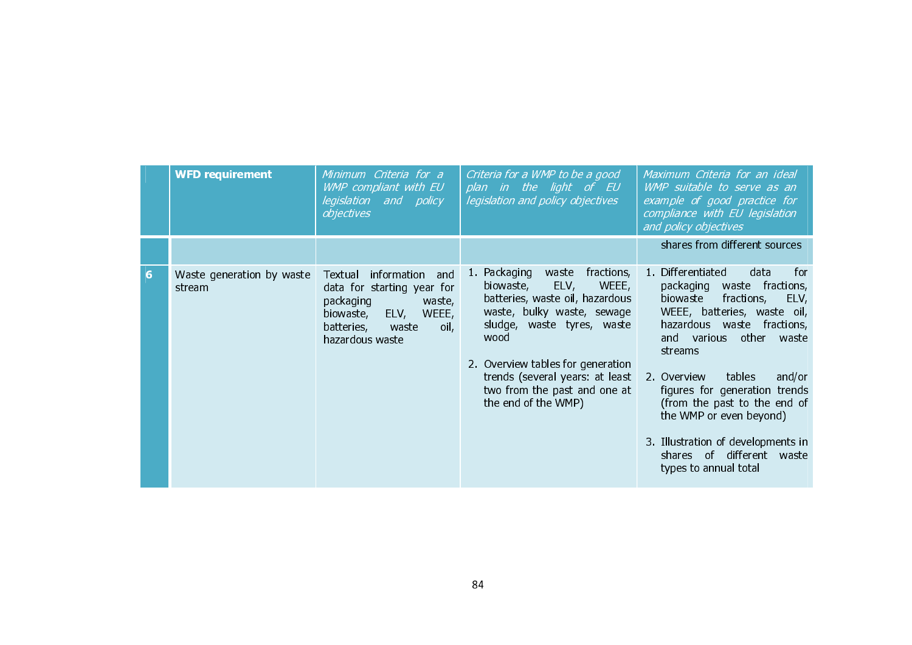|   | <b>WFD requirement</b>              | Minimum Criteria for a<br>WMP compliant with EU<br>legislation and policy<br>objectives                                                                            | Criteria for a WMP to be a good<br>plan in the light of EU<br>legislation and policy objectives                                                                                                                                                                                                        | Maximum Criteria for an ideal<br>WMP suitable to serve as an<br>example of good practice for<br>compliance with EU legislation<br>and policy objectives                                                                                                                                                                                                                                                                                   |
|---|-------------------------------------|--------------------------------------------------------------------------------------------------------------------------------------------------------------------|--------------------------------------------------------------------------------------------------------------------------------------------------------------------------------------------------------------------------------------------------------------------------------------------------------|-------------------------------------------------------------------------------------------------------------------------------------------------------------------------------------------------------------------------------------------------------------------------------------------------------------------------------------------------------------------------------------------------------------------------------------------|
|   |                                     |                                                                                                                                                                    |                                                                                                                                                                                                                                                                                                        | shares from different sources                                                                                                                                                                                                                                                                                                                                                                                                             |
| 6 | Waste generation by waste<br>stream | information<br>and<br>Textual<br>data for starting year for<br>packaging<br>waste,<br>ELV,<br>WEEE,<br>biowaste,<br>batteries,<br>waste<br>oil,<br>hazardous waste | fractions,<br>1 Packaging<br>waste<br>ELV,<br>WEEE,<br>biowaste,<br>batteries, waste oil, hazardous<br>waste, bulky waste, sewage<br>sludge, waste tyres, waste<br>wood<br>2. Overview tables for generation<br>trends (several years: at least<br>two from the past and one at<br>the end of the WMP) | 1. Differentiated<br>data<br>for<br>packaging<br>waste fractions,<br>biowaste<br>fractions,<br>ELV,<br>WEEE, batteries, waste oil,<br>hazardous waste fractions,<br>other<br>and various<br>waste<br>streams<br>tables<br>and/or<br>2 Overview<br>figures for generation trends<br>(from the past to the end of<br>the WMP or even beyond)<br>3. Illustration of developments in<br>shares of different<br>waste<br>types to annual total |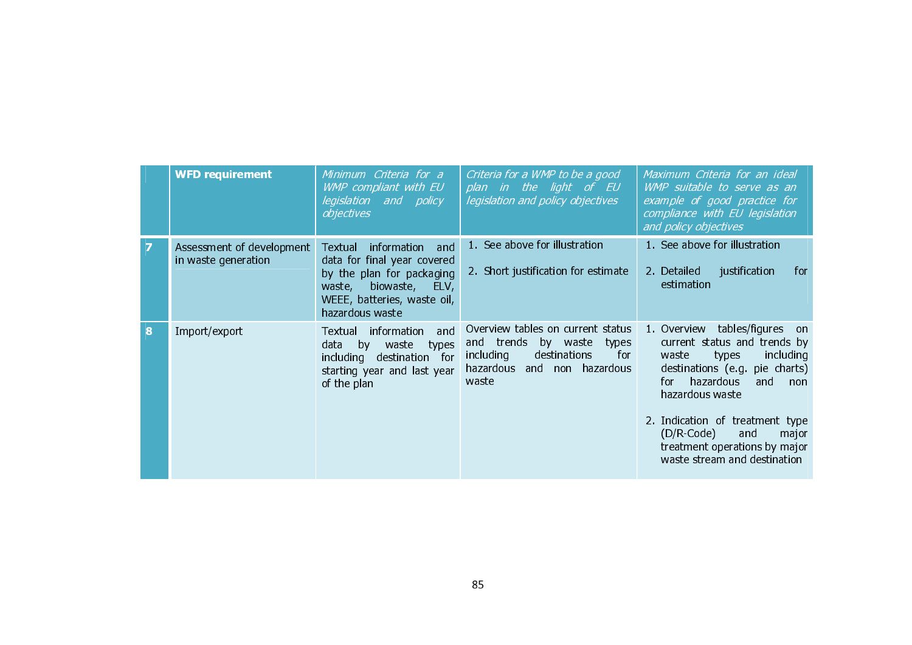|   | <b>WFD requirement</b>                           | Minimum Criteria for a<br>WMP compliant with EU<br>legislation and policy<br>objectives                                                                                           | Criteria for a WMP to be a good<br>plan in the light of EU<br>legislation and policy objectives                                                  | Maximum Criteria for an ideal<br><i>WMP suitable to serve as an</i><br>example of good practice for<br>compliance with EU legislation<br>and policy objectives                                                              |
|---|--------------------------------------------------|-----------------------------------------------------------------------------------------------------------------------------------------------------------------------------------|--------------------------------------------------------------------------------------------------------------------------------------------------|-----------------------------------------------------------------------------------------------------------------------------------------------------------------------------------------------------------------------------|
|   | Assessment of development<br>in waste generation | information<br><b>Textual</b><br>and<br>data for final year covered<br>by the plan for packaging<br>biowaste,<br>waste,<br>ELV,<br>WEEE, batteries, waste oil,<br>hazardous waste | 1. See above for illustration<br>2. Short justification for estimate                                                                             | 1. See above for illustration<br>2. Detailed<br>justification<br>for<br>estimation                                                                                                                                          |
| 8 | Import/export                                    | information<br>and<br><b>Textual</b><br>by<br>waste<br>data<br>types<br>destination for<br>including<br>starting year and last year<br>of the plan                                | Overview tables on current status<br>and trends<br>by waste<br>types<br>for<br>including<br>destinations<br>hazardous and non hazardous<br>waste | 1. Overview tables/figures<br>on.<br>current status and trends by<br>including<br>types<br>waste<br>destinations (e.g. pie charts)<br>hazardous<br>and<br>for.<br>non<br>hazardous waste<br>2. Indication of treatment type |
|   |                                                  |                                                                                                                                                                                   |                                                                                                                                                  | (D/R-Code)<br>and<br>major<br>treatment operations by major<br>waste stream and destination                                                                                                                                 |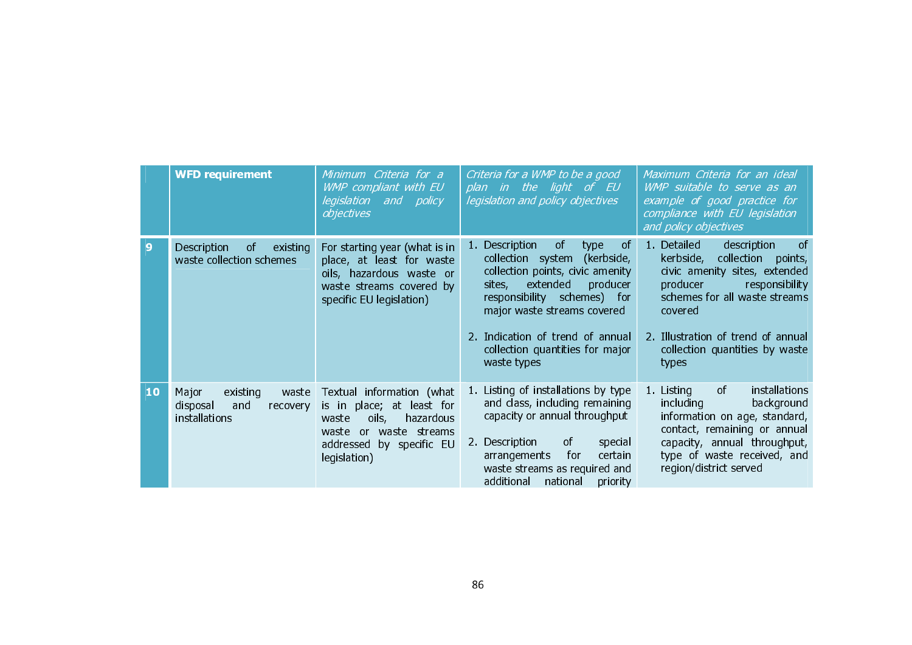|    | <b>WFD requirement</b>                                                     | Minimum Criteria for a<br>WMP compliant with EU<br>legislation and policy<br>objectives                                                                                        | Criteria for a WMP to be a good<br>plan in the light of EU<br>legislation and policy objectives                                                                                                                                                                                                 | Maximum Criteria for an ideal<br>WMP suitable to serve as an<br>example of good practice for<br>compliance with EU legislation<br>and policy objectives                                                                                                                       |
|----|----------------------------------------------------------------------------|--------------------------------------------------------------------------------------------------------------------------------------------------------------------------------|-------------------------------------------------------------------------------------------------------------------------------------------------------------------------------------------------------------------------------------------------------------------------------------------------|-------------------------------------------------------------------------------------------------------------------------------------------------------------------------------------------------------------------------------------------------------------------------------|
| 9  | Description<br>0f<br>existing<br>waste collection schemes                  | For starting year (what is in<br>place, at least for waste<br>oils, hazardous waste or<br>waste streams covered by<br>specific EU legislation)                                 | 1. Description<br>0f<br>of<br>type<br>(kerbside,<br>collection system<br>collection points, civic amenity<br>producer<br>extended<br>sites,<br>responsibility schemes) for<br>major waste streams covered<br>2. Indication of trend of annual<br>collection quantities for major<br>waste types | description<br>1. Detailed<br><sub>of</sub><br>kerbside,<br>collection<br>points,<br>civic amenity sites, extended<br>producer<br>responsibility<br>schemes for all waste streams<br>covered<br>2. Illustration of trend of annual<br>collection quantities by waste<br>types |
| 10 | Major<br>existing<br>waste<br>disposal<br>and<br>recovery<br>installations | Textual information (what<br>place; at least for<br>is in<br>oils,<br>hazardous<br>waste<br>waste streams<br>waste<br><b>or</b><br>by specific EU<br>addressed<br>legislation) | 1. Listing of installations by type<br>and class, including remaining<br>capacity or annual throughput<br>2. Description<br><sub>of</sub><br>special<br>certain<br>arrangements<br>for<br>waste streams as required and<br>additional<br>national<br>priority                                   | 1. Listing<br>installations<br>of<br>including<br>background<br>information on age, standard,<br>contact, remaining or annual<br>capacity, annual throughput,<br>type of waste received, and<br>region/district served                                                        |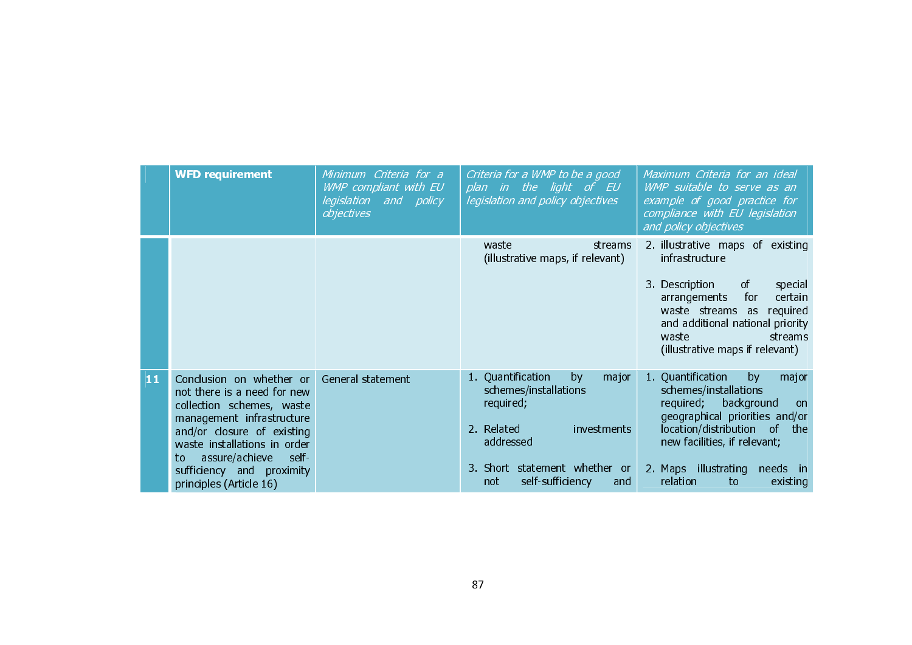|    | <b>WFD requirement</b>                                                                                                                                                                                                                                                    | Minimum Criteria for a<br>WMP compliant with EU<br>legislation and policy<br>objectives | Criteria for a WMP to be a good<br>plan in the light of EU<br>legislation and policy objectives                                                                                     | Maximum Criteria for an ideal<br>WMP suitable to serve as an<br>example of good practice for<br>compliance with EU legislation<br>and policy objectives                                                                                                          |
|----|---------------------------------------------------------------------------------------------------------------------------------------------------------------------------------------------------------------------------------------------------------------------------|-----------------------------------------------------------------------------------------|-------------------------------------------------------------------------------------------------------------------------------------------------------------------------------------|------------------------------------------------------------------------------------------------------------------------------------------------------------------------------------------------------------------------------------------------------------------|
|    |                                                                                                                                                                                                                                                                           |                                                                                         | waste<br>streams<br>(illustrative maps, if relevant)                                                                                                                                | 2. illustrative maps of existing<br>infrastructure<br>3 Description<br>of<br>special<br>for<br>certain<br>arrangements<br>waste streams as<br>required<br>and additional national priority<br>streams<br>waste<br>(illustrative maps if relevant)                |
| 11 | Conclusion on whether or<br>not there is a need for new<br>collection schemes, waste<br>management infrastructure<br>and/or closure of existing<br>waste installations in order<br>assure/achieve<br>self-<br>to.<br>sufficiency and proximity<br>principles (Article 16) | General statement                                                                       | 1. Quantification<br>major<br>by<br>schemes/installations<br>required;<br>2. Related<br>investments<br>addressed<br>3. Short statement whether or<br>self-sufficiency<br>not<br>and | 1 Quantification<br>by<br>major<br>schemes/installations<br>required;<br>background<br>on<br>geographical priorities and/or<br>location/distribution of<br>the<br>new facilities, if relevant;<br>2. Maps illustrating<br>needs in<br>relation<br>to<br>existing |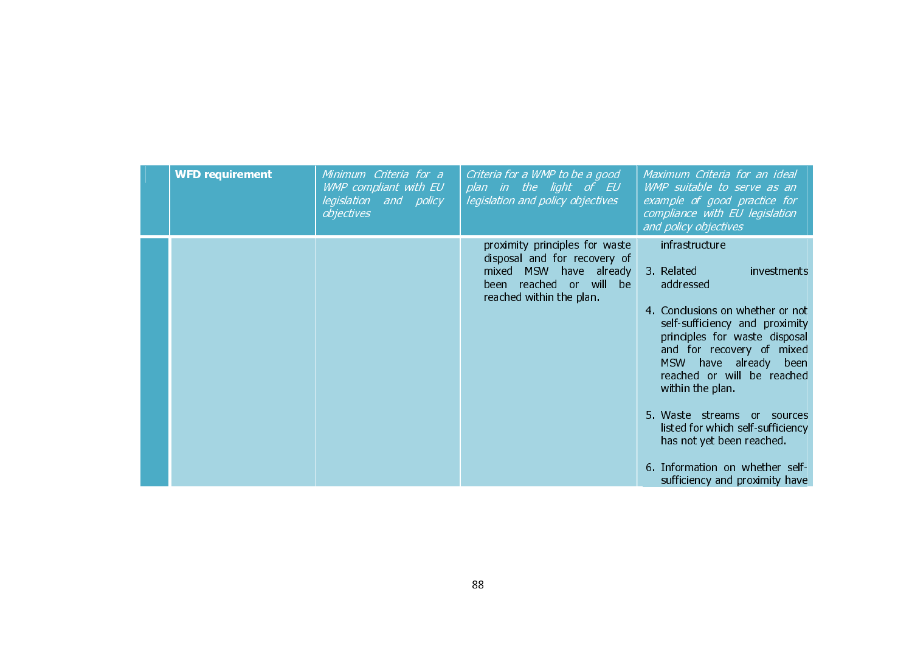| <b>WFD</b> requirement | Minimum Criteria for a<br>WMP compliant with EU<br>legislation and policy<br>objectives | Criteria for a WMP to be a good<br>plan in the light of EU<br>legislation and policy objectives                                                 | Maximum Criteria for an ideal<br>WMP suitable to serve as an<br>example of good practice for<br>compliance with EU legislation<br>and policy objectives                                                                                                                                                                                                                                                                                                |
|------------------------|-----------------------------------------------------------------------------------------|-------------------------------------------------------------------------------------------------------------------------------------------------|--------------------------------------------------------------------------------------------------------------------------------------------------------------------------------------------------------------------------------------------------------------------------------------------------------------------------------------------------------------------------------------------------------------------------------------------------------|
|                        |                                                                                         | proximity principles for waste<br>disposal and for recovery of<br>mixed MSW have already<br>been reached or will be<br>reached within the plan. | infrastructure<br>3. Related<br>investments<br>addressed<br>4. Conclusions on whether or not<br>self-sufficiency and proximity<br>principles for waste disposal<br>and for recovery of mixed<br><b>MSW</b><br>have already been<br>reached or will be reached<br>within the plan<br>5. Waste streams or sources<br>listed for which self-sufficiency<br>has not yet been reached.<br>6. Information on whether self-<br>sufficiency and proximity have |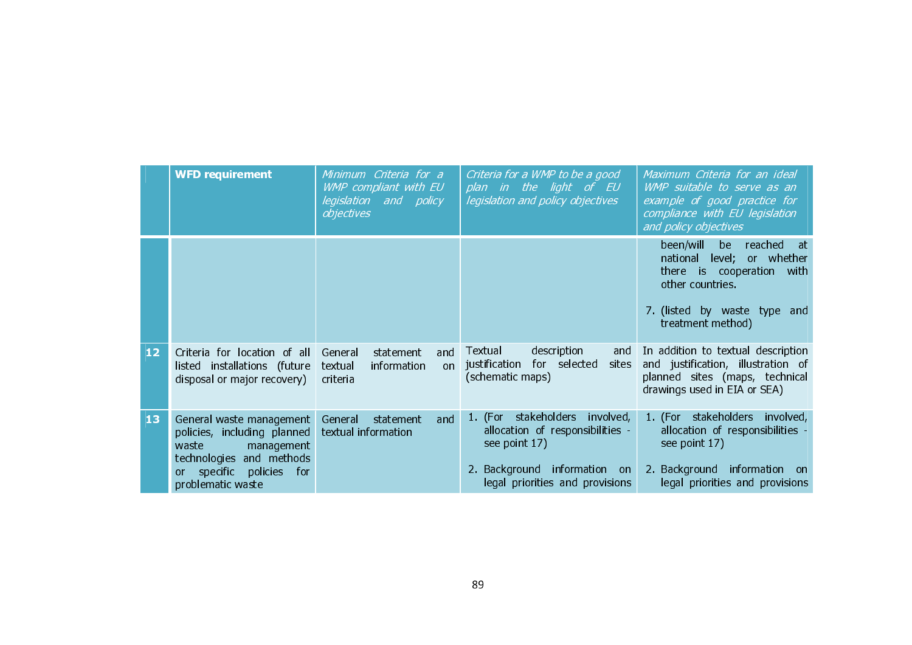|                 | <b>WFD requirement</b>                                                                                                                                                                    | Minimum Criteria for a<br>WMP compliant with EU<br>legislation and policy<br>objectives | Criteria for a WMP to be a good<br>plan in the light of EU<br>legislation and policy objectives                                                        | Maximum Criteria for an ideal<br>WMP suitable to serve as an<br>example of good practice for<br>compliance with EU legislation<br>and policy objectives              |
|-----------------|-------------------------------------------------------------------------------------------------------------------------------------------------------------------------------------------|-----------------------------------------------------------------------------------------|--------------------------------------------------------------------------------------------------------------------------------------------------------|----------------------------------------------------------------------------------------------------------------------------------------------------------------------|
|                 |                                                                                                                                                                                           |                                                                                         |                                                                                                                                                        | been/will<br>be reached at<br>level; or whether<br>national<br>there is cooperation<br>with<br>other countries.<br>7. (listed by waste type and<br>treatment method) |
| 12 <sub>2</sub> | Criteria for location of all<br>listed installations (future<br>disposal or major recovery)                                                                                               | General<br>statement<br>and<br>textual<br>information<br>on<br>criteria                 | description<br>Textual<br>justification<br>for selected<br>sites<br>(schematic maps)                                                                   | and In addition to textual description<br>and justification, illustration of<br>planned sites (maps, technical<br>drawings used in EIA or SEA)                       |
| 13              | General waste management<br>policies, including planned textual information<br>management<br>waste<br>technologies and methods<br>specific policies for<br><b>or</b><br>problematic waste | General<br>statement<br>and                                                             | 1. (For stakeholders involved,<br>allocation of responsibilities -<br>see point 17)<br>2. Background information on<br>legal priorities and provisions | 1. (For stakeholders involved,<br>allocation of responsibilities -<br>see point 17)<br>2. Background information on<br>legal priorities and provisions               |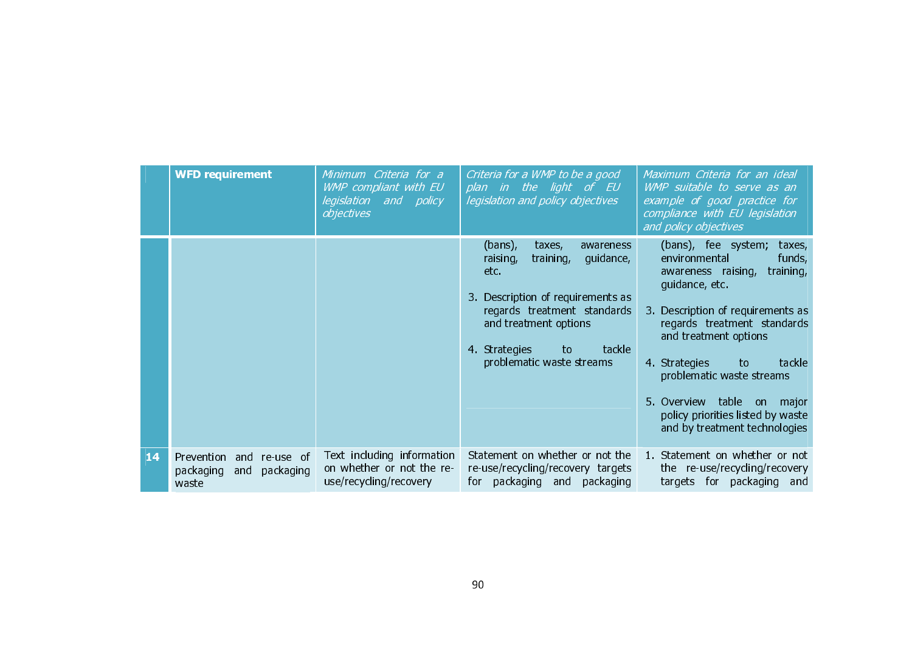|    | <b>WFD requirement</b>                                                   | Minimum Criteria for a<br>WMP compliant with EU<br>legislation and policy<br>objectives | Criteria for a WMP to be a good<br>plan in the light of EU<br>legislation and policy objectives                                                                                                                                           | Maximum Criteria for an ideal<br>WMP suitable to serve as an<br>example of good practice for<br>compliance with EU legislation<br>and policy objectives                                                                                                                                                                                                                     |
|----|--------------------------------------------------------------------------|-----------------------------------------------------------------------------------------|-------------------------------------------------------------------------------------------------------------------------------------------------------------------------------------------------------------------------------------------|-----------------------------------------------------------------------------------------------------------------------------------------------------------------------------------------------------------------------------------------------------------------------------------------------------------------------------------------------------------------------------|
|    |                                                                          |                                                                                         | $(bans)$ ,<br>taxes,<br>awareness<br>guidance,<br>training,<br>raising,<br>etc.<br>3. Description of requirements as<br>regards treatment standards<br>and treatment options<br>tackle<br>4 Strategies<br>to<br>problematic waste streams | (bans), fee system;<br>taxes,<br>environmental<br>funds,<br>training,<br>awareness raising,<br>guidance, etc.<br>3. Description of requirements as<br>regards treatment standards<br>and treatment options<br>4 Strategies<br>to<br>tackle<br>problematic waste streams<br>5. Overview table on major<br>policy priorities listed by waste<br>and by treatment technologies |
| 14 | Prevention<br>and<br>re-use of<br>packaging<br>packaging<br>and<br>waste | Text including information<br>on whether or not the re-<br>use/recycling/recovery       | Statement on whether or not the<br>re-use/recycling/recovery targets<br>for packaging and packaging                                                                                                                                       | 1. Statement on whether or not<br>the re-use/recycling/recovery<br>targets for packaging and                                                                                                                                                                                                                                                                                |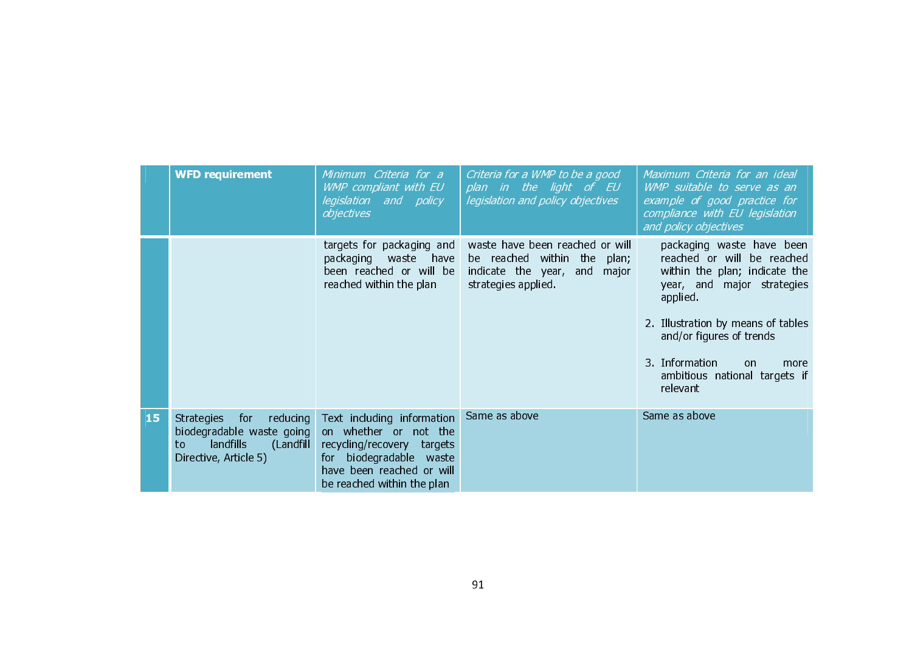|    | <b>WFD requirement</b>                                                                                                     | Minimum Criteria for a<br>WMP compliant with EU<br>legislation and policy<br>objectives                                                                                    | Criteria for a WMP to be a good<br>plan in the light of EU<br>legislation and policy objectives                             | Maximum Criteria for an ideal<br>WMP suitable to serve as an<br>example of good practice for<br>compliance with EU legislation<br>and policy objectives                                                                                                                                      |
|----|----------------------------------------------------------------------------------------------------------------------------|----------------------------------------------------------------------------------------------------------------------------------------------------------------------------|-----------------------------------------------------------------------------------------------------------------------------|----------------------------------------------------------------------------------------------------------------------------------------------------------------------------------------------------------------------------------------------------------------------------------------------|
|    |                                                                                                                            | targets for packaging and<br>packaging waste<br>have<br>been reached or will be<br>reached within the plan                                                                 | waste have been reached or will<br>be reached within the<br>plan;<br>indicate the year, and<br>major<br>strategies applied. | packaging waste have been<br>reached or will be reached<br>within the plan; indicate the<br>year, and major strategies<br>applied.<br>2. Illustration by means of tables<br>and/or figures of trends<br>3. Information<br><sub>on</sub><br>more<br>ambitious national targets if<br>relevant |
| 15 | <b>Strategies</b><br>for<br>reducing<br>biodegradable waste going<br>landfills<br>(Landfill<br>to<br>Directive, Article 5) | Text including information<br>on whether or not the<br>recycling/recovery<br>targets<br>for biodegradable waste<br>have been reached or will<br>be reached within the plan | Same as above                                                                                                               | Same as above                                                                                                                                                                                                                                                                                |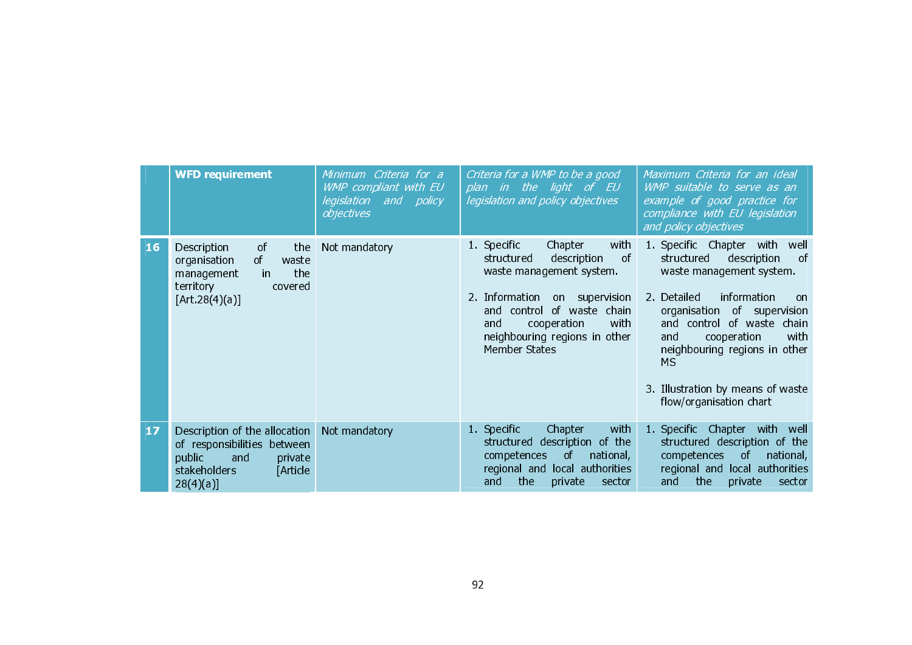|    | <b>WFD requirement</b>                                                                                                                   | Minimum Criteria for a<br>WMP compliant with EU<br>legislation and policy<br>objectives | Criteria for a WMP to be a good<br>plan in the light of EU<br>legislation and policy objectives                                                                                                                                                                  | Maximum Criteria for an ideal<br>WMP suitable to serve as an<br>example of good practice for<br>compliance with EU legislation<br>and policy objectives                                                                                                                                                                                         |
|----|------------------------------------------------------------------------------------------------------------------------------------------|-----------------------------------------------------------------------------------------|------------------------------------------------------------------------------------------------------------------------------------------------------------------------------------------------------------------------------------------------------------------|-------------------------------------------------------------------------------------------------------------------------------------------------------------------------------------------------------------------------------------------------------------------------------------------------------------------------------------------------|
| 16 | Description<br>of<br>the<br>organisation<br><sub>of</sub><br>waste<br>the<br>management<br>in.<br>territory<br>covered<br>[Art.28(4)(a)] | Not mandatory                                                                           | 1. Specific<br>Chapter<br>with<br><sub>of</sub><br>structured<br>description<br>waste management system.<br>2. Information<br>on supervision<br>of waste chain<br>control<br>and<br>with<br>cooperation<br>and<br>neighbouring regions in other<br>Member States | 1. Specific Chapter with<br>well<br>structured<br>of<br>description<br>waste management system.<br>information<br>2. Detailed<br>on<br>organisation<br>of supervision<br>and control of waste chain<br>cooperation<br>with<br>and<br>neighbouring regions in other<br><b>MS</b><br>3. Illustration by means of waste<br>flow/organisation chart |
| 17 | Description of the allocation<br>of responsibilities between<br>public<br>and<br>private<br>stakeholders<br>Article<br>$28(4)(a)$ ]      | Not mandatory                                                                           | Chapter<br>with<br>1. Specific<br>description of the<br>structured<br>national,<br>competences<br>$\circ$ f<br>regional and local authorities<br>the<br>sector<br>and<br>private                                                                                 | 1. Specific Chapter with<br>well<br>structured description of the<br>competences<br><sub>of</sub><br>national,<br>local authorities<br>regional and<br>the<br>and<br>private<br>sector                                                                                                                                                          |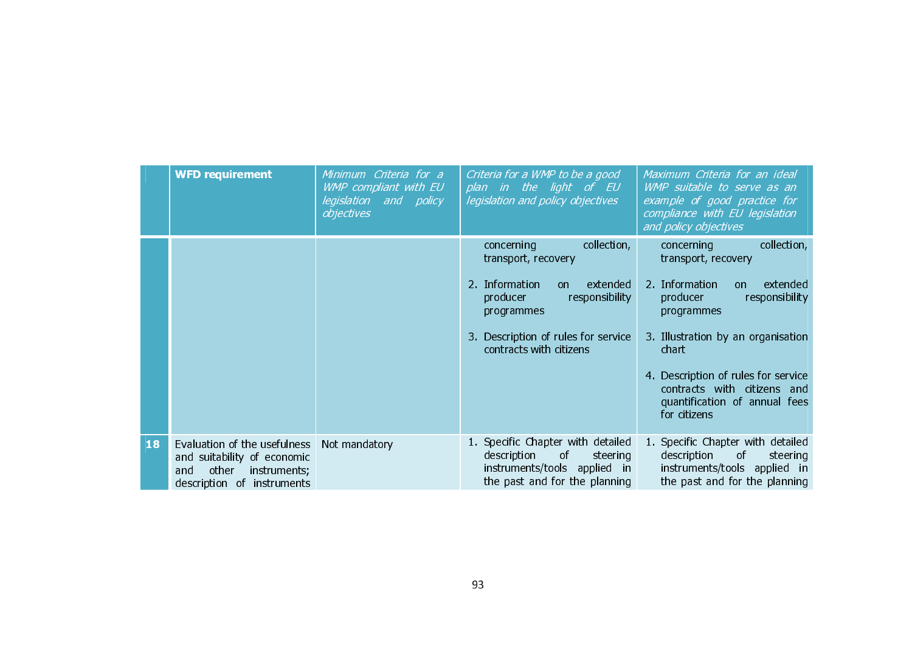|    | <b>WFD requirement</b>                                                                                                    | Minimum Criteria for a<br>WMP compliant with EU<br>legislation and policy<br>objectives | Criteria for a WMP to be a good<br>plan in the light of EU<br>legislation and policy objectives                                                                                                     | Maximum Criteria for an ideal<br>WMP suitable to serve as an<br>example of good practice for<br>compliance with EU legislation<br>and policy objectives                                                                                                                                                 |
|----|---------------------------------------------------------------------------------------------------------------------------|-----------------------------------------------------------------------------------------|-----------------------------------------------------------------------------------------------------------------------------------------------------------------------------------------------------|---------------------------------------------------------------------------------------------------------------------------------------------------------------------------------------------------------------------------------------------------------------------------------------------------------|
|    |                                                                                                                           |                                                                                         | collection,<br>concerning<br>transport, recovery<br>2. Information<br>extended<br>on.<br>responsibility<br>producer<br>programmes<br>3. Description of rules for service<br>contracts with citizens | collection,<br>concerning<br>transport, recovery<br>2. Information<br>extended<br>on.<br>responsibility<br>producer<br>programmes<br>3. Illustration by an organisation<br>chart<br>4. Description of rules for service<br>contracts with citizens and<br>quantification of annual fees<br>for citizens |
| 18 | Evaluation of the usefulness<br>and suitability of economic<br>other<br>instruments;<br>and<br>description of instruments | Not mandatory                                                                           | 1. Specific Chapter with detailed<br>description<br>$\circ$ f<br>steering<br>instruments/tools applied in<br>the past and for the planning                                                          | 1. Specific Chapter with detailed<br>description<br>of .<br>steering<br>instruments/tools applied in<br>the past and for the planning                                                                                                                                                                   |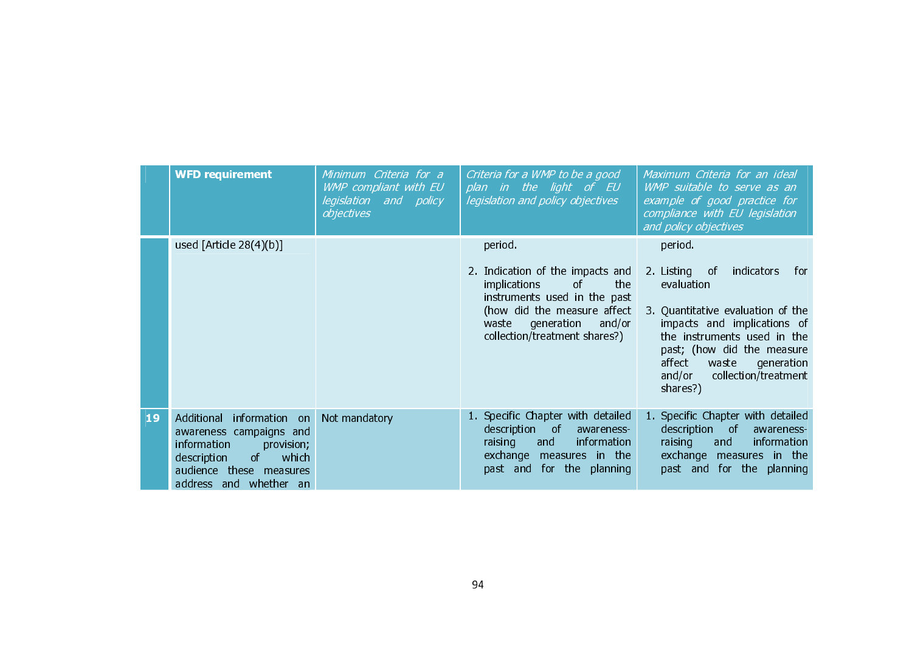|    | <b>WFD requirement</b>                                                                                                                                                  | Minimum Criteria for a<br>WMP compliant with EU<br>legislation and policy<br>objectives | Criteria for a WMP to be a good<br>plan in the light of EU<br>legislation and policy objectives                                                                                                                  | Maximum Criteria for an ideal<br>WMP suitable to serve as an<br>example of good practice for<br>compliance with EU legislation<br>and policy objectives                                                                                                                      |
|----|-------------------------------------------------------------------------------------------------------------------------------------------------------------------------|-----------------------------------------------------------------------------------------|------------------------------------------------------------------------------------------------------------------------------------------------------------------------------------------------------------------|------------------------------------------------------------------------------------------------------------------------------------------------------------------------------------------------------------------------------------------------------------------------------|
|    | used $[Article 28(4)(b)]$                                                                                                                                               |                                                                                         | period.<br>2. Indication of the impacts and<br>the<br><i>implications</i><br>of<br>instruments used in the past<br>(how did the measure affect<br>and/or<br>waste<br>generation<br>collection/treatment shares?) | period.<br>2. Listing of<br>indicators<br>for.<br>evaluation<br>3. Quantitative evaluation of the<br>impacts and implications of<br>the instruments used in the<br>past; (how did the measure<br>affect<br>waste<br>generation<br>and/or<br>collection/treatment<br>shares?) |
| 19 | information on<br>Additional<br>awareness campaigns and<br>information<br>provision;<br>description<br>of<br>which<br>audience these measures<br>address and whether an | Not mandatory                                                                           | 1. Specific Chapter with detailed<br>description<br>⊟ of ∶<br>awareness-<br>raising<br>information<br>and<br>exchange measures in the<br>for the planning<br>past and                                            | 1. Specific Chapter with detailed<br>description of<br>awareness-<br>raising<br>information<br>and<br>exchange measures in the<br>past and for the planning                                                                                                                  |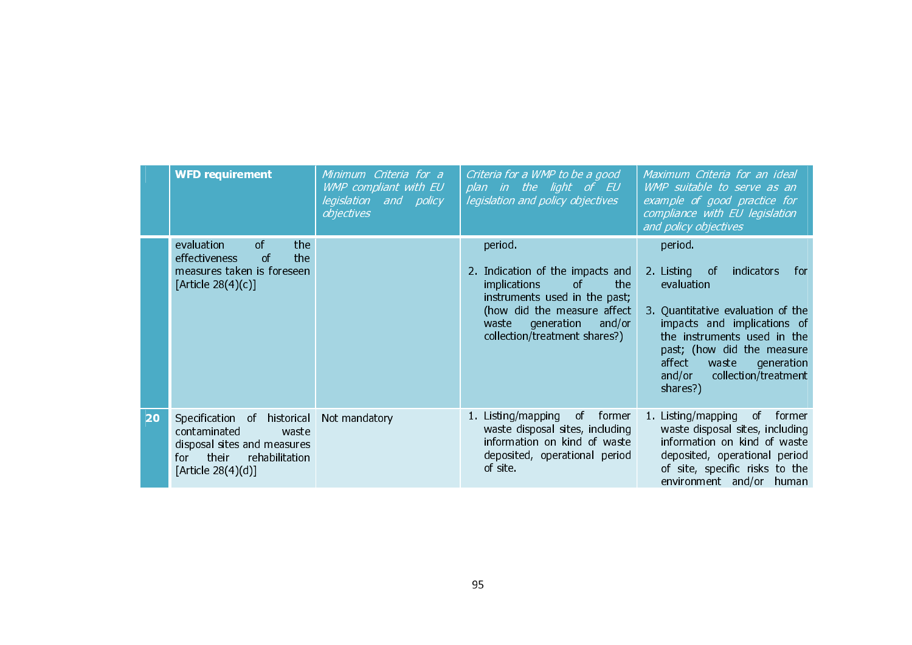|    | <b>WFD requirement</b>                                                                                                                            | Minimum Criteria for a<br>WMP compliant with EU<br><i>legislation and policy</i><br>objectives | Criteria for a WMP to be a good<br>plan in the light of EU<br>legislation and policy objectives                                                                                                            | Maximum Criteria for an ideal<br>WMP suitable to serve as an<br>example of good practice for<br>compliance with EU legislation<br>and policy objectives                                                                                                                               |
|----|---------------------------------------------------------------------------------------------------------------------------------------------------|------------------------------------------------------------------------------------------------|------------------------------------------------------------------------------------------------------------------------------------------------------------------------------------------------------------|---------------------------------------------------------------------------------------------------------------------------------------------------------------------------------------------------------------------------------------------------------------------------------------|
|    | $\circ$ f<br>the<br>evaluation<br><sub>of</sub><br>the<br>effectiveness<br>measures taken is foreseen<br>[Article $28(4)(c)$ ]                    |                                                                                                | period.<br>2. Indication of the impacts and<br>implications<br>of<br>the<br>instruments used in the past;<br>(how did the measure affect<br>generation<br>and/or<br>waste<br>collection/treatment shares?) | period.<br>2. Listing of<br>indicators<br>for.<br>evaluation<br>3. Quantitative evaluation of the<br>impacts and implications of<br>the instruments used in the<br>past; (how did the measure<br>affect<br>waste<br>generation<br>collection/treatment<br>and/or $\qquad$<br>shares?) |
| 20 | historical<br>Specification of<br>contaminated<br>waste<br>disposal sites and measures<br>their<br>rehabilitation<br>for<br>[Article $28(4)(d)$ ] | Not mandatory                                                                                  | 1. Listing/mapping<br>of former<br>waste disposal sites, including<br>information on kind of waste<br>deposited, operational period<br>of site.                                                            | 1. Listing/mapping<br>of<br>former<br>waste disposal sites, including<br>information on kind of waste<br>deposited, operational period<br>of site, specific risks to the<br>environment and/or<br>human                                                                               |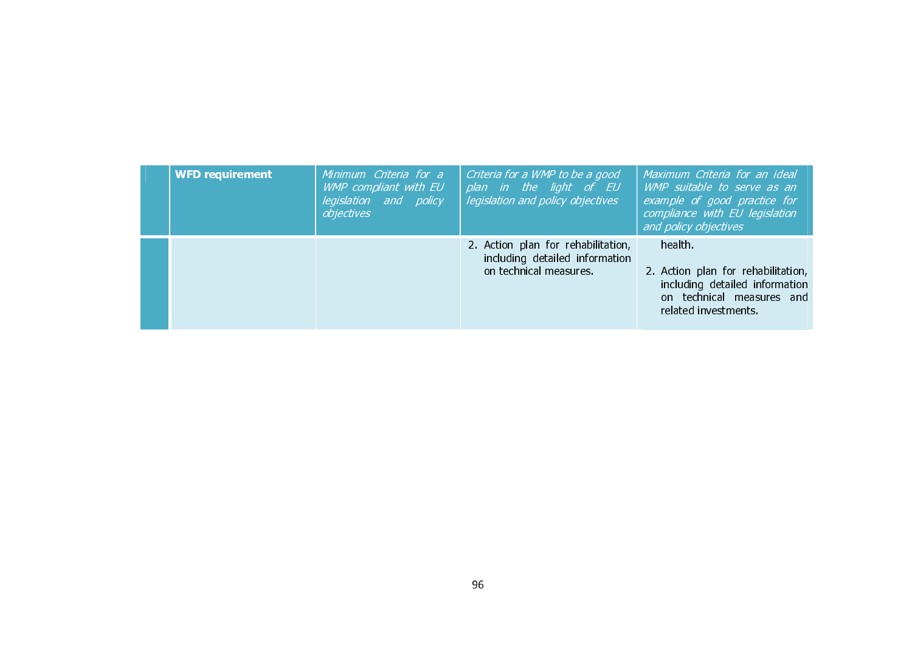| <b>WFD requirement</b> | Minimum Criteria for a<br>WMP compliant with EU<br>legislation and policy<br>objectives | Criteria for a WMP to be a good<br>plan in the light of EU<br>legislation and policy objectives | Maximum Criteria for an ideal<br>WMP suitable to serve as an<br>example of good practice for<br>compliance with EU legislation<br>and policy objectives |
|------------------------|-----------------------------------------------------------------------------------------|-------------------------------------------------------------------------------------------------|---------------------------------------------------------------------------------------------------------------------------------------------------------|
|                        |                                                                                         | 2. Action plan for rehabilitation,<br>including detailed information<br>on technical measures.  | health.<br>2. Action plan for rehabilitation,<br>including detailed information<br>on technical measures and<br>related investments.                    |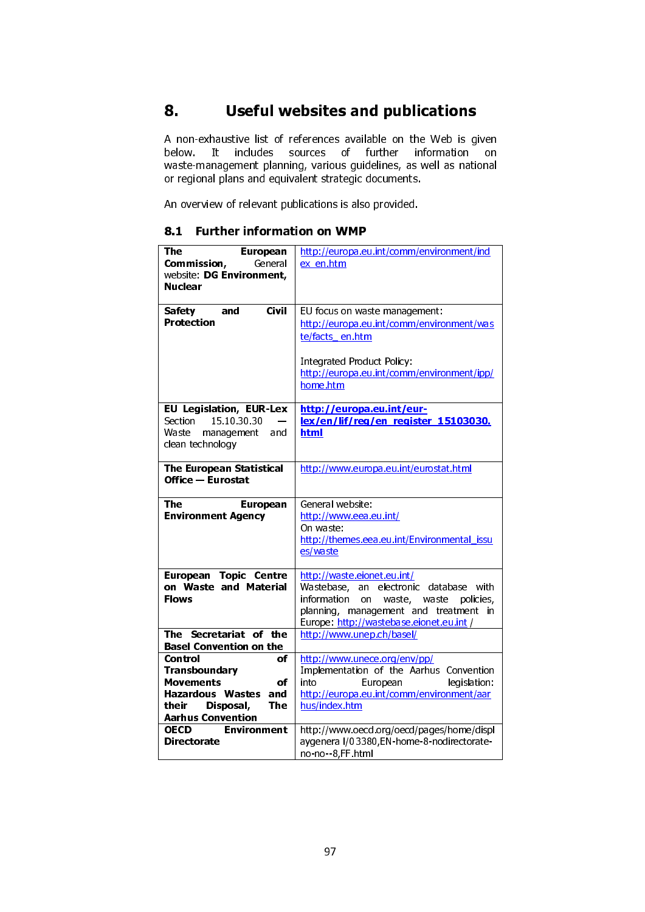# 8. Useful websites and publications

A non-exhaustive list of references available on the Web is given below. It includes sources of further information on waste-management planning, various guidelines, as well as national or regional plans and equivalent strategic documents.

An overview of relevant publications is also provided.

#### 8.1 Further information on WMP

| <b>The</b><br><b>European</b><br><b>Commission,</b> General<br>website: DG Environment,<br><b>Nuclear</b> | http://europa.eu.int/comm/environment/ind<br>ex en.htm                                                                                                                                              |
|-----------------------------------------------------------------------------------------------------------|-----------------------------------------------------------------------------------------------------------------------------------------------------------------------------------------------------|
| <b>Civil</b><br>Safety and<br>Protection                                                                  | EU focus on waste management:<br>http://europa.eu.int/comm/environment/was<br>te/facts en.htm                                                                                                       |
|                                                                                                           | <b>Integrated Product Policy:</b><br>http://europa.eu.int/comm/environment/ipp/<br>home.htm                                                                                                         |
| EU Legislation, EUR-Lex<br>15 10 30 30<br>Section<br>Waste management<br>and<br>clean technology          | http://europa.eu.int/eur-<br>lex/en/lif/reg/en register 15103030.<br>html                                                                                                                           |
| The European Statistical<br><b>Office - Eurostat</b>                                                      | http://www.europa.eu.int/eurostat.html                                                                                                                                                              |
| The<br><b>European</b><br><b>Environment Agency</b>                                                       | General website:<br>http://www.eea.eu.int/<br>On waste:<br>http://themes.eea.eu.int/Environmental_issu<br>es/waste                                                                                  |
| <b>European Topic Centre</b><br>on Waste and Material<br><b>Flows</b>                                     | http://waste.eionet.eu.int/<br>Wastebase, an electronic database with<br>information on waste, waste policies,<br>planning, management and treatment in<br>Europe: http://wastebase.eionet.eu.int / |
| The Secretariat of the<br><b>Basel Convention on the</b><br><b>Control</b><br>of<br>Transboundary         | http://www.unep.ch/basel/<br>http://www.unece.org/env/pp/<br>Implementation of the Aarhus Convention                                                                                                |
| <b>Movements</b><br>of<br>Hazardous Wastes and<br>their Disposal,<br>The<br><b>Aarhus Convention</b>      | into<br>European<br>legislation:<br>http://europa.eu.int/comm/environment/aar<br>hus/index.htm                                                                                                      |
| <b>OECD</b><br><b>Environment</b><br><b>Directorate</b>                                                   | http://www.oecd.org/oecd/pages/home/displ<br>aygenera I/03380, EN-home-8-nodirectorate-<br>no-no--8,FF.html                                                                                         |
|                                                                                                           |                                                                                                                                                                                                     |
|                                                                                                           | 97                                                                                                                                                                                                  |
|                                                                                                           |                                                                                                                                                                                                     |
|                                                                                                           |                                                                                                                                                                                                     |
|                                                                                                           |                                                                                                                                                                                                     |
|                                                                                                           |                                                                                                                                                                                                     |
|                                                                                                           |                                                                                                                                                                                                     |
|                                                                                                           |                                                                                                                                                                                                     |
|                                                                                                           |                                                                                                                                                                                                     |
|                                                                                                           |                                                                                                                                                                                                     |
|                                                                                                           |                                                                                                                                                                                                     |
|                                                                                                           |                                                                                                                                                                                                     |
|                                                                                                           |                                                                                                                                                                                                     |
|                                                                                                           |                                                                                                                                                                                                     |
|                                                                                                           |                                                                                                                                                                                                     |
|                                                                                                           |                                                                                                                                                                                                     |
|                                                                                                           |                                                                                                                                                                                                     |
|                                                                                                           |                                                                                                                                                                                                     |
|                                                                                                           |                                                                                                                                                                                                     |
|                                                                                                           |                                                                                                                                                                                                     |
|                                                                                                           |                                                                                                                                                                                                     |
|                                                                                                           |                                                                                                                                                                                                     |
|                                                                                                           |                                                                                                                                                                                                     |
|                                                                                                           |                                                                                                                                                                                                     |
|                                                                                                           |                                                                                                                                                                                                     |
|                                                                                                           |                                                                                                                                                                                                     |
|                                                                                                           |                                                                                                                                                                                                     |
|                                                                                                           |                                                                                                                                                                                                     |
|                                                                                                           |                                                                                                                                                                                                     |
|                                                                                                           |                                                                                                                                                                                                     |
|                                                                                                           |                                                                                                                                                                                                     |
|                                                                                                           |                                                                                                                                                                                                     |
|                                                                                                           |                                                                                                                                                                                                     |
|                                                                                                           |                                                                                                                                                                                                     |
|                                                                                                           |                                                                                                                                                                                                     |
|                                                                                                           |                                                                                                                                                                                                     |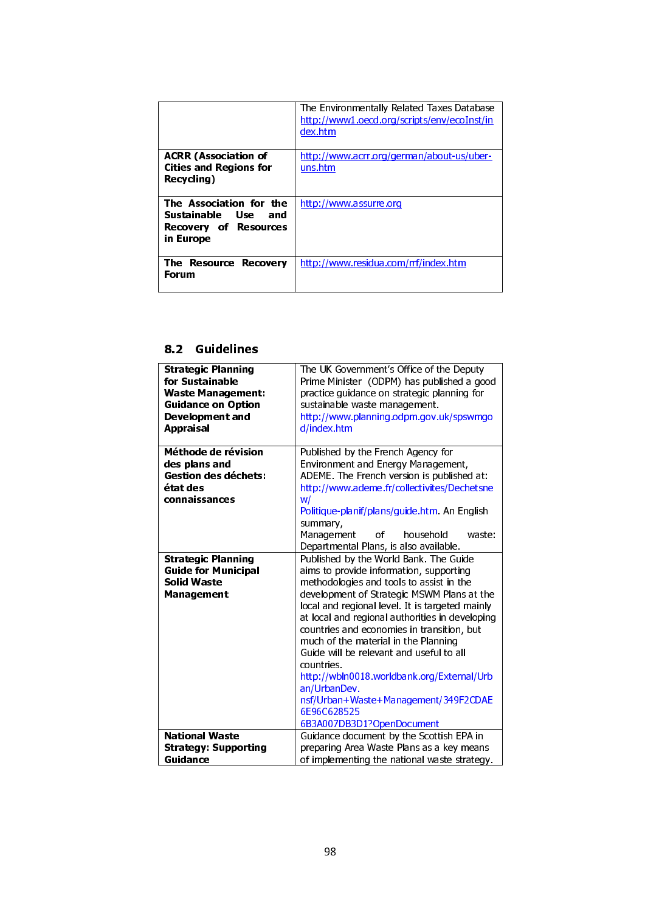|                               | The Environmentally Related Taxes Database<br>http://www1.oecd.org/scripts/env/ecoInst/in<br>dex.htm |
|-------------------------------|------------------------------------------------------------------------------------------------------|
| <b>ACRR (Association of</b>   | http://www.acrr.org/german/about-us/uber-                                                            |
| <b>Cities and Regions for</b> | uns.htm                                                                                              |
| Recycling)                    |                                                                                                      |
|                               |                                                                                                      |
|                               |                                                                                                      |
| The Association for the       | http://www.assurre.org                                                                               |
| Sustainable Use<br>and        |                                                                                                      |
| Recovery of Resources         |                                                                                                      |
| in Europe                     |                                                                                                      |
|                               |                                                                                                      |
| The Resource Recovery         | http://www.residua.com/rrf/index.htm                                                                 |
|                               |                                                                                                      |
| Forum                         |                                                                                                      |
|                               |                                                                                                      |

## 8.2 Guidelines

| <b>Strategic Planning</b><br>for Sustainable<br><b>Waste Management:</b><br><b>Guidance on Option</b><br>Development and<br><b>Appraisal</b> | The UK Government's Office of the Deputy<br>Prime Minister (ODPM) has published a good<br>practice guidance on strategic planning for<br>sustainable waste management.<br>http://www.planning.odpm.gov.uk/spswmgo<br>d/index.htm                                                                                                                                                                                                                                                                                                                                                                                                            |
|----------------------------------------------------------------------------------------------------------------------------------------------|---------------------------------------------------------------------------------------------------------------------------------------------------------------------------------------------------------------------------------------------------------------------------------------------------------------------------------------------------------------------------------------------------------------------------------------------------------------------------------------------------------------------------------------------------------------------------------------------------------------------------------------------|
| Méthode de révision<br>des plans and<br><b>Gestion des déchets:</b><br>état des<br>connaissances                                             | Published by the French Agency for<br>Environment and Energy Management,<br>ADEME. The French version is published at:<br>http://www.ademe.fr/collectivites/Dechetsne<br>W/<br>Politique-planif/plans/guide.htm. An English<br>summary,                                                                                                                                                                                                                                                                                                                                                                                                     |
| <b>Strategic Planning</b><br><b>Guide for Municipal</b><br><b>Solid Waste</b><br>Management                                                  | Management<br>household<br>of<br>waste:<br>Departmental Plans, is also available.<br>Published by the World Bank. The Guide<br>aims to provide information, supporting<br>methodologies and tools to assist in the<br>development of Strategic MSWM Plans at the<br>local and regional level. It is targeted mainly<br>at local and regional authorities in developing<br>countries and economies in transition, but<br>much of the material in the Planning<br>Guide will be relevant and useful to all<br>countries.<br>http://wbln0018.worldbank.org/External/Urb<br>an/UrbanDev.<br>nsf/Urban+Waste+Management/349F2CDAE<br>6E96C628525 |
| <b>National Waste</b><br><b>Strategy: Supporting</b><br>Guidance                                                                             | 6B3A007DB3D1?OpenDocument<br>Guidance document by the Scottish EPA in<br>preparing Area Waste Plans as a key means<br>of implementing the national waste strategy.                                                                                                                                                                                                                                                                                                                                                                                                                                                                          |
|                                                                                                                                              | 98                                                                                                                                                                                                                                                                                                                                                                                                                                                                                                                                                                                                                                          |
|                                                                                                                                              |                                                                                                                                                                                                                                                                                                                                                                                                                                                                                                                                                                                                                                             |
|                                                                                                                                              |                                                                                                                                                                                                                                                                                                                                                                                                                                                                                                                                                                                                                                             |
|                                                                                                                                              |                                                                                                                                                                                                                                                                                                                                                                                                                                                                                                                                                                                                                                             |
|                                                                                                                                              |                                                                                                                                                                                                                                                                                                                                                                                                                                                                                                                                                                                                                                             |
|                                                                                                                                              |                                                                                                                                                                                                                                                                                                                                                                                                                                                                                                                                                                                                                                             |
|                                                                                                                                              |                                                                                                                                                                                                                                                                                                                                                                                                                                                                                                                                                                                                                                             |
|                                                                                                                                              |                                                                                                                                                                                                                                                                                                                                                                                                                                                                                                                                                                                                                                             |
|                                                                                                                                              |                                                                                                                                                                                                                                                                                                                                                                                                                                                                                                                                                                                                                                             |
|                                                                                                                                              |                                                                                                                                                                                                                                                                                                                                                                                                                                                                                                                                                                                                                                             |
|                                                                                                                                              |                                                                                                                                                                                                                                                                                                                                                                                                                                                                                                                                                                                                                                             |
|                                                                                                                                              |                                                                                                                                                                                                                                                                                                                                                                                                                                                                                                                                                                                                                                             |
|                                                                                                                                              |                                                                                                                                                                                                                                                                                                                                                                                                                                                                                                                                                                                                                                             |
|                                                                                                                                              |                                                                                                                                                                                                                                                                                                                                                                                                                                                                                                                                                                                                                                             |
|                                                                                                                                              |                                                                                                                                                                                                                                                                                                                                                                                                                                                                                                                                                                                                                                             |
|                                                                                                                                              |                                                                                                                                                                                                                                                                                                                                                                                                                                                                                                                                                                                                                                             |
|                                                                                                                                              |                                                                                                                                                                                                                                                                                                                                                                                                                                                                                                                                                                                                                                             |
|                                                                                                                                              |                                                                                                                                                                                                                                                                                                                                                                                                                                                                                                                                                                                                                                             |
|                                                                                                                                              |                                                                                                                                                                                                                                                                                                                                                                                                                                                                                                                                                                                                                                             |
|                                                                                                                                              |                                                                                                                                                                                                                                                                                                                                                                                                                                                                                                                                                                                                                                             |
|                                                                                                                                              |                                                                                                                                                                                                                                                                                                                                                                                                                                                                                                                                                                                                                                             |
|                                                                                                                                              |                                                                                                                                                                                                                                                                                                                                                                                                                                                                                                                                                                                                                                             |
|                                                                                                                                              |                                                                                                                                                                                                                                                                                                                                                                                                                                                                                                                                                                                                                                             |
|                                                                                                                                              |                                                                                                                                                                                                                                                                                                                                                                                                                                                                                                                                                                                                                                             |
|                                                                                                                                              |                                                                                                                                                                                                                                                                                                                                                                                                                                                                                                                                                                                                                                             |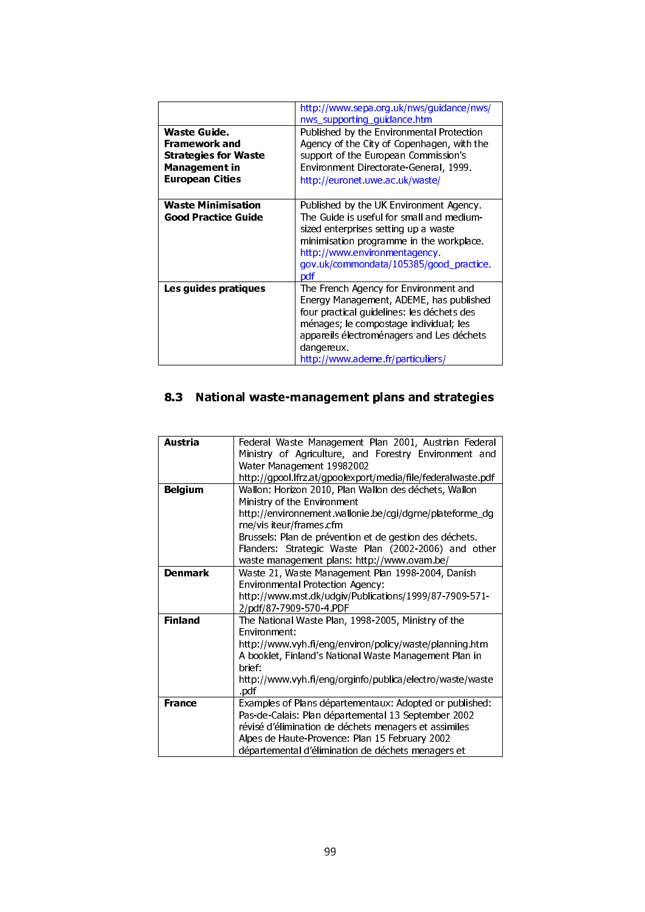|                                                                                                         | http://www.sepa.org.uk/nws/guidance/nws/<br>nws_supporting_guidance.htm                                                                                                                                                                                                  |
|---------------------------------------------------------------------------------------------------------|--------------------------------------------------------------------------------------------------------------------------------------------------------------------------------------------------------------------------------------------------------------------------|
| Waste Guide.<br>Framework and<br><b>Strategies for Waste</b><br>Management in<br><b>European Cities</b> | Published by the Environmental Protection<br>Agency of the City of Copenhagen, with the<br>support of the European Commission's<br>Environment Directorate-General, 1999.<br>http://euronet.uwe.ac.uk/waste/                                                             |
| <b>Waste Minimisation</b><br>Good Practice Guide                                                        | Published by the UK Environment Agency.<br>The Guide is useful for small and medium-<br>sized enterprises setting up a waste<br>minimisation programme in the workplace.<br>http://www.environmentagency.<br>gov.uk/commondata/105385/good practice.<br>pdf              |
| Les guides pratiques                                                                                    | The French Agency for Environment and<br>Energy Management, ADEME, has published<br>four practical guidelines: les déchets des<br>ménages; le compostage individual; les<br>appareils électroménagers and Les déchets<br>dangereux.<br>http://www.ademe.fr/particuliers/ |

## 8.3 National waste-management plans and strategies

| <b>Austria</b> | Federal Waste Management Plan 2001, Austrian Federal                                                                  |
|----------------|-----------------------------------------------------------------------------------------------------------------------|
|                | Ministry of Agriculture, and Forestry Environment and<br>Water Management 19982002                                    |
| <b>Belgium</b> | http://gpool.lfrz.at/gpoolexport/media/file/federalwaste.pdf<br>Wallon: Horizon 2010, Plan Wallon des déchets, Wallon |
|                | Ministry of the Environment<br>http://environnement.wallonie.be/cgi/dgrne/plateforme_dg                               |
|                | rne/vis iteur/frames.cfm<br>Brussels: Plan de prévention et de gestion des déchets.                                   |
|                | Flanders: Strategic Waste Plan (2002-2006) and other<br>waste management plans: http://www.ovam.be/                   |
| <b>Denmark</b> | Waste 21, Waste Management Plan 1998-2004, Danish<br><b>Environmental Protection Agency:</b>                          |
|                | http://www.mst.dk/udgiv/Publications/1999/87-7909-571-<br>2/pdf/87-7909-570-4.PDF                                     |
| <b>Finland</b> | The National Waste Plan, 1998-2005, Ministry of the<br>Environment:                                                   |
|                | http://www.vyh.fi/eng/environ/policy/waste/planning.htm<br>A booklet, Finland's National Waste Management Plan in     |
|                | brief:<br>http://www.vyh.fi/eng/orginfo/publica/electro/waste/waste                                                   |
| <b>France</b>  | pdf<br>Examples of Plans départementaux: Adopted or published:                                                        |
|                | Pas-de-Calais: Plan départemental 13 September 2002<br>révisé d'élimination de déchets menagers et assimiles          |
|                | Alpes de Haute-Provence: Plan 15 February 2002<br>départemental d'élimination de déchets menagers et                  |
|                |                                                                                                                       |
|                |                                                                                                                       |
|                |                                                                                                                       |
|                |                                                                                                                       |
|                | 99                                                                                                                    |
|                |                                                                                                                       |
|                |                                                                                                                       |
|                |                                                                                                                       |
|                |                                                                                                                       |
|                |                                                                                                                       |
|                |                                                                                                                       |
|                |                                                                                                                       |
|                |                                                                                                                       |
|                |                                                                                                                       |
|                |                                                                                                                       |
|                |                                                                                                                       |
|                |                                                                                                                       |
|                |                                                                                                                       |
|                |                                                                                                                       |
|                |                                                                                                                       |
|                |                                                                                                                       |
|                |                                                                                                                       |
|                |                                                                                                                       |
|                |                                                                                                                       |
|                |                                                                                                                       |
|                |                                                                                                                       |
|                |                                                                                                                       |
|                |                                                                                                                       |
|                |                                                                                                                       |
|                |                                                                                                                       |
|                |                                                                                                                       |
|                |                                                                                                                       |
|                |                                                                                                                       |
|                |                                                                                                                       |
|                |                                                                                                                       |
|                |                                                                                                                       |
|                |                                                                                                                       |
|                |                                                                                                                       |
|                |                                                                                                                       |
|                |                                                                                                                       |
|                |                                                                                                                       |
|                |                                                                                                                       |
|                |                                                                                                                       |
|                |                                                                                                                       |
|                |                                                                                                                       |
|                |                                                                                                                       |
|                |                                                                                                                       |
|                |                                                                                                                       |
|                |                                                                                                                       |
|                |                                                                                                                       |
|                |                                                                                                                       |
|                |                                                                                                                       |
|                |                                                                                                                       |
|                |                                                                                                                       |
|                |                                                                                                                       |
|                |                                                                                                                       |
|                |                                                                                                                       |
|                |                                                                                                                       |
|                |                                                                                                                       |
|                |                                                                                                                       |
|                |                                                                                                                       |
|                |                                                                                                                       |
|                |                                                                                                                       |
|                |                                                                                                                       |
|                |                                                                                                                       |
|                |                                                                                                                       |
|                |                                                                                                                       |
|                |                                                                                                                       |
|                |                                                                                                                       |
|                |                                                                                                                       |
|                |                                                                                                                       |
|                |                                                                                                                       |
|                |                                                                                                                       |
|                |                                                                                                                       |
|                |                                                                                                                       |
|                |                                                                                                                       |
|                |                                                                                                                       |
|                |                                                                                                                       |
|                |                                                                                                                       |
|                |                                                                                                                       |
|                |                                                                                                                       |
|                |                                                                                                                       |
|                |                                                                                                                       |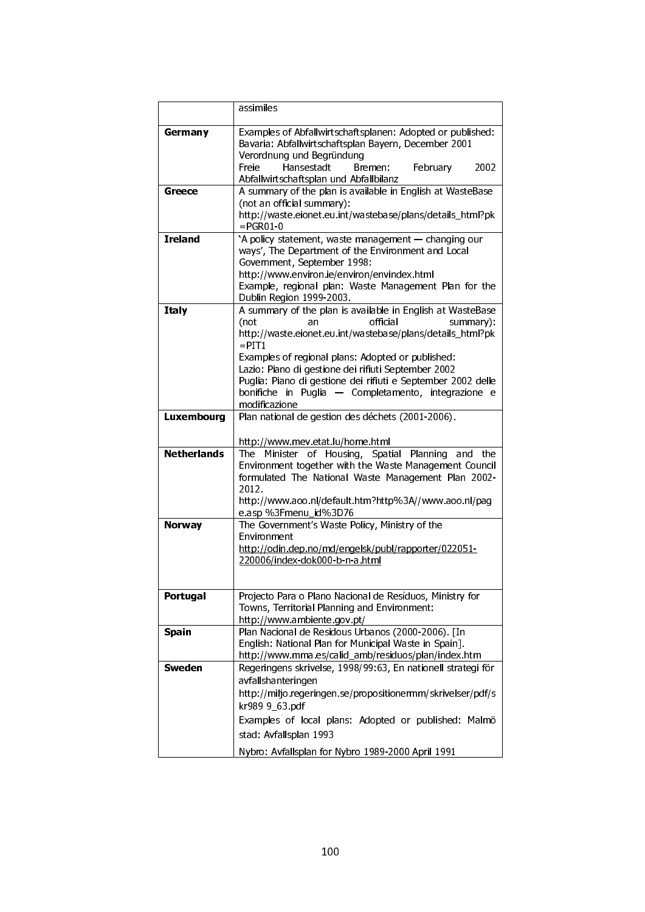|                    | assimiles                                                                                                                                       |
|--------------------|-------------------------------------------------------------------------------------------------------------------------------------------------|
| Germany            | Examples of Abfallwirtschaftsplanen: Adopted or published:<br>Bavaria: Abfallwirtschaftsplan Bayern, December 2001<br>Verordnung und Begründung |
|                    | Hansestadt<br>2002<br>Freie<br>Bremen:<br>February<br>Abfallwirtschaftsplan und Abfallbilanz                                                    |
| Greece             | A summary of the plan is available in English at WasteBase                                                                                      |
|                    | (not an official summary):                                                                                                                      |
|                    | http://waste.eionet.eu.int/wastebase/plans/details_html?pk<br>$=$ PGR01-0                                                                       |
| <b>Ireland</b>     | 'A policy statement, waste management - changing our                                                                                            |
|                    | ways', The Department of the Environment and Local                                                                                              |
|                    | Government, September 1998:<br>http://www.environ.ie/environ/envindex.html                                                                      |
|                    | Example, regional plan: Waste Management Plan for the                                                                                           |
|                    | Dublin Region 1999-2003.                                                                                                                        |
| <b>Italy</b>       | A summary of the plan is available in English at WasteBase                                                                                      |
|                    | (not<br>official<br>summary):<br>an                                                                                                             |
|                    | http://waste.eionet.eu.int/wastebase/plans/details_html?pk<br>$=$ PIT1                                                                          |
|                    | Examples of regional plans: Adopted or published:                                                                                               |
|                    | Lazio: Piano di gestione dei rifiuti September 2002                                                                                             |
|                    | Puglia: Piano di gestione dei rifiuti e September 2002 delle                                                                                    |
|                    | bonifiche in Puglia - Completamento, integrazione e                                                                                             |
|                    | modificazione                                                                                                                                   |
| Luxembourg         | Plan national de gestion des déchets (2001-2006).                                                                                               |
|                    | http://www.mev.etat.lu/home.html                                                                                                                |
| <b>Netherlands</b> | The<br>Housing, Spatial<br>Minister<br>Planning<br>the<br>of<br>and                                                                             |
|                    | Environment together with the Waste Management Council                                                                                          |
|                    | formulated The National Waste Management Plan 2002-                                                                                             |
|                    | 2012                                                                                                                                            |
|                    | http://www.aoo.nl/default.htm?http%3A//www.aoo.nl/pag<br>e asp %3Fmenu_id%3D76                                                                  |
| <b>Norway</b>      | The Government's Waste Policy, Ministry of the                                                                                                  |
|                    | Environment                                                                                                                                     |
|                    | http://odin.dep.no/md/engelsk/publ/rapporter/022051-                                                                                            |
|                    | 220006/index-dok000-b-n-a.html                                                                                                                  |
|                    |                                                                                                                                                 |
| Portugal           | Projecto Para o Plano Nacional de Resíduos, Ministry for                                                                                        |
|                    | Towns, Territorial Planning and Environment:                                                                                                    |
|                    | http://www.ambiente.gov.pt/                                                                                                                     |
| <b>Spain</b>       | Plan Nacional de Residous Urbanos (2000-2006). [In                                                                                              |
|                    | English: National Plan for Municipal Waste in Spain].                                                                                           |
| <b>Sweden</b>      | http://www.mma.es/calid_amb/residuos/plan/index.htm<br>Regeringens skrivelse, 1998/99:63, En nationell strategi för                             |
|                    | avfallshanteringen                                                                                                                              |
|                    | http://miljo.regeringen.se/propositionermm/skrivelser/pdf/s                                                                                     |
|                    | kr989 9_63.pdf                                                                                                                                  |
|                    | Examples of local plans: Adopted or published: Malmö                                                                                            |
|                    | stad: Avfallsplan 1993                                                                                                                          |
|                    | Nybro: Avfallsplan for Nybro 1989-2000 April 1991                                                                                               |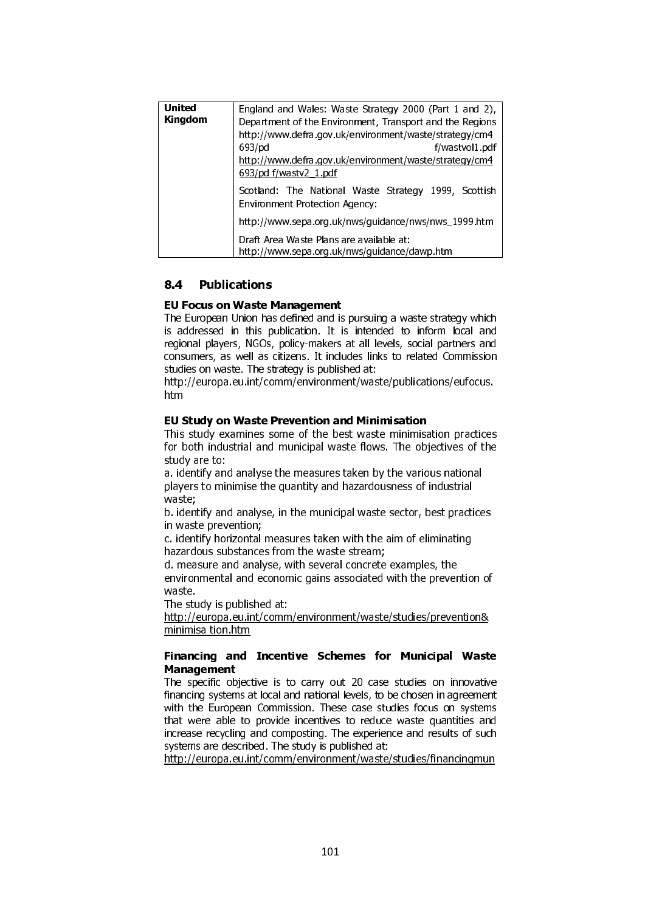| United<br>Kingdom | England and Wales: Waste Strategy 2000 (Part 1 and 2),<br>Department of the Environment, Transport and the Regions<br>http://www.defra.gov.uk/environment/waste/strategy/cm4 |
|-------------------|------------------------------------------------------------------------------------------------------------------------------------------------------------------------------|
|                   | 693/pd<br>f/wastvol1 pdf                                                                                                                                                     |
|                   | http://www.defra.gov.uk/environment/waste/strategy/cm4<br>693/pd f/wastv2_1 pdf                                                                                              |
|                   | Scotland: The National Waste Strategy 1999, Scottish<br>Environment Protection Agency:                                                                                       |
|                   | http://www.sepa.org.uk/nws/guidance/nws/nws_1999.htm                                                                                                                         |
|                   | Draft Area Waste Plans are available at:<br>http://www.sepa.org.uk/nws/guidance/dawp.htm                                                                                     |

#### 8.4 **Publications**

#### EU Focus on Waste Management

The European Union has defined and is pursuing a waste strategy which is addressed in this publication. It is intended to inform local and regional players, NGOs, policy-makers at all levels, social partners and consumers, as well as citizens. It includes links to related Commission studies on waste. The strategy is published at:

http://europa.eu.int/comm/environment/waste/publications/eufocus. htm

#### EU Study on Waste Prevention and Minimisation

This study examines some of the best waste minimisation practices for both industrial and municipal waste flows. The objectives of the study are to:

a. identify and analyse the measures taken by the various national players to minimise the quantity and hazardousness of industrial waste;

b. identify and analyse, in the municipal waste sector, best practices in waste prevention;

c. identify horizontal measures taken with the aim of eliminating hazardous substances from the waste stream;

d. measure and analyse, with several concrete examples, the environmental and economic gains associated with the prevention of waste.

The study is published at:

http://europa.eu.int/comm/environment/waste/studies/prevention& minimisa tion.htm

#### Financing and Incentive Schemes for Municipal Waste Management

 **EU Focus on Waste T**<br>The European Union has<br>is addressed in this p<br>regional players, NGOs,<br>consumers, as well as is<br>studies on waste. The st<br>http://europa.eu.int/co<br>htm<br>**EU Study on Waste F**<br>This study examines so<br>for bot The specific objective is to carry out 20 case studies on innovative financing systems at local and national levels, to be chosen in agreement with the European Commission. These case studies focus on systems that were able to provide incentives to reduce waste quantities and increase recycling and composting. The experience and results of such systems are described. The study is published at:

http://europa.eu.int/comm/environment/waste/studies/financingmun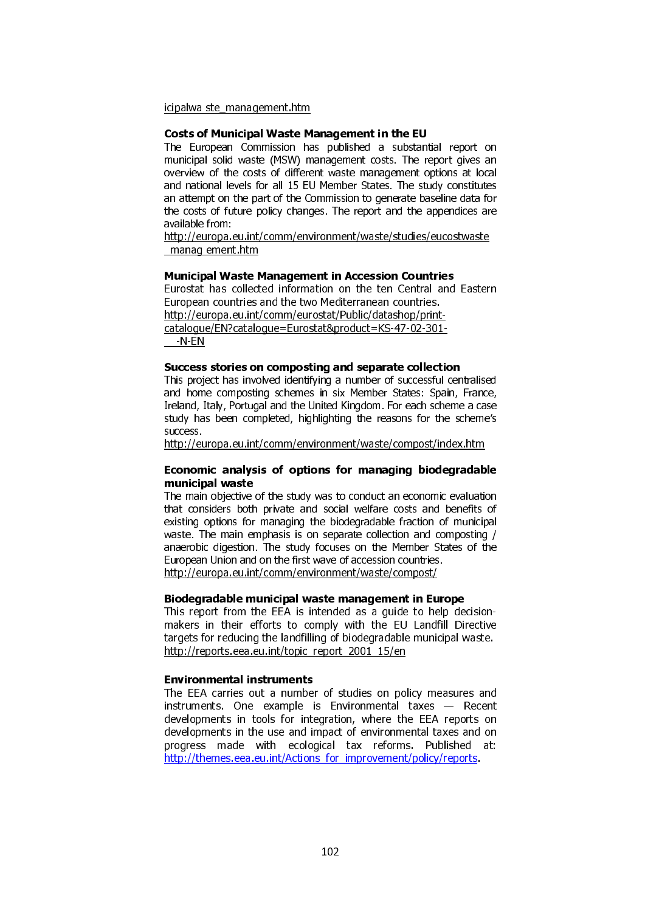icipalwa ste\_management.htm

#### Costs of Municipal Waste Management in the EU

The European Commission has published a substantial report on municipal solid waste (MSW) management costs. The report gives an overview of the costs of different waste management options at local and national levels for all 15 EU Member States. The study constitutes an attempt on the part of the Commission to generate baseline data for the costs of future policy changes. The report and the appendices are available from:

http://europa.eu.int/comm/environment/waste/studies/eucostwaste \_manag ement.htm

#### Municipal Waste Management in Accession Countries

Eurostat has collected information on the ten Central and Eastern European countries and the two Mediterranean countries. http://europa.eu.int/comm/eurostat/Public/datashop/printcatalogue/EN?catalogue=Eurostat&product=KS-47-02-301-  $-N-EN$ 

#### Success stories on composting and separate collection

This project has involved identifying a number of successful centralised and home composting schemes in six Member States: Spain, France, Ireland, Italy, Portugal and the United Kingdom. For each scheme a case study has been completed, highlighting the reasons for the scheme's success.

http://europa.eu.int/comm/environment/waste/compost/index.htm

#### Economic analysis of options for managing biodegradable municipal waste

The main objective of the study was to conduct an economic evaluation that considers both private and social welfare costs and benefits of existing options for managing the biodegradable fraction of municipal waste. The main emphasis is on separate collection and composting / anaerobic digestion. The study focuses on the Member States of the European Union and on the first wave of accession countries. http://europa.eu.int/comm/environment/waste/compost/

#### Biodegradable municipal waste management in Europe

This report from the EEA is intended as a guide to help decisionmakers in their efforts to comply with the EU Landfill Directive targets for reducing the landfilling of biodegradable municipal waste. http://reports.eea.eu.int/topic\_report\_2001\_15/en

#### Environmental instruments

The EEA carries out a number of studies on policy measures and instruments. One example is Environmental taxes — Recent developments in tools for integration, where the EEA reports on developments in the use and impact of environmental taxes and on progress made with ecological tax reforms. Published at: http://themes.eea.eu.int/Actions for improvement/policy/reports.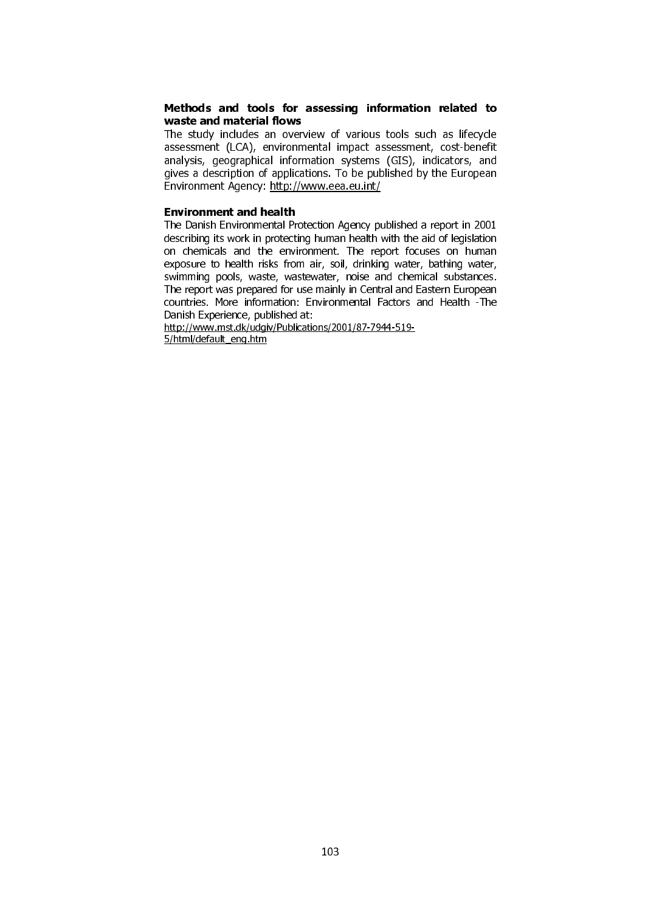#### Methods and tools for assessing information related to waste and material flows

The study includes an overview of various tools such as lifecycle assessment (LCA), environmental impact assessment, cost-benefit analysis, geographical information systems (GIS), indicators, and gives a description of applications. To be published by the European Environment Agency: http://www.eea.eu.int/

#### Environment and health

The Danish Environmental Protection Agency published a report in 2001 describing its work in protecting human health with the aid of legislation on chemicals and the environment. The report focuses on human exposure to health risks from air, soil, drinking water, bathing water, swimming pools, waste, wastewater, noise and chemical substances. The report was prepared for use mainly in Central and Eastern European countries. More information: Environmental Factors and Health -The Danish Experience, published at:

http://www.mst.dk/udgiv/Publications/2001/87-7944-519- 5/html/default\_eng.htm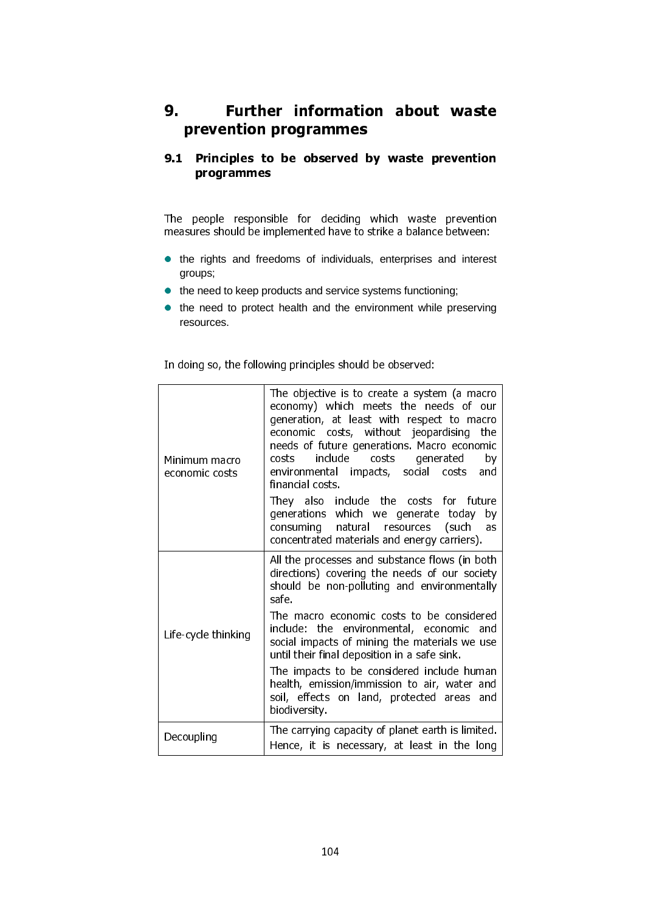## 9. Further information about waste prevention programmes

### 9.1 Principles to be observed by waste prevention programmes

- the rights and freedoms of individuals, enterprises and interest groups;
- the need to keep products and service systems functioning;
- the need to protect health and the environment while preserving resources.

| programmes                                                                                                                                        |                                                                                                                                        |  |
|---------------------------------------------------------------------------------------------------------------------------------------------------|----------------------------------------------------------------------------------------------------------------------------------------|--|
|                                                                                                                                                   | The people responsible for deciding which waste prevention                                                                             |  |
| measures should be implemented have to strike a balance between:<br>the rights and freedoms of individuals, enterprises and interest<br>$\bullet$ |                                                                                                                                        |  |
| groups;<br>the need to keep products and service systems functioning;<br>$\bullet$                                                                |                                                                                                                                        |  |
| resources.                                                                                                                                        | • the need to protect health and the environment while preserving                                                                      |  |
|                                                                                                                                                   | In doing so, the following principles should be observed:                                                                              |  |
|                                                                                                                                                   | The objective is to create a system (a macro<br>economy) which meets the needs of our                                                  |  |
|                                                                                                                                                   | generation, at least with respect to macro<br>economic costs, without jeopardising<br>the                                              |  |
| Minimum macro<br>economic costs                                                                                                                   | needs of future generations. Macro economic<br>costs include<br>costs<br>generated<br>by<br>environmental impacts, social costs<br>and |  |
|                                                                                                                                                   | financial costs<br>They also include the costs for future                                                                              |  |
|                                                                                                                                                   | generations which we generate today by<br>consuming natural resources<br>(such<br>as<br>concentrated materials and energy carriers).   |  |
|                                                                                                                                                   | All the processes and substance flows (in both<br>directions) covering the needs of our society                                        |  |
|                                                                                                                                                   | should be non-polluting and environmentally<br>safe                                                                                    |  |
| Life-cycle thinking                                                                                                                               | The macro economic costs to be considered<br>include: the environmental, economic and<br>social impacts of mining the materials we use |  |
|                                                                                                                                                   | until their final deposition in a safe sink.<br>The impacts to be considered include human                                             |  |
|                                                                                                                                                   | health, emission/immission to air, water and<br>soil, effects on land, protected areas<br>and<br>biodiversity.                         |  |
| Decoupling                                                                                                                                        | The carrying capacity of planet earth is limited.<br>Hence, it is necessary, at least in the long                                      |  |
|                                                                                                                                                   |                                                                                                                                        |  |
|                                                                                                                                                   |                                                                                                                                        |  |
|                                                                                                                                                   |                                                                                                                                        |  |
|                                                                                                                                                   | 104                                                                                                                                    |  |
|                                                                                                                                                   |                                                                                                                                        |  |
|                                                                                                                                                   |                                                                                                                                        |  |
|                                                                                                                                                   |                                                                                                                                        |  |
|                                                                                                                                                   |                                                                                                                                        |  |
|                                                                                                                                                   |                                                                                                                                        |  |
|                                                                                                                                                   |                                                                                                                                        |  |
|                                                                                                                                                   |                                                                                                                                        |  |
|                                                                                                                                                   |                                                                                                                                        |  |
|                                                                                                                                                   |                                                                                                                                        |  |
|                                                                                                                                                   |                                                                                                                                        |  |
|                                                                                                                                                   |                                                                                                                                        |  |
|                                                                                                                                                   |                                                                                                                                        |  |
|                                                                                                                                                   |                                                                                                                                        |  |
|                                                                                                                                                   |                                                                                                                                        |  |
|                                                                                                                                                   |                                                                                                                                        |  |
|                                                                                                                                                   |                                                                                                                                        |  |
|                                                                                                                                                   |                                                                                                                                        |  |
|                                                                                                                                                   |                                                                                                                                        |  |
|                                                                                                                                                   |                                                                                                                                        |  |
|                                                                                                                                                   |                                                                                                                                        |  |
|                                                                                                                                                   |                                                                                                                                        |  |
|                                                                                                                                                   |                                                                                                                                        |  |
|                                                                                                                                                   |                                                                                                                                        |  |
|                                                                                                                                                   |                                                                                                                                        |  |
|                                                                                                                                                   |                                                                                                                                        |  |
|                                                                                                                                                   |                                                                                                                                        |  |
|                                                                                                                                                   |                                                                                                                                        |  |
|                                                                                                                                                   |                                                                                                                                        |  |
|                                                                                                                                                   |                                                                                                                                        |  |
|                                                                                                                                                   |                                                                                                                                        |  |
|                                                                                                                                                   |                                                                                                                                        |  |
|                                                                                                                                                   |                                                                                                                                        |  |
|                                                                                                                                                   |                                                                                                                                        |  |
|                                                                                                                                                   |                                                                                                                                        |  |
|                                                                                                                                                   |                                                                                                                                        |  |
|                                                                                                                                                   |                                                                                                                                        |  |
|                                                                                                                                                   |                                                                                                                                        |  |
|                                                                                                                                                   |                                                                                                                                        |  |
|                                                                                                                                                   |                                                                                                                                        |  |
|                                                                                                                                                   |                                                                                                                                        |  |
|                                                                                                                                                   |                                                                                                                                        |  |
|                                                                                                                                                   |                                                                                                                                        |  |
|                                                                                                                                                   |                                                                                                                                        |  |
|                                                                                                                                                   |                                                                                                                                        |  |
|                                                                                                                                                   |                                                                                                                                        |  |
|                                                                                                                                                   |                                                                                                                                        |  |
|                                                                                                                                                   |                                                                                                                                        |  |
|                                                                                                                                                   |                                                                                                                                        |  |
|                                                                                                                                                   |                                                                                                                                        |  |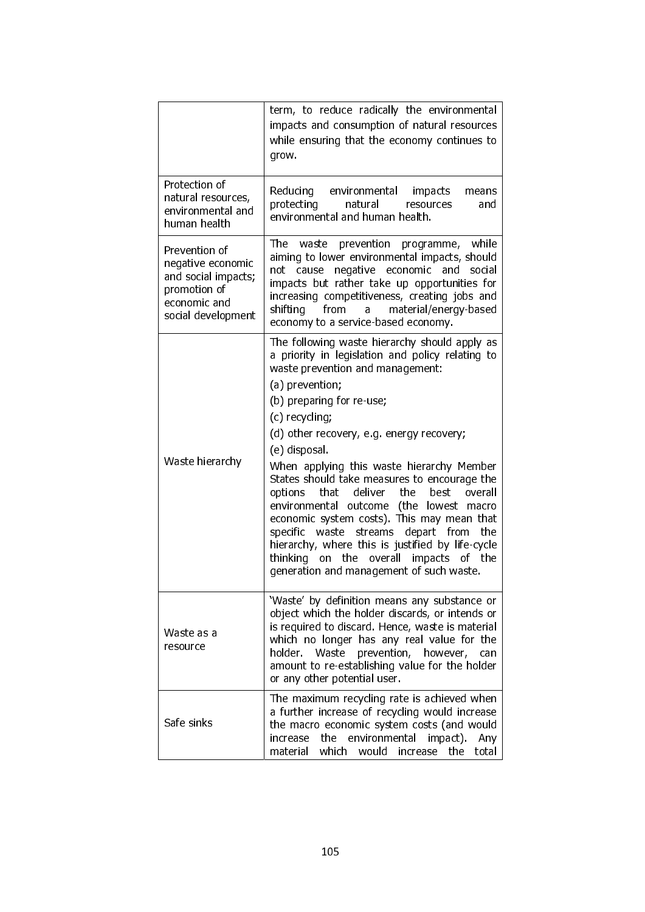|                                                                                                                 | term, to reduce radically the environmental<br>impacts and consumption of natural resources<br>while ensuring that the economy continues to<br>grow.                                                                                                                                                                                                                                                                                                                                                                                                                                                                                                                                                             |
|-----------------------------------------------------------------------------------------------------------------|------------------------------------------------------------------------------------------------------------------------------------------------------------------------------------------------------------------------------------------------------------------------------------------------------------------------------------------------------------------------------------------------------------------------------------------------------------------------------------------------------------------------------------------------------------------------------------------------------------------------------------------------------------------------------------------------------------------|
| Protection of<br>natural resources,<br>environmental and<br>human health                                        | Reducing environmental impacts<br>means<br>protecting<br>natural<br>resources<br>and<br>environmental and human health.                                                                                                                                                                                                                                                                                                                                                                                                                                                                                                                                                                                          |
| Prevention of<br>negative economic<br>and social impacts;<br>promotion of<br>economic and<br>social development | Thel<br>prevention<br>while<br>waste<br>programme,<br>aiming to lower environmental impacts, should<br>negative<br>economic<br>and<br>social<br>not<br>cause<br>impacts but rather take up opportunities for<br>increasing competitiveness, creating jobs and<br>shifting<br>material/energy-based<br>from<br>a<br>economy to a service-based economy.                                                                                                                                                                                                                                                                                                                                                           |
| Waste hierarchy                                                                                                 | The following waste hierarchy should apply as<br>a priority in legislation and policy relating to<br>waste prevention and management:<br>(a) prevention;<br>(b) preparing for re-use,<br>(c) recycling;<br>(d) other recovery, e.g. energy recovery;<br>(e) disposal.<br>When applying this waste hierarchy Member<br>States should take measures to encourage the<br>deliver<br>the<br>that<br>best<br>overall<br>options<br>environmental outcome (the lowest macro<br>economic system costs). This may mean that<br>specific waste streams<br>depart from<br>the<br>hierarchy, where this is justified by life-cycle<br>thinking on the overall impacts<br>of the<br>generation and management of such waste. |
| Waste as a<br>resource                                                                                          | 'Waste' by definition means any substance or<br>object which the holder discards, or intends or<br>is required to discard. Hence, waste is material<br>which no longer has any real value for the<br>holder.<br>Waste<br>prevention,<br>however,<br>can<br>amount to re-establishing value for the holder<br>or any other potential user.                                                                                                                                                                                                                                                                                                                                                                        |
| Safe sinks                                                                                                      | The maximum recycling rate is achieved when<br>a further increase of recycling would increase<br>the macro economic system costs (and would<br>the<br>environmental<br>impact).<br>Any<br>increase<br>material which<br>would<br>the<br>total<br>increase                                                                                                                                                                                                                                                                                                                                                                                                                                                        |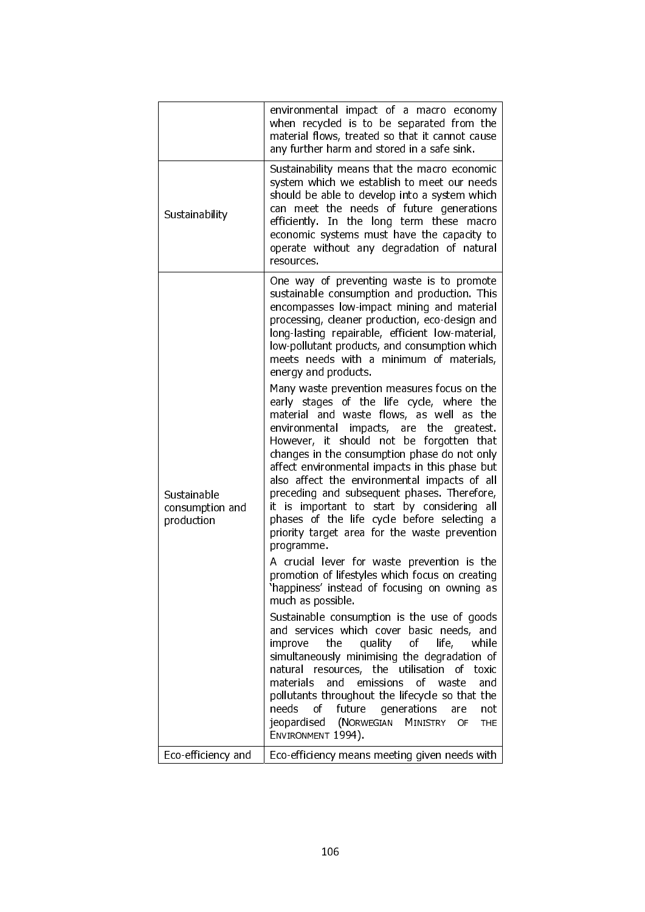|                                              | environmental impact of a macro economy<br>when recycled is to be separated from the<br>material flows, treated so that it cannot cause<br>any further harm and stored in a safe sink.                                                                                                                                                                                                                                                                                                                                                                                                                 |
|----------------------------------------------|--------------------------------------------------------------------------------------------------------------------------------------------------------------------------------------------------------------------------------------------------------------------------------------------------------------------------------------------------------------------------------------------------------------------------------------------------------------------------------------------------------------------------------------------------------------------------------------------------------|
| Sustainability                               | Sustainability means that the macro economic<br>system which we establish to meet our needs<br>should be able to develop into a system which<br>can meet the needs of future generations<br>efficiently. In the long term these<br>macro<br>economic systems must have the capacity to<br>operate without any degradation of natural<br>resources.                                                                                                                                                                                                                                                     |
|                                              | One way of preventing waste is to promote<br>sustainable consumption and production. This<br>encompasses low-impact mining and material<br>processing, cleaner production, eco-design and<br>long-lasting repairable, efficient low-material,<br>low-pollutant products, and consumption which<br>meets needs with a minimum of materials,<br>energy and products.                                                                                                                                                                                                                                     |
| Sustainable<br>consumption and<br>production | Many waste prevention measures focus on the<br>early stages of the life cycle, where the<br>material and waste flows, as well as the<br>environmental<br>impacts, are<br>the<br>greatest.<br>However, it should not be forgotten that<br>changes in the consumption phase do not only<br>affect environmental impacts in this phase but<br>also affect the environmental impacts of all<br>preceding and subsequent phases. Therefore,<br>it is important to start by considering<br>all<br>phases of the life cycle before selecting a<br>priority target area for the waste prevention<br>programme. |
|                                              | A crucial lever for waste prevention is the<br>promotion of lifestyles which focus on creating<br>'happiness' instead of focusing on owning as<br>much as possible.                                                                                                                                                                                                                                                                                                                                                                                                                                    |
|                                              | Sustainable consumption is the use of goods<br>and services which cover basic needs, and<br>of<br>while<br>improve<br>the<br>quality<br>life,<br>simultaneously minimising the degradation of<br>natural resources, the utilisation of<br>toxic<br>of waste<br>materials<br>and emissions<br>and<br>pollutants throughout the lifecycle so that the<br>needs<br>of future<br>generations<br>are<br>not<br>(NORWEGIAN<br><b>MINISTRY</b><br>jeopardised<br>OF<br>THE<br>ENVIRONMENT 1994).                                                                                                              |
| Eco-efficiency and                           | Eco-efficiency means meeting given needs with                                                                                                                                                                                                                                                                                                                                                                                                                                                                                                                                                          |
|                                              |                                                                                                                                                                                                                                                                                                                                                                                                                                                                                                                                                                                                        |
|                                              | 106                                                                                                                                                                                                                                                                                                                                                                                                                                                                                                                                                                                                    |
|                                              |                                                                                                                                                                                                                                                                                                                                                                                                                                                                                                                                                                                                        |
|                                              |                                                                                                                                                                                                                                                                                                                                                                                                                                                                                                                                                                                                        |
|                                              |                                                                                                                                                                                                                                                                                                                                                                                                                                                                                                                                                                                                        |
|                                              |                                                                                                                                                                                                                                                                                                                                                                                                                                                                                                                                                                                                        |
|                                              |                                                                                                                                                                                                                                                                                                                                                                                                                                                                                                                                                                                                        |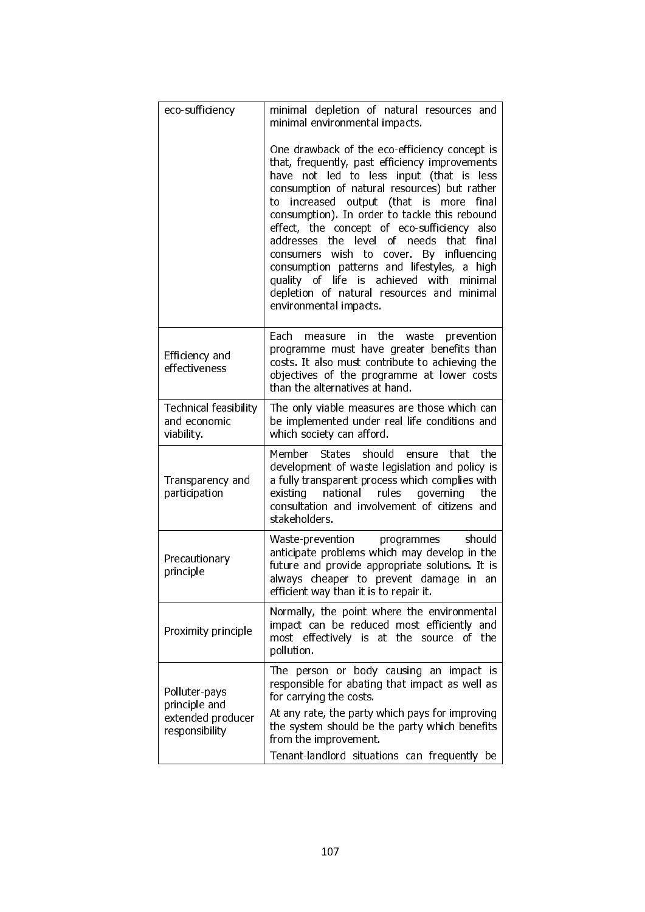| eco-sufficiency                                            | minimal depletion of natural resources and<br>minimal environmental impacts.                                                                                                                                                                                                                                                                                                                                                                                                                                                                                                                                                     |
|------------------------------------------------------------|----------------------------------------------------------------------------------------------------------------------------------------------------------------------------------------------------------------------------------------------------------------------------------------------------------------------------------------------------------------------------------------------------------------------------------------------------------------------------------------------------------------------------------------------------------------------------------------------------------------------------------|
|                                                            | One drawback of the eco-efficiency concept is<br>that, frequently, past efficiency improvements<br>not led to less input (that is less<br>have<br>consumption of natural resources) but rather<br>increased output (that is<br>final<br>more<br>to<br>consumption). In order to tackle this rebound<br>effect, the concept of eco-sufficiency also<br>addresses the level<br>of needs<br>that<br>final<br>By influencing<br>consumers wish to<br>cover.<br>consumption patterns and lifestyles, a high<br>quality of life is achieved with<br>minimal<br>depletion of natural resources and<br>minimal<br>environmental impacts. |
| Efficiency and<br>effectiveness                            | Each<br>the<br>in.<br>waste<br>prevention<br>measure<br>programme must have greater benefits than<br>costs. It also must contribute to achieving the<br>objectives of the programme at lower costs<br>than the alternatives at hand.                                                                                                                                                                                                                                                                                                                                                                                             |
| <b>Technical feasibility</b><br>and economic<br>viability. | The only viable measures are those which can<br>be implemented under real life conditions and<br>which society can afford.                                                                                                                                                                                                                                                                                                                                                                                                                                                                                                       |
| Transparency and<br>participation                          | Member States should<br>that<br>the<br>ensure<br>development of waste legislation and policy is<br>a fully transparent process which complies with<br>national<br>rules<br>governing<br>existing<br>the<br>consultation and involvement of citizens and<br>stakeholders.                                                                                                                                                                                                                                                                                                                                                         |
| Precautionary<br>principle                                 | Waste-prevention<br>should<br>programmes<br>anticipate problems which may develop in the<br>future and provide appropriate solutions. It is<br>always cheaper to prevent damage in<br>an<br>efficient way than it is to repair it.                                                                                                                                                                                                                                                                                                                                                                                               |
| Proximity principle                                        | Normally, the point where the environmental<br>impact can be reduced most efficiently and<br>most effectively is at the source of the<br>pollution.                                                                                                                                                                                                                                                                                                                                                                                                                                                                              |
| Polluter-pays<br>principle and                             | person or body causing an impact is<br>The<br>responsible for abating that impact as well as<br>for carrying the costs.                                                                                                                                                                                                                                                                                                                                                                                                                                                                                                          |
| extended producer<br>responsibility                        | At any rate, the party which pays for improving<br>the system should be the party which benefits<br>from the improvement.                                                                                                                                                                                                                                                                                                                                                                                                                                                                                                        |
|                                                            | Tenant-landlord situations can frequently be                                                                                                                                                                                                                                                                                                                                                                                                                                                                                                                                                                                     |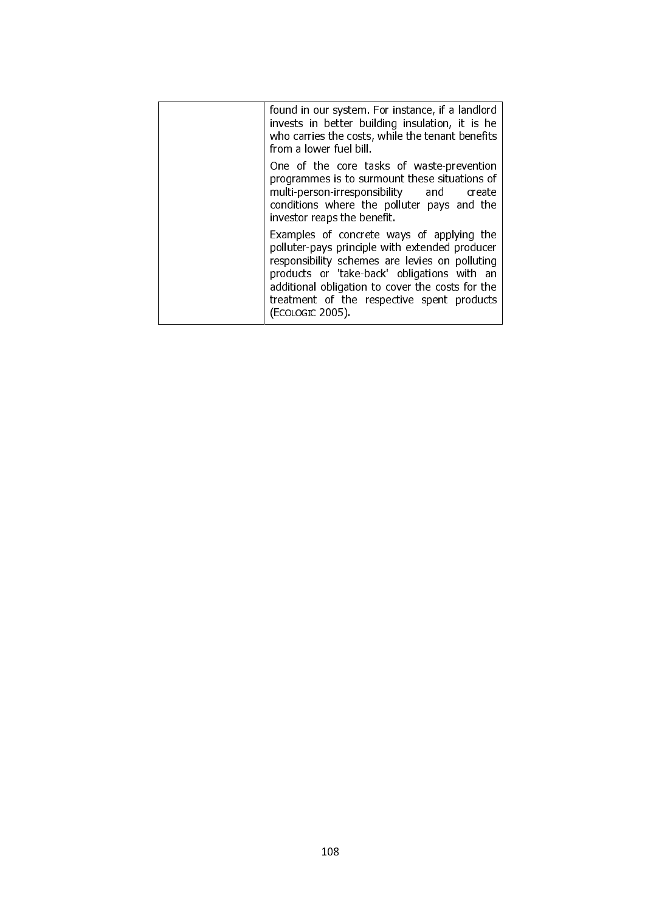| found in our system. For instance, if a landlord<br>invests in better building insulation, it is he<br>who carries the costs, while the tenant benefits<br>from a lower fuel bill.                                                                                                                                 |
|--------------------------------------------------------------------------------------------------------------------------------------------------------------------------------------------------------------------------------------------------------------------------------------------------------------------|
| One of the core tasks of waste-prevention<br>programmes is to surmount these situations of<br>multi-person-irresponsibility and create<br>conditions where the polluter pays and the<br>investor reaps the benefit.                                                                                                |
| Examples of concrete ways of applying the<br>polluter-pays principle with extended producer<br>responsibility schemes are levies on polluting<br>products or 'take-back' obligations with an<br>additional obligation to cover the costs for the<br>treatment of the respective spent products<br>(ECOLOGIC 2005). |
|                                                                                                                                                                                                                                                                                                                    |
|                                                                                                                                                                                                                                                                                                                    |
|                                                                                                                                                                                                                                                                                                                    |
|                                                                                                                                                                                                                                                                                                                    |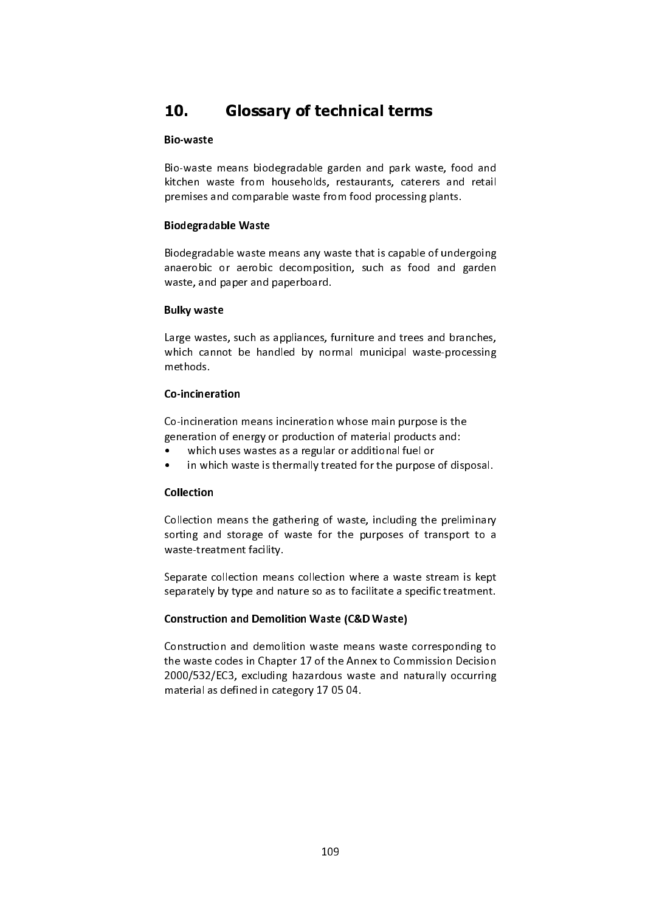## 10. Glossary of technical terms

# Bio-waste

Bio-waste means biodegradable garden and park waste, food and kitchen waste from households, restaurants, caterers and retail kitchen waste from households, restaurants, caterers and retail premises and comparable waste from food processing plants.

#### j Biodegradable Waste

Biodegradable waste means any waste that is capable of undergoing anaerobic or aerobic decomposition, such as food and garden waste, and paper and paperboard.

#### Bulky waste

Large wastes, such as appliances, furniture and trees and branches, which cannot be handled by normal municipal waste-processing<br>matheds methods.

## Co-incineration

Co-incineration means incineration whose main purpose is the generation of energy or production of material products and:

- which uses wastes as a regular or additional fuel or
- which uses wastes as a regular or additional fuel or • in which waste is thermally treated for the purpose of disposal.

## Collection

Collection means the gathering of waste, including the preliminary sorting and storage of waste for the purposes of transport to a waste-treatment facility.

Separate collection means collection where a waste stream is kept separately by type and nature so as to facilitate a specific treatment.

## Construction and Demolition Waste (C&D Waste)

Construction and demolition waste means waste corresponding to the waste codes in Chapter 17 of the Annex to Commission Decision the waste codes in Chapter 17 of the Annex to Commission Decision 2000/532/EC3, excluding hazardous waste and naturally occurring material as defined in category 17 05 04.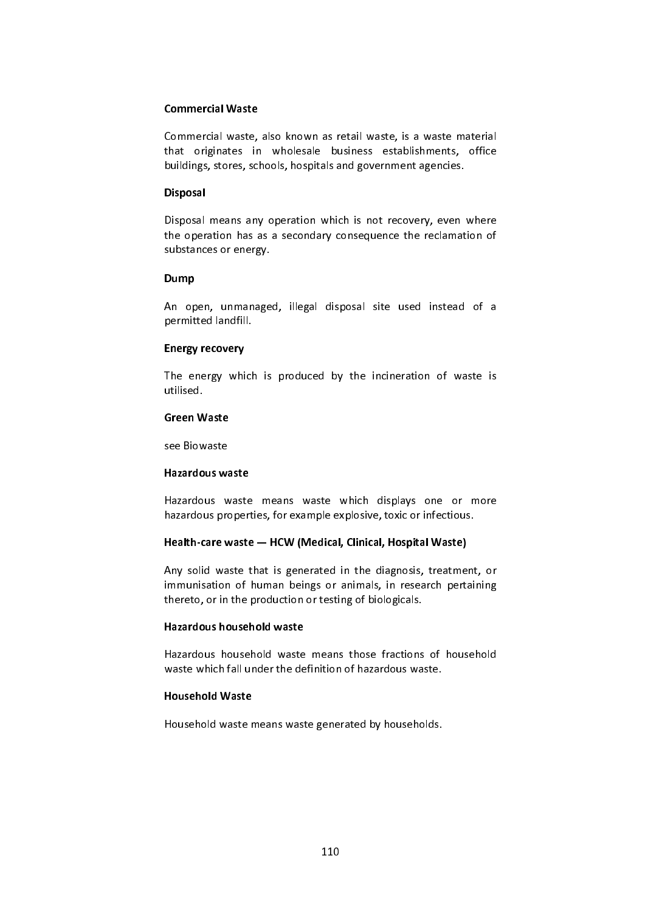#### Commercial Waste

Commercial waste, also known as retail waste, is a waste material<br>that originates in wholesale business establishments, office that originates in wholesale business establishments, office buildings, stores, schools, hospitals and government agencies.

#### Disposal

Disposal means any operation which is not recovery, even where the operation has as a secondary consequence the reclamation of substances or energy.

#### j Dump

An open, unmanaged, illegal disposal site used instead of a permitted landfill.

#### Energy recovery

The energy which is produced by the incineration of waste is utilised.

## Green Waste

see Biowaste

#### Hazardous waste

Hazardous waste means waste which displays one or more hazardous properties, for example explosive, toxic or infectious.

#### Health-care waste — HCW (Medical, Clinical, Hospital Waste)

Any solid waste that is generated in the diagnosis, treatment, or immunisation of human beings or animals, in research pertaining thereto, or in the production or testing of biologicals.

#### Hazardous household waste

Hazardous household waste means those fractions of household waste which fall under the definition of hazardous waste.

#### Household Waste

Household waste means waste generated by households.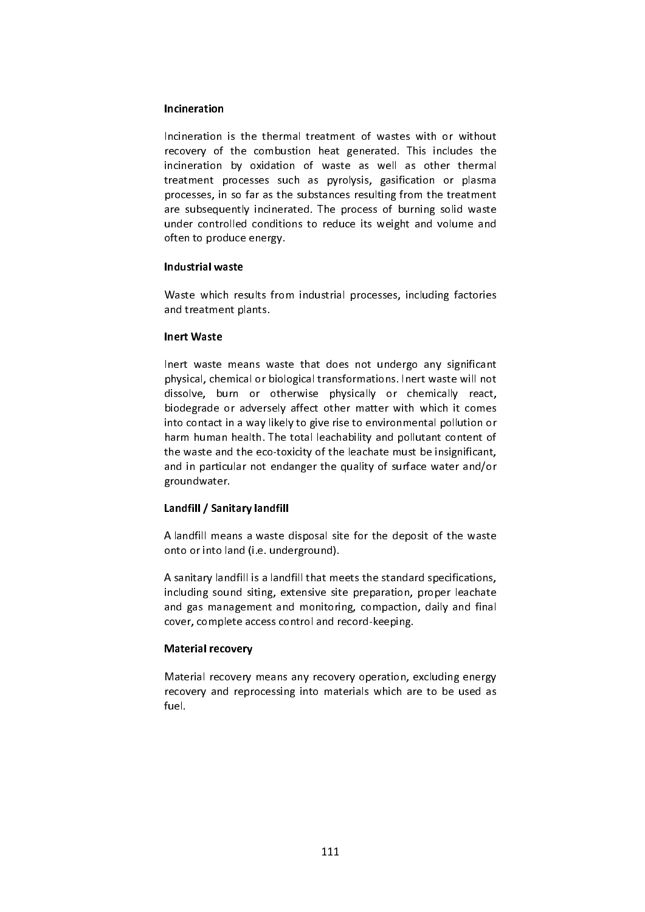#### Incineration

Incineration is the thermal treatment of wastes with or without recovery of the combustion heat generated. This includes the incineration by oxidation of waste as well as other thermal treatment processes such as pyrolysis, gasification or plasma processes, in so far as the substances resulting from the treatment are subsequently incinerated. The process of burning solid waste are subsequently incinerated. The process of burning solid waste under controlled conditions to reduce its weight and volume and often to produce energy.

#### $\overline{1}$ Industrial waste

Waste which results from industrial processes, including factories and treatment plants.

#### Inert Waste

Inert waste means waste that does not undergo any significant physical, chemical or biological transformations. Inert waste will not dissolve, burn or otherwise physically or chemically react, biodegrade or adversely affect other matter with which it comes into contact in a way likely to give rise to environmental pollution or harm human health. The total leachability and pollutant content of the waste and the eco-toxicity of the leachate must be insignificant, the waste and the eco-toxicity of the leachate must be insignificant, and in particular not endanger the quality of surface water and/or groundwater.

#### Landfill / Sanitary landfill

A landfill means a waste disposal site for the deposit of the waste onto or into land (i.e. underground).

A sanitary landfill is a landfill that meets the standard specifications, and gas management and monitoring, compaction, daily and final and gas management and monitoring, compaction, daily and final cover, complete access control and record-keeping.

#### Material recovery

Material recovery means any recovery operation, excluding energy recovery and reprocessing into materials which are to be used as fuel.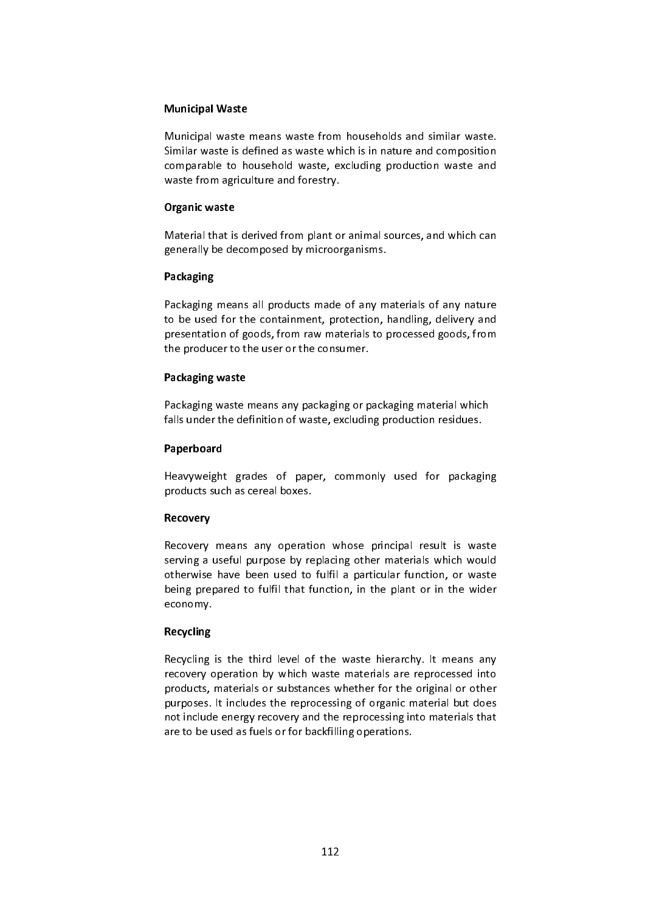#### Municipal Waste

Municipal waste means waste from households and similar waste. Similar waste is defined as waste which is in nature and composition comparable to household waste, excluding production waste and waste from agriculture and forestry.

### Organic waste

Material that is derived from plant or animal sources, and which can generally be decomposed by microorganisms.

### Packaging

Packaging means all products made of any materials of any nature<br>to be used for the containment, protection, handling, delivery and to be used for the containment, protection, handling, delivery and presentation of goods, from raw materials to processed goods, from the producer to the user or the consumer.

#### l Packaging waste

Packaging waste means any packaging or packaging material which falls under the definition of waste, excluding production residues.

#### l Paperboard

Heavyweight grades of paper, commonly used for packaging products such as cereal boxes.

#### Recovery

Recovery means any operation whose principal result is waste serving a useful purpose by replacing other materials which would otherwise have been used to fulfil a particular function, or waste otherwise have been used to fulfil a particular function, or waste being prepared to fulfil that function, in the plant or in the wider economy.

## Recycling

Recycling is the third level of the waste hierarchy. It means any recovery operation by which waste materials are reprocessed into products, materials or substances whether for the original or other purposes. It includes the reprocessing of organic material but does not include energy recovery and the reprocessing into materials that not include energy recovery and the reprocessing into materials that are to be used as fuels or for backfilling operations.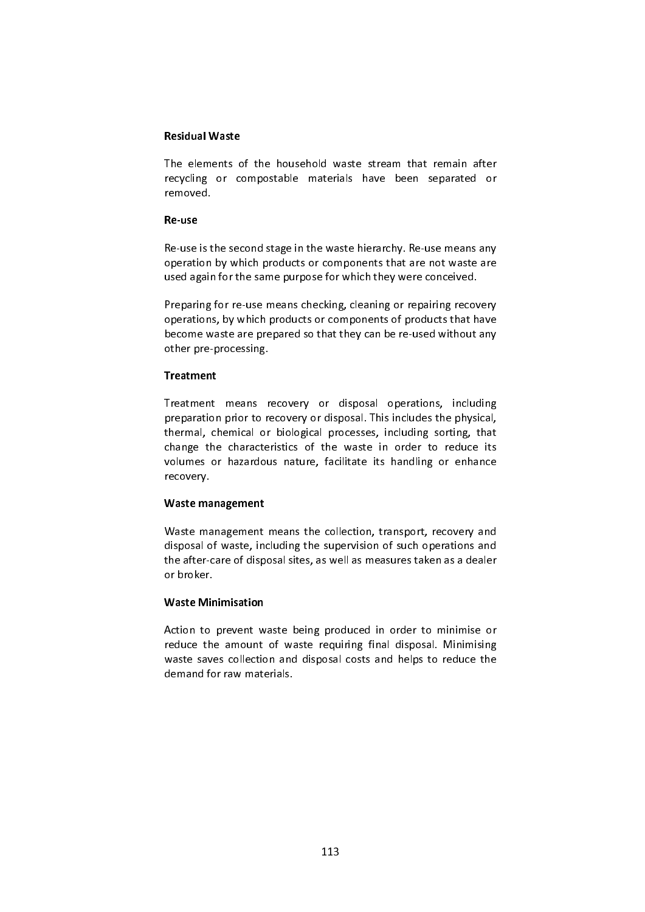#### Residual Waste

The elements of the household waste stream that remain after recycling or compostable materials have been separated or removed.

#### Re-use

Re-use is the second stage in the waste hierarchy. Re-use means any operation by which products or components that are not waste are operation by which products or components that are not waste are used again for the same purpose for which they were conceived.

Preparing for re-use means checking, cleaning or repairing recovery operations, by which products or components of products that have operations, by which products or components of products that have become waste are prepared so that they can be re-used without any other pre-processing.

#### **Treatment**

Treatment means recovery or disposal operations, including<br>preparation prior to recovery or disposal. This includes the physical, thermal, chemical or biological processes, including sorting, that change the characteristics of the waste in order to reduce its change the characteristics of the waste in order to reduce its volumes or hazardous nature, facilitate its handling or enhance recovery.

#### Waste management

Waste management means the collection, transport, recovery and disposal of waste, including the supervision of such operations and disposal of waste, including the supervision of such operations and the after-care of disposal sites, as well as measures taken as a dealer or broker.

#### Waste Minimisation

Action to prevent waste being produced in order to minimise or reduce the amount of waste requiring final disposal. Minimising reduce the amount of waste requiring final disposal. Minimising waste saves collection and disposal costs and helps to reduce the demand for raw materials.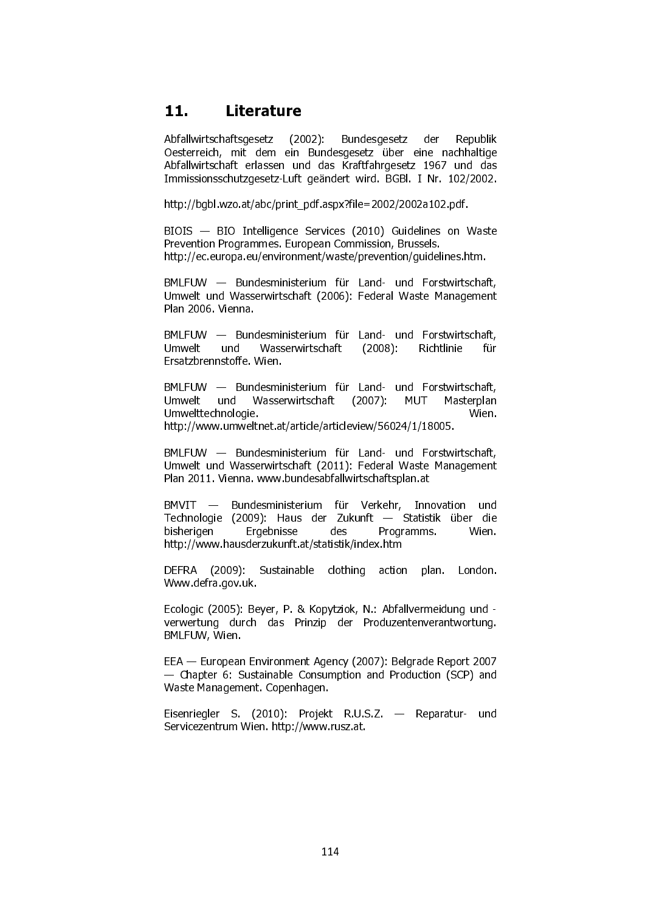## 11. Literature

Abfallwirtschaftsgesetz (2002): Bundesgesetz der Republik Oesterreich, mit dem ein Bundesgesetz über eine nachhaltige Abfallwirtschaft erlassen und das Kraftfahrgesetz 1967 und das Immissionsschutzgesetz-Luft geändert wird. BGBl. I Nr. 102/2002.

http://bgbl.wzo.at/abc/print\_pdf.aspx?file=2002/2002a102.pdf.

BIOIS — BIO Intelligence Services (2010) Guidelines on Waste Prevention Programmes. European Commission, Brussels. http://ec.europa.eu/environment/waste/prevention/guidelines.htm.

BMLFUW — Bundesministerium für Land- und Forstwirtschaft, Umwelt und Wasserwirtschaft (2006): Federal Waste Management Plan 2006. Vienna.

BMLFUW — Bundesministerium für Land- und Forstwirtschaft, Umwelt und Wasserwirtschaft (2008): Richtlinie für Ersatzbrennstoffe. Wien.

BMLFUW — Bundesministerium für Land- und Forstwirtschaft,<br>Umwelt und Wasserwirtschaft (2007): MUT Masterplan Umwelt und Wasserwirtschaft (2007): MUT Masterplan Umwelttechnologie. Wien. http://www.umweltnet.at/article/articleview/56024/1/18005.

BMLFUW — Bundesministerium für Land- und Forstwirtschaft, Umwelt und Wasserwirtschaft (2011): Federal Waste Management Plan 2011. Vienna. www.bundesabfallwirtschaftsplan.at

BMVIT — Bundesministerium für Verkehr, Innovation und Technologie (2009): Haus der Zukunft — Statistik über die<br>bisherigen birgebnisse des Programms. Wien bisherigen Ergebnisse des Programms. http://www.hausderzukunft.at/statistik/index.htm

DEFRA (2009): Sustainable clothing action plan. London. Www.defra.gov.uk.

Ecologic (2005): Beyer, P. & Kopytziok, N.: Abfallvermeidung und verwertung durch das Prinzip der Produzentenverantwortung. BMLFUW, Wien.

EEA — European Environment Agency (2007): Belgrade Report 2007 — Chapter 6: Sustainable Consumption and Production (SCP) and Waste Management. Copenhagen.

Eisenriegler S. (2010): Projekt R.U.S.Z. — Reparatur- und Servicezentrum Wien. http://www.rusz.at.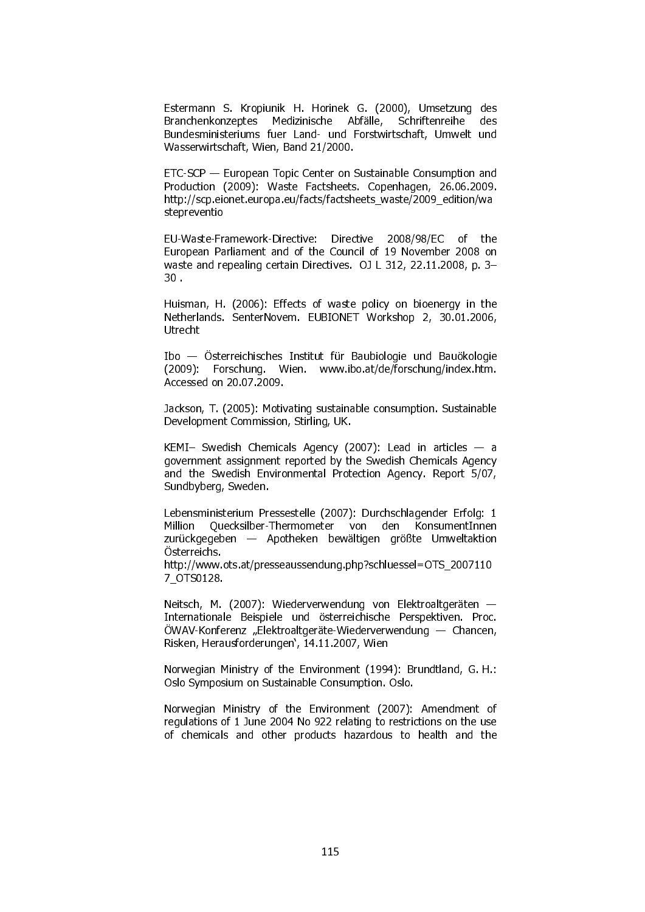Estermann S. Kropiunik H. Horinek G. (2000), Umsetzung des Branchenkonzeptes Medizinische Abfälle, Schriftenreihe des Bundesministeriums fuer Land- und Forstwirtschaft, Umwelt und Wasserwirtschaft, Wien, Band 21/2000.

ETC-SCP — European Topic Center on Sustainable Consumption and Production (2009): Waste Factsheets. Copenhagen, 26.06.2009. http://scp.eionet.europa.eu/facts/factsheets\_waste/2009\_edition/wa stepreventio

EU-Waste-Framework-Directive: Directive 2008/98/EC of the European Parliament and of the Council of 19 November 2008 on waste and repealing certain Directives. OJ L 312, 22.11.2008, p. 3– 30 .

Huisman, H. (2006): Effects of waste policy on bioenergy in the Netherlands. SenterNovem. EUBIONET Workshop 2, 30.01.2006, Utrecht

Ibo — Österreichisches Institut für Baubiologie und Bauökologie (2009): Forschung. Wien. www.ibo.at/de/forschung/index.htm. Accessed on 20.07.2009.

Jackson, T. (2005): Motivating sustainable consumption. Sustainable Development Commission, Stirling, UK.

KEMI- Swedish Chemicals Agency (2007): Lead in articles  $-$  a government assignment reported by the Swedish Chemicals Agency and the Swedish Environmental Protection Agency. Report 5/07, Sundbyberg, Sweden.

Lebensministerium Pressestelle (2007): Durchschlagender Erfolg: 1 Million Quecksilber-Thermometer von den KonsumentInnen zurückgegeben — Apotheken bewältigen größte Umweltaktion Österreichs.

http://www.ots.at/presseaussendung.php?schluessel=OTS\_2007110 7\_OTS0128.

Neitsch, M. (2007): Wiederverwendung von Elektroaltgeräten — Internationale Beispiele und österreichische Perspektiven. Proc. ÖWAV-Konferenz "Elektroaltgeräte-Wiederverwendung — Chancen, Risken, Herausforderungen', 14.11.2007, Wien

Norwegian Ministry of the Environment (1994): Brundtland, G. H.: Oslo Symposium on Sustainable Consumption. Oslo.

Norwegian Ministry of the Environment (2007): Amendment of regulations of 1 June 2004 No 922 relating to restrictions on the use of chemicals and other products hazardous to health and the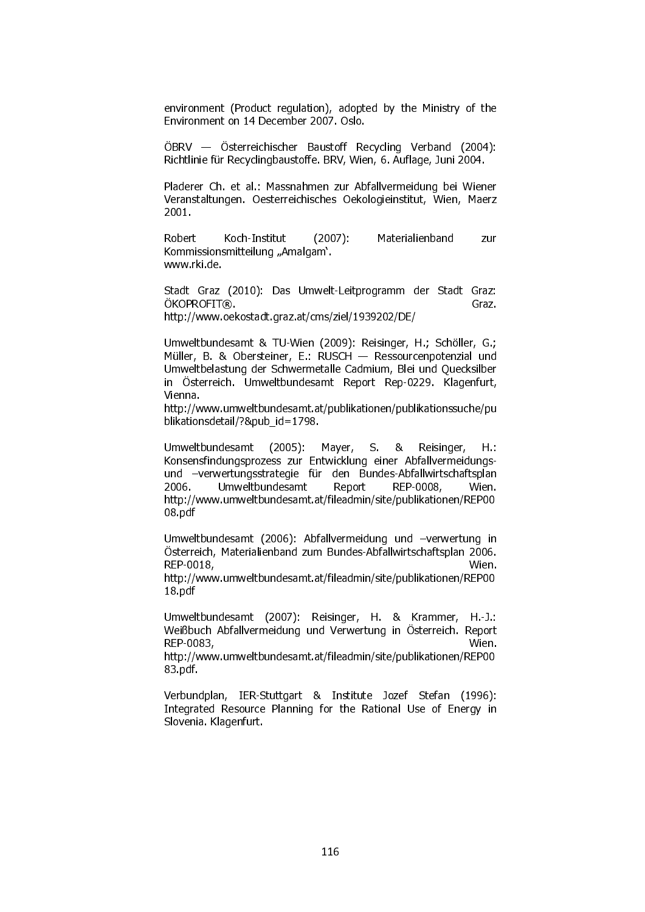environment (Product regulation), adopted by the Ministry of the Environment on 14 December 2007. Oslo.

ÖBRV — Österreichischer Baustoff Recycling Verband (2004): Richtlinie für Recyclingbaustoffe. BRV, Wien, 6. Auflage, Juni 2004.

Pladerer Ch. et al.: Massnahmen zur Abfallvermeidung bei Wiener Veranstaltungen. Oesterreichisches Oekologieinstitut, Wien, Maerz 2001.

Robert Koch-Institut (2007): Materialienband zur Kommissionsmitteilung "Amalgam'. www.rki.de.

Stadt Graz (2010): Das Umwelt-Leitprogramm der Stadt Graz: ÖKOPROFIT®. http://www.oekostadt.graz.at/cms/ziel/1939202/DE/

Umweltbundesamt & TU-Wien (2009): Reisinger, H.; Schöller, G.; Müller, B. & Obersteiner, E.: RUSCH — Ressourcenpotenzial und Umweltbelastung der Schwermetalle Cadmium, Blei und Quecksilber in Österreich. Umweltbundesamt Report Rep-0229. Klagenfurt, Vienna.

http://www.umweltbundesamt.at/publikationen/publikationssuche/pu blikationsdetail/?&pub\_id=1798.

Umweltbundesamt (2005): Mayer, S. & Reisinger, H.: Konsensfindungsprozess zur Entwicklung einer Abfallvermeidungsund –verwertungsstrategie für den Bundes-Abfallwirtschaftsplan 2006. Umweltbundesamt Report REP-0008, Wien. http://www.umweltbundesamt.at/fileadmin/site/publikationen/REP00 08.pdf

Umweltbundesamt (2006): Abfallvermeidung und –verwertung in Österreich, Materialienband zum Bundes-Abfallwirtschaftsplan 2006. REP-0018, Wien.

http://www.umweltbundesamt.at/fileadmin/site/publikationen/REP00 18.pdf

Umweltbundesamt (2007): Reisinger, H. & Krammer, H.-J.: Weißbuch Abfallvermeidung und Verwertung in Österreich. Report REP-0083, Wien.

http://www.umweltbundesamt.at/fileadmin/site/publikationen/REP00 83.pdf.

Verbundplan, IER-Stuttgart & Institute Jozef Stefan (1996): Integrated Resource Planning for the Rational Use of Energy in Slovenia. Klagenfurt.